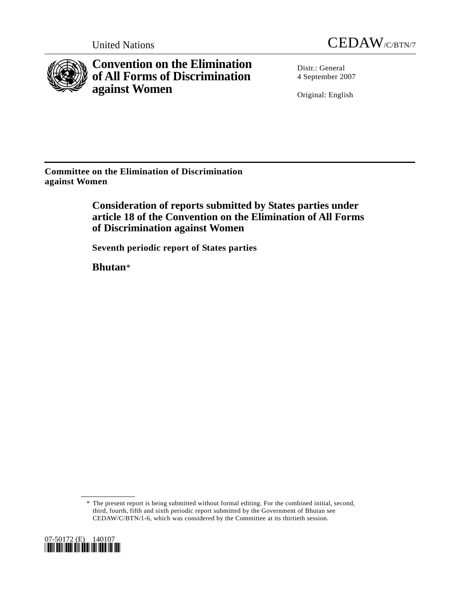



**Convention on the Elimination of All Forms of Discrimination against Women** 

Distr.: General 4 September 2007

Original: English

**Committee on the Elimination of Discrimination against Women** 

> **Consideration of reports submitted by States parties under article 18 of the Convention on the Elimination of All Forms of Discrimination against Women**

 **Seventh periodic report of States parties** 

 **Bhutan**\*

 <sup>\*</sup> The present report is being submitted without formal editing. For the combined initial, second, third, fourth, fifth and sixth periodic report submitted by the Government of Bhutan see CEDAW/C/BTN/1-6, which was considered by the Committee at its thirtieth session.

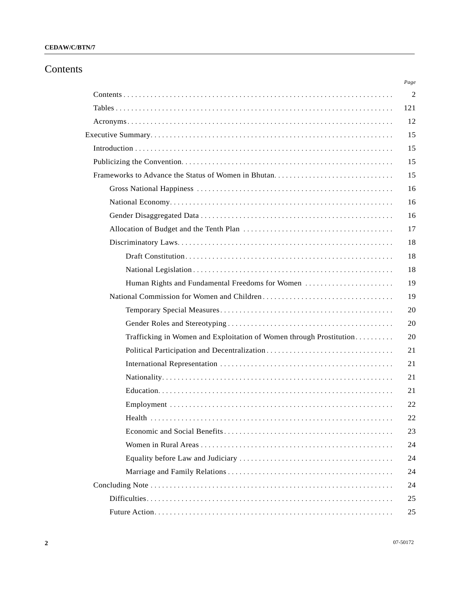# Contents

|                                                                     | Page           |
|---------------------------------------------------------------------|----------------|
|                                                                     | $\overline{2}$ |
|                                                                     | 121            |
|                                                                     | 12             |
|                                                                     | 15             |
|                                                                     | 15             |
|                                                                     | 15             |
| Frameworks to Advance the Status of Women in Bhutan                 | 15             |
|                                                                     | 16             |
|                                                                     | 16             |
|                                                                     | 16             |
|                                                                     | 17             |
|                                                                     | 18             |
|                                                                     | 18             |
|                                                                     | 18             |
| Human Rights and Fundamental Freedoms for Women                     | 19             |
|                                                                     | 19             |
|                                                                     | 20             |
|                                                                     | 20             |
| Trafficking in Women and Exploitation of Women through Prostitution | 20             |
|                                                                     | 21             |
|                                                                     | 21             |
|                                                                     | 21             |
|                                                                     | 21             |
|                                                                     | 22             |
|                                                                     | 22             |
|                                                                     | 23             |
|                                                                     | 24             |
|                                                                     | 24             |
|                                                                     | 24             |
|                                                                     | 24             |
|                                                                     | 25             |
|                                                                     | 25             |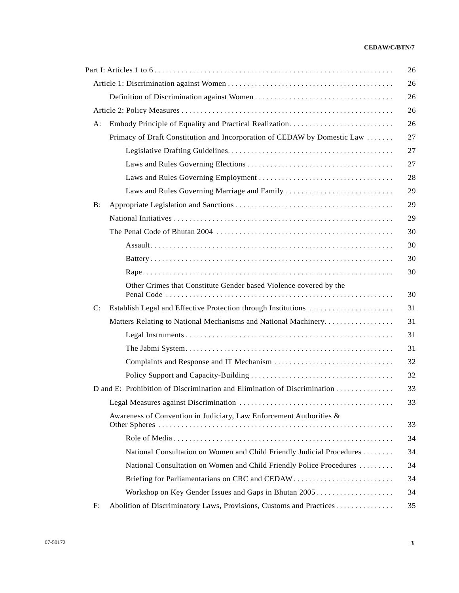|    |                                                                          | 26 |
|----|--------------------------------------------------------------------------|----|
|    |                                                                          | 26 |
|    |                                                                          | 26 |
|    |                                                                          | 26 |
| A: | Embody Principle of Equality and Practical Realization                   | 26 |
|    | Primacy of Draft Constitution and Incorporation of CEDAW by Domestic Law | 27 |
|    |                                                                          | 27 |
|    |                                                                          | 27 |
|    |                                                                          | 28 |
|    | Laws and Rules Governing Marriage and Family                             | 29 |
| B: |                                                                          | 29 |
|    |                                                                          | 29 |
|    |                                                                          | 30 |
|    |                                                                          | 30 |
|    |                                                                          | 30 |
|    |                                                                          | 30 |
|    | Other Crimes that Constitute Gender based Violence covered by the        | 30 |
| C: | Establish Legal and Effective Protection through Institutions            | 31 |
|    | Matters Relating to National Mechanisms and National Machinery           | 31 |
|    |                                                                          | 31 |
|    |                                                                          | 31 |
|    |                                                                          | 32 |
|    |                                                                          | 32 |
|    | D and E: Prohibition of Discrimination and Elimination of Discrimination | 33 |
|    |                                                                          | 33 |
|    | Awareness of Convention in Judiciary, Law Enforcement Authorities &      | 33 |
|    |                                                                          | 34 |
|    | National Consultation on Women and Child Friendly Judicial Procedures    | 34 |
|    | National Consultation on Women and Child Friendly Police Procedures      | 34 |
|    |                                                                          | 34 |
|    | Workshop on Key Gender Issues and Gaps in Bhutan 2005                    | 34 |
| F: | Abolition of Discriminatory Laws, Provisions, Customs and Practices      | 35 |
|    |                                                                          |    |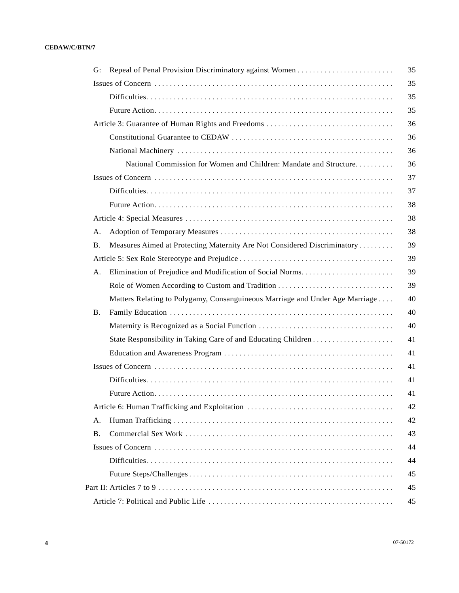| G:        |                                                                              |
|-----------|------------------------------------------------------------------------------|
|           |                                                                              |
|           |                                                                              |
|           |                                                                              |
|           |                                                                              |
|           |                                                                              |
|           |                                                                              |
|           | National Commission for Women and Children: Mandate and Structure            |
|           |                                                                              |
|           |                                                                              |
|           |                                                                              |
|           |                                                                              |
| Α.        |                                                                              |
| <b>B.</b> | Measures Aimed at Protecting Maternity Are Not Considered Discriminatory     |
|           |                                                                              |
| A.        | Elimination of Prejudice and Modification of Social Norms                    |
|           |                                                                              |
|           | Matters Relating to Polygamy, Consanguineous Marriage and Under Age Marriage |
| В.        |                                                                              |
|           |                                                                              |
|           |                                                                              |
|           |                                                                              |
|           |                                                                              |
|           |                                                                              |
|           |                                                                              |
|           |                                                                              |
| A.        |                                                                              |
| <b>B.</b> |                                                                              |
|           |                                                                              |
|           |                                                                              |
|           |                                                                              |
|           |                                                                              |
|           |                                                                              |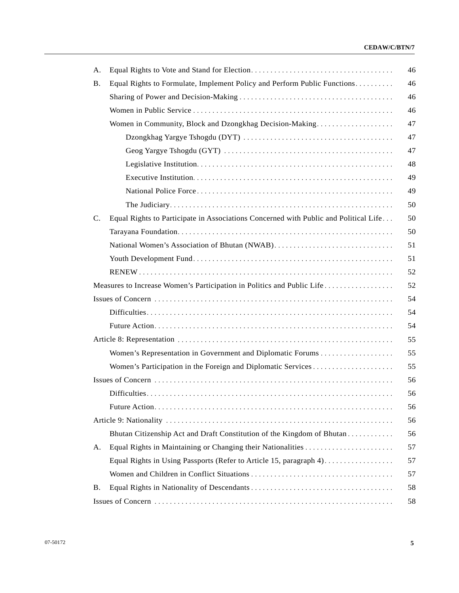| А.             |                                                                                      |
|----------------|--------------------------------------------------------------------------------------|
| <b>B.</b>      | Equal Rights to Formulate, Implement Policy and Perform Public Functions             |
|                |                                                                                      |
|                |                                                                                      |
|                | Women in Community, Block and Dzongkhag Decision-Making                              |
|                |                                                                                      |
|                |                                                                                      |
|                |                                                                                      |
|                |                                                                                      |
|                |                                                                                      |
|                |                                                                                      |
| $\mathbf{C}$ . | Equal Rights to Participate in Associations Concerned with Public and Political Life |
|                |                                                                                      |
|                | National Women's Association of Bhutan (NWAB)                                        |
|                |                                                                                      |
|                |                                                                                      |
|                | Measures to Increase Women's Participation in Politics and Public Life               |
|                |                                                                                      |
|                |                                                                                      |
|                |                                                                                      |
|                |                                                                                      |
|                |                                                                                      |
|                |                                                                                      |
|                |                                                                                      |
|                |                                                                                      |
|                |                                                                                      |
|                |                                                                                      |
|                | Bhutan Citizenship Act and Draft Constitution of the Kingdom of Bhutan               |
| А.             |                                                                                      |
|                |                                                                                      |
|                |                                                                                      |
| Β.             |                                                                                      |
|                |                                                                                      |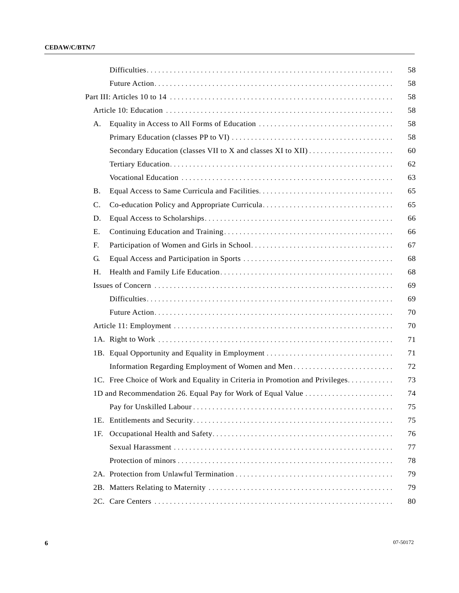|           |                                                                               | 58 |
|-----------|-------------------------------------------------------------------------------|----|
|           |                                                                               | 58 |
|           |                                                                               | 58 |
|           |                                                                               | 58 |
| А.        |                                                                               | 58 |
|           |                                                                               | 58 |
|           |                                                                               | 60 |
|           |                                                                               | 62 |
|           |                                                                               | 63 |
| <b>B.</b> |                                                                               | 65 |
| C.        | Co-education Policy and Appropriate Curricula                                 | 65 |
| D.        |                                                                               | 66 |
| Ε.        |                                                                               | 66 |
| F.        |                                                                               | 67 |
| G.        |                                                                               | 68 |
| Η.        |                                                                               | 68 |
|           |                                                                               | 69 |
|           |                                                                               | 69 |
|           |                                                                               | 70 |
|           |                                                                               | 70 |
|           |                                                                               | 71 |
|           |                                                                               | 71 |
|           |                                                                               | 72 |
|           | 1C. Free Choice of Work and Equality in Criteria in Promotion and Privileges. | 73 |
|           | 1D and Recommendation 26. Equal Pay for Work of Equal Value                   | 74 |
|           |                                                                               | 75 |
|           |                                                                               | 75 |
| 1F.       |                                                                               | 76 |
|           |                                                                               | 77 |
|           |                                                                               | 78 |
|           |                                                                               |    |
|           |                                                                               | 79 |
|           |                                                                               | 80 |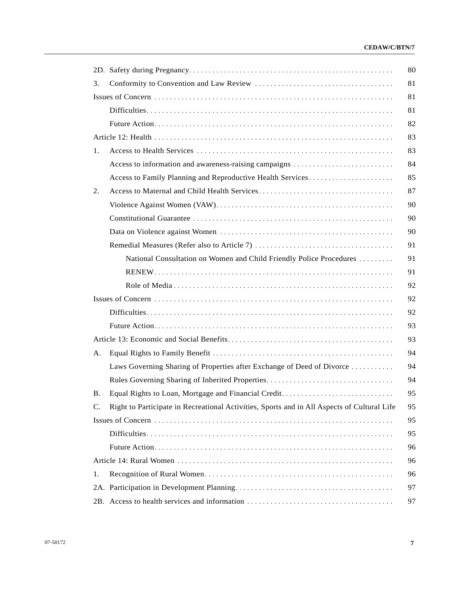| 3.        |                                                                                             |
|-----------|---------------------------------------------------------------------------------------------|
|           |                                                                                             |
|           |                                                                                             |
|           |                                                                                             |
|           |                                                                                             |
| 1.        |                                                                                             |
|           | Access to information and awareness-raising campaigns                                       |
|           | Access to Family Planning and Reproductive Health Services                                  |
| 2.        |                                                                                             |
|           |                                                                                             |
|           |                                                                                             |
|           |                                                                                             |
|           |                                                                                             |
|           | National Consultation on Women and Child Friendly Police Procedures                         |
|           |                                                                                             |
|           |                                                                                             |
|           |                                                                                             |
|           |                                                                                             |
|           |                                                                                             |
|           |                                                                                             |
| A.        |                                                                                             |
|           | Laws Governing Sharing of Properties after Exchange of Deed of Divorce                      |
|           | Rules Governing Sharing of Inherited Properties                                             |
| <b>B.</b> | Equal Rights to Loan, Mortgage and Financial Credit                                         |
| C.        | Right to Participate in Recreational Activities, Sports and in All Aspects of Cultural Life |
|           |                                                                                             |
|           |                                                                                             |
|           |                                                                                             |
|           |                                                                                             |
| 1.        |                                                                                             |
|           |                                                                                             |
|           |                                                                                             |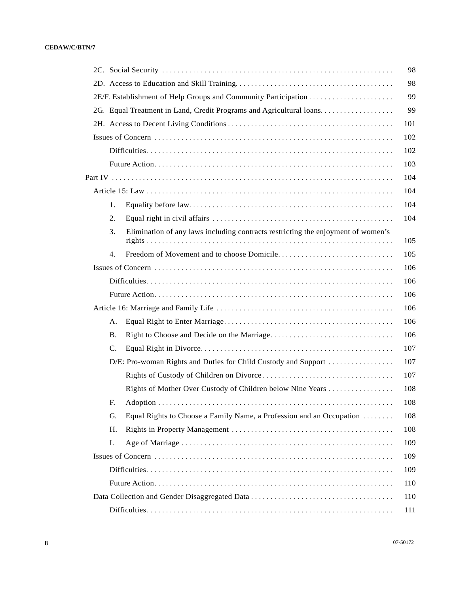|                                                                                        | 98  |
|----------------------------------------------------------------------------------------|-----|
|                                                                                        | 98  |
|                                                                                        | 99  |
| 2G. Equal Treatment in Land, Credit Programs and Agricultural loans                    | 99  |
|                                                                                        | 101 |
|                                                                                        | 102 |
|                                                                                        | 102 |
|                                                                                        | 103 |
|                                                                                        | 104 |
|                                                                                        | 104 |
| 1.                                                                                     | 104 |
| 2.                                                                                     | 104 |
| Elimination of any laws including contracts restricting the enjoyment of women's<br>3. | 105 |
| 4.                                                                                     | 105 |
|                                                                                        | 106 |
|                                                                                        | 106 |
|                                                                                        | 106 |
|                                                                                        | 106 |
| А.                                                                                     | 106 |
| <b>B.</b>                                                                              | 106 |
| $\mathbf{C}$ .                                                                         | 107 |
| D/E: Pro-woman Rights and Duties for Child Custody and Support                         | 107 |
|                                                                                        | 107 |
|                                                                                        | 108 |
| F.                                                                                     | 108 |
| G.<br>Equal Rights to Choose a Family Name, a Profession and an Occupation             | 108 |
| Η.                                                                                     | 108 |
| I.                                                                                     | 109 |
|                                                                                        | 109 |
|                                                                                        | 109 |
|                                                                                        | 110 |
|                                                                                        | 110 |
|                                                                                        | 111 |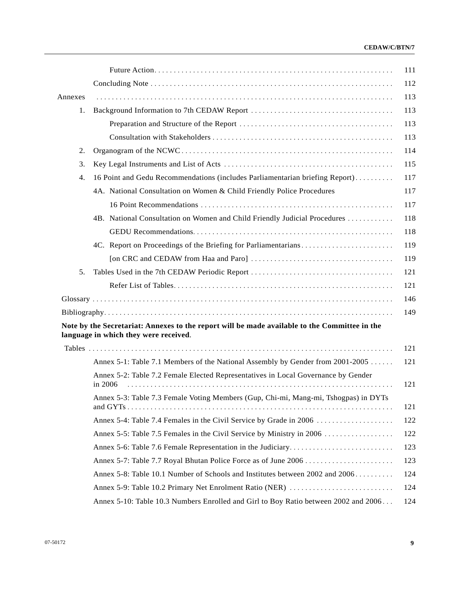| Annexes |                                                                                                                                        |  |
|---------|----------------------------------------------------------------------------------------------------------------------------------------|--|
| 1.      |                                                                                                                                        |  |
|         |                                                                                                                                        |  |
|         |                                                                                                                                        |  |
| 2.      |                                                                                                                                        |  |
| 3.      |                                                                                                                                        |  |
| 4.      | 16 Point and Gedu Recommendations (includes Parliamentarian briefing Report)                                                           |  |
|         | 4A. National Consultation on Women & Child Friendly Police Procedures                                                                  |  |
|         |                                                                                                                                        |  |
|         | 4B. National Consultation on Women and Child Friendly Judicial Procedures                                                              |  |
|         |                                                                                                                                        |  |
|         | 4C. Report on Proceedings of the Briefing for Parliamentarians                                                                         |  |
|         |                                                                                                                                        |  |
| 5.      |                                                                                                                                        |  |
|         |                                                                                                                                        |  |
|         |                                                                                                                                        |  |
|         |                                                                                                                                        |  |
|         | Note by the Secretariat: Annexes to the report will be made available to the Committee in the<br>language in which they were received. |  |
|         |                                                                                                                                        |  |
|         | Annex 5-1: Table 7.1 Members of the National Assembly by Gender from 2001-2005                                                         |  |
|         | Annex 5-2: Table 7.2 Female Elected Representatives in Local Governance by Gender<br>in $2006$                                         |  |
|         | Annex 5-3: Table 7.3 Female Voting Members (Gup, Chi-mi, Mang-mi, Tshogpas) in DYTs                                                    |  |
|         | Annex 5-4: Table 7.4 Females in the Civil Service by Grade in 2006                                                                     |  |
|         | Annex 5-5: Table 7.5 Females in the Civil Service by Ministry in 2006                                                                  |  |
|         |                                                                                                                                        |  |
|         |                                                                                                                                        |  |
|         | Annex 5-8: Table 10.1 Number of Schools and Institutes between 2002 and 2006                                                           |  |
|         | Annex 5-9: Table 10.2 Primary Net Enrolment Ratio (NER)                                                                                |  |
|         | Annex 5-10: Table 10.3 Numbers Enrolled and Girl to Boy Ratio between 2002 and 2006                                                    |  |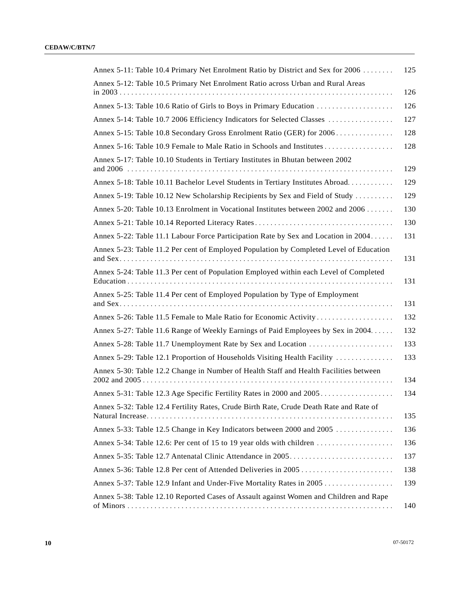| Annex 5-11: Table 10.4 Primary Net Enrolment Ratio by District and Sex for 2006        | 125 |
|----------------------------------------------------------------------------------------|-----|
| Annex 5-12: Table 10.5 Primary Net Enrolment Ratio across Urban and Rural Areas        | 126 |
|                                                                                        | 126 |
| Annex 5-14: Table 10.7 2006 Efficiency Indicators for Selected Classes                 | 127 |
| Annex 5-15: Table 10.8 Secondary Gross Enrolment Ratio (GER) for 2006                  | 128 |
|                                                                                        | 128 |
| Annex 5-17: Table 10.10 Students in Tertiary Institutes in Bhutan between 2002         | 129 |
| Annex 5-18: Table 10.11 Bachelor Level Students in Tertiary Institutes Abroad          | 129 |
| Annex 5-19: Table 10.12 New Scholarship Recipients by Sex and Field of Study           | 129 |
| Annex 5-20: Table 10.13 Enrolment in Vocational Institutes between 2002 and 2006       | 130 |
|                                                                                        | 130 |
| Annex 5-22: Table 11.1 Labour Force Participation Rate by Sex and Location in 2004     | 131 |
| Annex 5-23: Table 11.2 Per cent of Employed Population by Completed Level of Education | 131 |
| Annex 5-24: Table 11.3 Per cent of Population Employed within each Level of Completed  | 131 |
| Annex 5-25: Table 11.4 Per cent of Employed Population by Type of Employment           | 131 |
|                                                                                        | 132 |
| Annex 5-27: Table 11.6 Range of Weekly Earnings of Paid Employees by Sex in 2004.      | 132 |
|                                                                                        | 133 |
| Annex 5-29: Table 12.1 Proportion of Households Visiting Health Facility               | 133 |
| Annex 5-30: Table 12.2 Change in Number of Health Staff and Health Facilities between  | 134 |
| Annex 5-31: Table 12.3 Age Specific Fertility Rates in 2000 and 2005                   | 134 |
| Annex 5-32: Table 12.4 Fertility Rates, Crude Birth Rate, Crude Death Rate and Rate of | 135 |
| Annex 5-33: Table 12.5 Change in Key Indicators between 2000 and 2005                  | 136 |
|                                                                                        | 136 |
|                                                                                        | 137 |
|                                                                                        | 138 |
|                                                                                        | 139 |
| Annex 5-38: Table 12.10 Reported Cases of Assault against Women and Children and Rape  | 140 |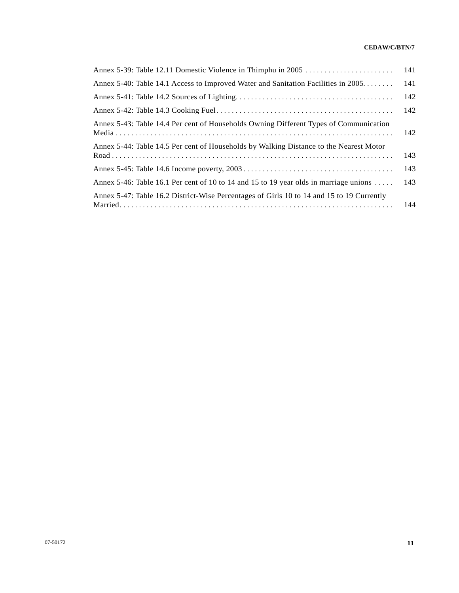|                                                                                                 | 141 |
|-------------------------------------------------------------------------------------------------|-----|
| Annex 5-40: Table 14.1 Access to Improved Water and Sanitation Facilities in 2005               | 141 |
|                                                                                                 | 142 |
|                                                                                                 | 142 |
| Annex 5-43: Table 14.4 Per cent of Households Owning Different Types of Communication           | 142 |
| Annex 5-44: Table 14.5 Per cent of Households by Walking Distance to the Nearest Motor          | 143 |
|                                                                                                 | 143 |
| Annex 5-46: Table 16.1 Per cent of 10 to 14 and 15 to 19 year olds in marriage unions $\dots$ . | 143 |
| Annex 5-47: Table 16.2 District-Wise Percentages of Girls 10 to 14 and 15 to 19 Currently       | 144 |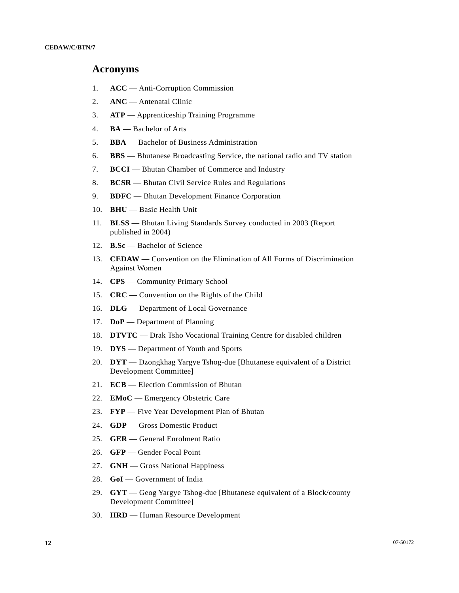#### **Acronyms**

- 1. **ACC** Anti-Corruption Commission
- 2. **ANC** Antenatal Clinic
- 3. **ATP** Apprenticeship Training Programme
- 4. **BA** Bachelor of Arts
- 5. **BBA** Bachelor of Business Administration
- 6. **BBS** Bhutanese Broadcasting Service, the national radio and TV station
- 7. **BCCI** Bhutan Chamber of Commerce and Industry
- 8. **BCSR** Bhutan Civil Service Rules and Regulations
- 9. **BDFC** Bhutan Development Finance Corporation
- 10. **BHU** Basic Health Unit
- 11. **BLSS** Bhutan Living Standards Survey conducted in 2003 (Report published in 2004)
- 12. **B.Sc** Bachelor of Science
- 13. **CEDAW** Convention on the Elimination of All Forms of Discrimination Against Women
- 14. **CPS** Community Primary School
- 15. **CRC** Convention on the Rights of the Child
- 16. **DLG** Department of Local Governance
- 17. **DoP** Department of Planning
- 18. **DTVTC** Drak Tsho Vocational Training Centre for disabled children
- 19. **DYS** Department of Youth and Sports
- 20. **DYT** Dzongkhag Yargye Tshog-due [Bhutanese equivalent of a District Development Committee]
- 21. **ECB** Election Commission of Bhutan
- 22. **EMoC** Emergency Obstetric Care
- 23. **FYP** Five Year Development Plan of Bhutan
- 24. **GDP** Gross Domestic Product
- 25. **GER** General Enrolment Ratio
- 26. **GFP** Gender Focal Point
- 27. **GNH** Gross National Happiness
- 28. **GoI** Government of India
- 29. **GYT** Geog Yargye Tshog-due [Bhutanese equivalent of a Block/county Development Committee]
- 30. **HRD** Human Resource Development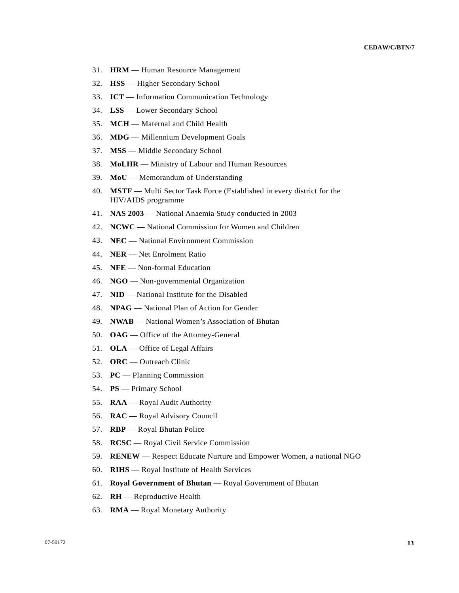- 31. **HRM** Human Resource Management
- 32. **HSS** Higher Secondary School
- 33. **ICT** Information Communication Technology
- 34. **LSS** Lower Secondary School
- 35. **MCH** Maternal and Child Health
- 36. **MDG** Millennium Development Goals
- 37. **MSS** Middle Secondary School
- 38. **MoLHR** Ministry of Labour and Human Resources
- 39. **MoU** Memorandum of Understanding
- 40. **MSTF** Multi Sector Task Force (Established in every district for the HIV/AIDS programme
- 41. **NAS 2003** National Anaemia Study conducted in 2003
- 42. **NCWC** National Commission for Women and Children
- 43. **NEC** National Environment Commission
- 44. **NER** Net Enrolment Ratio
- 45. **NFE** Non-formal Education
- 46. **NGO** Non-governmental Organization
- 47. **NID** National Institute for the Disabled
- 48. **NPAG** National Plan of Action for Gender
- 49. **NWAB** National Women's Association of Bhutan
- 50. **OAG** Office of the Attorney-General
- 51. **OLA** Office of Legal Affairs
- 52. **ORC** Outreach Clinic
- 53. **PC** Planning Commission
- 54. **PS** Primary School
- 55. **RAA** Royal Audit Authority
- 56. **RAC** Royal Advisory Council
- 57. **RBP** Royal Bhutan Police
- 58. **RCSC** Royal Civil Service Commission
- 59. **RENEW** Respect Educate Nurture and Empower Women, a national NGO
- 60. **RIHS** Royal Institute of Health Services
- 61. **Royal Government of Bhutan** Royal Government of Bhutan
- 62. **RH** Reproductive Health
- 63. **RMA** Royal Monetary Authority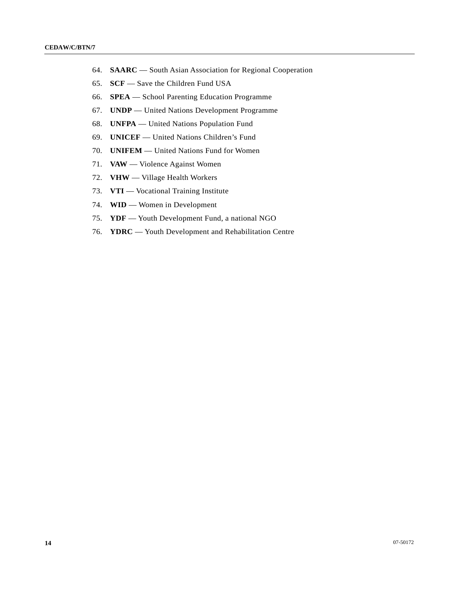- 64. **SAARC** South Asian Association for Regional Cooperation
- 65. **SCF** Save the Children Fund USA
- 66. **SPEA** School Parenting Education Programme
- 67. **UNDP** United Nations Development Programme
- 68. **UNFPA** United Nations Population Fund
- 69. **UNICEF** United Nations Children's Fund
- 70. **UNIFEM** United Nations Fund for Women
- 71. **VAW** Violence Against Women
- 72. **VHW** Village Health Workers
- 73. **VTI** Vocational Training Institute
- 74. **WID** Women in Development
- 75. **YDF** Youth Development Fund, a national NGO
- 76. **YDRC** Youth Development and Rehabilitation Centre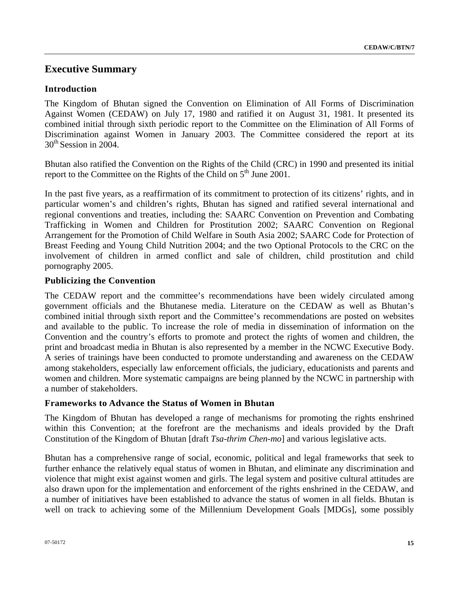# **Executive Summary**

## **Introduction**

The Kingdom of Bhutan signed the Convention on Elimination of All Forms of Discrimination Against Women (CEDAW) on July 17, 1980 and ratified it on August 31, 1981. It presented its combined initial through sixth periodic report to the Committee on the Elimination of All Forms of Discrimination against Women in January 2003. The Committee considered the report at its  $30<sup>th</sup>$  Session in 2004.

Bhutan also ratified the Convention on the Rights of the Child (CRC) in 1990 and presented its initial report to the Committee on the Rights of the Child on  $5<sup>th</sup>$  June 2001.

In the past five years, as a reaffirmation of its commitment to protection of its citizens' rights, and in particular women's and children's rights, Bhutan has signed and ratified several international and regional conventions and treaties, including the: SAARC Convention on Prevention and Combating Trafficking in Women and Children for Prostitution 2002; SAARC Convention on Regional Arrangement for the Promotion of Child Welfare in South Asia 2002; SAARC Code for Protection of Breast Feeding and Young Child Nutrition 2004; and the two Optional Protocols to the CRC on the involvement of children in armed conflict and sale of children, child prostitution and child pornography 2005.

## **Publicizing the Convention**

The CEDAW report and the committee's recommendations have been widely circulated among government officials and the Bhutanese media. Literature on the CEDAW as well as Bhutan's combined initial through sixth report and the Committee's recommendations are posted on websites and available to the public. To increase the role of media in dissemination of information on the Convention and the country's efforts to promote and protect the rights of women and children, the print and broadcast media in Bhutan is also represented by a member in the NCWC Executive Body. A series of trainings have been conducted to promote understanding and awareness on the CEDAW among stakeholders, especially law enforcement officials, the judiciary, educationists and parents and women and children. More systematic campaigns are being planned by the NCWC in partnership with a number of stakeholders.

### **Frameworks to Advance the Status of Women in Bhutan**

The Kingdom of Bhutan has developed a range of mechanisms for promoting the rights enshrined within this Convention; at the forefront are the mechanisms and ideals provided by the Draft Constitution of the Kingdom of Bhutan [draft *Tsa-thrim Chen-mo*] and various legislative acts.

Bhutan has a comprehensive range of social, economic, political and legal frameworks that seek to further enhance the relatively equal status of women in Bhutan, and eliminate any discrimination and violence that might exist against women and girls. The legal system and positive cultural attitudes are also drawn upon for the implementation and enforcement of the rights enshrined in the CEDAW, and a number of initiatives have been established to advance the status of women in all fields. Bhutan is well on track to achieving some of the Millennium Development Goals [MDGs], some possibly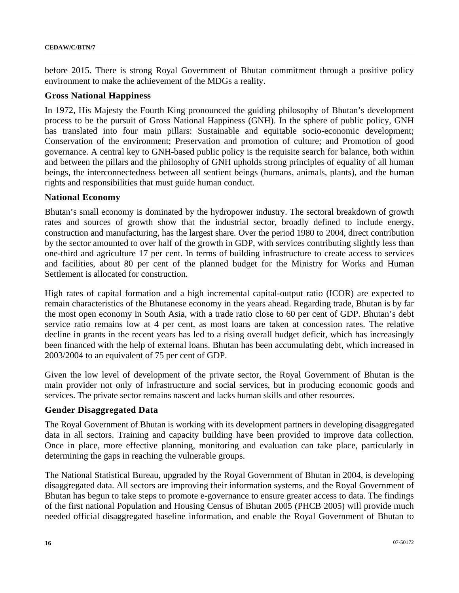before 2015. There is strong Royal Government of Bhutan commitment through a positive policy environment to make the achievement of the MDGs a reality.

#### **Gross National Happiness**

In 1972, His Majesty the Fourth King pronounced the guiding philosophy of Bhutan's development process to be the pursuit of Gross National Happiness (GNH). In the sphere of public policy, GNH has translated into four main pillars: Sustainable and equitable socio-economic development; Conservation of the environment; Preservation and promotion of culture; and Promotion of good governance. A central key to GNH-based public policy is the requisite search for balance, both within and between the pillars and the philosophy of GNH upholds strong principles of equality of all human beings, the interconnectedness between all sentient beings (humans, animals, plants), and the human rights and responsibilities that must guide human conduct.

#### **National Economy**

Bhutan's small economy is dominated by the hydropower industry. The sectoral breakdown of growth rates and sources of growth show that the industrial sector, broadly defined to include energy, construction and manufacturing, has the largest share. Over the period 1980 to 2004, direct contribution by the sector amounted to over half of the growth in GDP, with services contributing slightly less than one-third and agriculture 17 per cent. In terms of building infrastructure to create access to services and facilities, about 80 per cent of the planned budget for the Ministry for Works and Human Settlement is allocated for construction.

High rates of capital formation and a high incremental capital-output ratio (ICOR) are expected to remain characteristics of the Bhutanese economy in the years ahead. Regarding trade, Bhutan is by far the most open economy in South Asia, with a trade ratio close to 60 per cent of GDP. Bhutan's debt service ratio remains low at 4 per cent, as most loans are taken at concession rates. The relative decline in grants in the recent years has led to a rising overall budget deficit, which has increasingly been financed with the help of external loans. Bhutan has been accumulating debt, which increased in 2003/2004 to an equivalent of 75 per cent of GDP.

Given the low level of development of the private sector, the Royal Government of Bhutan is the main provider not only of infrastructure and social services, but in producing economic goods and services. The private sector remains nascent and lacks human skills and other resources.

### **Gender Disaggregated Data**

The Royal Government of Bhutan is working with its development partners in developing disaggregated data in all sectors. Training and capacity building have been provided to improve data collection. Once in place, more effective planning, monitoring and evaluation can take place, particularly in determining the gaps in reaching the vulnerable groups.

The National Statistical Bureau, upgraded by the Royal Government of Bhutan in 2004, is developing disaggregated data. All sectors are improving their information systems, and the Royal Government of Bhutan has begun to take steps to promote e-governance to ensure greater access to data. The findings of the first national Population and Housing Census of Bhutan 2005 (PHCB 2005) will provide much needed official disaggregated baseline information, and enable the Royal Government of Bhutan to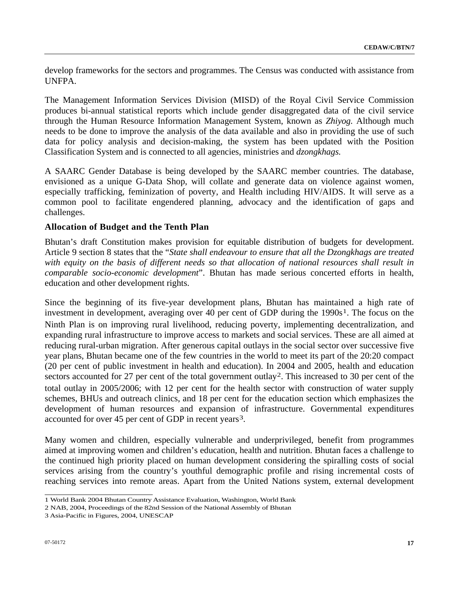develop frameworks for the sectors and programmes. The Census was conducted with assistance from UNFPA.

The Management Information Services Division (MISD) of the Royal Civil Service Commission produces bi-annual statistical reports which include gender disaggregated data of the civil service through the Human Resource Information Management System, known as *Zhiyog.* Although much needs to be done to improve the analysis of the data available and also in providing the use of such data for policy analysis and decision-making, the system has been updated with the Position Classification System and is connected to all agencies, ministries and *dzongkhags.*

A SAARC Gender Database is being developed by the SAARC member countries. The database, envisioned as a unique G-Data Shop, will collate and generate data on violence against women, especially trafficking, feminization of poverty, and Health including HIV/AIDS. It will serve as a common pool to facilitate engendered planning, advocacy and the identification of gaps and challenges.

## **Allocation of Budget and the Tenth Plan**

Bhutan's draft Constitution makes provision for equitable distribution of budgets for development. Article 9 section 8 states that the "*State shall endeavour to ensure that all the Dzongkhags are treated with equity on the basis of different needs so that allocation of national resources shall result in comparable socio-economic development*". Bhutan has made serious concerted efforts in health, education and other development rights.

Since the beginning of its five-year development plans, Bhutan has maintained a high rate of investment in development, averaging over 40 per cent of GDP during the  $1990s<sup>1</sup>$ . The focus on the Ninth Plan is on improving rural livelihood, reducing poverty, implementing decentralization, and expanding rural infrastructure to improve access to markets and social services. These are all aimed at reducing rural-urban migration. After generous capital outlays in the social sector over successive five year plans, Bhutan became one of the few countries in the world to meet its part of the 20:20 compact (20 per cent of public investment in health and education). In 2004 and 2005, health and education sectors accounted for 27 per cent of the total government outlay<sup>2</sup>. This increased to 30 per cent of the total outlay in 2005/2006; with 12 per cent for the health sector with construction of water supply schemes, BHUs and outreach clinics, and 18 per cent for the education section which emphasizes the development of human resources and expansion of infrastructure. Governmental expenditures accounted for over 45 per cent of GDP in recent years<sup>3</sup>.

Many women and children, especially vulnerable and underprivileged, benefit from programmes aimed at improving women and children's education, health and nutrition. Bhutan faces a challenge to the continued high priority placed on human development considering the spiralling costs of social services arising from the country's youthful demographic profile and rising incremental costs of reaching services into remote areas. Apart from the United Nations system, external development

 1 World Bank 2004 Bhutan Country Assistance Evaluation, Washington, World Bank

<span id="page-16-1"></span><span id="page-16-0"></span><sup>2</sup> NAB, 2004, Proceedings of the 82nd Session of the National Assembly of Bhutan

<span id="page-16-2"></span><sup>3</sup> Asia-Pacific in Figures, 2004, UNESCAP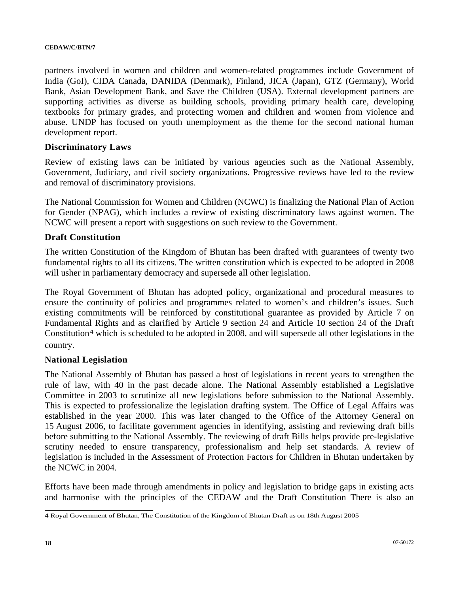partners involved in women and children and women-related programmes include Government of India (GoI), CIDA Canada, DANIDA (Denmark), Finland, JICA (Japan), GTZ (Germany), World Bank, Asian Development Bank, and Save the Children (USA). External development partners are supporting activities as diverse as building schools, providing primary health care, developing textbooks for primary grades, and protecting women and children and women from violence and abuse. UNDP has focused on youth unemployment as the theme for the second national human development report.

#### **Discriminatory Laws**

Review of existing laws can be initiated by various agencies such as the National Assembly, Government, Judiciary, and civil society organizations. Progressive reviews have led to the review and removal of discriminatory provisions.

The National Commission for Women and Children (NCWC) is finalizing the National Plan of Action for Gender (NPAG), which includes a review of existing discriminatory laws against women. The NCWC will present a report with suggestions on such review to the Government.

#### **Draft Constitution**

The written Constitution of the Kingdom of Bhutan has been drafted with guarantees of twenty two fundamental rights to all its citizens. The written constitution which is expected to be adopted in 2008 will usher in parliamentary democracy and supersede all other legislation.

The Royal Government of Bhutan has adopted policy, organizational and procedural measures to ensure the continuity of policies and programmes related to women's and children's issues. Such existing commitments will be reinforced by constitutional guarantee as provided by Article 7 on Fundamental Rights and as clarified by Article 9 section 24 and Article 10 section 24 of the Draft Constitution<sup>4</sup> which is scheduled to be adopted in 2008, and will supersede all other legislations in the country.

#### **National Legislation**

The National Assembly of Bhutan has passed a host of legislations in recent years to strengthen the rule of law, with 40 in the past decade alone. The National Assembly established a Legislative Committee in 2003 to scrutinize all new legislations before submission to the National Assembly. This is expected to professionalize the legislation drafting system. The Office of Legal Affairs was established in the year 2000. This was later changed to the Office of the Attorney General on 15 August 2006, to facilitate government agencies in identifying, assisting and reviewing draft bills before submitting to the National Assembly. The reviewing of draft Bills helps provide pre-legislative scrutiny needed to ensure transparency, professionalism and help set standards. A review of legislation is included in the Assessment of Protection Factors for Children in Bhutan undertaken by the NCWC in 2004.

Efforts have been made through amendments in policy and legislation to bridge gaps in existing acts and harmonise with the principles of the CEDAW and the Draft Constitution There is also an

<span id="page-17-0"></span> 4 Royal Government of Bhutan, The Constitution of the Kingdom of Bhutan Draft as on 18th August 2005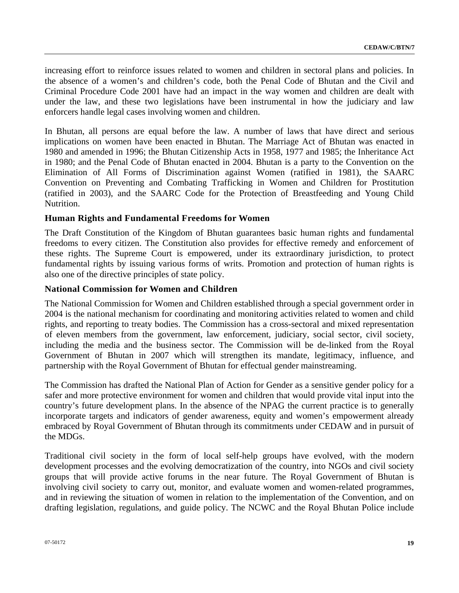increasing effort to reinforce issues related to women and children in sectoral plans and policies. In the absence of a women's and children's code, both the Penal Code of Bhutan and the Civil and Criminal Procedure Code 2001 have had an impact in the way women and children are dealt with under the law, and these two legislations have been instrumental in how the judiciary and law enforcers handle legal cases involving women and children.

In Bhutan, all persons are equal before the law. A number of laws that have direct and serious implications on women have been enacted in Bhutan. The Marriage Act of Bhutan was enacted in 1980 and amended in 1996; the Bhutan Citizenship Acts in 1958, 1977 and 1985; the Inheritance Act in 1980; and the Penal Code of Bhutan enacted in 2004. Bhutan is a party to the Convention on the Elimination of All Forms of Discrimination against Women (ratified in 1981), the SAARC Convention on Preventing and Combating Trafficking in Women and Children for Prostitution (ratified in 2003), and the SAARC Code for the Protection of Breastfeeding and Young Child Nutrition.

#### **Human Rights and Fundamental Freedoms for Women**

The Draft Constitution of the Kingdom of Bhutan guarantees basic human rights and fundamental freedoms to every citizen. The Constitution also provides for effective remedy and enforcement of these rights. The Supreme Court is empowered, under its extraordinary jurisdiction, to protect fundamental rights by issuing various forms of writs. Promotion and protection of human rights is also one of the directive principles of state policy.

#### **National Commission for Women and Children**

The National Commission for Women and Children established through a special government order in 2004 is the national mechanism for coordinating and monitoring activities related to women and child rights, and reporting to treaty bodies. The Commission has a cross-sectoral and mixed representation of eleven members from the government, law enforcement, judiciary, social sector, civil society, including the media and the business sector. The Commission will be de-linked from the Royal Government of Bhutan in 2007 which will strengthen its mandate, legitimacy, influence, and partnership with the Royal Government of Bhutan for effectual gender mainstreaming.

The Commission has drafted the National Plan of Action for Gender as a sensitive gender policy for a safer and more protective environment for women and children that would provide vital input into the country's future development plans. In the absence of the NPAG the current practice is to generally incorporate targets and indicators of gender awareness, equity and women's empowerment already embraced by Royal Government of Bhutan through its commitments under CEDAW and in pursuit of the MDGs.

Traditional civil society in the form of local self-help groups have evolved, with the modern development processes and the evolving democratization of the country, into NGOs and civil society groups that will provide active forums in the near future. The Royal Government of Bhutan is involving civil society to carry out, monitor, and evaluate women and women-related programmes, and in reviewing the situation of women in relation to the implementation of the Convention, and on drafting legislation, regulations, and guide policy. The NCWC and the Royal Bhutan Police include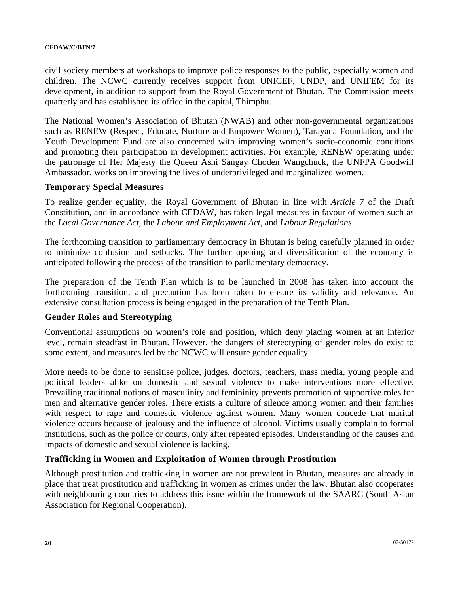civil society members at workshops to improve police responses to the public, especially women and children. The NCWC currently receives support from UNICEF, UNDP, and UNIFEM for its development, in addition to support from the Royal Government of Bhutan. The Commission meets quarterly and has established its office in the capital, Thimphu.

The National Women's Association of Bhutan (NWAB) and other non-governmental organizations such as RENEW (Respect, Educate, Nurture and Empower Women), Tarayana Foundation, and the Youth Development Fund are also concerned with improving women's socio-economic conditions and promoting their participation in development activities. For example, RENEW operating under the patronage of Her Majesty the Queen Ashi Sangay Choden Wangchuck, the UNFPA Goodwill Ambassador, works on improving the lives of underprivileged and marginalized women.

#### **Temporary Special Measures**

To realize gender equality, the Royal Government of Bhutan in line with *Article 7* of the Draft Constitution, and in accordance with CEDAW, has taken legal measures in favour of women such as the *Local Governance Act*, the *Labour and Employment Act,* and *Labour Regulations*.

The forthcoming transition to parliamentary democracy in Bhutan is being carefully planned in order to minimize confusion and setbacks. The further opening and diversification of the economy is anticipated following the process of the transition to parliamentary democracy.

The preparation of the Tenth Plan which is to be launched in 2008 has taken into account the forthcoming transition, and precaution has been taken to ensure its validity and relevance. An extensive consultation process is being engaged in the preparation of the Tenth Plan.

#### **Gender Roles and Stereotyping**

Conventional assumptions on women's role and position, which deny placing women at an inferior level, remain steadfast in Bhutan. However, the dangers of stereotyping of gender roles do exist to some extent, and measures led by the NCWC will ensure gender equality.

More needs to be done to sensitise police, judges, doctors, teachers, mass media, young people and political leaders alike on domestic and sexual violence to make interventions more effective. Prevailing traditional notions of masculinity and femininity prevents promotion of supportive roles for men and alternative gender roles. There exists a culture of silence among women and their families with respect to rape and domestic violence against women. Many women concede that marital violence occurs because of jealousy and the influence of alcohol. Victims usually complain to formal institutions, such as the police or courts, only after repeated episodes. Understanding of the causes and impacts of domestic and sexual violence is lacking.

### **Trafficking in Women and Exploitation of Women through Prostitution**

Although prostitution and trafficking in women are not prevalent in Bhutan, measures are already in place that treat prostitution and trafficking in women as crimes under the law. Bhutan also cooperates with neighbouring countries to address this issue within the framework of the SAARC (South Asian Association for Regional Cooperation).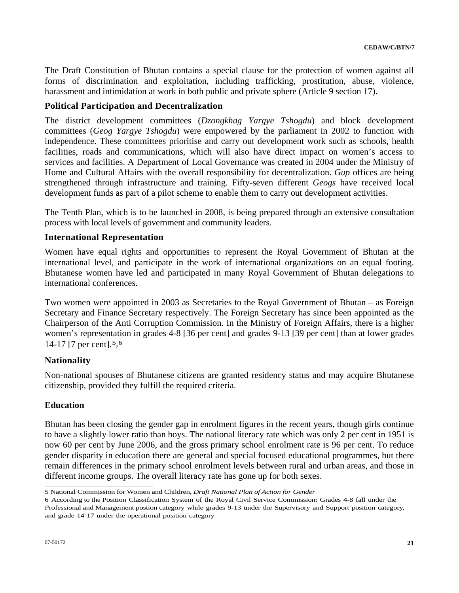The Draft Constitution of Bhutan contains a special clause for the protection of women against all forms of discrimination and exploitation, including trafficking, prostitution, abuse, violence, harassment and intimidation at work in both public and private sphere (Article 9 section 17).

#### **Political Participation and Decentralization**

The district development committees (*Dzongkhag Yargye Tshogdu*) and block development committees (*Geog Yargye Tshogdu*) were empowered by the parliament in 2002 to function with independence. These committees prioritise and carry out development work such as schools, health facilities, roads and communications, which will also have direct impact on women's access to services and facilities. A Department of Local Governance was created in 2004 under the Ministry of Home and Cultural Affairs with the overall responsibility for decentralization. *Gup* offices are being strengthened through infrastructure and training. Fifty-seven different *Geogs* have received local development funds as part of a pilot scheme to enable them to carry out development activities.

The Tenth Plan, which is to be launched in 2008, is being prepared through an extensive consultation process with local levels of government and community leaders.

#### **International Representation**

Women have equal rights and opportunities to represent the Royal Government of Bhutan at the international level, and participate in the work of international organizations on an equal footing. Bhutanese women have led and participated in many Royal Government of Bhutan delegations to international conferences.

Two women were appointed in 2003 as Secretaries to the Royal Government of Bhutan – as Foreign Secretary and Finance Secretary respectively. The Foreign Secretary has since been appointed as the Chairperson of the Anti Corruption Commission. In the Ministry of Foreign Affairs, there is a higher women's representation in grades 4-8 [36 per cent] and grades 9-13 [39 per cent] than at lower grades 14-17 [7 per cent].[5,](#page-20-0)[6](#page-20-1)

#### **Nationality**

Non-national spouses of Bhutanese citizens are granted residency status and may acquire Bhutanese citizenship, provided they fulfill the required criteria.

#### **Education**

Bhutan has been closing the gender gap in enrolment figures in the recent years, though girls continue to have a slightly lower ratio than boys. The national literacy rate which was only 2 per cent in 1951 is now 60 per cent by June 2006, and the gross primary school enrolment rate is 96 per cent. To reduce gender disparity in education there are general and special focused educational programmes, but there remain differences in the primary school enrolment levels between rural and urban areas, and those in different income groups. The overall literacy rate has gone up for both sexes.

 5 National Commission for Women and Children, *Draft National Plan of Action for Gender* 

<span id="page-20-1"></span><span id="page-20-0"></span><sup>6</sup> According to the Position Classification System of the Royal Civil Service Commission: Grades 4-8 fall under the Professional and Management postion category while grades 9-13 under the Supervisory and Support position category, and grade 14-17 under the operational position category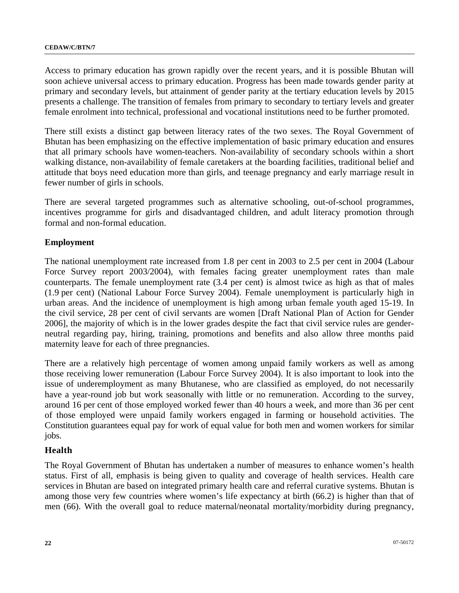Access to primary education has grown rapidly over the recent years, and it is possible Bhutan will soon achieve universal access to primary education. Progress has been made towards gender parity at primary and secondary levels, but attainment of gender parity at the tertiary education levels by 2015 presents a challenge. The transition of females from primary to secondary to tertiary levels and greater female enrolment into technical, professional and vocational institutions need to be further promoted.

There still exists a distinct gap between literacy rates of the two sexes. The Royal Government of Bhutan has been emphasizing on the effective implementation of basic primary education and ensures that all primary schools have women-teachers. Non-availability of secondary schools within a short walking distance, non-availability of female caretakers at the boarding facilities, traditional belief and attitude that boys need education more than girls, and teenage pregnancy and early marriage result in fewer number of girls in schools.

There are several targeted programmes such as alternative schooling, out-of-school programmes, incentives programme for girls and disadvantaged children, and adult literacy promotion through formal and non-formal education.

### **Employment**

The national unemployment rate increased from 1.8 per cent in 2003 to 2.5 per cent in 2004 (Labour Force Survey report 2003/2004), with females facing greater unemployment rates than male counterparts. The female unemployment rate (3.4 per cent) is almost twice as high as that of males (1.9 per cent) (National Labour Force Survey 2004). Female unemployment is particularly high in urban areas. And the incidence of unemployment is high among urban female youth aged 15-19. In the civil service, 28 per cent of civil servants are women [Draft National Plan of Action for Gender 2006], the majority of which is in the lower grades despite the fact that civil service rules are genderneutral regarding pay, hiring, training, promotions and benefits and also allow three months paid maternity leave for each of three pregnancies.

There are a relatively high percentage of women among unpaid family workers as well as among those receiving lower remuneration (Labour Force Survey 2004). It is also important to look into the issue of underemployment as many Bhutanese, who are classified as employed, do not necessarily have a year-round job but work seasonally with little or no remuneration. According to the survey, around 16 per cent of those employed worked fewer than 40 hours a week, and more than 36 per cent of those employed were unpaid family workers engaged in farming or household activities. The Constitution guarantees equal pay for work of equal value for both men and women workers for similar jobs.

#### **Health**

The Royal Government of Bhutan has undertaken a number of measures to enhance women's health status. First of all, emphasis is being given to quality and coverage of health services. Health care services in Bhutan are based on integrated primary health care and referral curative systems. Bhutan is among those very few countries where women's life expectancy at birth (66.2) is higher than that of men (66). With the overall goal to reduce maternal/neonatal mortality/morbidity during pregnancy,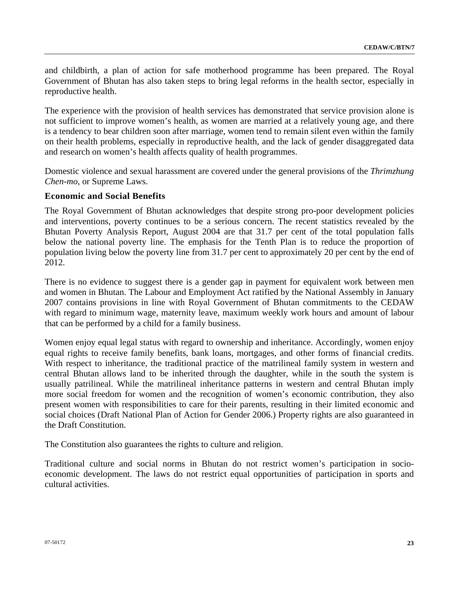and childbirth, a plan of action for safe motherhood programme has been prepared. The Royal Government of Bhutan has also taken steps to bring legal reforms in the health sector, especially in reproductive health.

The experience with the provision of health services has demonstrated that service provision alone is not sufficient to improve women's health, as women are married at a relatively young age, and there is a tendency to bear children soon after marriage, women tend to remain silent even within the family on their health problems, especially in reproductive health, and the lack of gender disaggregated data and research on women's health affects quality of health programmes.

Domestic violence and sexual harassment are covered under the general provisions of the *Thrimzhung Chen-mo*, or Supreme Laws.

### **Economic and Social Benefits**

The Royal Government of Bhutan acknowledges that despite strong pro-poor development policies and interventions, poverty continues to be a serious concern. The recent statistics revealed by the Bhutan Poverty Analysis Report, August 2004 are that 31.7 per cent of the total population falls below the national poverty line. The emphasis for the Tenth Plan is to reduce the proportion of population living below the poverty line from 31.7 per cent to approximately 20 per cent by the end of 2012.

There is no evidence to suggest there is a gender gap in payment for equivalent work between men and women in Bhutan. The Labour and Employment Act ratified by the National Assembly in January 2007 contains provisions in line with Royal Government of Bhutan commitments to the CEDAW with regard to minimum wage, maternity leave, maximum weekly work hours and amount of labour that can be performed by a child for a family business.

Women enjoy equal legal status with regard to ownership and inheritance. Accordingly, women enjoy equal rights to receive family benefits, bank loans, mortgages, and other forms of financial credits. With respect to inheritance, the traditional practice of the matrilineal family system in western and central Bhutan allows land to be inherited through the daughter, while in the south the system is usually patrilineal. While the matrilineal inheritance patterns in western and central Bhutan imply more social freedom for women and the recognition of women's economic contribution, they also present women with responsibilities to care for their parents, resulting in their limited economic and social choices (Draft National Plan of Action for Gender 2006.) Property rights are also guaranteed in the Draft Constitution.

The Constitution also guarantees the rights to culture and religion.

Traditional culture and social norms in Bhutan do not restrict women's participation in socioeconomic development. The laws do not restrict equal opportunities of participation in sports and cultural activities.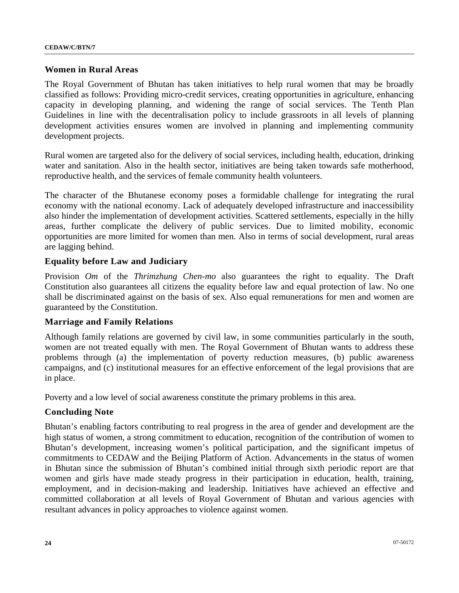#### **Women in Rural Areas**

The Royal Government of Bhutan has taken initiatives to help rural women that may be broadly classified as follows: Providing micro-credit services, creating opportunities in agriculture, enhancing capacity in developing planning, and widening the range of social services. The Tenth Plan Guidelines in line with the decentralisation policy to include grassroots in all levels of planning development activities ensures women are involved in planning and implementing community development projects.

Rural women are targeted also for the delivery of social services, including health, education, drinking water and sanitation. Also in the health sector, initiatives are being taken towards safe motherhood, reproductive health, and the services of female community health volunteers.

The character of the Bhutanese economy poses a formidable challenge for integrating the rural economy with the national economy. Lack of adequately developed infrastructure and inaccessibility also hinder the implementation of development activities. Scattered settlements, especially in the hilly areas, further complicate the delivery of public services. Due to limited mobility, economic opportunities are more limited for women than men. Also in terms of social development, rural areas are lagging behind.

### **Equality before Law and Judiciary**

Provision *Om* of the *Thrimzhung Chen-mo* also guarantees the right to equality. The Draft Constitution also guarantees all citizens the equality before law and equal protection of law. No one shall be discriminated against on the basis of sex. Also equal remunerations for men and women are guaranteed by the Constitution.

#### **Marriage and Family Relations**

Although family relations are governed by civil law, in some communities particularly in the south, women are not treated equally with men. The Royal Government of Bhutan wants to address these problems through (a) the implementation of poverty reduction measures, (b) public awareness campaigns, and (c) institutional measures for an effective enforcement of the legal provisions that are in place.

Poverty and a low level of social awareness constitute the primary problems in this area.

## **Concluding Note**

Bhutan's enabling factors contributing to real progress in the area of gender and development are the high status of women, a strong commitment to education, recognition of the contribution of women to Bhutan's development, increasing women's political participation, and the significant impetus of commitments to CEDAW and the Beijing Platform of Action. Advancements in the status of women in Bhutan since the submission of Bhutan's combined initial through sixth periodic report are that women and girls have made steady progress in their participation in education, health, training, employment, and in decision-making and leadership. Initiatives have achieved an effective and committed collaboration at all levels of Royal Government of Bhutan and various agencies with resultant advances in policy approaches to violence against women.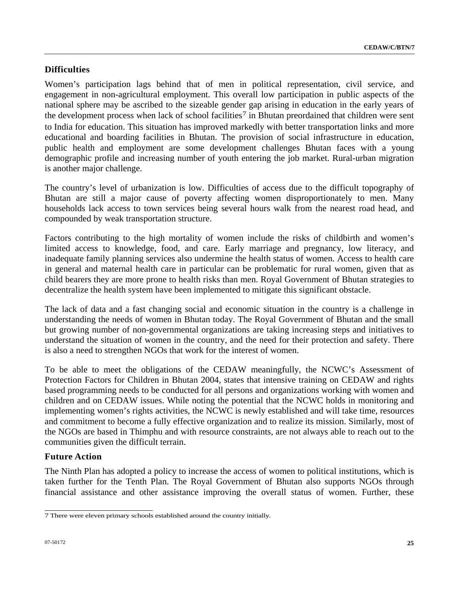# **Difficulties**

Women's participation lags behind that of men in political representation, civil service, and engagement in non-agricultural employment. This overall low participation in public aspects of the national sphere may be ascribed to the sizeable gender gap arising in education in the early years of the development process when lack of school facilities<sup>7</sup> in Bhutan preordained that children were sent to India for education. This situation has improved markedly with better transportation links and more educational and boarding facilities in Bhutan. The provision of social infrastructure in education, public health and employment are some development challenges Bhutan faces with a young demographic profile and increasing number of youth entering the job market. Rural-urban migration is another major challenge.

The country's level of urbanization is low. Difficulties of access due to the difficult topography of Bhutan are still a major cause of poverty affecting women disproportionately to men. Many households lack access to town services being several hours walk from the nearest road head, and compounded by weak transportation structure.

Factors contributing to the high mortality of women include the risks of childbirth and women's limited access to knowledge, food, and care. Early marriage and pregnancy, low literacy, and inadequate family planning services also undermine the health status of women. Access to health care in general and maternal health care in particular can be problematic for rural women, given that as child bearers they are more prone to health risks than men. Royal Government of Bhutan strategies to decentralize the health system have been implemented to mitigate this significant obstacle.

The lack of data and a fast changing social and economic situation in the country is a challenge in understanding the needs of women in Bhutan today. The Royal Government of Bhutan and the small but growing number of non-governmental organizations are taking increasing steps and initiatives to understand the situation of women in the country, and the need for their protection and safety. There is also a need to strengthen NGOs that work for the interest of women.

To be able to meet the obligations of the CEDAW meaningfully, the NCWC's Assessment of Protection Factors for Children in Bhutan 2004, states that intensive training on CEDAW and rights based programming needs to be conducted for all persons and organizations working with women and children and on CEDAW issues. While noting the potential that the NCWC holds in monitoring and implementing women's rights activities, the NCWC is newly established and will take time, resources and commitment to become a fully effective organization and to realize its mission. Similarly, most of the NGOs are based in Thimphu and with resource constraints, are not always able to reach out to the communities given the difficult terrain.

## **Future Action**

The Ninth Plan has adopted a policy to increase the access of women to political institutions, which is taken further for the Tenth Plan. The Royal Government of Bhutan also supports NGOs through financial assistance and other assistance improving the overall status of women. Further, these

<span id="page-24-0"></span> 7 There were eleven primary schools established around the country initially.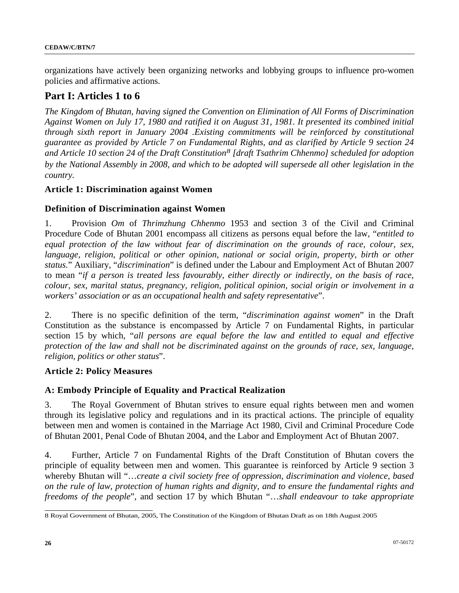organizations have actively been organizing networks and lobbying groups to influence pro-women policies and affirmative actions.

# **Part I: Articles 1 to 6**

*The Kingdom of Bhutan, having signed the Convention on Elimination of All Forms of Discrimination Against Women on July 17, 1980 and ratified it on August 31, 1981. It presented its combined initial through sixth report in January 2004 .Existing commitments will be reinforced by constitutional guarantee as provided by Article 7 on Fundamental Rights, and as clarified by Article 9 section 24 and Article 10 section 24 of the Draft Constitution[8](#page-25-0) [draft Tsathrim Chhenmo] scheduled for adoption by the National Assembly in 2008, and which to be adopted will supersede all other legislation in the country.* 

## **Article 1: Discrimination against Women**

### **Definition of Discrimination against Women**

1. Provision *Om* of *Thrimzhung Chhenmo* 1953 and section 3 of the Civil and Criminal Procedure Code of Bhutan 2001 encompass all citizens as persons equal before the law, "*entitled to equal protection of the law without fear of discrimination on the grounds of race, colour, sex,*  language, religion, political or other opinion, national or social origin, property, birth or other *status.*" Auxiliary, "*discrimination*" is defined under the Labour and Employment Act of Bhutan 2007 to mean "*if a person is treated less favourably, either directly or indirectly, on the basis of race, colour, sex, marital status, pregnancy, religion, political opinion, social origin or involvement in a workers' association or as an occupational health and safety representative*".

2. There is no specific definition of the term, "*discrimination against women*" in the Draft Constitution as the substance is encompassed by Article 7 on Fundamental Rights, in particular section 15 by which, "*all persons are equal before the law and entitled to equal and effective protection of the law and shall not be discriminated against on the grounds of race, sex, language, religion, politics or other status*".

### **Article 2: Policy Measures**

### **A: Embody Principle of Equality and Practical Realization**

3. The Royal Government of Bhutan strives to ensure equal rights between men and women through its legislative policy and regulations and in its practical actions. The principle of equality between men and women is contained in the Marriage Act 1980, Civil and Criminal Procedure Code of Bhutan 2001, Penal Code of Bhutan 2004, and the Labor and Employment Act of Bhutan 2007.

4. Further, Article 7 on Fundamental Rights of the Draft Constitution of Bhutan covers the principle of equality between men and women. This guarantee is reinforced by Article 9 section 3 whereby Bhutan will "…*create a civil society free of oppression, discrimination and violence, based on the rule of law, protection of human rights and dignity, and to ensure the fundamental rights and freedoms of the people*", and section 17 by which Bhutan "…*shall endeavour to take appropriate* 

<span id="page-25-0"></span> 8 Royal Government of Bhutan, 2005, The Constitution of the Kingdom of Bhutan Draft as on 18th August 2005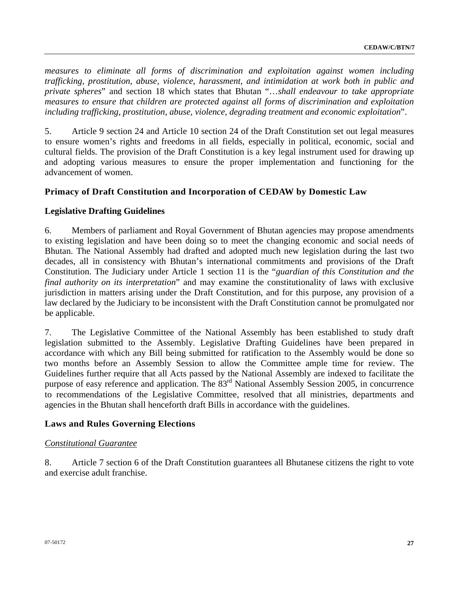*measures to eliminate all forms of discrimination and exploitation against women including trafficking, prostitution, abuse, violence, harassment, and intimidation at work both in public and private spheres*" and section 18 which states that Bhutan "…*shall endeavour to take appropriate measures to ensure that children are protected against all forms of discrimination and exploitation including trafficking, prostitution, abuse, violence, degrading treatment and economic exploitation*".

5. Article 9 section 24 and Article 10 section 24 of the Draft Constitution set out legal measures to ensure women's rights and freedoms in all fields, especially in political, economic, social and cultural fields. The provision of the Draft Constitution is a key legal instrument used for drawing up and adopting various measures to ensure the proper implementation and functioning for the advancement of women.

## **Primacy of Draft Constitution and Incorporation of CEDAW by Domestic Law**

### **Legislative Drafting Guidelines**

6. Members of parliament and Royal Government of Bhutan agencies may propose amendments to existing legislation and have been doing so to meet the changing economic and social needs of Bhutan. The National Assembly had drafted and adopted much new legislation during the last two decades, all in consistency with Bhutan's international commitments and provisions of the Draft Constitution. The Judiciary under Article 1 section 11 is the "*guardian of this Constitution and the final authority on its interpretation*" and may examine the constitutionality of laws with exclusive jurisdiction in matters arising under the Draft Constitution, and for this purpose, any provision of a law declared by the Judiciary to be inconsistent with the Draft Constitution cannot be promulgated nor be applicable.

7. The Legislative Committee of the National Assembly has been established to study draft legislation submitted to the Assembly. Legislative Drafting Guidelines have been prepared in accordance with which any Bill being submitted for ratification to the Assembly would be done so two months before an Assembly Session to allow the Committee ample time for review. The Guidelines further require that all Acts passed by the National Assembly are indexed to facilitate the purpose of easy reference and application. The  $83<sup>rd</sup>$  National Assembly Session 2005, in concurrence to recommendations of the Legislative Committee, resolved that all ministries, departments and agencies in the Bhutan shall henceforth draft Bills in accordance with the guidelines.

### **Laws and Rules Governing Elections**

### *Constitutional Guarantee*

8. Article 7 section 6 of the Draft Constitution guarantees all Bhutanese citizens the right to vote and exercise adult franchise.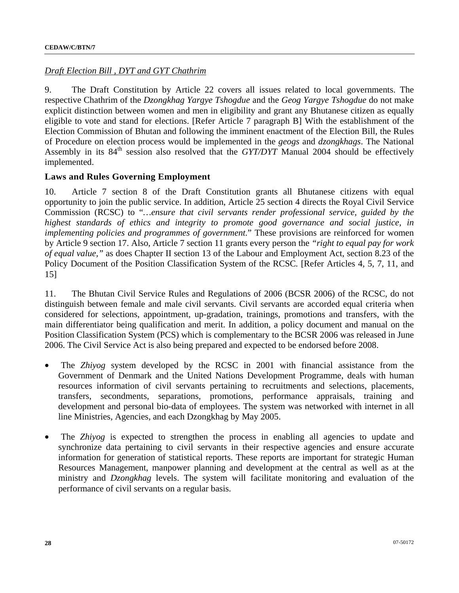## *Draft Election Bill , DYT and GYT Chathrim*

9. The Draft Constitution by Article 22 covers all issues related to local governments. The respective Chathrim of the *Dzongkhag Yargye Tshogdue* and the *Geog Yargye Tshogdue* do not make explicit distinction between women and men in eligibility and grant any Bhutanese citizen as equally eligible to vote and stand for elections. [Refer Article 7 paragraph B] With the establishment of the Election Commission of Bhutan and following the imminent enactment of the Election Bill, the Rules of Procedure on election process would be implemented in the *geogs* and *dzongkhags*. The National Assembly in its 84<sup>th</sup> session also resolved that the *GYT/DYT* Manual 2004 should be effectively implemented.

## **Laws and Rules Governing Employment**

10. Article 7 section 8 of the Draft Constitution grants all Bhutanese citizens with equal opportunity to join the public service. In addition, Article 25 section 4 directs the Royal Civil Service Commission (RCSC) to "*…ensure that civil servants render professional service, guided by the highest standards of ethics and integrity to promote good governance and social justice, in implementing policies and programmes of government.*" These provisions are reinforced for women by Article 9 section 17. Also, Article 7 section 11 grants every person the *"right to equal pay for work of equal value,"* as does Chapter II section 13 of the Labour and Employment Act, section 8.23 of the Policy Document of the Position Classification System of the RCSC*.* [Refer Articles 4, 5, 7, 11, and 15]

11. The Bhutan Civil Service Rules and Regulations of 2006 (BCSR 2006) of the RCSC, do not distinguish between female and male civil servants. Civil servants are accorded equal criteria when considered for selections, appointment, up-gradation, trainings, promotions and transfers, with the main differentiator being qualification and merit. In addition, a policy document and manual on the Position Classification System (PCS) which is complementary to the BCSR 2006 was released in June 2006. The Civil Service Act is also being prepared and expected to be endorsed before 2008.

- The *Zhiyog* system developed by the RCSC in 2001 with financial assistance from the Government of Denmark and the United Nations Development Programme, deals with human resources information of civil servants pertaining to recruitments and selections, placements, transfers, secondments, separations, promotions, performance appraisals, training and development and personal bio-data of employees. The system was networked with internet in all line Ministries, Agencies, and each Dzongkhag by May 2005.
- The *Zhiyog* is expected to strengthen the process in enabling all agencies to update and synchronize data pertaining to civil servants in their respective agencies and ensure accurate information for generation of statistical reports. These reports are important for strategic Human Resources Management, manpower planning and development at the central as well as at the ministry and *Dzongkhag* levels. The system will facilitate monitoring and evaluation of the performance of civil servants on a regular basis.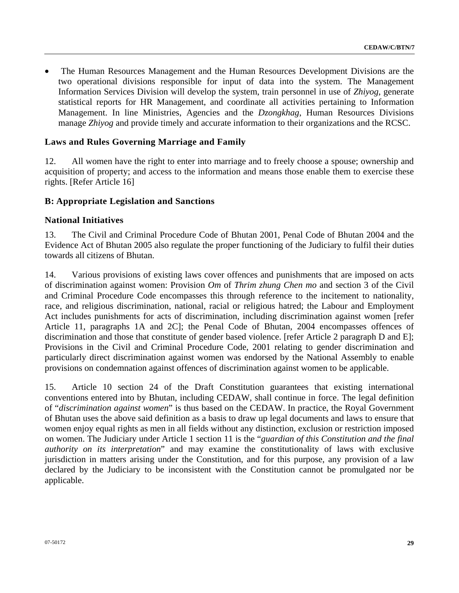• The Human Resources Management and the Human Resources Development Divisions are the two operational divisions responsible for input of data into the system. The Management Information Services Division will develop the system, train personnel in use of *Zhiyog,* generate statistical reports for HR Management, and coordinate all activities pertaining to Information Management. In line Ministries, Agencies and the *Dzongkhag*, Human Resources Divisions manage *Zhiyog* and provide timely and accurate information to their organizations and the RCSC.

## **Laws and Rules Governing Marriage and Family**

12. All women have the right to enter into marriage and to freely choose a spouse; ownership and acquisition of property; and access to the information and means those enable them to exercise these rights. [Refer Article 16]

### **B: Appropriate Legislation and Sanctions**

### **National Initiatives**

13. The Civil and Criminal Procedure Code of Bhutan 2001*,* Penal Code of Bhutan 2004 and the Evidence Act of Bhutan 2005 also regulate the proper functioning of the Judiciary to fulfil their duties towards all citizens of Bhutan.

14. Various provisions of existing laws cover offences and punishments that are imposed on acts of discrimination against women: Provision *Om* of *Thrim zhung Chen mo* and section 3 of the Civil and Criminal Procedure Code encompasses this through reference to the incitement to nationality, race, and religious discrimination, national, racial or religious hatred; the Labour and Employment Act includes punishments for acts of discrimination, including discrimination against women [refer Article 11, paragraphs 1A and 2C]; the Penal Code of Bhutan, 2004 encompasses offences of discrimination and those that constitute of gender based violence. [refer Article 2 paragraph D and E]; Provisions in the Civil and Criminal Procedure Code, 2001 relating to gender discrimination and particularly direct discrimination against women was endorsed by the National Assembly to enable provisions on condemnation against offences of discrimination against women to be applicable.

15. Article 10 section 24 of the Draft Constitution guarantees that existing international conventions entered into by Bhutan, including CEDAW, shall continue in force. The legal definition of "*discrimination against women*" is thus based on the CEDAW. In practice, the Royal Government of Bhutan uses the above said definition as a basis to draw up legal documents and laws to ensure that women enjoy equal rights as men in all fields without any distinction, exclusion or restriction imposed on women. The Judiciary under Article 1 section 11 is the "*guardian of this Constitution and the final authority on its interpretation*" and may examine the constitutionality of laws with exclusive jurisdiction in matters arising under the Constitution, and for this purpose, any provision of a law declared by the Judiciary to be inconsistent with the Constitution cannot be promulgated nor be applicable.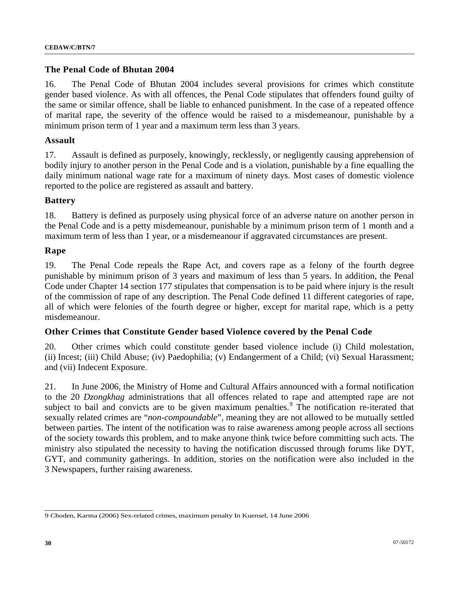#### **The Penal Code of Bhutan 2004**

16. The Penal Code of Bhutan 2004 includes several provisions for crimes which constitute gender based violence. As with all offences, the Penal Code stipulates that offenders found guilty of the same or similar offence, shall be liable to enhanced punishment. In the case of a repeated offence of marital rape, the severity of the offence would be raised to a misdemeanour, punishable by a minimum prison term of 1 year and a maximum term less than 3 years.

#### **Assault**

17. Assault is defined as purposely, knowingly, recklessly, or negligently causing apprehension of bodily injury to another person in the Penal Code and is a violation, punishable by a fine equalling the daily minimum national wage rate for a maximum of ninety days. Most cases of domestic violence reported to the police are registered as assault and battery.

#### **Battery**

18. Battery is defined as purposely using physical force of an adverse nature on another person in the Penal Code and is a petty misdemeanour, punishable by a minimum prison term of 1 month and a maximum term of less than 1 year, or a misdemeanour if aggravated circumstances are present.

#### **Rape**

19. The Penal Code repeals the Rape Act, and covers rape as a felony of the fourth degree punishable by minimum prison of 3 years and maximum of less than 5 years. In addition, the Penal Code under Chapter 14 section 177 stipulates that compensation is to be paid where injury is the result of the commission of rape of any description. The Penal Code defined 11 different categories of rape, all of which were felonies of the fourth degree or higher, except for marital rape, which is a petty misdemeanour.

### **Other Crimes that Constitute Gender based Violence covered by the Penal Code**

20. Other crimes which could constitute gender based violence include (i) Child molestation, (ii) Incest; (iii) Child Abuse; (iv) Paedophilia; (v) Endangerment of a Child; (vi) Sexual Harassment; and (vii) Indecent Exposure.

21. In June 2006, the Ministry of Home and Cultural Affairs announced with a formal notification to the 20 *Dzongkhag* administrations that all offences related to rape and attempted rape are not subject to bail and convicts are to be given maximum penalties.  $\overline{9}$  $\overline{9}$  $\overline{9}$  The notification re-iterated that sexually related crimes are "*non-compoundable*", meaning they are not allowed to be mutually settled between parties. The intent of the notification was to raise awareness among people across all sections of the society towards this problem, and to make anyone think twice before committing such acts. The ministry also stipulated the necessity to having the notification discussed through forums like DYT, GYT, and community gatherings. In addition, stories on the notification were also included in the 3 Newspapers, further raising awareness.

<span id="page-29-0"></span> 9 Choden, Karma (2006) Sex-related crimes, maximum penalty In Kuensel, 14 June 2006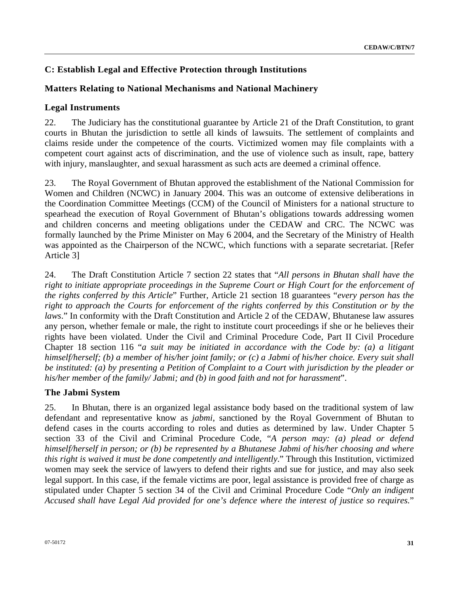# **C: Establish Legal and Effective Protection through Institutions**

# **Matters Relating to National Mechanisms and National Machinery**

## **Legal Instruments**

22. The Judiciary has the constitutional guarantee by Article 21 of the Draft Constitution, to grant courts in Bhutan the jurisdiction to settle all kinds of lawsuits. The settlement of complaints and claims reside under the competence of the courts. Victimized women may file complaints with a competent court against acts of discrimination, and the use of violence such as insult, rape, battery with injury, manslaughter, and sexual harassment as such acts are deemed a criminal offence.

23. The Royal Government of Bhutan approved the establishment of the National Commission for Women and Children (NCWC) in January 2004. This was an outcome of extensive deliberations in the Coordination Committee Meetings (CCM) of the Council of Ministers for a national structure to spearhead the execution of Royal Government of Bhutan's obligations towards addressing women and children concerns and meeting obligations under the CEDAW and CRC. The NCWC was formally launched by the Prime Minister on May 6 2004, and the Secretary of the Ministry of Health was appointed as the Chairperson of the NCWC, which functions with a separate secretariat. [Refer Article 3]

24. The Draft Constitution Article 7 section 22 states that "*All persons in Bhutan shall have the right to initiate appropriate proceedings in the Supreme Court or High Court for the enforcement of the rights conferred by this Article*" Further, Article 21 section 18 guarantees "*every person has the right to approach the Courts for enforcement of the rights conferred by this Constitution or by the laws*." In conformity with the Draft Constitution and Article 2 of the CEDAW, Bhutanese law assures any person, whether female or male, the right to institute court proceedings if she or he believes their rights have been violated. Under the Civil and Criminal Procedure Code, Part II Civil Procedure Chapter 18 section 116 "*a suit may be initiated in accordance with the Code by: (a) a litigant himself/herself; (b) a member of his/her joint family; or (c) a Jabmi of his/her choice. Every suit shall be instituted: (a) by presenting a Petition of Complaint to a Court with jurisdiction by the pleader or his/her member of the family/ Jabmi; and (b) in good faith and not for harassment*".

## **The Jabmi System**

25. In Bhutan, there is an organized legal assistance body based on the traditional system of law defendant and representative know as *jabmi*, sanctioned by the Royal Government of Bhutan to defend cases in the courts according to roles and duties as determined by law. Under Chapter 5 section 33 of the Civil and Criminal Procedure Code, "*A person may: (a) plead or defend himself/herself in person; or (b) be represented by a Bhutanese Jabmi of his/her choosing and where this right is waived it must be done competently and intelligently*." Through this Institution, victimized women may seek the service of lawyers to defend their rights and sue for justice, and may also seek legal support. In this case, if the female victims are poor, legal assistance is provided free of charge as stipulated under Chapter 5 section 34 of the Civil and Criminal Procedure Code "*Only an indigent Accused shall have Legal Aid provided for one's defence where the interest of justice so requires.*"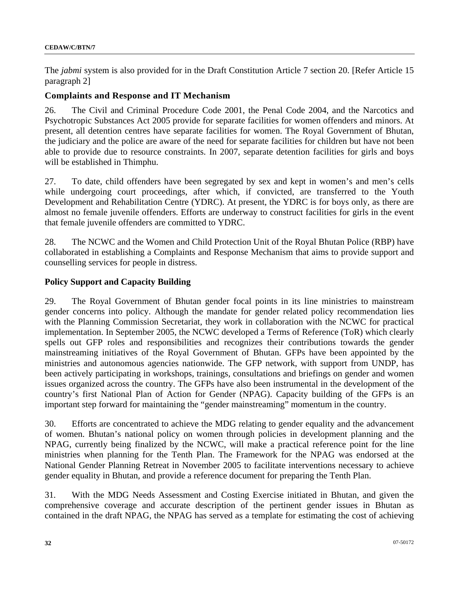The *jabmi* system is also provided for in the Draft Constitution Article 7 section 20. [Refer Article 15 paragraph 2]

#### **Complaints and Response and IT Mechanism**

26. The Civil and Criminal Procedure Code 2001, the Penal Code 2004, and the Narcotics and Psychotropic Substances Act 2005 provide for separate facilities for women offenders and minors. At present, all detention centres have separate facilities for women. The Royal Government of Bhutan, the judiciary and the police are aware of the need for separate facilities for children but have not been able to provide due to resource constraints. In 2007, separate detention facilities for girls and boys will be established in Thimphu.

27. To date, child offenders have been segregated by sex and kept in women's and men's cells while undergoing court proceedings, after which, if convicted, are transferred to the Youth Development and Rehabilitation Centre (YDRC). At present, the YDRC is for boys only, as there are almost no female juvenile offenders. Efforts are underway to construct facilities for girls in the event that female juvenile offenders are committed to YDRC.

28. The NCWC and the Women and Child Protection Unit of the Royal Bhutan Police (RBP) have collaborated in establishing a Complaints and Response Mechanism that aims to provide support and counselling services for people in distress.

#### **Policy Support and Capacity Building**

29. The Royal Government of Bhutan gender focal points in its line ministries to mainstream gender concerns into policy. Although the mandate for gender related policy recommendation lies with the Planning Commission Secretariat, they work in collaboration with the NCWC for practical implementation. In September 2005, the NCWC developed a Terms of Reference (ToR) which clearly spells out GFP roles and responsibilities and recognizes their contributions towards the gender mainstreaming initiatives of the Royal Government of Bhutan. GFPs have been appointed by the ministries and autonomous agencies nationwide. The GFP network, with support from UNDP, has been actively participating in workshops, trainings, consultations and briefings on gender and women issues organized across the country. The GFPs have also been instrumental in the development of the country's first National Plan of Action for Gender (NPAG). Capacity building of the GFPs is an important step forward for maintaining the "gender mainstreaming" momentum in the country.

30. Efforts are concentrated to achieve the MDG relating to gender equality and the advancement of women. Bhutan's national policy on women through policies in development planning and the NPAG, currently being finalized by the NCWC, will make a practical reference point for the line ministries when planning for the Tenth Plan. The Framework for the NPAG was endorsed at the National Gender Planning Retreat in November 2005 to facilitate interventions necessary to achieve gender equality in Bhutan, and provide a reference document for preparing the Tenth Plan.

31. With the MDG Needs Assessment and Costing Exercise initiated in Bhutan, and given the comprehensive coverage and accurate description of the pertinent gender issues in Bhutan as contained in the draft NPAG, the NPAG has served as a template for estimating the cost of achieving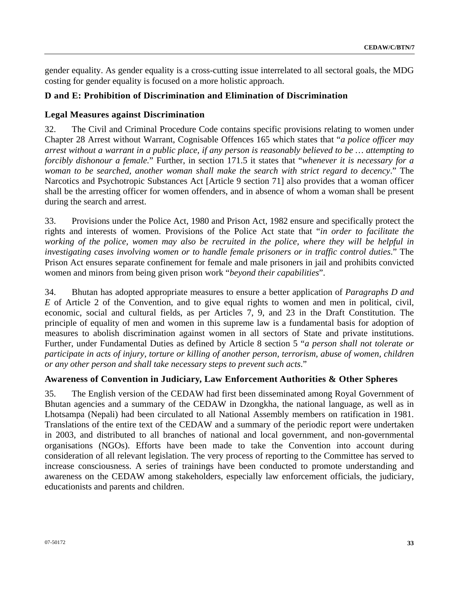gender equality. As gender equality is a cross-cutting issue interrelated to all sectoral goals, the MDG costing for gender equality is focused on a more holistic approach.

## **D and E: Prohibition of Discrimination and Elimination of Discrimination**

### **Legal Measures against Discrimination**

32. The Civil and Criminal Procedure Code contains specific provisions relating to women under Chapter 28 Arrest without Warrant, Cognisable Offences 165 which states that "*a police officer may arrest without a warrant in a public place, if any person is reasonably believed to be … attempting to forcibly dishonour a female.*" Further, in section 171.5 it states that "*whenever it is necessary for a woman to be searched, another woman shall make the search with strict regard to decency*." The Narcotics and Psychotropic Substances Act [Article 9 section 71] also provides that a woman officer shall be the arresting officer for women offenders, and in absence of whom a woman shall be present during the search and arrest.

33. Provisions under the Police Act, 1980 and Prison Act, 1982 ensure and specifically protect the rights and interests of women. Provisions of the Police Act state that "*in order to facilitate the working of the police, women may also be recruited in the police, where they will be helpful in investigating cases involving women or to handle female prisoners or in traffic control duties*." The Prison Act ensures separate confinement for female and male prisoners in jail and prohibits convicted women and minors from being given prison work "*beyond their capabilities*".

34. Bhutan has adopted appropriate measures to ensure a better application of *Paragraphs D and E* of Article 2 of the Convention, and to give equal rights to women and men in political, civil, economic, social and cultural fields, as per Articles 7, 9, and 23 in the Draft Constitution. The principle of equality of men and women in this supreme law is a fundamental basis for adoption of measures to abolish discrimination against women in all sectors of State and private institutions. Further, under Fundamental Duties as defined by Article 8 section 5 "*a person shall not tolerate or participate in acts of injury, torture or killing of another person, terrorism, abuse of women, children or any other person and shall take necessary steps to prevent such acts*."

### **Awareness of Convention in Judiciary, Law Enforcement Authorities & Other Spheres**

35. The English version of the CEDAW had first been disseminated among Royal Government of Bhutan agencies and a summary of the CEDAW in Dzongkha, the national language, as well as in Lhotsampa (Nepali) had been circulated to all National Assembly members on ratification in 1981. Translations of the entire text of the CEDAW and a summary of the periodic report were undertaken in 2003, and distributed to all branches of national and local government, and non-governmental organisations (NGOs). Efforts have been made to take the Convention into account during consideration of all relevant legislation. The very process of reporting to the Committee has served to increase consciousness. A series of trainings have been conducted to promote understanding and awareness on the CEDAW among stakeholders, especially law enforcement officials, the judiciary, educationists and parents and children.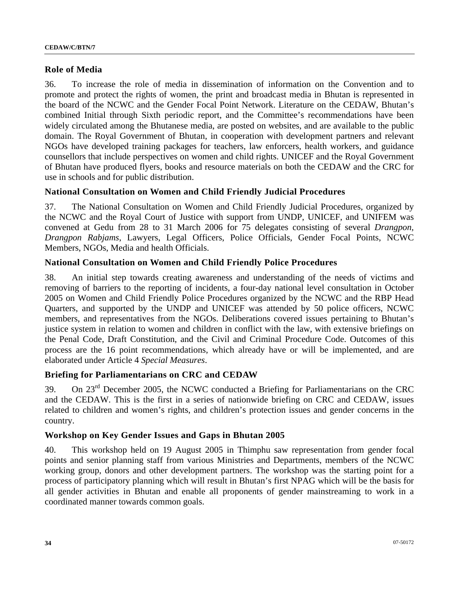### **Role of Media**

36. To increase the role of media in dissemination of information on the Convention and to promote and protect the rights of women, the print and broadcast media in Bhutan is represented in the board of the NCWC and the Gender Focal Point Network. Literature on the CEDAW, Bhutan's combined Initial through Sixth periodic report, and the Committee's recommendations have been widely circulated among the Bhutanese media, are posted on websites, and are available to the public domain. The Royal Government of Bhutan, in cooperation with development partners and relevant NGOs have developed training packages for teachers, law enforcers, health workers, and guidance counsellors that include perspectives on women and child rights. UNICEF and the Royal Government of Bhutan have produced flyers, books and resource materials on both the CEDAW and the CRC for use in schools and for public distribution.

## **National Consultation on Women and Child Friendly Judicial Procedures**

37. The National Consultation on Women and Child Friendly Judicial Procedures, organized by the NCWC and the Royal Court of Justice with support from UNDP, UNICEF, and UNIFEM was convened at Gedu from 28 to 31 March 2006 for 75 delegates consisting of several *Drangpon, Drangpon Rabjams*, Lawyers, Legal Officers, Police Officials, Gender Focal Points, NCWC Members, NGOs, Media and health Officials.

### **National Consultation on Women and Child Friendly Police Procedures**

38. An initial step towards creating awareness and understanding of the needs of victims and removing of barriers to the reporting of incidents, a four-day national level consultation in October 2005 on Women and Child Friendly Police Procedures organized by the NCWC and the RBP Head Quarters, and supported by the UNDP and UNICEF was attended by 50 police officers, NCWC members, and representatives from the NGOs. Deliberations covered issues pertaining to Bhutan's justice system in relation to women and children in conflict with the law, with extensive briefings on the Penal Code, Draft Constitution, and the Civil and Criminal Procedure Code. Outcomes of this process are the 16 point recommendations, which already have or will be implemented, and are elaborated under Article 4 *Special Measures*.

### **Briefing for Parliamentarians on CRC and CEDAW**

39. On  $23<sup>rd</sup>$  December 2005, the NCWC conducted a Briefing for Parliamentarians on the CRC and the CEDAW. This is the first in a series of nationwide briefing on CRC and CEDAW, issues related to children and women's rights, and children's protection issues and gender concerns in the country.

### **Workshop on Key Gender Issues and Gaps in Bhutan 2005**

40. This workshop held on 19 August 2005 in Thimphu saw representation from gender focal points and senior planning staff from various Ministries and Departments, members of the NCWC working group, donors and other development partners. The workshop was the starting point for a process of participatory planning which will result in Bhutan's first NPAG which will be the basis for all gender activities in Bhutan and enable all proponents of gender mainstreaming to work in a coordinated manner towards common goals.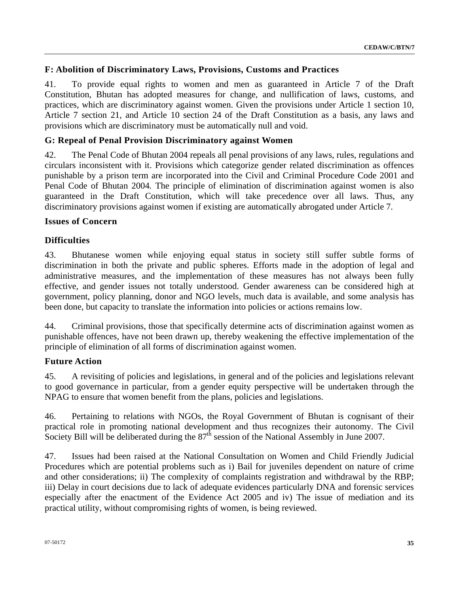## **F: Abolition of Discriminatory Laws, Provisions, Customs and Practices**

41. To provide equal rights to women and men as guaranteed in Article 7 of the Draft Constitution, Bhutan has adopted measures for change, and nullification of laws, customs, and practices, which are discriminatory against women. Given the provisions under Article 1 section 10, Article 7 section 21, and Article 10 section 24 of the Draft Constitution as a basis, any laws and provisions which are discriminatory must be automatically null and void.

## **G: Repeal of Penal Provision Discriminatory against Women**

42. The Penal Code of Bhutan 2004 repeals all penal provisions of any laws, rules, regulations and circulars inconsistent with it. Provisions which categorize gender related discrimination as offences punishable by a prison term are incorporated into the Civil and Criminal Procedure Code 2001 and Penal Code of Bhutan 2004*.* The principle of elimination of discrimination against women is also guaranteed in the Draft Constitution, which will take precedence over all laws. Thus, any discriminatory provisions against women if existing are automatically abrogated under Article 7.

### **Issues of Concern**

## **Difficulties**

43. Bhutanese women while enjoying equal status in society still suffer subtle forms of discrimination in both the private and public spheres. Efforts made in the adoption of legal and administrative measures, and the implementation of these measures has not always been fully effective, and gender issues not totally understood. Gender awareness can be considered high at government, policy planning, donor and NGO levels, much data is available, and some analysis has been done, but capacity to translate the information into policies or actions remains low.

44. Criminal provisions, those that specifically determine acts of discrimination against women as punishable offences, have not been drawn up, thereby weakening the effective implementation of the principle of elimination of all forms of discrimination against women.

### **Future Action**

45. A revisiting of policies and legislations, in general and of the policies and legislations relevant to good governance in particular, from a gender equity perspective will be undertaken through the NPAG to ensure that women benefit from the plans, policies and legislations.

46. Pertaining to relations with NGOs, the Royal Government of Bhutan is cognisant of their practical role in promoting national development and thus recognizes their autonomy. The Civil Society Bill will be deliberated during the 87<sup>th</sup> session of the National Assembly in June 2007.

47. Issues had been raised at the National Consultation on Women and Child Friendly Judicial Procedures which are potential problems such as i) Bail for juveniles dependent on nature of crime and other considerations; ii) The complexity of complaints registration and withdrawal by the RBP; iii) Delay in court decisions due to lack of adequate evidences particularly DNA and forensic services especially after the enactment of the Evidence Act 2005 and iv) The issue of mediation and its practical utility, without compromising rights of women, is being reviewed.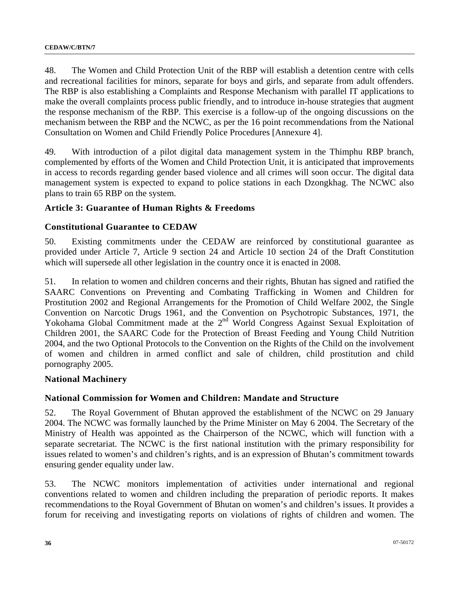48. The Women and Child Protection Unit of the RBP will establish a detention centre with cells and recreational facilities for minors, separate for boys and girls, and separate from adult offenders. The RBP is also establishing a Complaints and Response Mechanism with parallel IT applications to make the overall complaints process public friendly, and to introduce in-house strategies that augment the response mechanism of the RBP. This exercise is a follow-up of the ongoing discussions on the mechanism between the RBP and the NCWC, as per the 16 point recommendations from the National Consultation on Women and Child Friendly Police Procedures [Annexure 4].

49. With introduction of a pilot digital data management system in the Thimphu RBP branch, complemented by efforts of the Women and Child Protection Unit, it is anticipated that improvements in access to records regarding gender based violence and all crimes will soon occur. The digital data management system is expected to expand to police stations in each Dzongkhag. The NCWC also plans to train 65 RBP on the system.

### **Article 3: Guarantee of Human Rights & Freedoms**

#### **Constitutional Guarantee to CEDAW**

50. Existing commitments under the CEDAW are reinforced by constitutional guarantee as provided under Article 7, Article 9 section 24 and Article 10 section 24 of the Draft Constitution which will supersede all other legislation in the country once it is enacted in 2008.

51. In relation to women and children concerns and their rights, Bhutan has signed and ratified the SAARC Conventions on Preventing and Combating Trafficking in Women and Children for Prostitution 2002 and Regional Arrangements for the Promotion of Child Welfare 2002, the Single Convention on Narcotic Drugs 1961, and the Convention on Psychotropic Substances, 1971, the Yokohama Global Commitment made at the 2<sup>nd</sup> World Congress Against Sexual Exploitation of Children 2001, the SAARC Code for the Protection of Breast Feeding and Young Child Nutrition 2004, and the two Optional Protocols to the Convention on the Rights of the Child on the involvement of women and children in armed conflict and sale of children, child prostitution and child pornography 2005.

#### **National Machinery**

### **National Commission for Women and Children: Mandate and Structure**

52. The Royal Government of Bhutan approved the establishment of the NCWC on 29 January 2004. The NCWC was formally launched by the Prime Minister on May 6 2004. The Secretary of the Ministry of Health was appointed as the Chairperson of the NCWC, which will function with a separate secretariat. The NCWC is the first national institution with the primary responsibility for issues related to women's and children's rights, and is an expression of Bhutan's commitment towards ensuring gender equality under law.

53. The NCWC monitors implementation of activities under international and regional conventions related to women and children including the preparation of periodic reports. It makes recommendations to the Royal Government of Bhutan on women's and children's issues. It provides a forum for receiving and investigating reports on violations of rights of children and women. The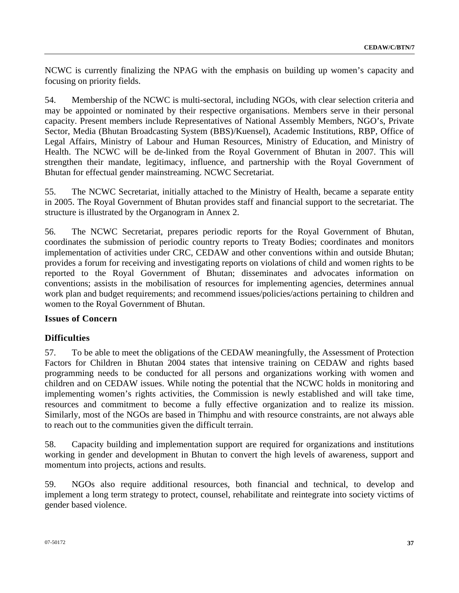NCWC is currently finalizing the NPAG with the emphasis on building up women's capacity and focusing on priority fields.

54. Membership of the NCWC is multi-sectoral, including NGOs, with clear selection criteria and may be appointed or nominated by their respective organisations. Members serve in their personal capacity. Present members include Representatives of National Assembly Members, NGO's, Private Sector, Media (Bhutan Broadcasting System (BBS)/Kuensel), Academic Institutions, RBP, Office of Legal Affairs, Ministry of Labour and Human Resources, Ministry of Education, and Ministry of Health. The NCWC will be de-linked from the Royal Government of Bhutan in 2007. This will strengthen their mandate, legitimacy, influence, and partnership with the Royal Government of Bhutan for effectual gender mainstreaming. NCWC Secretariat.

55. The NCWC Secretariat, initially attached to the Ministry of Health, became a separate entity in 2005. The Royal Government of Bhutan provides staff and financial support to the secretariat. The structure is illustrated by the Organogram in Annex 2.

56. The NCWC Secretariat, prepares periodic reports for the Royal Government of Bhutan, coordinates the submission of periodic country reports to Treaty Bodies; coordinates and monitors implementation of activities under CRC, CEDAW and other conventions within and outside Bhutan; provides a forum for receiving and investigating reports on violations of child and women rights to be reported to the Royal Government of Bhutan; disseminates and advocates information on conventions; assists in the mobilisation of resources for implementing agencies, determines annual work plan and budget requirements; and recommend issues/policies/actions pertaining to children and women to the Royal Government of Bhutan.

## **Issues of Concern**

## **Difficulties**

57. To be able to meet the obligations of the CEDAW meaningfully, the Assessment of Protection Factors for Children in Bhutan 2004 states that intensive training on CEDAW and rights based programming needs to be conducted for all persons and organizations working with women and children and on CEDAW issues. While noting the potential that the NCWC holds in monitoring and implementing women's rights activities, the Commission is newly established and will take time, resources and commitment to become a fully effective organization and to realize its mission. Similarly, most of the NGOs are based in Thimphu and with resource constraints, are not always able to reach out to the communities given the difficult terrain.

58. Capacity building and implementation support are required for organizations and institutions working in gender and development in Bhutan to convert the high levels of awareness, support and momentum into projects, actions and results.

59. NGOs also require additional resources, both financial and technical, to develop and implement a long term strategy to protect, counsel, rehabilitate and reintegrate into society victims of gender based violence.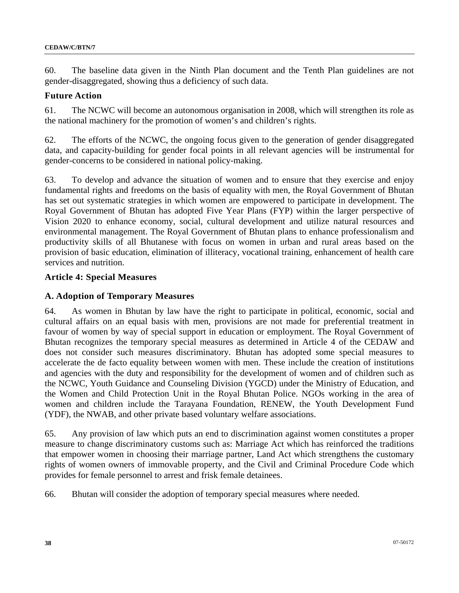60. The baseline data given in the Ninth Plan document and the Tenth Plan guidelines are not gender-disaggregated, showing thus a deficiency of such data.

#### **Future Action**

61. The NCWC will become an autonomous organisation in 2008, which will strengthen its role as the national machinery for the promotion of women's and children's rights.

62. The efforts of the NCWC, the ongoing focus given to the generation of gender disaggregated data, and capacity-building for gender focal points in all relevant agencies will be instrumental for gender-concerns to be considered in national policy-making.

63. To develop and advance the situation of women and to ensure that they exercise and enjoy fundamental rights and freedoms on the basis of equality with men, the Royal Government of Bhutan has set out systematic strategies in which women are empowered to participate in development. The Royal Government of Bhutan has adopted Five Year Plans (FYP) within the larger perspective of Vision 2020 to enhance economy, social, cultural development and utilize natural resources and environmental management. The Royal Government of Bhutan plans to enhance professionalism and productivity skills of all Bhutanese with focus on women in urban and rural areas based on the provision of basic education, elimination of illiteracy, vocational training, enhancement of health care services and nutrition.

#### **Article 4: Special Measures**

#### **A. Adoption of Temporary Measures**

64. As women in Bhutan by law have the right to participate in political, economic, social and cultural affairs on an equal basis with men, provisions are not made for preferential treatment in favour of women by way of special support in education or employment. The Royal Government of Bhutan recognizes the temporary special measures as determined in Article 4 of the CEDAW and does not consider such measures discriminatory. Bhutan has adopted some special measures to accelerate the de facto equality between women with men. These include the creation of institutions and agencies with the duty and responsibility for the development of women and of children such as the NCWC, Youth Guidance and Counseling Division (YGCD) under the Ministry of Education, and the Women and Child Protection Unit in the Royal Bhutan Police. NGOs working in the area of women and children include the Tarayana Foundation, RENEW, the Youth Development Fund (YDF), the NWAB, and other private based voluntary welfare associations.

65. Any provision of law which puts an end to discrimination against women constitutes a proper measure to change discriminatory customs such as: Marriage Act which has reinforced the traditions that empower women in choosing their marriage partner, Land Act which strengthens the customary rights of women owners of immovable property, and the Civil and Criminal Procedure Code which provides for female personnel to arrest and frisk female detainees.

66. Bhutan will consider the adoption of temporary special measures where needed.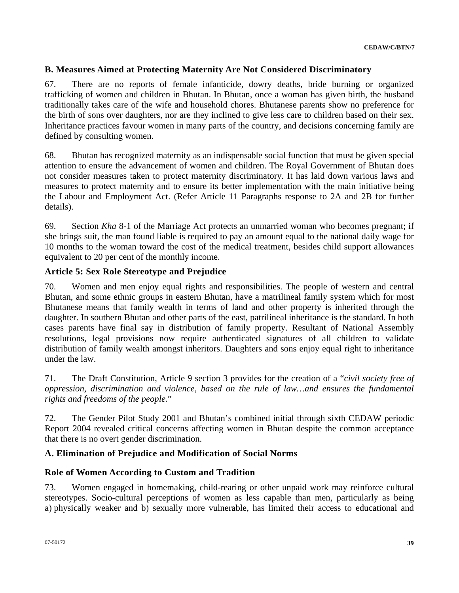## **B. Measures Aimed at Protecting Maternity Are Not Considered Discriminatory**

67. There are no reports of female infanticide, dowry deaths, bride burning or organized trafficking of women and children in Bhutan. In Bhutan, once a woman has given birth, the husband traditionally takes care of the wife and household chores. Bhutanese parents show no preference for the birth of sons over daughters, nor are they inclined to give less care to children based on their sex. Inheritance practices favour women in many parts of the country, and decisions concerning family are defined by consulting women.

68. Bhutan has recognized maternity as an indispensable social function that must be given special attention to ensure the advancement of women and children. The Royal Government of Bhutan does not consider measures taken to protect maternity discriminatory. It has laid down various laws and measures to protect maternity and to ensure its better implementation with the main initiative being the Labour and Employment Act. (Refer Article 11 Paragraphs response to 2A and 2B for further details).

69. Section *Kha* 8-1 of the Marriage Act protects an unmarried woman who becomes pregnant; if she brings suit, the man found liable is required to pay an amount equal to the national daily wage for 10 months to the woman toward the cost of the medical treatment, besides child support allowances equivalent to 20 per cent of the monthly income.

## **Article 5: Sex Role Stereotype and Prejudice**

70. Women and men enjoy equal rights and responsibilities. The people of western and central Bhutan, and some ethnic groups in eastern Bhutan, have a matrilineal family system which for most Bhutanese means that family wealth in terms of land and other property is inherited through the daughter. In southern Bhutan and other parts of the east, patrilineal inheritance is the standard. In both cases parents have final say in distribution of family property. Resultant of National Assembly resolutions, legal provisions now require authenticated signatures of all children to validate distribution of family wealth amongst inheritors. Daughters and sons enjoy equal right to inheritance under the law.

71. The Draft Constitution, Article 9 section 3 provides for the creation of a "*civil society free of oppression, discrimination and violence, based on the rule of law…and ensures the fundamental rights and freedoms of the people.*"

72. The Gender Pilot Study 2001 and Bhutan's combined initial through sixth CEDAW periodic Report 2004 revealed critical concerns affecting women in Bhutan despite the common acceptance that there is no overt gender discrimination.

## **A. Elimination of Prejudice and Modification of Social Norms**

## **Role of Women According to Custom and Tradition**

73. Women engaged in homemaking, child-rearing or other unpaid work may reinforce cultural stereotypes. Socio-cultural perceptions of women as less capable than men, particularly as being a) physically weaker and b) sexually more vulnerable, has limited their access to educational and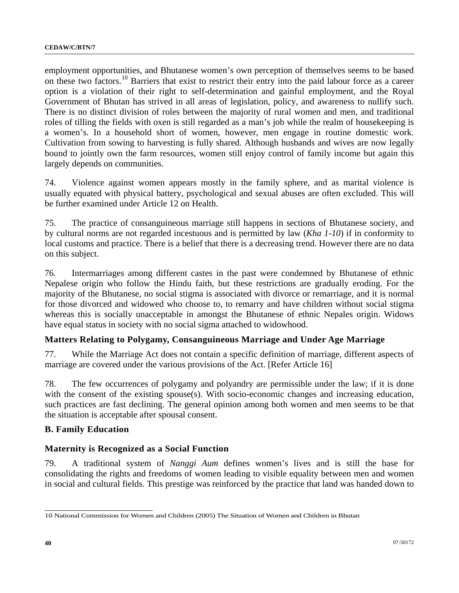employment opportunities, and Bhutanese women's own perception of themselves seems to be based on these two factors.[1](#page-39-0)0 Barriers that exist to restrict their entry into the paid labour force as a career option is a violation of their right to self-determination and gainful employment, and the Royal Government of Bhutan has strived in all areas of legislation, policy, and awareness to nullify such. There is no distinct division of roles between the majority of rural women and men, and traditional roles of tilling the fields with oxen is still regarded as a man's job while the realm of housekeeping is a women's. In a household short of women, however, men engage in routine domestic work. Cultivation from sowing to harvesting is fully shared. Although husbands and wives are now legally bound to jointly own the farm resources, women still enjoy control of family income but again this largely depends on communities.

74. Violence against women appears mostly in the family sphere, and as marital violence is usually equated with physical battery, psychological and sexual abuses are often excluded. This will be further examined under Article 12 on Health.

75. The practice of consanguineous marriage still happens in sections of Bhutanese society, and by cultural norms are not regarded incestuous and is permitted by law (*Kha 1-10*) if in conformity to local customs and practice. There is a belief that there is a decreasing trend. However there are no data on this subject.

76. Intermarriages among different castes in the past were condemned by Bhutanese of ethnic Nepalese origin who follow the Hindu faith, but these restrictions are gradually eroding. For the majority of the Bhutanese, no social stigma is associated with divorce or remarriage, and it is normal for those divorced and widowed who choose to, to remarry and have children without social stigma whereas this is socially unacceptable in amongst the Bhutanese of ethnic Nepales origin. Widows have equal status in society with no social sigma attached to widowhood.

## **Matters Relating to Polygamy, Consanguineous Marriage and Under Age Marriage**

77. While the Marriage Act does not contain a specific definition of marriage, different aspects of marriage are covered under the various provisions of the Act. [Refer Article 16]

78. The few occurrences of polygamy and polyandry are permissible under the law; if it is done with the consent of the existing spouse(s). With socio-economic changes and increasing education, such practices are fast declining. The general opinion among both women and men seems to be that the situation is acceptable after spousal consent.

### **B. Family Education**

### **Maternity is Recognized as a Social Function**

79. A traditional system of *Nanggi Aum* defines women's lives and is still the base for consolidating the rights and freedoms of women leading to visible equality between men and women in social and cultural fields. This prestige was reinforced by the practice that land was handed down to

<span id="page-39-0"></span> 10 National Commission for Women and Children (2005) The Situation of Women and Children in Bhutan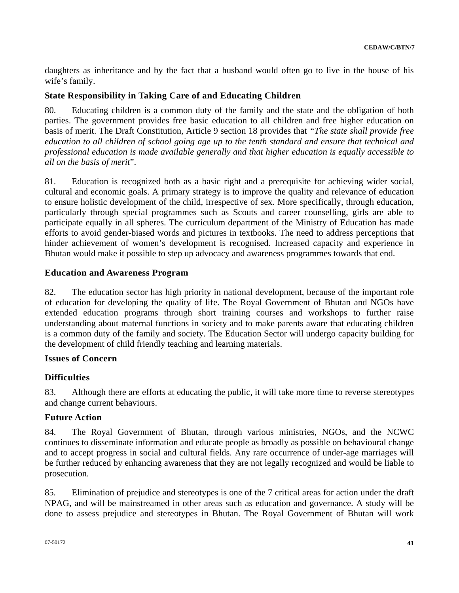daughters as inheritance and by the fact that a husband would often go to live in the house of his wife's family.

## **State Responsibility in Taking Care of and Educating Children**

80. Educating children is a common duty of the family and the state and the obligation of both parties. The government provides free basic education to all children and free higher education on basis of merit. The Draft Constitution, Article 9 section 18 provides that *"The state shall provide free education to all children of school going age up to the tenth standard and ensure that technical and professional education is made available generally and that higher education is equally accessible to all on the basis of merit*".

81. Education is recognized both as a basic right and a prerequisite for achieving wider social, cultural and economic goals. A primary strategy is to improve the quality and relevance of education to ensure holistic development of the child, irrespective of sex. More specifically, through education, particularly through special programmes such as Scouts and career counselling, girls are able to participate equally in all spheres. The curriculum department of the Ministry of Education has made efforts to avoid gender-biased words and pictures in textbooks. The need to address perceptions that hinder achievement of women's development is recognised. Increased capacity and experience in Bhutan would make it possible to step up advocacy and awareness programmes towards that end.

### **Education and Awareness Program**

82. The education sector has high priority in national development, because of the important role of education for developing the quality of life. The Royal Government of Bhutan and NGOs have extended education programs through short training courses and workshops to further raise understanding about maternal functions in society and to make parents aware that educating children is a common duty of the family and society. The Education Sector will undergo capacity building for the development of child friendly teaching and learning materials.

## **Issues of Concern**

## **Difficulties**

83. Although there are efforts at educating the public, it will take more time to reverse stereotypes and change current behaviours.

### **Future Action**

84. The Royal Government of Bhutan, through various ministries, NGOs, and the NCWC continues to disseminate information and educate people as broadly as possible on behavioural change and to accept progress in social and cultural fields. Any rare occurrence of under-age marriages will be further reduced by enhancing awareness that they are not legally recognized and would be liable to prosecution.

85. Elimination of prejudice and stereotypes is one of the 7 critical areas for action under the draft NPAG, and will be mainstreamed in other areas such as education and governance. A study will be done to assess prejudice and stereotypes in Bhutan. The Royal Government of Bhutan will work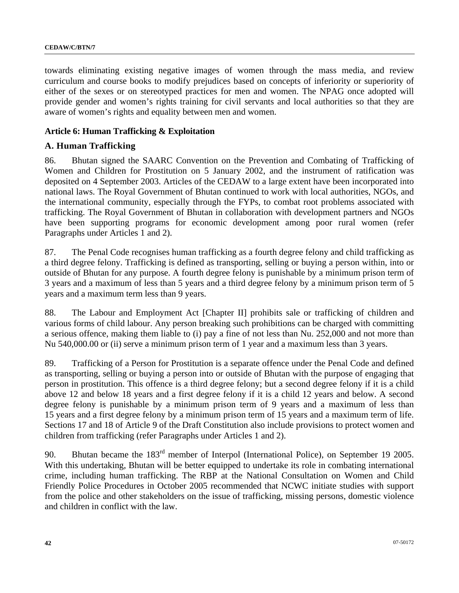towards eliminating existing negative images of women through the mass media, and review curriculum and course books to modify prejudices based on concepts of inferiority or superiority of either of the sexes or on stereotyped practices for men and women. The NPAG once adopted will provide gender and women's rights training for civil servants and local authorities so that they are aware of women's rights and equality between men and women.

### **Article 6: Human Trafficking & Exploitation**

### **A. Human Trafficking**

86. Bhutan signed the SAARC Convention on the Prevention and Combating of Trafficking of Women and Children for Prostitution on 5 January 2002, and the instrument of ratification was deposited on 4 September 2003. Articles of the CEDAW to a large extent have been incorporated into national laws. The Royal Government of Bhutan continued to work with local authorities, NGOs, and the international community, especially through the FYPs, to combat root problems associated with trafficking. The Royal Government of Bhutan in collaboration with development partners and NGOs have been supporting programs for economic development among poor rural women (refer Paragraphs under Articles 1 and 2).

87. The Penal Code recognises human trafficking as a fourth degree felony and child trafficking as a third degree felony. Trafficking is defined as transporting, selling or buying a person within, into or outside of Bhutan for any purpose. A fourth degree felony is punishable by a minimum prison term of 3 years and a maximum of less than 5 years and a third degree felony by a minimum prison term of 5 years and a maximum term less than 9 years.

88. The Labour and Employment Act [Chapter II] prohibits sale or trafficking of children and various forms of child labour. Any person breaking such prohibitions can be charged with committing a serious offence, making them liable to (i) pay a fine of not less than Nu. 252,000 and not more than Nu 540,000.00 or (ii) serve a minimum prison term of 1 year and a maximum less than 3 years.

89. Trafficking of a Person for Prostitution is a separate offence under the Penal Code and defined as transporting, selling or buying a person into or outside of Bhutan with the purpose of engaging that person in prostitution. This offence is a third degree felony; but a second degree felony if it is a child above 12 and below 18 years and a first degree felony if it is a child 12 years and below. A second degree felony is punishable by a minimum prison term of 9 years and a maximum of less than 15 years and a first degree felony by a minimum prison term of 15 years and a maximum term of life. Sections 17 and 18 of Article 9 of the Draft Constitution also include provisions to protect women and children from trafficking (refer Paragraphs under Articles 1 and 2).

90. Bhutan became the 183<sup>rd</sup> member of Interpol (International Police), on September 19 2005. With this undertaking, Bhutan will be better equipped to undertake its role in combating international crime, including human trafficking. The RBP at the National Consultation on Women and Child Friendly Police Procedures in October 2005 recommended that NCWC initiate studies with support from the police and other stakeholders on the issue of trafficking, missing persons, domestic violence and children in conflict with the law.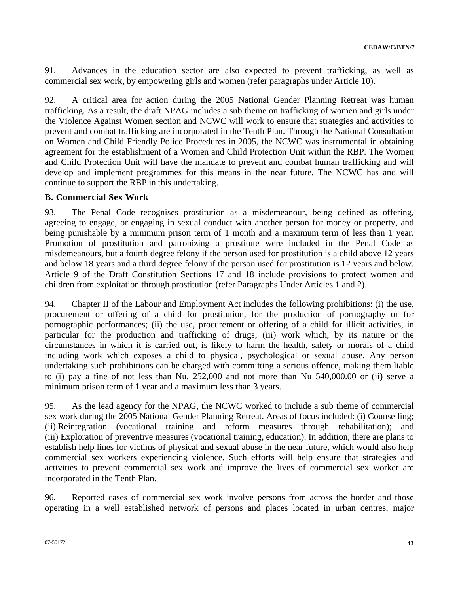91. Advances in the education sector are also expected to prevent trafficking, as well as commercial sex work, by empowering girls and women (refer paragraphs under Article 10).

92. A critical area for action during the 2005 National Gender Planning Retreat was human trafficking. As a result, the draft NPAG includes a sub theme on trafficking of women and girls under the Violence Against Women section and NCWC will work to ensure that strategies and activities to prevent and combat trafficking are incorporated in the Tenth Plan. Through the National Consultation on Women and Child Friendly Police Procedures in 2005, the NCWC was instrumental in obtaining agreement for the establishment of a Women and Child Protection Unit within the RBP. The Women and Child Protection Unit will have the mandate to prevent and combat human trafficking and will develop and implement programmes for this means in the near future. The NCWC has and will continue to support the RBP in this undertaking.

## **B. Commercial Sex Work**

93. The Penal Code recognises prostitution as a misdemeanour, being defined as offering, agreeing to engage, or engaging in sexual conduct with another person for money or property, and being punishable by a minimum prison term of 1 month and a maximum term of less than 1 year. Promotion of prostitution and patronizing a prostitute were included in the Penal Code as misdemeanours, but a fourth degree felony if the person used for prostitution is a child above 12 years and below 18 years and a third degree felony if the person used for prostitution is 12 years and below. Article 9 of the Draft Constitution Sections 17 and 18 include provisions to protect women and children from exploitation through prostitution (refer Paragraphs Under Articles 1 and 2).

94. Chapter II of the Labour and Employment Act includes the following prohibitions: (i) the use, procurement or offering of a child for prostitution, for the production of pornography or for pornographic performances; (ii) the use, procurement or offering of a child for illicit activities, in particular for the production and trafficking of drugs; (iii) work which, by its nature or the circumstances in which it is carried out, is likely to harm the health, safety or morals of a child including work which exposes a child to physical, psychological or sexual abuse. Any person undertaking such prohibitions can be charged with committing a serious offence, making them liable to (i) pay a fine of not less than Nu. 252,000 and not more than Nu 540,000.00 or (ii) serve a minimum prison term of 1 year and a maximum less than 3 years.

95. As the lead agency for the NPAG, the NCWC worked to include a sub theme of commercial sex work during the 2005 National Gender Planning Retreat. Areas of focus included: (i) Counselling; (ii) Reintegration (vocational training and reform measures through rehabilitation); and (iii) Exploration of preventive measures (vocational training, education). In addition, there are plans to establish help lines for victims of physical and sexual abuse in the near future, which would also help commercial sex workers experiencing violence. Such efforts will help ensure that strategies and activities to prevent commercial sex work and improve the lives of commercial sex worker are incorporated in the Tenth Plan.

96. Reported cases of commercial sex work involve persons from across the border and those operating in a well established network of persons and places located in urban centres, major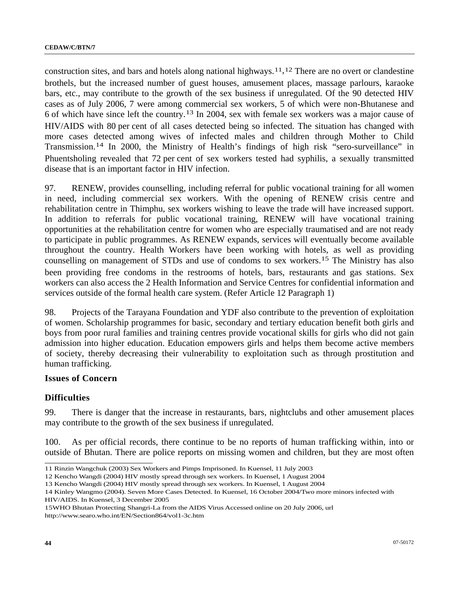construction sites, and bars and hotels along national highways.[1](#page-43-0)1,[1](#page-43-1)2 There are no overt or clandestine brothels, but the increased number of guest houses, amusement places, massage parlours, karaoke bars, etc., may contribute to the growth of the sex business if unregulated. Of the 90 detected HIV cases as of July 2006, 7 were among commercial sex workers, 5 of which were non-Bhutanese and 6 of which have since left the country.[1](#page-43-2)3 In 2004, sex with female sex workers was a major cause of HIV/AIDS with 80 per cent of all cases detected being so infected. The situation has changed with more cases detected among wives of infected males and children through Mother to Child Transmission.[14](#page-43-3) In 2000, the Ministry of Health's findings of high risk "sero-surveillance" in Phuentsholing revealed that 72 per cent of sex workers tested had syphilis, a sexually transmitted disease that is an important factor in HIV infection.

97. RENEW, provides counselling, including referral for public vocational training for all women in need, including commercial sex workers. With the opening of RENEW crisis centre and rehabilitation centre in Thimphu, sex workers wishing to leave the trade will have increased support. In addition to referrals for public vocational training, RENEW will have vocational training opportunities at the rehabilitation centre for women who are especially traumatised and are not ready to participate in public programmes. As RENEW expands, services will eventually become available throughout the country. Health Workers have been working with hotels, as well as providing counselling on management of STDs and use of condoms to sex workers.[15](#page-43-4) The Ministry has also been providing free condoms in the restrooms of hotels, bars, restaurants and gas stations. Sex workers can also access the 2 Health Information and Service Centres for confidential information and services outside of the formal health care system. (Refer Article 12 Paragraph 1)

98. Projects of the Tarayana Foundation and YDF also contribute to the prevention of exploitation of women. Scholarship programmes for basic, secondary and tertiary education benefit both girls and boys from poor rural families and training centres provide vocational skills for girls who did not gain admission into higher education. Education empowers girls and helps them become active members of society, thereby decreasing their vulnerability to exploitation such as through prostitution and human trafficking.

#### **Issues of Concern**

#### **Difficulties**

99. There is danger that the increase in restaurants, bars, nightclubs and other amusement places may contribute to the growth of the sex business if unregulated.

100. As per official records, there continue to be no reports of human trafficking within, into or outside of Bhutan. There are police reports on missing women and children, but they are most often

 11 Rinzin Wangchuk (2003) Sex Workers and Pimps Imprisoned. In Kuensel, 11 July 2003

<span id="page-43-1"></span><span id="page-43-0"></span><sup>12</sup> Kencho Wangdi (2004) HIV mostly spread through sex workers. In Kuensel, 1 August 2004

<sup>13</sup> Kencho Wangdi (2004) HIV mostly spread through sex workers. In Kuensel, 1 August 2004

<span id="page-43-3"></span><span id="page-43-2"></span><sup>14</sup> Kinley Wangmo (2004). Seven More Cases Detected. In Kuensel, 16 October 2004/Two more minors infected with HIV/AIDS. In Kuensel, 3 December 2005

<span id="page-43-4"></span><sup>15</sup>WHO Bhutan Protecting Shangri-La from the AIDS Virus Accessed online on 20 July 2006, url http://www.searo.who.int/EN/Section864/vol1-3c.htm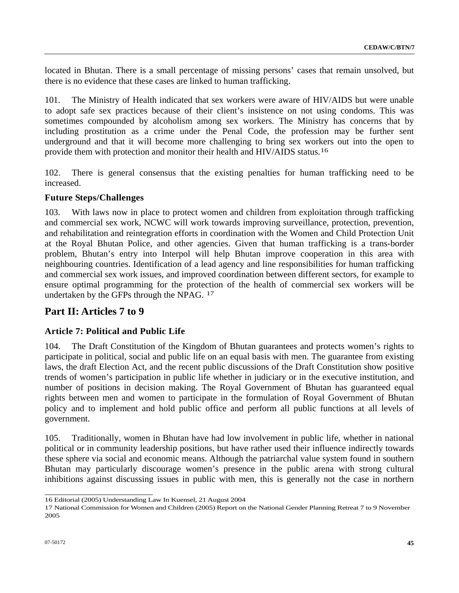located in Bhutan. There is a small percentage of missing persons' cases that remain unsolved, but there is no evidence that these cases are linked to human trafficking.

101. The Ministry of Health indicated that sex workers were aware of HIV/AIDS but were unable to adopt safe sex practices because of their client's insistence on not using condoms. This was sometimes compounded by alcoholism among sex workers. The Ministry has concerns that by including prostitution as a crime under the Penal Code, the profession may be further sent underground and that it will become more challenging to bring sex workers out into the open to provide them with protection and monitor their health and HIV/AIDS status.[16](#page-44-0)

102. There is general consensus that the existing penalties for human trafficking need to be increased.

### **Future Steps/Challenges**

103. With laws now in place to protect women and children from exploitation through trafficking and commercial sex work, NCWC will work towards improving surveillance, protection, prevention, and rehabilitation and reintegration efforts in coordination with the Women and Child Protection Unit at the Royal Bhutan Police, and other agencies. Given that human trafficking is a trans-border problem, Bhutan's entry into Interpol will help Bhutan improve cooperation in this area with neighbouring countries. Identification of a lead agency and line responsibilities for human trafficking and commercial sex work issues, and improved coordination between different sectors, for example to ensure optimal programming for the protection of the health of commercial sex workers will be undertaken by the GFPs through the NPAG. [17](#page-44-1)

# **Part II: Articles 7 to 9**

## **Article 7: Political and Public Life**

104. The Draft Constitution of the Kingdom of Bhutan guarantees and protects women's rights to participate in political, social and public life on an equal basis with men. The guarantee from existing laws, the draft Election Act, and the recent public discussions of the Draft Constitution show positive trends of women's participation in public life whether in judiciary or in the executive institution, and number of positions in decision making. The Royal Government of Bhutan has guaranteed equal rights between men and women to participate in the formulation of Royal Government of Bhutan policy and to implement and hold public office and perform all public functions at all levels of government.

105. Traditionally, women in Bhutan have had low involvement in public life, whether in national political or in community leadership positions, but have rather used their influence indirectly towards these sphere via social and economic means. Although the patriarchal value system found in southern Bhutan may particularly discourage women's presence in the public arena with strong cultural inhibitions against discussing issues in public with men, this is generally not the case in northern

 16 Editorial (2005) Understanding Law In Kuensel, 21 August 2004

<span id="page-44-1"></span><span id="page-44-0"></span><sup>17</sup> National Commission for Women and Children (2005) Report on the National Gender Planning Retreat 7 to 9 November 2005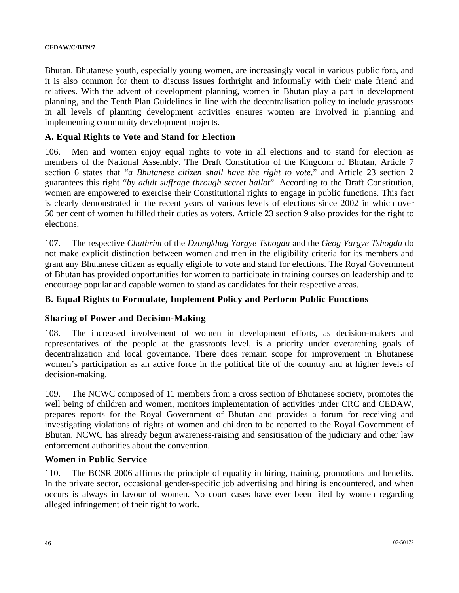Bhutan. Bhutanese youth, especially young women, are increasingly vocal in various public fora, and it is also common for them to discuss issues forthright and informally with their male friend and relatives. With the advent of development planning, women in Bhutan play a part in development planning, and the Tenth Plan Guidelines in line with the decentralisation policy to include grassroots in all levels of planning development activities ensures women are involved in planning and implementing community development projects.

### **A. Equal Rights to Vote and Stand for Election**

106. Men and women enjoy equal rights to vote in all elections and to stand for election as members of the National Assembly. The Draft Constitution of the Kingdom of Bhutan, Article 7 section 6 states that "*a Bhutanese citizen shall have the right to vote,*" and Article 23 section 2 guarantees this right "*by adult suffrage through secret ballot*"*.* According to the Draft Constitution, women are empowered to exercise their Constitutional rights to engage in public functions. This fact is clearly demonstrated in the recent years of various levels of elections since 2002 in which over 50 per cent of women fulfilled their duties as voters. Article 23 section 9 also provides for the right to elections.

107. The respective *Chathrim* of the *Dzongkhag Yargye Tshogdu* and the *Geog Yargye Tshogdu* do not make explicit distinction between women and men in the eligibility criteria for its members and grant any Bhutanese citizen as equally eligible to vote and stand for elections. The Royal Government of Bhutan has provided opportunities for women to participate in training courses on leadership and to encourage popular and capable women to stand as candidates for their respective areas.

### **B. Equal Rights to Formulate, Implement Policy and Perform Public Functions**

### **Sharing of Power and Decision-Making**

108. The increased involvement of women in development efforts, as decision-makers and representatives of the people at the grassroots level, is a priority under overarching goals of decentralization and local governance. There does remain scope for improvement in Bhutanese women's participation as an active force in the political life of the country and at higher levels of decision-making.

109. The NCWC composed of 11 members from a cross section of Bhutanese society, promotes the well being of children and women, monitors implementation of activities under CRC and CEDAW, prepares reports for the Royal Government of Bhutan and provides a forum for receiving and investigating violations of rights of women and children to be reported to the Royal Government of Bhutan. NCWC has already begun awareness-raising and sensitisation of the judiciary and other law enforcement authorities about the convention.

### **Women in Public Service**

110. The BCSR 2006 affirms the principle of equality in hiring, training, promotions and benefits. In the private sector, occasional gender-specific job advertising and hiring is encountered, and when occurs is always in favour of women. No court cases have ever been filed by women regarding alleged infringement of their right to work.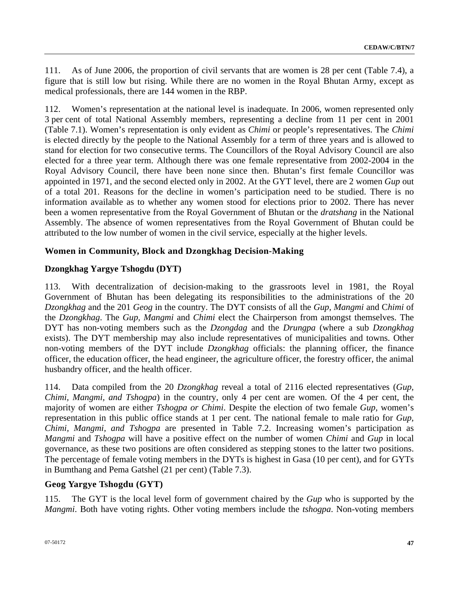111. As of June 2006, the proportion of civil servants that are women is 28 per cent (Table 7.4), a figure that is still low but rising. While there are no women in the Royal Bhutan Army, except as medical professionals, there are 144 women in the RBP.

112. Women's representation at the national level is inadequate. In 2006, women represented only 3 per cent of total National Assembly members, representing a decline from 11 per cent in 2001 (Table 7.1). Women's representation is only evident as *Chimi* or people's representatives. The *Chimi* is elected directly by the people to the National Assembly for a term of three years and is allowed to stand for election for two consecutive terms. The Councillors of the Royal Advisory Council are also elected for a three year term. Although there was one female representative from 2002-2004 in the Royal Advisory Council, there have been none since then. Bhutan's first female Councillor was appointed in 1971, and the second elected only in 2002. At the GYT level, there are 2 women *Gup* out of a total 201. Reasons for the decline in women's participation need to be studied. There is no information available as to whether any women stood for elections prior to 2002. There has never been a women representative from the Royal Government of Bhutan or the *dratshang* in the National Assembly. The absence of women representatives from the Royal Government of Bhutan could be attributed to the low number of women in the civil service, especially at the higher levels.

## **Women in Community, Block and Dzongkhag Decision-Making**

## **Dzongkhag Yargye Tshogdu (DYT)**

113. With decentralization of decision-making to the grassroots level in 1981, the Royal Government of Bhutan has been delegating its responsibilities to the administrations of the 20 *Dzongkhag* and the 201 *Geog* in the country. The DYT consists of all the *Gup, Mangmi* and C*himi* of the *Dzongkhag*. The *Gup, Mangmi* and *Chimi* elect the Chairperson from amongst themselves. The DYT has non-voting members such as the *Dzongdag* and the *Drungpa* (where a sub *Dzongkhag* exists). The DYT membership may also include representatives of municipalities and towns. Other non-voting members of the DYT include *Dzongkhag* officials: the planning officer, the finance officer, the education officer, the head engineer, the agriculture officer, the forestry officer, the animal husbandry officer, and the health officer.

114. Data compiled from the 20 *Dzongkhag* reveal a total of 2116 elected representatives (*Gup, Chimi, Mangmi, and Tshogpa*) in the country, only 4 per cent are women. Of the 4 per cent, the majority of women are either *Tshogpa or Chimi*. Despite the election of two female *Gup,* women's representation in this public office stands at 1 per cent. The national female to male ratio for *Gup, Chimi, Mangmi, and Tshogpa* are presented in Table 7.2. Increasing women's participation as *Mangmi* and *Tshogpa* will have a positive effect on the number of women *Chimi* and *Gup* in local governance, as these two positions are often considered as stepping stones to the latter two positions. The percentage of female voting members in the DYTs is highest in Gasa (10 per cent), and for GYTs in Bumthang and Pema Gatshel (21 per cent) (Table 7.3).

## **Geog Yargye Tshogdu (GYT)**

115. The GYT is the local level form of government chaired by the *Gup* who is supported by the *Mangmi*. Both have voting rights. Other voting members include the *tshogpa*. Non-voting members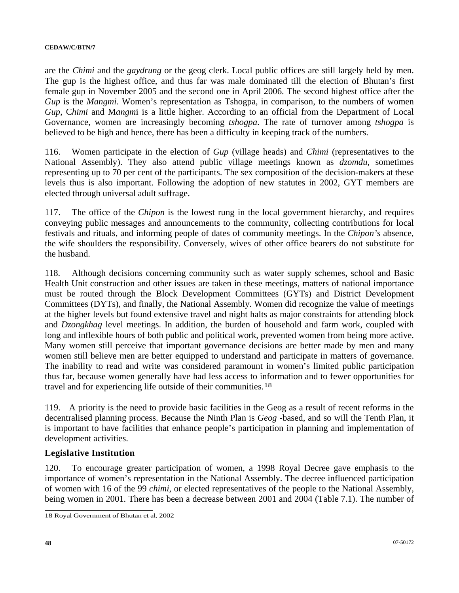are the *Chimi* and the *gaydrung* or the geog clerk. Local public offices are still largely held by men. The gup is the highest office, and thus far was male dominated till the election of Bhutan's first female gup in November 2005 and the second one in April 2006. The second highest office after the *Gup* is the *Mangmi*. Women's representation as Tshogpa, in comparison, to the numbers of women *Gup*, C*himi* and M*angm*i is a little higher. According to an official from the Department of Local Governance, women are increasingly becoming *tshogpa*. The rate of turnover among *tshogpa* is believed to be high and hence, there has been a difficulty in keeping track of the numbers.

116. Women participate in the election of *Gup* (village heads) and *Chimi* (representatives to the National Assembly). They also attend public village meetings known as *dzomdu*, sometimes representing up to 70 per cent of the participants. The sex composition of the decision-makers at these levels thus is also important. Following the adoption of new statutes in 2002, GYT members are elected through universal adult suffrage.

117. The office of the *Chipon* is the lowest rung in the local government hierarchy, and requires conveying public messages and announcements to the community, collecting contributions for local festivals and rituals, and informing people of dates of community meetings. In the *Chipon's* absence, the wife shoulders the responsibility. Conversely, wives of other office bearers do not substitute for the husband.

118. Although decisions concerning community such as water supply schemes, school and Basic Health Unit construction and other issues are taken in these meetings, matters of national importance must be routed through the Block Development Committees (GYTs) and District Development Committees (DYTs), and finally, the National Assembly. Women did recognize the value of meetings at the higher levels but found extensive travel and night halts as major constraints for attending block and *Dzongkhag* level meetings. In addition, the burden of household and farm work, coupled with long and inflexible hours of both public and political work, prevented women from being more active. Many women still perceive that important governance decisions are better made by men and many women still believe men are better equipped to understand and participate in matters of governance. The inability to read and write was considered paramount in women's limited public participation thus far, because women generally have had less access to information and to fewer opportunities for travel and for experiencing life outside of their communities.[18](#page-47-0)

119. A priority is the need to provide basic facilities in the Geog as a result of recent reforms in the decentralised planning process. Because the Ninth Plan is *Geog* -based, and so will the Tenth Plan, it is important to have facilities that enhance people's participation in planning and implementation of development activities.

### **Legislative Institution**

120. To encourage greater participation of women, a 1998 Royal Decree gave emphasis to the importance of women's representation in the National Assembly. The decree influenced participation of women with 16 of the 99 *chimi*, or elected representatives of the people to the National Assembly, being women in 2001. There has been a decrease between 2001 and 2004 (Table 7.1). The number of

<span id="page-47-0"></span> 18 Royal Government of Bhutan et al, 2002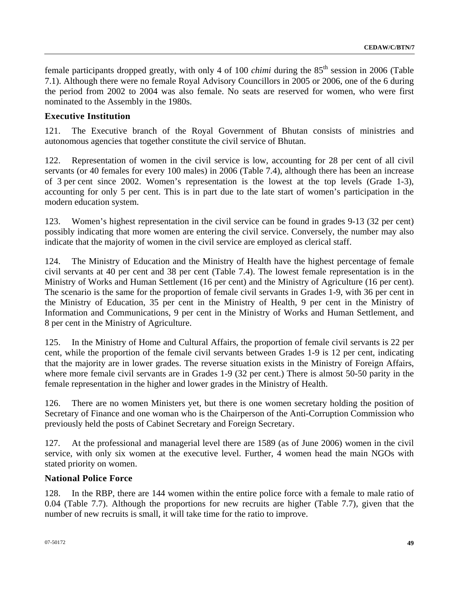female participants dropped greatly, with only 4 of 100 *chimi* during the 85<sup>th</sup> session in 2006 (Table 7.1). Although there were no female Royal Advisory Councillors in 2005 or 2006, one of the 6 during the period from 2002 to 2004 was also female. No seats are reserved for women, who were first nominated to the Assembly in the 1980s.

### **Executive Institution**

121. The Executive branch of the Royal Government of Bhutan consists of ministries and autonomous agencies that together constitute the civil service of Bhutan.

122. Representation of women in the civil service is low, accounting for 28 per cent of all civil servants (or 40 females for every 100 males) in 2006 (Table 7.4), although there has been an increase of 3 per cent since 2002. Women's representation is the lowest at the top levels (Grade 1-3), accounting for only 5 per cent. This is in part due to the late start of women's participation in the modern education system.

123. Women's highest representation in the civil service can be found in grades 9-13 (32 per cent) possibly indicating that more women are entering the civil service. Conversely, the number may also indicate that the majority of women in the civil service are employed as clerical staff.

124. The Ministry of Education and the Ministry of Health have the highest percentage of female civil servants at 40 per cent and 38 per cent (Table 7.4). The lowest female representation is in the Ministry of Works and Human Settlement (16 per cent) and the Ministry of Agriculture (16 per cent). The scenario is the same for the proportion of female civil servants in Grades 1-9, with 36 per cent in the Ministry of Education, 35 per cent in the Ministry of Health, 9 per cent in the Ministry of Information and Communications, 9 per cent in the Ministry of Works and Human Settlement, and 8 per cent in the Ministry of Agriculture.

125. In the Ministry of Home and Cultural Affairs, the proportion of female civil servants is 22 per cent, while the proportion of the female civil servants between Grades 1-9 is 12 per cent, indicating that the majority are in lower grades. The reverse situation exists in the Ministry of Foreign Affairs, where more female civil servants are in Grades 1-9 (32 per cent.) There is almost 50-50 parity in the female representation in the higher and lower grades in the Ministry of Health.

126. There are no women Ministers yet, but there is one women secretary holding the position of Secretary of Finance and one woman who is the Chairperson of the Anti-Corruption Commission who previously held the posts of Cabinet Secretary and Foreign Secretary.

127. At the professional and managerial level there are 1589 (as of June 2006) women in the civil service, with only six women at the executive level. Further, 4 women head the main NGOs with stated priority on women.

### **National Police Force**

128. In the RBP, there are 144 women within the entire police force with a female to male ratio of 0.04 (Table 7.7). Although the proportions for new recruits are higher (Table 7.7), given that the number of new recruits is small, it will take time for the ratio to improve.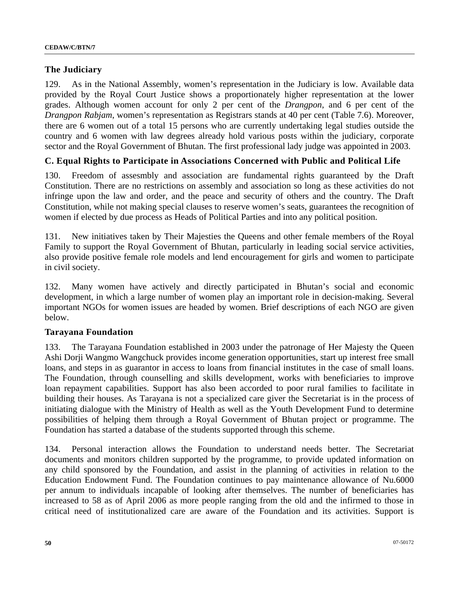### **The Judiciary**

129. As in the National Assembly, women's representation in the Judiciary is low. Available data provided by the Royal Court Justice shows a proportionately higher representation at the lower grades. Although women account for only 2 per cent of the *Drangpon*, and 6 per cent of the *Drangpon Rabjam*, women's representation as Registrars stands at 40 per cent (Table 7.6). Moreover, there are 6 women out of a total 15 persons who are currently undertaking legal studies outside the country and 6 women with law degrees already hold various posts within the judiciary, corporate sector and the Royal Government of Bhutan. The first professional lady judge was appointed in 2003.

### **C. Equal Rights to Participate in Associations Concerned with Public and Political Life**

130. Freedom of assesmbly and association are fundamental rights guaranteed by the Draft Constitution. There are no restrictions on assembly and association so long as these activities do not infringe upon the law and order, and the peace and security of others and the country. The Draft Constitution, while not making special clauses to reserve women's seats, guarantees the recognition of women if elected by due process as Heads of Political Parties and into any political position.

131. New initiatives taken by Their Majesties the Queens and other female members of the Royal Family to support the Royal Government of Bhutan, particularly in leading social service activities, also provide positive female role models and lend encouragement for girls and women to participate in civil society.

132. Many women have actively and directly participated in Bhutan's social and economic development, in which a large number of women play an important role in decision-making. Several important NGOs for women issues are headed by women. Brief descriptions of each NGO are given below.

### **Tarayana Foundation**

133. The Tarayana Foundation established in 2003 under the patronage of Her Majesty the Queen Ashi Dorji Wangmo Wangchuck provides income generation opportunities, start up interest free small loans, and steps in as guarantor in access to loans from financial institutes in the case of small loans. The Foundation, through counselling and skills development, works with beneficiaries to improve loan repayment capabilities. Support has also been accorded to poor rural families to facilitate in building their houses. As Tarayana is not a specialized care giver the Secretariat is in the process of initiating dialogue with the Ministry of Health as well as the Youth Development Fund to determine possibilities of helping them through a Royal Government of Bhutan project or programme. The Foundation has started a database of the students supported through this scheme.

134. Personal interaction allows the Foundation to understand needs better. The Secretariat documents and monitors children supported by the programme, to provide updated information on any child sponsored by the Foundation, and assist in the planning of activities in relation to the Education Endowment Fund. The Foundation continues to pay maintenance allowance of Nu.6000 per annum to individuals incapable of looking after themselves. The number of beneficiaries has increased to 58 as of April 2006 as more people ranging from the old and the infirmed to those in critical need of institutionalized care are aware of the Foundation and its activities. Support is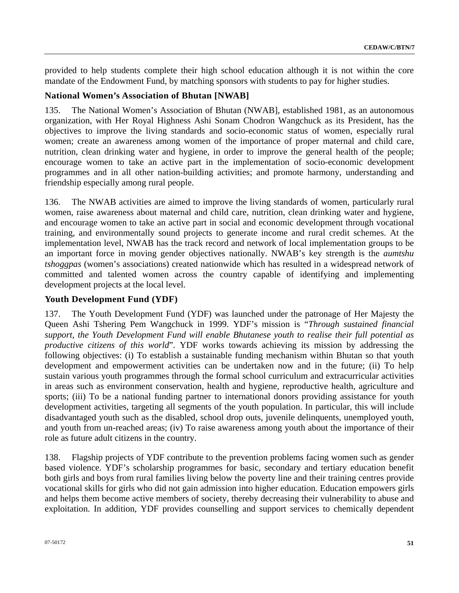provided to help students complete their high school education although it is not within the core mandate of the Endowment Fund, by matching sponsors with students to pay for higher studies.

### **National Women's Association of Bhutan [NWAB]**

135. The National Women's Association of Bhutan (NWAB], established 1981, as an autonomous organization, with Her Royal Highness Ashi Sonam Chodron Wangchuck as its President, has the objectives to improve the living standards and socio-economic status of women, especially rural women; create an awareness among women of the importance of proper maternal and child care, nutrition, clean drinking water and hygiene, in order to improve the general health of the people; encourage women to take an active part in the implementation of socio-economic development programmes and in all other nation-building activities; and promote harmony, understanding and friendship especially among rural people.

136. The NWAB activities are aimed to improve the living standards of women, particularly rural women, raise awareness about maternal and child care, nutrition, clean drinking water and hygiene, and encourage women to take an active part in social and economic development through vocational training, and environmentally sound projects to generate income and rural credit schemes. At the implementation level, NWAB has the track record and network of local implementation groups to be an important force in moving gender objectives nationally. NWAB's key strength is the *aumtshu tshoggpas* (women's associations) created nationwide which has resulted in a widespread network of committed and talented women across the country capable of identifying and implementing development projects at the local level.

### **Youth Development Fund (YDF)**

137. The Youth Development Fund (YDF) was launched under the patronage of Her Majesty the Queen Ashi Tshering Pem Wangchuck in 1999. YDF's mission is "*Through sustained financial support, the Youth Development Fund will enable Bhutanese youth to realise their full potential as productive citizens of this world*". YDF works towards achieving its mission by addressing the following objectives: (i) To establish a sustainable funding mechanism within Bhutan so that youth development and empowerment activities can be undertaken now and in the future; (ii) To help sustain various youth programmes through the formal school curriculum and extracurricular activities in areas such as environment conservation, health and hygiene, reproductive health, agriculture and sports; (iii) To be a national funding partner to international donors providing assistance for youth development activities, targeting all segments of the youth population. In particular, this will include disadvantaged youth such as the disabled, school drop outs, juvenile delinquents, unemployed youth, and youth from un-reached areas; (iv) To raise awareness among youth about the importance of their role as future adult citizens in the country.

138. Flagship projects of YDF contribute to the prevention problems facing women such as gender based violence. YDF's scholarship programmes for basic, secondary and tertiary education benefit both girls and boys from rural families living below the poverty line and their training centres provide vocational skills for girls who did not gain admission into higher education. Education empowers girls and helps them become active members of society, thereby decreasing their vulnerability to abuse and exploitation. In addition, YDF provides counselling and support services to chemically dependent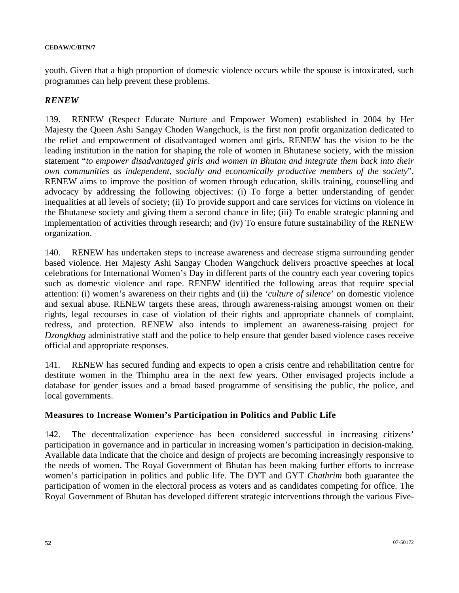youth. Given that a high proportion of domestic violence occurs while the spouse is intoxicated, such programmes can help prevent these problems.

### *RENEW*

139. RENEW (Respect Educate Nurture and Empower Women) established in 2004 by Her Majesty the Queen Ashi Sangay Choden Wangchuck, is the first non profit organization dedicated to the relief and empowerment of disadvantaged women and girls. RENEW has the vision to be the leading institution in the nation for shaping the role of women in Bhutanese society, with the mission statement "*to empower disadvantaged girls and women in Bhutan and integrate them back into their own communities as independent, socially and economically productive members of the society*". RENEW aims to improve the position of women through education, skills [training](http://www.renew.org.bt/index2.html##), counselling and advocacy by addressing the following objectives: (i) To forge a better understanding of gender inequalities at all levels of society; (ii) To provide support and care services for victims on violence in the Bhutanese society and giving them a second chance in life; (iii) To enable strategic planning and implementation of activities through research; and (iv) To ensure future sustainability of the RENEW organization.

140. RENEW has undertaken steps to increase awareness and decrease stigma surrounding gender based violence. Her Majesty Ashi Sangay Choden Wangchuck delivers proactive speeches at local celebrations for International Women's Day in different parts of the country each year covering topics such as domestic violence and rape. RENEW identified the following areas that require special attention: (i) women's awareness on their rights and (ii) the '*culture of silence*' on domestic violence and sexual abuse. RENEW targets these areas, through awareness-raising amongst women on their rights, legal recourses in case of violation of their rights and appropriate channels of complaint, redress, and protection. RENEW also intends to implement an awareness-raising project for *Dzongkhag* administrative staff and the police to help ensure that gender based violence cases receive official and appropriate responses.

141. RENEW has secured funding and expects to open a crisis centre and rehabilitation centre for destitute women in the Thimphu area in the next few years. Other envisaged projects include a database for gender issues and a broad based programme of sensitising the public, the police, and local governments.

## **Measures to Increase Women's Participation in Politics and Public Life**

142. The decentralization experience has been considered successful in increasing citizens' participation in governance and in particular in increasing women's participation in decision-making. Available data indicate that the choice and design of projects are becoming increasingly responsive to the needs of women. The Royal Government of Bhutan has been making further efforts to increase women's participation in politics and public life. The DYT and GYT *Chathrim* both guarantee the participation of women in the electoral process as voters and as candidates competing for office. The Royal Government of Bhutan has developed different strategic interventions through the various Five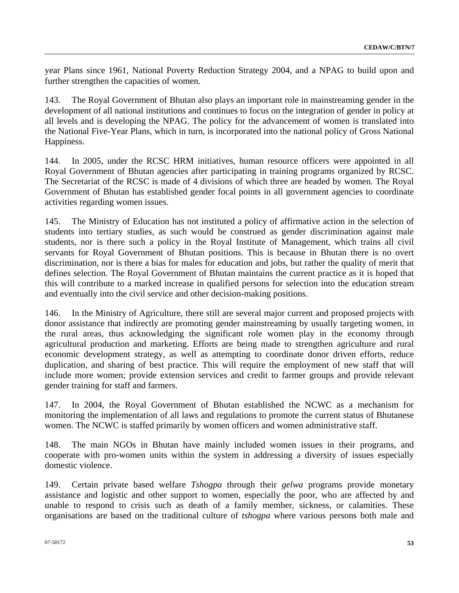year Plans since 1961, National Poverty Reduction Strategy 2004, and a NPAG to build upon and further strengthen the capacities of women.

143. The Royal Government of Bhutan also plays an important role in mainstreaming gender in the development of all national institutions and continues to focus on the integration of gender in policy at all levels and is developing the NPAG. The policy for the advancement of women is translated into the National Five-Year Plans, which in turn, is incorporated into the national policy of Gross National Happiness.

144. In 2005, under the RCSC HRM initiatives, human resource officers were appointed in all Royal Government of Bhutan agencies after participating in training programs organized by RCSC. The Secretariat of the RCSC is made of 4 divisions of which three are headed by women. The Royal Government of Bhutan has established gender focal points in all government agencies to coordinate activities regarding women issues.

145. The Ministry of Education has not instituted a policy of affirmative action in the selection of students into tertiary studies, as such would be construed as gender discrimination against male students, nor is there such a policy in the Royal Institute of Management, which trains all civil servants for Royal Government of Bhutan positions. This is because in Bhutan there is no overt discrimination, nor is there a bias for males for education and jobs, but rather the quality of merit that defines selection. The Royal Government of Bhutan maintains the current practice as it is hoped that this will contribute to a marked increase in qualified persons for selection into the education stream and eventually into the civil service and other decision-making positions.

146. In the Ministry of Agriculture, there still are several major current and proposed projects with donor assistance that indirectly are promoting gender mainstreaming by usually targeting women, in the rural areas, thus acknowledging the significant role women play in the economy through agricultural production and marketing. Efforts are being made to strengthen agriculture and rural economic development strategy, as well as attempting to coordinate donor driven efforts, reduce duplication, and sharing of best practice. This will require the employment of new staff that will include more women; provide extension services and credit to farmer groups and provide relevant gender training for staff and farmers.

147. In 2004, the Royal Government of Bhutan established the NCWC as a mechanism for monitoring the implementation of all laws and regulations to promote the current status of Bhutanese women. The NCWC is staffed primarily by women officers and women administrative staff.

148. The main NGOs in Bhutan have mainly included women issues in their programs, and cooperate with pro-women units within the system in addressing a diversity of issues especially domestic violence.

149. Certain private based welfare *Tshogpa* through their *gelwa* programs provide monetary assistance and logistic and other support to women, especially the poor, who are affected by and unable to respond to crisis such as death of a family member, sickness, or calamities. These organisations are based on the traditional culture of *tshogpa* where various persons both male and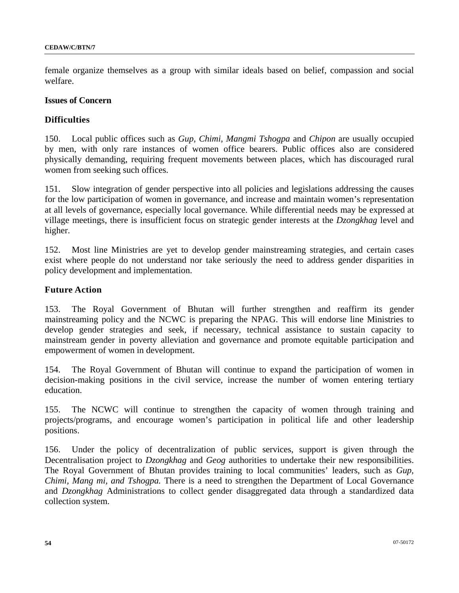female organize themselves as a group with similar ideals based on belief, compassion and social welfare.

#### **Issues of Concern**

### **Difficulties**

150. Local public offices such as *Gup, Chimi, Mangmi Tshogpa* and *Chipon* are usually occupied by men, with only rare instances of women office bearers. Public offices also are considered physically demanding, requiring frequent movements between places, which has discouraged rural women from seeking such offices.

151. Slow integration of gender perspective into all policies and legislations addressing the causes for the low participation of women in governance, and increase and maintain women's representation at all levels of governance, especially local governance. While differential needs may be expressed at village meetings, there is insufficient focus on strategic gender interests at the *Dzongkhag* level and higher.

152. Most line Ministries are yet to develop gender mainstreaming strategies, and certain cases exist where people do not understand nor take seriously the need to address gender disparities in policy development and implementation.

### **Future Action**

153. The Royal Government of Bhutan will further strengthen and reaffirm its gender mainstreaming policy and the NCWC is preparing the NPAG. This will endorse line Ministries to develop gender strategies and seek, if necessary, technical assistance to sustain capacity to mainstream gender in poverty alleviation and governance and promote equitable participation and empowerment of women in development.

154. The Royal Government of Bhutan will continue to expand the participation of women in decision-making positions in the civil service, increase the number of women entering tertiary education.

155. The NCWC will continue to strengthen the capacity of women through training and projects/programs, and encourage women's participation in political life and other leadership positions.

156. Under the policy of decentralization of public services, support is given through the Decentralisation project to *Dzongkhag* and *Geog* authorities to undertake their new responsibilities. The Royal Government of Bhutan provides training to local communities' leaders, such as *Gup, Chimi, Mang mi, and Tshogpa.* There is a need to strengthen the Department of Local Governance and *Dzongkhag* Administrations to collect gender disaggregated data through a standardized data collection system.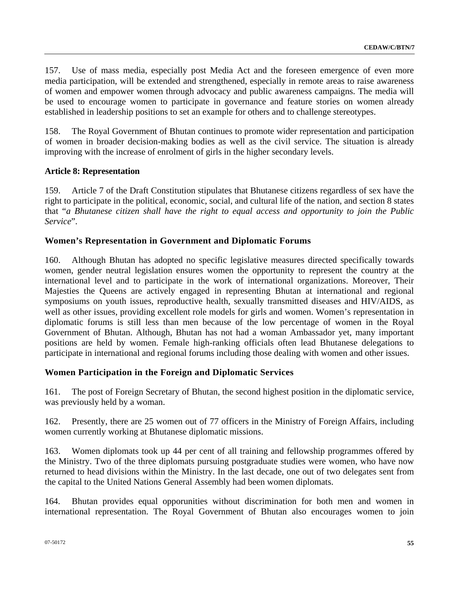157. Use of mass media, especially post Media Act and the foreseen emergence of even more media participation, will be extended and strengthened, especially in remote areas to raise awareness of women and empower women through advocacy and public awareness campaigns. The media will be used to encourage women to participate in governance and feature stories on women already established in leadership positions to set an example for others and to challenge stereotypes.

158. The Royal Government of Bhutan continues to promote wider representation and participation of women in broader decision-making bodies as well as the civil service. The situation is already improving with the increase of enrolment of girls in the higher secondary levels.

## **Article 8: Representation**

159. Article 7 of the Draft Constitution stipulates that Bhutanese citizens regardless of sex have the right to participate in the political, economic, social, and cultural life of the nation, and section 8 states that "*a Bhutanese citizen shall have the right to equal access and opportunity to join the Public Service*".

## **Women's Representation in Government and Diplomatic Forums**

160. Although Bhutan has adopted no specific legislative measures directed specifically towards women, gender neutral legislation ensures women the opportunity to represent the country at the international level and to participate in the work of international organizations. Moreover, Their Majesties the Queens are actively engaged in representing Bhutan at international and regional symposiums on youth issues, reproductive health, sexually transmitted diseases and HIV/AIDS, as well as other issues, providing excellent role models for girls and women. Women's representation in diplomatic forums is still less than men because of the low percentage of women in the Royal Government of Bhutan. Although, Bhutan has not had a woman Ambassador yet, many important positions are held by women. Female high-ranking officials often lead Bhutanese delegations to participate in international and regional forums including those dealing with women and other issues.

## **Women Participation in the Foreign and Diplomatic Services**

161. The post of Foreign Secretary of Bhutan, the second highest position in the diplomatic service, was previously held by a woman.

162. Presently, there are 25 women out of 77 officers in the Ministry of Foreign Affairs, including women currently working at Bhutanese diplomatic missions.

163. Women diplomats took up 44 per cent of all training and fellowship programmes offered by the Ministry. Two of the three diplomats pursuing postgraduate studies were women, who have now returned to head divisions within the Ministry. In the last decade, one out of two delegates sent from the capital to the United Nations General Assembly had been women diplomats.

164. Bhutan provides equal opporunities without discrimination for both men and women in international representation. The Royal Government of Bhutan also encourages women to join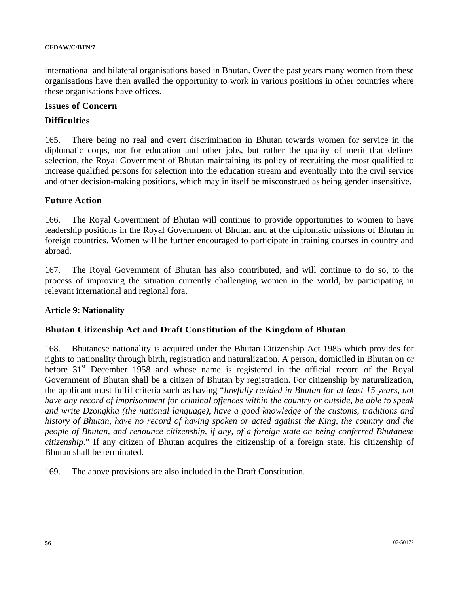international and bilateral organisations based in Bhutan. Over the past years many women from these organisations have then availed the opportunity to work in various positions in other countries where these organisations have offices.

#### **Issues of Concern**

#### **Difficulties**

165. There being no real and overt discrimination in Bhutan towards women for service in the diplomatic corps, nor for education and other jobs, but rather the quality of merit that defines selection, the Royal Government of Bhutan maintaining its policy of recruiting the most qualified to increase qualified persons for selection into the education stream and eventually into the civil service and other decision-making positions, which may in itself be misconstrued as being gender insensitive.

#### **Future Action**

166. The Royal Government of Bhutan will continue to provide opportunities to women to have leadership positions in the Royal Government of Bhutan and at the diplomatic missions of Bhutan in foreign countries. Women will be further encouraged to participate in training courses in country and abroad.

167. The Royal Government of Bhutan has also contributed, and will continue to do so, to the process of improving the situation currently challenging women in the world, by participating in relevant international and regional fora.

#### **Article 9: Nationality**

#### **Bhutan Citizenship Act and Draft Constitution of the Kingdom of Bhutan**

168. Bhutanese nationality is acquired under the Bhutan Citizenship Act 1985 which provides for rights to nationality through birth, registration and naturalization. A person, domiciled in Bhutan on or before 31<sup>st</sup> December 1958 and whose name is registered in the official record of the Royal Government of Bhutan shall be a citizen of Bhutan by registration. For citizenship by naturalization, the applicant must fulfil criteria such as having "*lawfully resided in Bhutan for at least 15 years, not have any record of imprisonment for criminal offences within the country or outside, be able to speak and write Dzongkha (the national language), have a good knowledge of the customs, traditions and history of Bhutan, have no record of having spoken or acted against the King, the country and the people of Bhutan, and renounce citizenship, if any, of a foreign state on being conferred Bhutanese citizenship*." If any citizen of Bhutan acquires the citizenship of a foreign state, his citizenship of Bhutan shall be terminated.

169. The above provisions are also included in the Draft Constitution.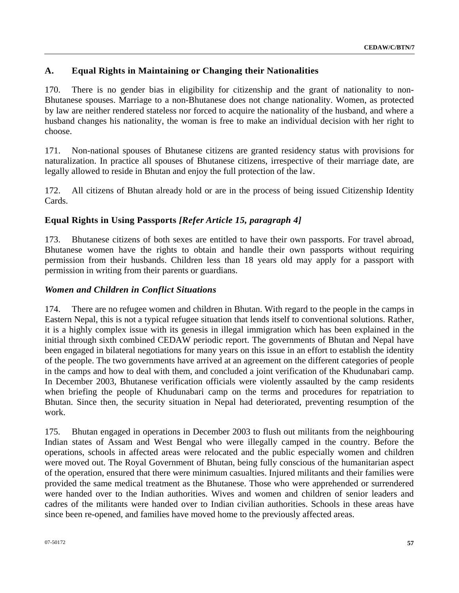# **A. Equal Rights in Maintaining or Changing their Nationalities**

170. There is no gender bias in eligibility for citizenship and the grant of nationality to non-Bhutanese spouses. Marriage to a non-Bhutanese does not change nationality. Women, as protected by law are neither rendered stateless nor forced to acquire the nationality of the husband, and where a husband changes his nationality, the woman is free to make an individual decision with her right to choose.

171. Non-national spouses of Bhutanese citizens are granted residency status with provisions for naturalization. In practice all spouses of Bhutanese citizens, irrespective of their marriage date, are legally allowed to reside in Bhutan and enjoy the full protection of the law.

172. All citizens of Bhutan already hold or are in the process of being issued Citizenship Identity Cards.

## **Equal Rights in Using Passports** *[Refer Article 15, paragraph 4]*

173. Bhutanese citizens of both sexes are entitled to have their own passports. For travel abroad, Bhutanese women have the rights to obtain and handle their own passports without requiring permission from their husbands. Children less than 18 years old may apply for a passport with permission in writing from their parents or guardians.

### *Women and Children in Conflict Situations*

174. There are no refugee women and children in Bhutan. With regard to the people in the camps in Eastern Nepal, this is not a typical refugee situation that lends itself to conventional solutions. Rather, it is a highly complex issue with its genesis in illegal immigration which has been explained in the initial through sixth combined CEDAW periodic report. The governments of Bhutan and Nepal have been engaged in bilateral negotiations for many years on this issue in an effort to establish the identity of the people. The two governments have arrived at an agreement on the different categories of people in the camps and how to deal with them, and concluded a joint verification of the Khudunabari camp. In December 2003, Bhutanese verification officials were violently assaulted by the camp residents when briefing the people of Khudunabari camp on the terms and procedures for repatriation to Bhutan. Since then, the security situation in Nepal had deteriorated, preventing resumption of the work.

175. Bhutan engaged in operations in December 2003 to flush out militants from the neighbouring Indian states of Assam and West Bengal who were illegally camped in the country. Before the operations, schools in affected areas were relocated and the public especially women and children were moved out. The Royal Government of Bhutan, being fully conscious of the humanitarian aspect of the operation, ensured that there were minimum casualties. Injured militants and their families were provided the same medical treatment as the Bhutanese. Those who were apprehended or surrendered were handed over to the Indian authorities. Wives and women and children of senior leaders and cadres of the militants were handed over to Indian civilian authorities. Schools in these areas have since been re-opened, and families have moved home to the previously affected areas.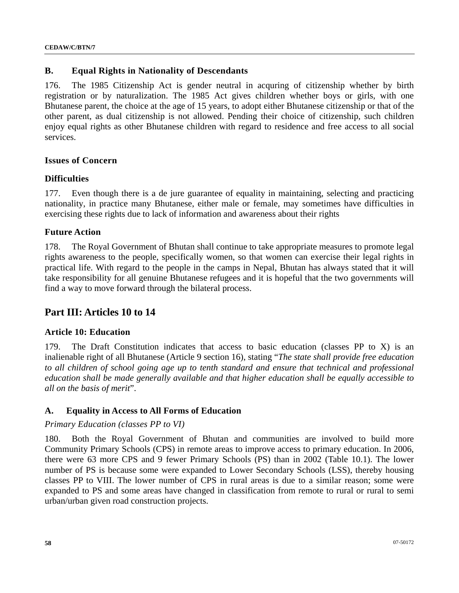### **B. Equal Rights in Nationality of Descendants**

176. The 1985 Citizenship Act is gender neutral in acquring of citizenship whether by birth registration or by naturalization. The 1985 Act gives children whether boys or girls, with one Bhutanese parent, the choice at the age of 15 years, to adopt either Bhutanese citizenship or that of the other parent, as dual citizenship is not allowed. Pending their choice of citizenship, such children enjoy equal rights as other Bhutanese children with regard to residence and free access to all social services.

### **Issues of Concern**

#### **Difficulties**

177. Even though there is a de jure guarantee of equality in maintaining, selecting and practicing nationality, in practice many Bhutanese, either male or female, may sometimes have difficulties in exercising these rights due to lack of information and awareness about their rights

#### **Future Action**

178. The Royal Government of Bhutan shall continue to take appropriate measures to promote legal rights awareness to the people, specifically women, so that women can exercise their legal rights in practical life. With regard to the people in the camps in Nepal, Bhutan has always stated that it will take responsibility for all genuine Bhutanese refugees and it is hopeful that the two governments will find a way to move forward through the bilateral process.

# **Part III: Articles 10 to 14**

### **Article 10: Education**

179. The Draft Constitution indicates that access to basic education (classes PP to X) is an inalienable right of all Bhutanese (Article 9 section 16), stating "*The state shall provide free education*  to all children of school going age up to tenth standard and ensure that technical and professional *education shall be made generally available and that higher education shall be equally accessible to all on the basis of merit*".

### **A. Equality in Access to All Forms of Education**

#### *Primary Education (classes PP to VI)*

180. Both the Royal Government of Bhutan and communities are involved to build more Community Primary Schools (CPS) in remote areas to improve access to primary education. In 2006, there were 63 more CPS and 9 fewer Primary Schools (PS) than in 2002 (Table 10.1). The lower number of PS is because some were expanded to Lower Secondary Schools (LSS), thereby housing classes PP to VIII. The lower number of CPS in rural areas is due to a similar reason; some were expanded to PS and some areas have changed in classification from remote to rural or rural to semi urban/urban given road construction projects.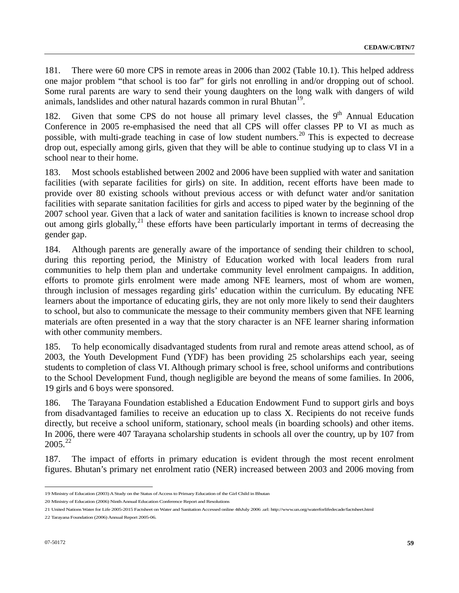181. There were 60 more CPS in remote areas in 2006 than 2002 (Table 10.1). This helped address one major problem "that school is too far" for girls not enrolling in and/or dropping out of school. Some rural parents are wary to send their young daughters on the long walk with dangers of wild animals, landslides and other natural hazards common in rural Bhutan<sup>[1](#page-58-0)9</sup>.

182. Given that some CPS do not house all primary level classes, the  $9<sup>th</sup>$  Annual Education Conference in 2005 re-emphasised the need that all CPS will offer classes PP to VI as much as possible, with multi-grade teaching in case of low student numbers.<sup>[20](#page-58-1)</sup> This is expected to decrease drop out, especially among girls, given that they will be able to continue studying up to class VI in a school near to their home.

183. Most schools established between 2002 and 2006 have been supplied with water and sanitation facilities (with separate facilities for girls) on site. In addition, recent efforts have been made to provide over 80 existing schools without previous access or with defunct water and/or sanitation facilities with separate sanitation facilities for girls and access to piped water by the beginning of the 2007 school year. Given that a lack of water and sanitation facilities is known to increase school drop out among girls globally,<sup>[21](#page-58-2)</sup> these efforts have been particularly important in terms of decreasing the gender gap.

184. Although parents are generally aware of the importance of sending their children to school, during this reporting period, the Ministry of Education worked with local leaders from rural communities to help them plan and undertake community level enrolment campaigns. In addition, efforts to promote girls enrolment were made among NFE learners, most of whom are women, through inclusion of messages regarding girls' education within the curriculum. By educating NFE learners about the importance of educating girls, they are not only more likely to send their daughters to school, but also to communicate the message to their community members given that NFE learning materials are often presented in a way that the story character is an NFE learner sharing information with other community members.

185. To help economically disadvantaged students from rural and remote areas attend school, as of 2003, the Youth Development Fund (YDF) has been providing 25 scholarships each year, seeing students to completion of class VI. Although primary school is free, school uniforms and contributions to the School Development Fund, though negligible are beyond the means of some families. In 2006, 19 girls and 6 boys were sponsored.

186. The Tarayana Foundation established a Education Endowment Fund to support girls and boys from disadvantaged families to receive an education up to class X. Recipients do not receive funds directly, but receive a school uniform, stationary, school meals (in boarding schools) and other items. In 2006, there were 407 Tarayana scholarship students in schools all over the country, up by 107 from  $2005.<sup>22</sup>$  $2005.<sup>22</sup>$ 

187. The impact of efforts in primary education is evident through the most recent enrolment figures. Bhutan's primary net enrolment ratio (NER) increased between 2003 and 2006 moving from

<span id="page-58-0"></span><sup>19</sup> Ministry of Education (2003) A Study on the Status of Access to Primary Education of the Girl Child in Bhutan

<span id="page-58-1"></span><sup>20</sup> Ministry of Education (2006) Ninth Annual Education Conference Report and Resolutions

<span id="page-58-2"></span><sup>21</sup> United Nations Water for Life 2005-2015 Factsheet on Water and Sanitation Accessed online 4thJuly 2006 .url: http://www.un.org/waterforlifedecade/factsheet.html

<span id="page-58-3"></span><sup>22</sup> Tarayana Foundation (2006) Annual Report 2005-06.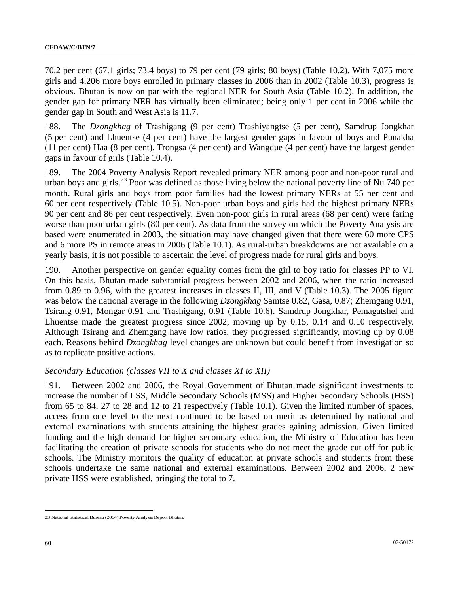70.2 per cent (67.1 girls; 73.4 boys) to 79 per cent (79 girls; 80 boys) (Table 10.2). With 7,075 more girls and 4,206 more boys enrolled in primary classes in 2006 than in 2002 (Table 10.3), progress is obvious. Bhutan is now on par with the regional NER for South Asia (Table 10.2). In addition, the gender gap for primary NER has virtually been eliminated; being only 1 per cent in 2006 while the gender gap in South and West Asia is 11.7.

188. The *Dzongkhag* of Trashigang (9 per cent) Trashiyangtse (5 per cent), Samdrup Jongkhar (5 per cent) and Lhuentse (4 per cent) have the largest gender gaps in favour of boys and Punakha (11 per cent) Haa (8 per cent), Trongsa (4 per cent) and Wangdue (4 per cent) have the largest gender gaps in favour of girls (Table 10.4).

189. The 2004 Poverty Analysis Report revealed primary NER among poor and non-poor rural and urban boys and girls.<sup>[2](#page-59-0)3</sup> Poor was defined as those living below the national poverty line of Nu 740 per month. Rural girls and boys from poor families had the lowest primary NERs at 55 per cent and 60 per cent respectively (Table 10.5). Non-poor urban boys and girls had the highest primary NERs 90 per cent and 86 per cent respectively. Even non-poor girls in rural areas (68 per cent) were faring worse than poor urban girls (80 per cent). As data from the survey on which the Poverty Analysis are based were enumerated in 2003, the situation may have changed given that there were 60 more CPS and 6 more PS in remote areas in 2006 (Table 10.1). As rural-urban breakdowns are not available on a yearly basis, it is not possible to ascertain the level of progress made for rural girls and boys.

190. Another perspective on gender equality comes from the girl to boy ratio for classes PP to VI. On this basis, Bhutan made substantial progress between 2002 and 2006, when the ratio increased from 0.89 to 0.96, with the greatest increases in classes II, III, and V (Table 10.3). The 2005 figure was below the national average in the following *Dzongkhag* Samtse 0.82, Gasa, 0.87; Zhemgang 0.91, Tsirang 0.91, Mongar 0.91 and Trashigang, 0.91 (Table 10.6). Samdrup Jongkhar, Pemagatshel and Lhuentse made the greatest progress since 2002, moving up by 0.15, 0.14 and 0.10 respectively. Although Tsirang and Zhemgang have low ratios, they progressed significantly, moving up by 0.08 each. Reasons behind *Dzongkhag* level changes are unknown but could benefit from investigation so as to replicate positive actions.

### *Secondary Education (classes VII to X and classes XI to XII)*

191. Between 2002 and 2006, the Royal Government of Bhutan made significant investments to increase the number of LSS, Middle Secondary Schools (MSS) and Higher Secondary Schools (HSS) from 65 to 84, 27 to 28 and 12 to 21 respectively (Table 10.1). Given the limited number of spaces, access from one level to the next continued to be based on merit as determined by national and external examinations with students attaining the highest grades gaining admission. Given limited funding and the high demand for higher secondary education, the Ministry of Education has been facilitating the creation of private schools for students who do not meet the grade cut off for public schools. The Ministry monitors the quality of education at private schools and students from these schools undertake the same national and external examinations. Between 2002 and 2006, 2 new private HSS were established, bringing the total to 7.

<span id="page-59-0"></span> $\overline{a}$ 23 National Statistical Bureau (2004) Poverty Analysis Report Bhutan.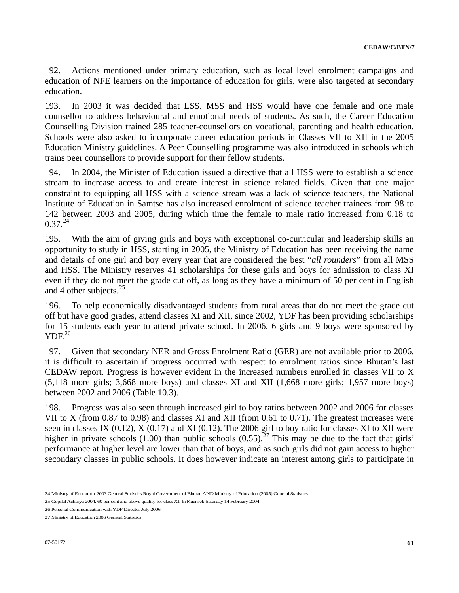192. Actions mentioned under primary education, such as local level enrolment campaigns and education of NFE learners on the importance of education for girls, were also targeted at secondary education.

193. In 2003 it was decided that LSS, MSS and HSS would have one female and one male counsellor to address behavioural and emotional needs of students. As such, the Career Education Counselling Division trained 285 teacher-counsellors on vocational, parenting and health education. Schools were also asked to incorporate career education periods in Classes VII to XII in the 2005 Education Ministry guidelines. A Peer Counselling programme was also introduced in schools which trains peer counsellors to provide support for their fellow students.

194. In 2004, the Minister of Education issued a directive that all HSS were to establish a science stream to increase access to and create interest in science related fields. Given that one major constraint to equipping all HSS with a science stream was a lack of science teachers, the National Institute of Education in Samtse has also increased enrolment of science teacher trainees from 98 to 142 between 2003 and 2005, during which time the female to male ratio increased from 0.18 to  $0.37^{24}$  $0.37^{24}$  $0.37^{24}$ 

195. With the aim of giving girls and boys with exceptional co-curricular and leadership skills an opportunity to study in HSS, starting in 2005, the Ministry of Education has been receiving the name and details of one girl and boy every year that are considered the best "*all rounders*" from all MSS and HSS. The Ministry reserves 41 scholarships for these girls and boys for admission to class XI even if they do not meet the grade cut off, as long as they have a minimum of 50 per cent in English and 4 other subjects. $^{25}$  $^{25}$  $^{25}$ 

196. To help economically disadvantaged students from rural areas that do not meet the grade cut off but have good grades, attend classes XI and XII, since 2002, YDF has been providing scholarships for 15 students each year to attend private school. In 2006, 6 girls and 9 boys were sponsored by  $YDF<sup>26</sup>$  $YDF<sup>26</sup>$  $YDF<sup>26</sup>$ 

197. Given that secondary NER and Gross Enrolment Ratio (GER) are not available prior to 2006, it is difficult to ascertain if progress occurred with respect to enrolment ratios since Bhutan's last CEDAW report. Progress is however evident in the increased numbers enrolled in classes VII to X (5,118 more girls; 3,668 more boys) and classes XI and XII (1,668 more girls; 1,957 more boys) between 2002 and 2006 (Table 10.3).

198. Progress was also seen through increased girl to boy ratios between 2002 and 2006 for classes VII to X (from 0.87 to 0.98) and classes XI and XII (from 0.61 to 0.71). The greatest increases were seen in classes IX (0.12), X (0.17) and XI (0.12). The 2006 girl to boy ratio for classes XI to XII were higher in private schools (1.00) than public schools  $(0.55)$ <sup>[2](#page-60-3)7</sup>. This may be due to the fact that girls' performance at higher level are lower than that of boys, and as such girls did not gain access to higher secondary classes in public schools. It does however indicate an interest among girls to participate in

<span id="page-60-0"></span><sup>24</sup> Ministry of Education 2003 General Statistics Royal Government of Bhutan AND Ministry of Education (2005) General Statistics

<span id="page-60-1"></span><sup>25</sup> Gopilal Acharya 2004. 60 per cent and above qualify for class XI. In Kuensel: Saturday 14 February 2004.

<span id="page-60-2"></span><sup>26</sup> Personal Communication with YDF Director July 2006.

<span id="page-60-3"></span><sup>27</sup> Ministry of Education 2006 General Statistics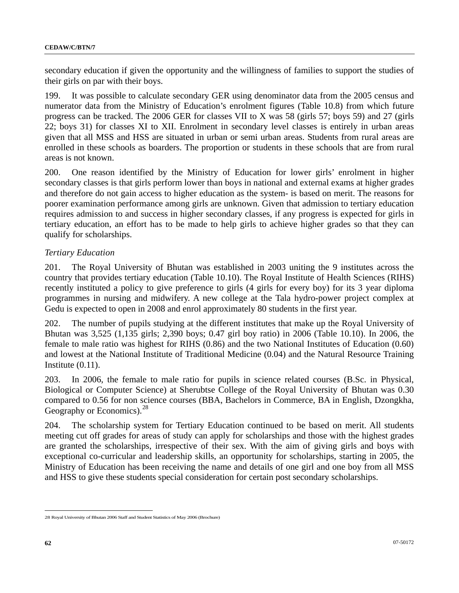secondary education if given the opportunity and the willingness of families to support the studies of their girls on par with their boys.

199. It was possible to calculate secondary GER using denominator data from the 2005 census and numerator data from the Ministry of Education's enrolment figures (Table 10.8) from which future progress can be tracked. The 2006 GER for classes VII to X was 58 (girls 57; boys 59) and 27 (girls 22; boys 31) for classes XI to XII. Enrolment in secondary level classes is entirely in urban areas given that all MSS and HSS are situated in urban or semi urban areas. Students from rural areas are enrolled in these schools as boarders. The proportion or students in these schools that are from rural areas is not known.

200. One reason identified by the Ministry of Education for lower girls' enrolment in higher secondary classes is that girls perform lower than boys in national and external exams at higher grades and therefore do not gain access to higher education as the system- is based on merit. The reasons for poorer examination performance among girls are unknown. Given that admission to tertiary education requires admission to and success in higher secondary classes, if any progress is expected for girls in tertiary education, an effort has to be made to help girls to achieve higher grades so that they can qualify for scholarships.

### *Tertiary Education*

201. The Royal University of Bhutan was established in 2003 uniting the 9 institutes across the country that provides tertiary education (Table 10.10). The Royal Institute of Health Sciences (RIHS) recently instituted a policy to give preference to girls (4 girls for every boy) for its 3 year diploma programmes in nursing and midwifery. A new college at the Tala hydro-power project complex at Gedu is expected to open in 2008 and enrol approximately 80 students in the first year.

202. The number of pupils studying at the different institutes that make up the Royal University of Bhutan was 3,525 (1,135 girls; 2,390 boys; 0.47 girl boy ratio) in 2006 (Table 10.10). In 2006, the female to male ratio was highest for RIHS (0.86) and the two National Institutes of Education (0.60) and lowest at the National Institute of Traditional Medicine (0.04) and the Natural Resource Training Institute (0.11).

203. In 2006, the female to male ratio for pupils in science related courses (B.Sc. in Physical, Biological or Computer Science) at Sherubtse College of the Royal University of Bhutan was 0.30 compared to 0.56 for non science courses (BBA, Bachelors in Commerce, BA in English, Dzongkha, Geography or Economics).<sup>[28](#page-61-0)</sup>

204. The scholarship system for Tertiary Education continued to be based on merit. All students meeting cut off grades for areas of study can apply for scholarships and those with the highest grades are granted the scholarships, irrespective of their sex. With the aim of giving girls and boys with exceptional co-curricular and leadership skills, an opportunity for scholarships, starting in 2005, the Ministry of Education has been receiving the name and details of one girl and one boy from all MSS and HSS to give these students special consideration for certain post secondary scholarships.

<span id="page-61-0"></span> $\overline{a}$ 28 Royal University of Bhutan 2006 Staff and Student Statistics of May 2006 (Brochure)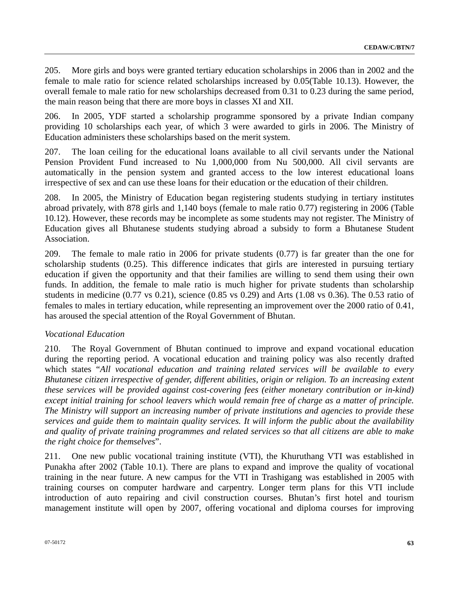205. More girls and boys were granted tertiary education scholarships in 2006 than in 2002 and the female to male ratio for science related scholarships increased by 0.05(Table 10.13). However, the overall female to male ratio for new scholarships decreased from 0.31 to 0.23 during the same period, the main reason being that there are more boys in classes XI and XII.

206. In 2005, YDF started a scholarship programme sponsored by a private Indian company providing 10 scholarships each year, of which 3 were awarded to girls in 2006. The Ministry of Education administers these scholarships based on the merit system.

207. The loan ceiling for the educational loans available to all civil servants under the National Pension Provident Fund increased to Nu 1,000,000 from Nu 500,000. All civil servants are automatically in the pension system and granted access to the low interest educational loans irrespective of sex and can use these loans for their education or the education of their children.

208. In 2005, the Ministry of Education began registering students studying in tertiary institutes abroad privately, with 878 girls and 1,140 boys (female to male ratio 0.77) registering in 2006 (Table 10.12). However, these records may be incomplete as some students may not register. The Ministry of Education gives all Bhutanese students studying abroad a subsidy to form a Bhutanese Student Association.

209. The female to male ratio in 2006 for private students (0.77) is far greater than the one for scholarship students (0.25). This difference indicates that girls are interested in pursuing tertiary education if given the opportunity and that their families are willing to send them using their own funds. In addition, the female to male ratio is much higher for private students than scholarship students in medicine (0.77 vs 0.21), science (0.85 vs 0.29) and Arts (1.08 vs 0.36). The 0.53 ratio of females to males in tertiary education, while representing an improvement over the 2000 ratio of 0.41, has aroused the special attention of the Royal Government of Bhutan.

#### *Vocational Education*

210. The Royal Government of Bhutan continued to improve and expand vocational education during the reporting period. A vocational education and training policy was also recently drafted which states "*All vocational education and training related services will be available to every Bhutanese citizen irrespective of gender, different abilities, origin or religion. To an increasing extent these services will be provided against cost-covering fees (either monetary contribution or in-kind) except initial training for school leavers which would remain free of charge as a matter of principle. The Ministry will support an increasing number of private institutions and agencies to provide these services and guide them to maintain quality services. It will inform the public about the availability and quality of private training programmes and related services so that all citizens are able to make the right choice for themselves*".

211. One new public vocational training institute (VTI), the Khuruthang VTI was established in Punakha after 2002 (Table 10.1). There are plans to expand and improve the quality of vocational training in the near future. A new campus for the VTI in Trashigang was established in 2005 with training courses on computer hardware and carpentry. Longer term plans for this VTI include introduction of auto repairing and civil construction courses. Bhutan's first [hotel](http://www.kuenselonline.com/modules.php?name=News&file=article&sid=4930##) and tourism management institute will open by 2007, offering vocational and [diploma](http://www.kuenselonline.com/modules.php?name=News&file=article&sid=4930##) courses for improving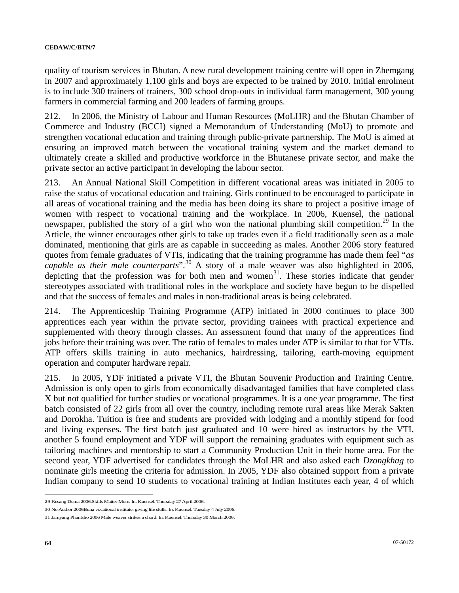quality of tourism services in Bhutan. A new rural development training centre will open in Zhemgang in 2007 and approximately 1,100 girls and boys are expected to be trained by 2010. Initial enrolment is to include 300 trainers of trainers, 300 school drop-outs in individual farm management, 300 young farmers in commercial farming and 200 leaders of farming groups.

212. In 2006, the Ministry of Labour and Human Resources (MoLHR) and the Bhutan Chamber of Commerce and Industry (BCCI) signed a Memorandum of Understanding (MoU) to promote and strengthen [vocational education](http://www.kuenselonline.com/modules.php?name=News&file=article&sid=6675##) and [training](http://www.kuenselonline.com/modules.php?name=News&file=article&sid=6675##) through public-private partnership. The MoU is aimed at ensuring an improved match between the vocational training system and the [market](http://www.kuenselonline.com/modules.php?name=News&file=article&sid=6675##) demand to ultimately create a skilled and productive workforce in the Bhutanese private sector, and make the private sector an active participant in developing the labour sector.

213. An Annual National Skill Competition in different vocational areas was initiated in 2005 to raise the status of vocational education and training. Girls continued to be encouraged to participate in all areas of vocational training and the media has been doing its share to project a positive image of women with respect to vocational training and the workplace. In 2006, Kuensel, the national newspaper, published the story of a girl who won the national plumbing skill competition.<sup>[29](#page-63-0)</sup> In the Article, the winner encourages other girls to take up trades even if a field traditionally seen as a male dominated, mentioning that girls are as capable in succeeding as males. Another 2006 story featured quotes from female graduates of VTIs, indicating that the training programme has made them feel "*as*  capable as their male counterparts".<sup>[30](#page-63-1)</sup> A story of a male weaver was also highlighted in 2006, depicting that the profession was for both men and women<sup>[3](#page-63-2)1</sup>. These stories indicate that gender stereotypes associated with traditional roles in the workplace and society have begun to be dispelled and that the success of females and males in non-traditional areas is being celebrated.

214. The Apprenticeship Training Programme (ATP) initiated in 2000 continues to place 300 apprentices each year within the private sector, providing trainees with practical experience and supplemented with theory through classes. An assessment found that many of the apprentices find jobs before their training was over. The ratio of females to males under ATP is similar to that for VTIs. ATP offers skills training in auto mechanics, hairdressing, tailoring, earth-moving equipment operation and computer hardware repair.

215. In 2005, YDF initiated a private VTI, the Bhutan Souvenir Production and Training Centre. Admission is only open to girls from economically disadvantaged families that have completed class X but not qualified for further studies or vocational programmes. It is a one year programme. The first batch consisted of 22 girls from all over the country, including remote rural areas like Merak Sakten and Dorokha. Tuition is free and students are provided with lodging and a monthly stipend for food and living expenses. The first batch just graduated and 10 were hired as instructors by the VTI, another 5 found employment and YDF will support the remaining graduates with equipment such as tailoring machines and mentorship to start a Community Production Unit in their home area. For the second year, YDF advertised for candidates through the MoLHR and also asked each *Dzongkhag* to nominate girls meeting the criteria for admission. In 2005, YDF also obtained support from a private Indian company to send 10 students to vocational training at Indian Institutes each year, 4 of which

<span id="page-63-0"></span><sup>29</sup> Kesang Dema 2006.Skills Matter More. In. Kuensel. Thursday 27 April 2006.

<span id="page-63-1"></span><sup>30</sup> No Author 2006Buna vocational institute: giving life skills. In. Kuensel. Tuesday 4 July 2006.

<span id="page-63-2"></span><sup>31</sup> Jamyang Phuntsho 2006 Male weaver strikes a chord. In. Kuensel. Thursday 30 March 2006.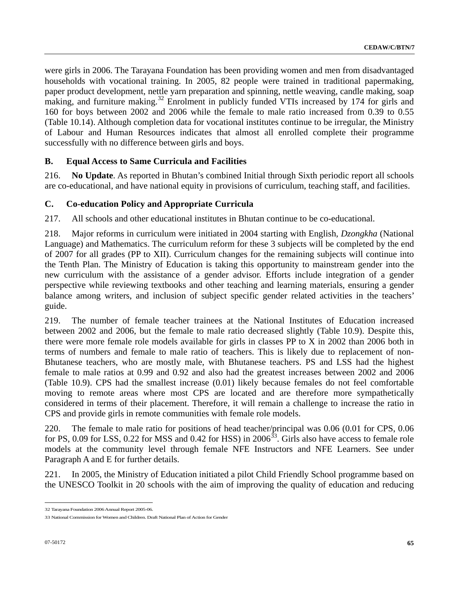were girls in 2006. The Tarayana Foundation has been providing women and men from disadvantaged households with vocational training. In 2005, 82 people were trained in traditional papermaking, paper product development, nettle yarn preparation and spinning, nettle weaving, candle making, soap making, and furniture making.<sup>[32](#page-64-0)</sup> Enrolment in publicly funded VTIs increased by 174 for girls and 160 for boys between 2002 and 2006 while the female to male ratio increased from 0.39 to 0.55 (Table 10.14). Although completion data for vocational institutes continue to be irregular, the Ministry of Labour and Human Resources indicates that almost all enrolled complete their programme successfully with no difference between girls and boys.

## **B. Equal Access to Same Curricula and Facilities**

216. **No Update**. As reported in Bhutan's combined Initial through Sixth periodic report all schools are co-educational, and have national equity in provisions of curriculum, teaching staff, and facilities.

## **C. Co-education Policy and Appropriate Curricula**

217. All schools and other educational institutes in Bhutan continue to be co-educational.

218. Major reforms in curriculum were initiated in 2004 starting with English, *Dzongkha* (National Language) and Mathematics. The curriculum reform for these 3 subjects will be completed by the end of 2007 for all grades (PP to XII). Curriculum changes for the remaining subjects will continue into the Tenth Plan. The Ministry of Education is taking this opportunity to mainstream gender into the new curriculum with the assistance of a gender advisor. Efforts include integration of a gender perspective while reviewing textbooks and other teaching and learning materials, ensuring a gender balance among writers, and inclusion of subject specific gender related activities in the teachers' guide.

219. The number of female teacher trainees at the National Institutes of Education increased between 2002 and 2006, but the female to male ratio decreased slightly (Table 10.9). Despite this, there were more female role models available for girls in classes PP to X in 2002 than 2006 both in terms of numbers and female to male ratio of teachers. This is likely due to replacement of non-Bhutanese teachers, who are mostly male, with Bhutanese teachers. PS and LSS had the highest female to male ratios at 0.99 and 0.92 and also had the greatest increases between 2002 and 2006 (Table 10.9). CPS had the smallest increase (0.01) likely because females do not feel comfortable moving to remote areas where most CPS are located and are therefore more sympathetically considered in terms of their placement. Therefore, it will remain a challenge to increase the ratio in CPS and provide girls in remote communities with female role models.

220. The female to male ratio for positions of head teacher/principal was 0.06 (0.01 for CPS, 0.06 for PS, 0.09 for LSS, 0.22 for MSS and 0.42 for HSS) in  $2006^{33}$  $2006^{33}$  $2006^{33}$ . Girls also have access to female role models at the community level through female NFE Instructors and NFE Learners. See under Paragraph A and E for further details.

221. In 2005, the Ministry of Education initiated a pilot Child Friendly School programme based on the UNESCO Toolkit in 20 schools with the aim of improving the quality of education and reducing

<span id="page-64-0"></span><sup>32</sup> Tarayana Foundation 2006 Annual Report 2005-06.

<span id="page-64-1"></span><sup>33</sup> National Commission for Women and Children. Draft National Plan of Action for Gender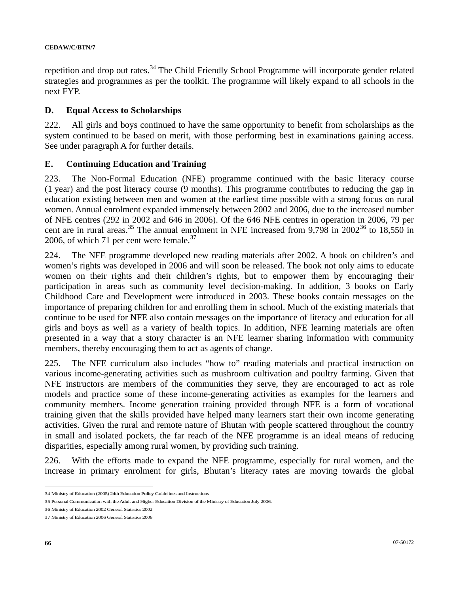repetition and drop out rates.<sup>[3](#page-65-0)4</sup> The Child Friendly School Programme will incorporate gender related strategies and programmes as per the toolkit. The programme will likely expand to all schools in the next FYP.

#### **D. Equal Access to Scholarships**

222. All girls and boys continued to have the same opportunity to benefit from scholarships as the system continued to be based on merit, with those performing best in examinations gaining access. See under paragraph A for further details.

#### **E. Continuing Education and Training**

223. The Non-Formal Education (NFE) programme continued with the basic literacy course (1 year) and the post literacy course (9 months). This programme contributes to reducing the gap in education existing between men and women at the earliest time possible with a strong focus on rural women. Annual enrolment expanded immensely between 2002 and 2006, due to the increased number of NFE centres (292 in 2002 and 646 in 2006). Of the 646 NFE centres in operation in 2006, 79 per cent are in rural areas.<sup>[35](#page-65-1)</sup> The annual enrolment in NFE increased from 9,798 in 2002<sup>[3](#page-65-2)6</sup> to 18,550 in 2006, of which 71 per cent were female.<sup>[37](#page-65-3)</sup>

224. The NFE programme developed new reading materials after 2002. A book on children's and women's rights was developed in 2006 and will soon be released. The book not only aims to educate women on their rights and their children's rights, but to empower them by encouraging their participation in areas such as community level decision-making. In addition, 3 books on Early Childhood Care and Development were introduced in 2003. These books contain messages on the importance of preparing children for and enrolling them in school. Much of the existing materials that continue to be used for NFE also contain messages on the importance of literacy and education for all girls and boys as well as a variety of health topics. In addition, NFE learning materials are often presented in a way that a story character is an NFE learner sharing information with community members, thereby encouraging them to act as agents of change.

225. The NFE curriculum also includes "how to" reading materials and practical instruction on various income-generating activities such as mushroom cultivation and poultry farming. Given that NFE instructors are members of the communities they serve, they are encouraged to act as role models and practice some of these income-generating activities as examples for the learners and community members. Income generation training provided through NFE is a form of vocational training given that the skills provided have helped many learners start their own income generating activities. Given the rural and remote nature of Bhutan with people scattered throughout the country in small and isolated pockets, the far reach of the NFE programme is an ideal means of reducing disparities, especially among rural women, by providing such training.

226. With the efforts made to expand the NFE programme, especially for rural women, and the increase in primary enrolment for girls, Bhutan's literacy rates are moving towards the global

<span id="page-65-0"></span><sup>34</sup> Ministry of Education (2005) 24th Education Policy Guidelines and Instructions

<span id="page-65-1"></span><sup>35</sup> Personal Communication with the Adult and Higher Education Division of the Ministry of Education July 2006.

<span id="page-65-2"></span><sup>36</sup> Ministry of Education 2002 General Statistics 2002

<span id="page-65-3"></span><sup>37</sup> Ministry of Education 2006 General Statistics 2006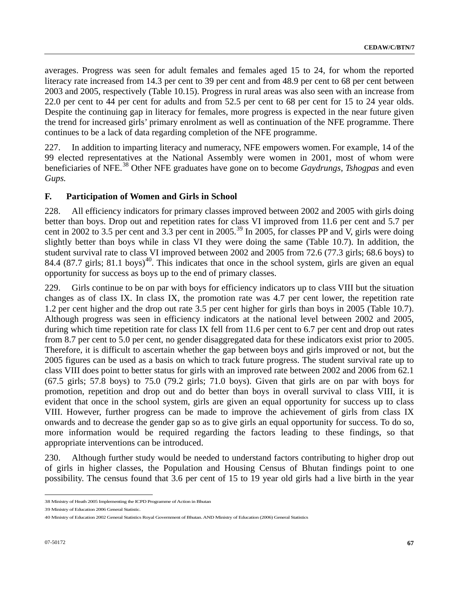averages. Progress was seen for adult females and females aged 15 to 24, for whom the reported literacy rate increased from 14.3 per cent to 39 per cent and from 48.9 per cent to 68 per cent between 2003 and 2005, respectively (Table 10.15). Progress in rural areas was also seen with an increase from 22.0 per cent to 44 per cent for adults and from 52.5 per cent to 68 per cent for 15 to 24 year olds. Despite the continuing gap in literacy for females, more progress is expected in the near future given the trend for increased girls' primary enrolment as well as continuation of the NFE programme. There continues to be a lack of data regarding completion of the NFE programme.

227. In addition to imparting literacy and numeracy, NFE empowers women. For example, 14 of the 99 elected representatives at the National Assembly were women in 2001, most of whom were beneficiaries of NFE.[38](#page-66-0) Other NFE graduates have gone on to become *Gaydrungs*, *Tshogpas* and even *Gups.*

### **F. Participation of Women and Girls in School**

228. All efficiency indicators for primary classes improved between 2002 and 2005 with girls doing better than boys. Drop out and repetition rates for class VI improved from 11.6 per cent and 5.7 per cent in 2002 to 3.5 per cent and 3.3 per cent in 2005.<sup>[39](#page-66-1)</sup> In 2005, for classes PP and V, girls were doing slightly better than boys while in class VI they were doing the same (Table 10.7). In addition, the student survival rate to class VI improved between 2002 and 2005 from 72.6 (77.3 girls; 68.6 boys) to 8[4](#page-66-2).4 (87.7 girls; 81.1 boys)<sup>40</sup>. This indicates that once in the school system, girls are given an equal opportunity for success as boys up to the end of primary classes.

229. Girls continue to be on par with boys for efficiency indicators up to class VIII but the situation changes as of class IX. In class IX, the promotion rate was 4.7 per cent lower, the repetition rate 1.2 per cent higher and the drop out rate 3.5 per cent higher for girls than boys in 2005 (Table 10.7). Although progress was seen in efficiency indicators at the national level between 2002 and 2005, during which time repetition rate for class IX fell from 11.6 per cent to 6.7 per cent and drop out rates from 8.7 per cent to 5.0 per cent, no gender disaggregated data for these indicators exist prior to 2005. Therefore, it is difficult to ascertain whether the gap between boys and girls improved or not, but the 2005 figures can be used as a basis on which to track future progress. The student survival rate up to class VIII does point to better status for girls with an improved rate between 2002 and 2006 from 62.1 (67.5 girls; 57.8 boys) to 75.0 (79.2 girls; 71.0 boys). Given that girls are on par with boys for promotion, repetition and drop out and do better than boys in overall survival to class VIII, it is evident that once in the school system, girls are given an equal opportunity for success up to class VIII. However, further progress can be made to improve the achievement of girls from class IX onwards and to decrease the gender gap so as to give girls an equal opportunity for success. To do so, more information would be required regarding the factors leading to these findings, so that appropriate interventions can be introduced.

230. Although further study would be needed to understand factors contributing to higher drop out of girls in higher classes, the Population and Housing Census of Bhutan findings point to one possibility. The census found that 3.6 per cent of 15 to 19 year old girls had a live birth in the year

<span id="page-66-1"></span>39 Ministry of Education 2006 General Statistic.

<span id="page-66-0"></span><sup>38</sup> Ministry of Heath 2005 Implementing the ICPD Programme of Action in Bhutan

<span id="page-66-2"></span><sup>40</sup> Ministry of Education 2002 General Statistics Royal Government of Bhutan. AND Ministry of Education (2006) General Statistics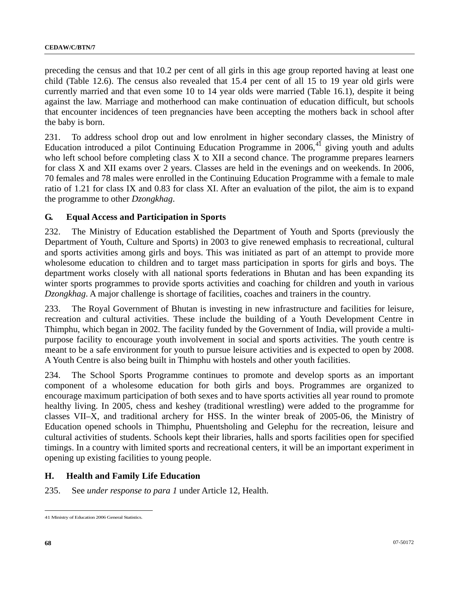preceding the census and that 10.2 per cent of all girls in this age group reported having at least one child (Table 12.6). The census also revealed that 15.4 per cent of all 15 to 19 year old girls were currently married and that even some 10 to 14 year olds were married (Table 16.1), despite it being against the law. Marriage and motherhood can make continuation of education difficult, but schools that encounter incidences of teen pregnancies have been accepting the mothers back in school after the baby is born.

231. To address school drop out and low enrolment in higher secondary classes, the Ministry of Education introduced a pilot Continuing Education Programme in  $2006$ ,<sup>[4](#page-67-0)1</sup> giving youth and adults who left school before completing class X to XII a second chance. The programme prepares learners for class X and XII exams over 2 years. Classes are held in the evenings and on weekends. In 2006, 70 females and 78 males were enrolled in the Continuing Education Programme with a female to male ratio of 1.21 for class IX and 0.83 for class XI. After an evaluation of the pilot, the aim is to expand the programme to other *Dzongkhag*.

### **G. Equal Access and Participation in Sports**

232. The Ministry of Education established the Department of Youth and Sports (previously the Department of Youth, Culture and Sports) in 2003 to give renewed emphasis to recreational, cultural and sports activities among girls and boys. This was initiated as part of an attempt to provide more wholesome education to children and to target mass participation in sports for girls and boys. The department works closely with all national sports federations in Bhutan and has been expanding its winter sports programmes to provide sports activities and coaching for children and youth in various *Dzongkhag*. A major challenge is shortage of facilities, coaches and trainers in the country.

233. The Royal Government of Bhutan is investing in new infrastructure and facilities for leisure, recreation and cultural activities. These include the building of a Youth Development Centre in Thimphu, which began in 2002. The facility funded by the Government of India, will provide a multipurpose facility to encourage youth involvement in social and sports activities. The youth centre is meant to be a safe environment for youth to pursue leisure activities and is expected to open by 2008. A Youth Centre is also being built in Thimphu with hostels and other youth facilities.

234. The School Sports Programme continues to promote and develop sports as an important component of a wholesome education for both girls and boys. Programmes are organized to encourage maximum participation of both sexes and to have sports activities all year round to promote healthy living. In 2005, chess and keshey (traditional wrestling) were added to the programme for classes VII–X, and traditional archery for HSS. In the winter break of 2005-06, the Ministry of Education opened schools in Thimphu, Phuentsholing and Gelephu for the recreation, leisure and cultural activities of students. Schools kept their libraries, halls and sports facilities open for specified timings. In a country with limited sports and recreational centers, it will be an important experiment in opening up existing facilities to young people.

### **H. Health and Family Life Education**

235. See *under response to para 1* under Article 12, Health.

<span id="page-67-0"></span> $\overline{a}$ 41 Ministry of Education 2006 General Statistics.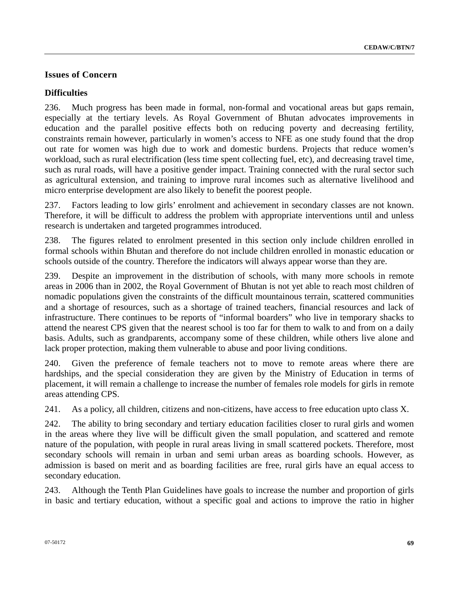## **Issues of Concern**

### **Difficulties**

236. Much progress has been made in formal, non-formal and vocational areas but gaps remain, especially at the tertiary levels. As Royal Government of Bhutan advocates improvements in education and the parallel positive effects both on reducing poverty and decreasing fertility, constraints remain however, particularly in women's access to NFE as one study found that the drop out rate for women was high due to work and domestic burdens. Projects that reduce women's workload, such as rural electrification (less time spent collecting fuel, etc), and decreasing travel time, such as rural roads, will have a positive gender impact. Training connected with the rural sector such as agricultural extension, and training to improve rural incomes such as alternative livelihood and micro enterprise development are also likely to benefit the poorest people.

237. Factors leading to low girls' enrolment and achievement in secondary classes are not known. Therefore, it will be difficult to address the problem with appropriate interventions until and unless research is undertaken and targeted programmes introduced.

238. The figures related to enrolment presented in this section only include children enrolled in formal schools within Bhutan and therefore do not include children enrolled in monastic education or schools outside of the country. Therefore the indicators will always appear worse than they are.

239. Despite an improvement in the distribution of schools, with many more schools in remote areas in 2006 than in 2002, the Royal Government of Bhutan is not yet able to reach most children of nomadic populations given the constraints of the difficult mountainous terrain, scattered communities and a shortage of resources, such as a shortage of trained teachers, financial resources and lack of infrastructure. There continues to be reports of "informal boarders" who live in temporary shacks to attend the nearest CPS given that the nearest school is too far for them to walk to and from on a daily basis. Adults, such as grandparents, accompany some of these children, while others live alone and lack proper protection, making them vulnerable to abuse and poor living conditions.

240. Given the preference of female teachers not to move to remote areas where there are hardships, and the special consideration they are given by the Ministry of Education in terms of placement, it will remain a challenge to increase the number of females role models for girls in remote areas attending CPS.

241. As a policy, all children, citizens and non-citizens, have access to free education upto class X.

242. The ability to bring secondary and tertiary education facilities closer to rural girls and women in the areas where they live will be difficult given the small population, and scattered and remote nature of the population, with people in rural areas living in small scattered pockets. Therefore, most secondary schools will remain in urban and semi urban areas as boarding schools. However, as admission is based on merit and as boarding facilities are free, rural girls have an equal access to secondary education.

243. Although the Tenth Plan Guidelines have goals to increase the number and proportion of girls in basic and tertiary education, without a specific goal and actions to improve the ratio in higher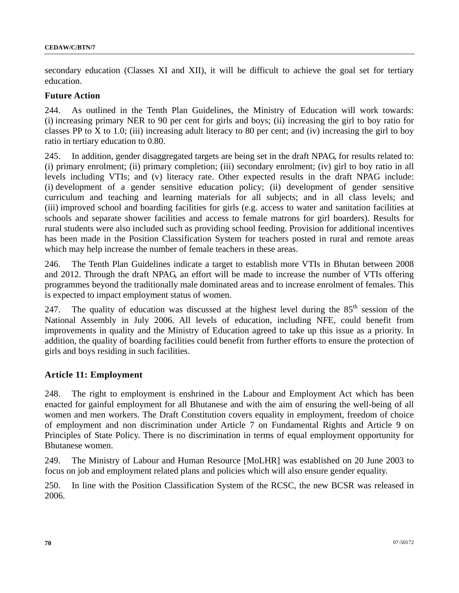secondary education (Classes XI and XII), it will be difficult to achieve the goal set for tertiary education.

#### **Future Action**

244. As outlined in the Tenth Plan Guidelines, the Ministry of Education will work towards: (i) increasing primary NER to 90 per cent for girls and boys; (ii) increasing the girl to boy ratio for classes PP to X to 1.0; (iii) increasing adult literacy to 80 per cent; and (iv) increasing the girl to boy ratio in tertiary education to 0.80.

245. In addition, gender disaggregated targets are being set in the draft NPAG, for results related to: (i) primary enrolment; (ii) primary completion; (iii) secondary enrolment; (iv) girl to boy ratio in all levels including VTIs; and (v) literacy rate. Other expected results in the draft NPAG include: (i) development of a gender sensitive education policy; (ii) development of gender sensitive curriculum and teaching and learning materials for all subjects; and in all class levels; and (iii) improved school and boarding facilities for girls (e.g. access to water and sanitation facilities at schools and separate shower facilities and access to female matrons for girl boarders). Results for rural students were also included such as providing school feeding. Provision for additional incentives has been made in the Position Classification System for teachers posted in rural and remote areas which may help increase the number of female teachers in these areas.

246. The Tenth Plan Guidelines indicate a target to establish more VTIs in Bhutan between 2008 and 2012. Through the draft NPAG, an effort will be made to increase the number of VTIs offering programmes beyond the traditionally male dominated areas and to increase enrolment of females. This is expected to impact employment status of women.

247. The quality of education was discussed at the highest level during the  $85<sup>th</sup>$  session of the National Assembly in July 2006. All levels of education, including NFE, could benefit from improvements in quality and the Ministry of Education agreed to take up this issue as a priority. In addition, the quality of boarding facilities could benefit from further efforts to ensure the protection of girls and boys residing in such facilities.

### **Article 11: Employment**

248. The right to employment is enshrined in the Labour and Employment Act which has been enacted for gainful employment for all Bhutanese and with the aim of ensuring the well-being of all women and men workers. The Draft Constitution covers equality in employment, freedom of choice of employment and non discrimination under Article 7 on Fundamental Rights and Article 9 on Principles of State Policy. There is no discrimination in terms of equal employment opportunity for Bhutanese women.

249. The Ministry of Labour and Human Resource [MoLHR] was established on 20 June 2003 to focus on job and employment related plans and policies which will also ensure gender equality.

250. In line with the Position Classification System of the RCSC, the new BCSR was released in 2006.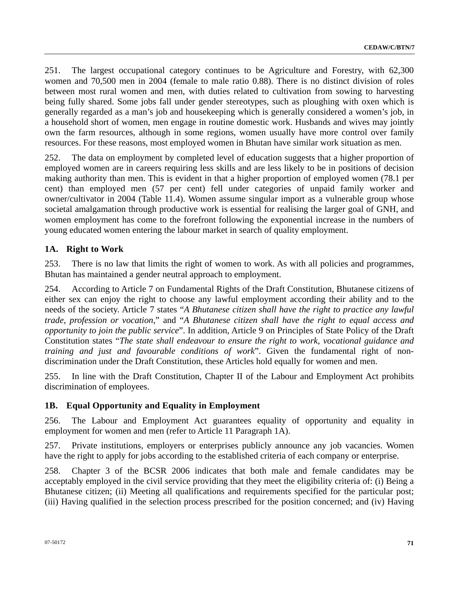251. The largest occupational category continues to be Agriculture and Forestry, with 62,300 women and 70,500 men in 2004 (female to male ratio 0.88). There is no distinct division of roles between most rural women and men, with duties related to cultivation from sowing to harvesting being fully shared. Some jobs fall under gender stereotypes, such as ploughing with oxen which is generally regarded as a man's job and housekeeping which is generally considered a women's job, in a household short of women, men engage in routine domestic work. Husbands and wives may jointly own the farm resources, although in some regions, women usually have more control over family resources. For these reasons, most employed women in Bhutan have similar work situation as men.

252. The data on employment by completed level of education suggests that a higher proportion of employed women are in careers requiring less skills and are less likely to be in positions of decision making authority than men. This is evident in that a higher proportion of employed women (78.1 per cent) than employed men (57 per cent) fell under categories of unpaid family worker and owner/cultivator in 2004 (Table 11.4). Women assume singular import as a vulnerable group whose societal amalgamation through productive work is essential for realising the larger goal of GNH, and women employment has come to the forefront following the exponential increase in the numbers of young educated women entering the labour market in search of quality employment.

## **1A. Right to Work**

253. There is no law that limits the right of women to work. As with all policies and programmes, Bhutan has maintained a gender neutral approach to employment.

254. According to Article 7 on Fundamental Rights of the Draft Constitution, Bhutanese citizens of either sex can enjoy the right to choose any lawful employment according their ability and to the needs of the society. Article 7 states "*A Bhutanese citizen shall have the right to practice any lawful trade, profession or vocation*," and "*A Bhutanese citizen shall have the right to equal access and opportunity to join the public service*". In addition, Article 9 on Principles of State Policy of the Draft Constitution states "*The state shall endeavour to ensure the right to work, vocational guidance and training and just and favourable conditions of work*". Given the fundamental right of nondiscrimination under the Draft Constitution, these Articles hold equally for women and men.

255. In line with the Draft Constitution, Chapter II of the Labour and Employment Act prohibits discrimination of employees.

## **1B. Equal Opportunity and Equality in Employment**

256. The Labour and Employment Act guarantees equality of opportunity and equality in employment for women and men (refer to Article 11 Paragraph 1A).

257. Private institutions, employers or enterprises publicly announce any job vacancies. Women have the right to apply for jobs according to the established criteria of each company or enterprise.

258. Chapter 3 of the BCSR 2006 indicates that both male and female candidates may be acceptably employed in the civil service providing that they meet the eligibility criteria of: (i) Being a Bhutanese citizen; (ii) Meeting all qualifications and requirements specified for the particular post; (iii) Having qualified in the selection process prescribed for the position concerned; and (iv) Having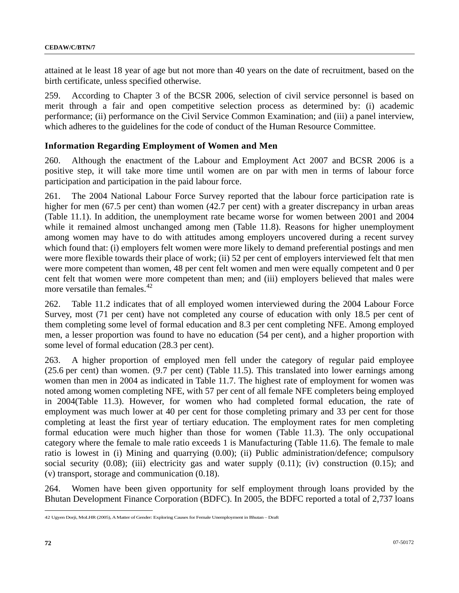attained at le least 18 year of age but not more than 40 years on the date of recruitment, based on the birth certificate, unless specified otherwise.

259. According to Chapter 3 of the BCSR 2006, selection of civil service personnel is based on merit through a fair and open competitive selection process as determined by: (i) academic performance; (ii) performance on the Civil Service Common Examination; and (iii) a panel interview, which adheres to the guidelines for the code of conduct of the Human Resource Committee.

#### **Information Regarding Employment of Women and Men**

260. Although the enactment of the Labour and Employment Act 2007 and BCSR 2006 is a positive step, it will take more time until women are on par with men in terms of labour force participation and participation in the paid labour force.

261. The 2004 National Labour Force Survey reported that the labour force participation rate is higher for men (67.5 per cent) than women (42.7 per cent) with a greater discrepancy in urban areas (Table 11.1). In addition, the unemployment rate became worse for women between 2001 and 2004 while it remained almost unchanged among men (Table 11.8). Reasons for higher unemployment among women may have to do with attitudes among employers uncovered during a recent survey which found that: (i) employers felt women were more likely to demand preferential postings and men were more flexible towards their place of work; (ii) 52 per cent of employers interviewed felt that men were more competent than women, 48 per cent felt women and men were equally competent and 0 per cent felt that women were more competent than men; and (iii) employers believed that males were more versatile than females.<sup>[42](#page-71-0)</sup>

262. Table 11.2 indicates that of all employed women interviewed during the 2004 Labour Force Survey, most (71 per cent) have not completed any course of education with only 18.5 per cent of them completing some level of formal education and 8.3 per cent completing NFE. Among employed men, a lesser proportion was found to have no education (54 per cent), and a higher proportion with some level of formal education (28.3 per cent).

263. A higher proportion of employed men fell under the category of regular paid employee (25.6 per cent) than women. (9.7 per cent) (Table 11.5). This translated into lower earnings among women than men in 2004 as indicated in Table 11.7. The highest rate of employment for women was noted among women completing NFE, with 57 per cent of all female NFE completers being employed in 2004(Table 11.3). However, for women who had completed formal education, the rate of employment was much lower at 40 per cent for those completing primary and 33 per cent for those completing at least the first year of tertiary education. The employment rates for men completing formal education were much higher than those for women (Table 11.3). The only occupational category where the female to male ratio exceeds 1 is Manufacturing (Table 11.6). The female to male ratio is lowest in (i) Mining and quarrying (0.00); (ii) Public administration/defence; compulsory social security (0.08); (iii) electricity gas and water supply (0.11); (iv) construction (0.15); and (v) transport, storage and communication (0.18).

264. Women have been given opportunity for self employment through loans provided by the Bhutan Development Finance Corporation (BDFC). In 2005, the BDFC reported a total of 2,737 loans

<span id="page-71-0"></span><sup>42</sup> Ugyen Dorji, MoLHR (2005), A Matter of Gender: Exploring Causes for Female Unemployment in Bhutan – Draft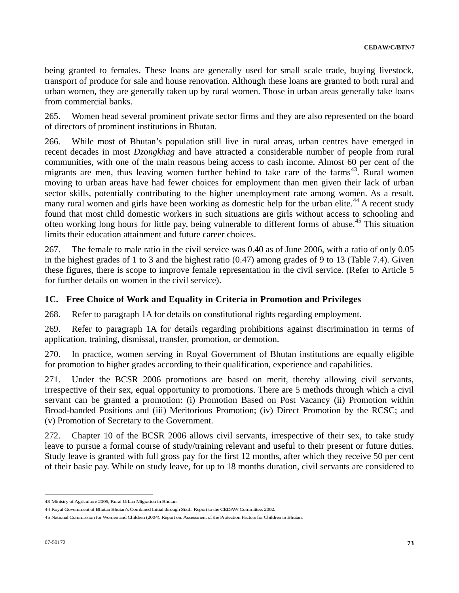being granted to females. These loans are generally used for small scale trade, buying livestock, transport of produce for sale and house renovation. Although these loans are granted to both rural and urban women, they are generally taken up by rural women. Those in urban areas generally take loans from commercial banks.

265. Women head several prominent private sector firms and they are also represented on the board of directors of prominent institutions in Bhutan.

266. While most of Bhutan's population still live in rural areas, urban centres have emerged in recent decades in most *Dzongkhag* and have attracted a considerable number of people from rural communities, with one of the main reasons being access to cash income. Almost 60 per cent of the migrants are men, thus leaving women further behind to take care of the farms<sup>[4](#page-72-0)3</sup>. Rural women moving to urban areas have had fewer choices for employment than men given their lack of urban sector skills, potentially contributing to the higher unemployment rate among women. As a result, many rural women and girls have been working as domestic help for the urban elite.<sup>[4](#page-72-1)4</sup> A recent study found that most child domestic workers in such situations are girls without access to schooling and often working long hours for little pay, being vulnerable to different forms of abuse.<sup>[4](#page-72-2)5</sup> This situation limits their education attainment and future career choices.

267. The female to male ratio in the civil service was 0.40 as of June 2006, with a ratio of only 0.05 in the highest grades of 1 to 3 and the highest ratio (0.47) among grades of 9 to 13 (Table 7.4). Given these figures, there is scope to improve female representation in the civil service. (Refer to Article 5 for further details on women in the civil service).

# **1C. Free Choice of Work and Equality in Criteria in Promotion and Privileges**

268. Refer to paragraph 1A for details on constitutional rights regarding employment.

269. Refer to paragraph 1A for details regarding prohibitions against discrimination in terms of application, training, dismissal, transfer, promotion, or demotion.

270. In practice, women serving in Royal Government of Bhutan institutions are equally eligible for promotion to higher grades according to their qualification, experience and capabilities.

271. Under the BCSR 2006 promotions are based on merit, thereby allowing civil servants, irrespective of their sex, equal opportunity to promotions. There are 5 methods through which a civil servant can be granted a promotion: (i) Promotion Based on Post Vacancy (ii) Promotion within Broad-banded Positions and (iii) Meritorious Promotion; (iv) Direct Promotion by the RCSC; and (v) Promotion of Secretary to the Government.

272. Chapter 10 of the BCSR 2006 allows civil servants, irrespective of their sex, to take study leave to pursue a formal course of study/training relevant and useful to their present or future duties. Study leave is granted with full gross pay for the first 12 months, after which they receive 50 per cent of their basic pay. While on study leave, for up to 18 months duration, civil servants are considered to

<span id="page-72-0"></span><sup>43</sup> Ministry of Agriculture 2005, Rural Urban Migration in Bhutan

<span id="page-72-1"></span><sup>44</sup> Royal Government of Bhutan Bhutan's Combined Initial through Sixth Report to the CEDAW Committee, 2002.

<span id="page-72-2"></span><sup>45</sup> National Commission for Women and Children (2004). Report on: Assessment of the Protection Factors for Children in Bhutan.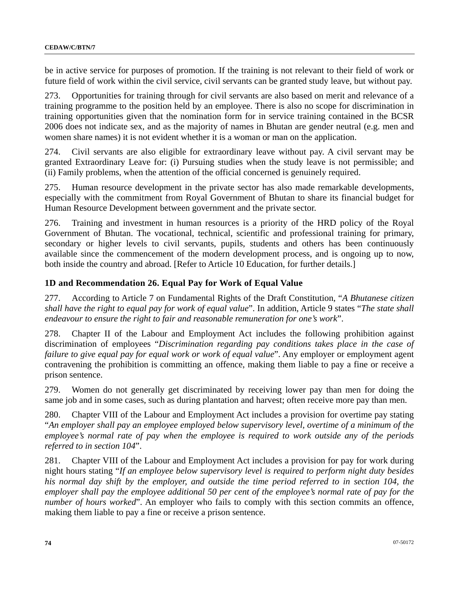be in active service for purposes of promotion. If the training is not relevant to their field of work or future field of work within the civil service, civil servants can be granted study leave, but without pay.

273. Opportunities for training through for civil servants are also based on merit and relevance of a training programme to the position held by an employee. There is also no scope for discrimination in training opportunities given that the nomination form for in service training contained in the BCSR 2006 does not indicate sex, and as the majority of names in Bhutan are gender neutral (e.g. men and women share names) it is not evident whether it is a woman or man on the application.

274. Civil servants are also eligible for extraordinary leave without pay. A civil servant may be granted Extraordinary Leave for: (i) Pursuing studies when the study leave is not permissible; and (ii) Family problems, when the attention of the official concerned is genuinely required.

275. Human resource development in the private sector has also made remarkable developments, especially with the commitment from Royal Government of Bhutan to share its financial budget for Human Resource Development between government and the private sector.

276. Training and investment in human resources is a priority of the HRD policy of the Royal Government of Bhutan. The vocational, technical, scientific and professional training for primary, secondary or higher levels to civil servants, pupils, students and others has been continuously available since the commencement of the modern development process, and is ongoing up to now, both inside the country and abroad. [Refer to Article 10 Education, for further details.]

### **1D and Recommendation 26. Equal Pay for Work of Equal Value**

277. According to Article 7 on Fundamental Rights of the Draft Constitution, "*A Bhutanese citizen shall have the right to equal pay for work of equal value*". In addition, Article 9 states "*The state shall endeavour to ensure the right to fair and reasonable remuneration for one's work*".

278. Chapter II of the Labour and Employment Act includes the following prohibition against discrimination of employees "*Discrimination regarding pay conditions takes place in the case of failure to give equal pay for equal work or work of equal value*". Any employer or employment agent contravening the prohibition is committing an offence, making them liable to pay a fine or receive a prison sentence.

279. Women do not generally get discriminated by receiving lower pay than men for doing the same job and in some cases, such as during plantation and harvest; often receive more pay than men.

280. Chapter VIII of the Labour and Employment Act includes a provision for overtime pay stating "*An employer shall pay an employee employed below supervisory level, overtime of a minimum of the employee's normal rate of pay when the employee is required to work outside any of the periods referred to in section 104*".

281. Chapter VIII of the Labour and Employment Act includes a provision for pay for work during night hours stating "*If an employee below supervisory level is required to perform night duty besides his normal day shift by the employer, and outside the time period referred to in section 104, the employer shall pay the employee additional 50 per cent of the employee's normal rate of pay for the number of hours worked*". An employer who fails to comply with this section commits an offence, making them liable to pay a fine or receive a prison sentence.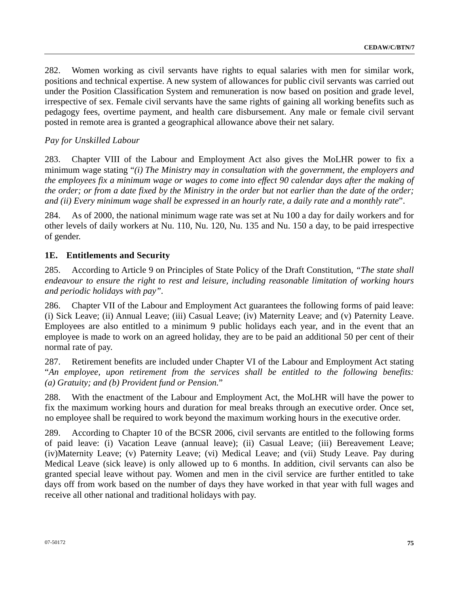282. Women working as civil servants have rights to equal salaries with men for similar work, positions and technical expertise. A new system of allowances for public civil servants was carried out under the Position Classification System and remuneration is now based on position and grade level, irrespective of sex. Female civil servants have the same rights of gaining all working benefits such as pedagogy fees, overtime payment, and health care disbursement. Any male or female civil servant posted in remote area is granted a geographical allowance above their net salary.

### *Pay for Unskilled Labour*

283. Chapter VIII of the Labour and Employment Act also gives the MoLHR power to fix a minimum wage stating "*(i) The Ministry may in consultation with the government, the employers and the employees fix a minimum wage or wages to come into effect 90 calendar days after the making of the order; or from a date fixed by the Ministry in the order but not earlier than the date of the order; and (ii) Every minimum wage shall be expressed in an hourly rate, a daily rate and a monthly rate*".

284. As of 2000, the national minimum wage rate was set at Nu 100 a day for daily workers and for other levels of daily workers at Nu. 110, Nu. 120, Nu. 135 and Nu. 150 a day, to be paid irrespective of gender.

### **1E. Entitlements and Security**

285. According to Article 9 on Principles of State Policy of the Draft Constitution, *"The state shall endeavour to ensure the right to rest and leisure, including reasonable limitation of working hours and periodic holidays with pay".* 

286. Chapter VII of the Labour and Employment Act guarantees the following forms of paid leave: (i) Sick Leave; (ii) Annual Leave; (iii) Casual Leave; (iv) Maternity Leave; and (v) Paternity Leave. Employees are also entitled to a minimum 9 public holidays each year, and in the event that an employee is made to work on an agreed holiday, they are to be paid an additional 50 per cent of their normal rate of pay.

287. Retirement benefits are included under Chapter VI of the Labour and Employment Act stating "*An employee, upon retirement from the services shall be entitled to the following benefits: (a) Gratuity; and (b) Provident fund or Pension.*"

288. With the enactment of the Labour and Employment Act, the MoLHR will have the power to fix the maximum working hours and duration for meal breaks through an executive order. Once set, no employee shall be required to work beyond the maximum working hours in the executive order.

289. According to Chapter 10 of the BCSR 2006, civil servants are entitled to the following forms of paid leave: (i) Vacation Leave (annual leave); (ii) Casual Leave; (iii) Bereavement Leave; (iv)Maternity Leave; (v) Paternity Leave; (vi) Medical Leave; and (vii) Study Leave. Pay during Medical Leave (sick leave) is only allowed up to 6 months. In addition, civil servants can also be granted special leave without pay. Women and men in the civil service are further entitled to take days off from work based on the number of days they have worked in that year with full wages and receive all other national and traditional holidays with pay.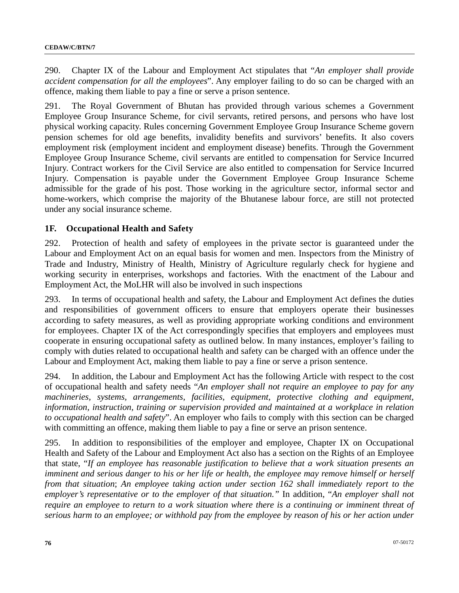290. Chapter IX of the Labour and Employment Act stipulates that "*An employer shall provide accident compensation for all the employees*". Any employer failing to do so can be charged with an offence, making them liable to pay a fine or serve a prison sentence.

291. The Royal Government of Bhutan has provided through various schemes a Government Employee Group Insurance Scheme, for civil servants, retired persons, and persons who have lost physical working capacity. Rules concerning Government Employee Group Insurance Scheme govern pension schemes for old age benefits, invalidity benefits and survivors' benefits. It also covers employment risk (employment incident and employment disease) benefits. Through the Government Employee Group Insurance Scheme, civil servants are entitled to compensation for Service Incurred Injury. Contract workers for the Civil Service are also entitled to compensation for Service Incurred Injury. Compensation is payable under the Government Employee Group Insurance Scheme admissible for the grade of his post. Those working in the agriculture sector, informal sector and home-workers, which comprise the majority of the Bhutanese labour force, are still not protected under any social insurance scheme.

### **1F. Occupational Health and Safety**

292. Protection of health and safety of employees in the private sector is guaranteed under the Labour and Employment Act on an equal basis for women and men. Inspectors from the Ministry of Trade and Industry, Ministry of Health, Ministry of Agriculture regularly check for hygiene and working security in enterprises, workshops and factories. With the enactment of the Labour and Employment Act, the MoLHR will also be involved in such inspections

293. In terms of occupational health and safety, the Labour and Employment Act defines the duties and responsibilities of government officers to ensure that employers operate their businesses according to safety measures, as well as providing appropriate working conditions and environment for employees. Chapter IX of the Act correspondingly specifies that employers and employees must cooperate in ensuring occupational safety as outlined below. In many instances, employer's failing to comply with duties related to occupational health and safety can be charged with an offence under the Labour and Employment Act, making them liable to pay a fine or serve a prison sentence.

294. In addition, the Labour and Employment Act has the following Article with respect to the cost of occupational health and safety needs "*An employer shall not require an employee to pay for any machineries, systems, arrangements, facilities, equipment, protective clothing and equipment, information, instruction, training or supervision provided and maintained at a workplace in relation to occupational health and safety*". An employer who fails to comply with this section can be charged with committing an offence, making them liable to pay a fine or serve an prison sentence.

295. In addition to responsibilities of the employer and employee, Chapter IX on Occupational Health and Safety of the Labour and Employment Act also has a section on the Rights of an Employee that state, "*If an employee has reasonable justification to believe that a work situation presents an imminent and serious danger to his or her life or health, the employee may remove himself or herself from that situation*; *An employee taking action under section 162 shall immediately report to the employer's representative or to the employer of that situation."* In addition, "*An employer shall not require an employee to return to a work situation where there is a continuing or imminent threat of serious harm to an employee; or withhold pay from the employee by reason of his or her action under*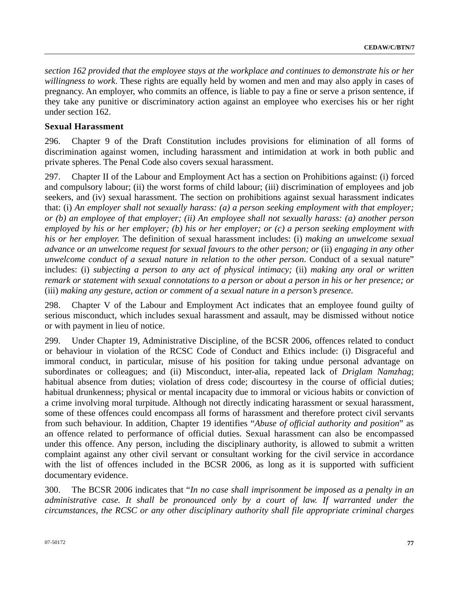*section 162 provided that the employee stays at the workplace and continues to demonstrate his or her willingness to work*. These rights are equally held by women and men and may also apply in cases of pregnancy. An employer, who commits an offence, is liable to pay a fine or serve a prison sentence, if they take any punitive or discriminatory action against an employee who exercises his or her right under section 162.

### **Sexual Harassment**

296. Chapter 9 of the Draft Constitution includes provisions for elimination of all forms of discrimination against women, including harassment and intimidation at work in both public and private spheres. The Penal Code also covers sexual harassment.

297. Chapter II of the Labour and Employment Act has a section on Prohibitions against: (i) forced and compulsory labour; (ii) the worst forms of child labour; (iii) discrimination of employees and job seekers, and (iv) sexual harassment. The section on prohibitions against sexual harassment indicates that: (i) *An employer shall not sexually harass: (a) a person seeking employment with that employer; or (b) an employee of that employer; (ii) An employee shall not sexually harass: (a) another person employed by his or her employer; (b) his or her employer; or (c) a person seeking employment with his or her employer.* The definition of sexual harassment includes: (i) *making an unwelcome sexual advance or an unwelcome request for sexual favours to the other person; or* (ii) *engaging in any other unwelcome conduct of a sexual nature in relation to the other person*. Conduct of a sexual nature" includes: (i) *subjecting a person to any act of physical intimacy;* (ii) *making any oral or written remark or statement with sexual connotations to a person or about a person in his or her presence; or* (iii) *making any gesture, action or comment of a sexual nature in a person's presence.*

298. Chapter V of the Labour and Employment Act indicates that an employee found guilty of serious misconduct, which includes sexual harassment and assault, may be dismissed without notice or with payment in lieu of notice.

299. Under Chapter 19, Administrative Discipline, of the BCSR 2006, offences related to conduct or behaviour in violation of the RCSC Code of Conduct and Ethics include: (i) Disgraceful and immoral conduct, in particular, misuse of his position for taking undue personal advantage on subordinates or colleagues; and (ii) Misconduct, inter-alia, repeated lack of *Driglam Namzhag*; habitual absence from duties; violation of dress code; discourtesy in the course of official duties; habitual drunkenness; physical or mental incapacity due to immoral or vicious habits or conviction of a crime involving moral turpitude. Although not directly indicating harassment or sexual harassment, some of these offences could encompass all forms of harassment and therefore protect civil servants from such behaviour. In addition, Chapter 19 identifies "*Abuse of official authority and position*" as an offence related to performance of official duties. Sexual harassment can also be encompassed under this offence. Any person, including the disciplinary authority, is allowed to submit a written complaint against any other civil servant or consultant working for the civil service in accordance with the list of offences included in the BCSR 2006, as long as it is supported with sufficient documentary evidence.

300. The BCSR 2006 indicates that "*In no case shall imprisonment be imposed as a penalty in an administrative case. It shall be pronounced only by a court of law. If warranted under the circumstances, the RCSC or any other disciplinary authority shall file appropriate criminal charges*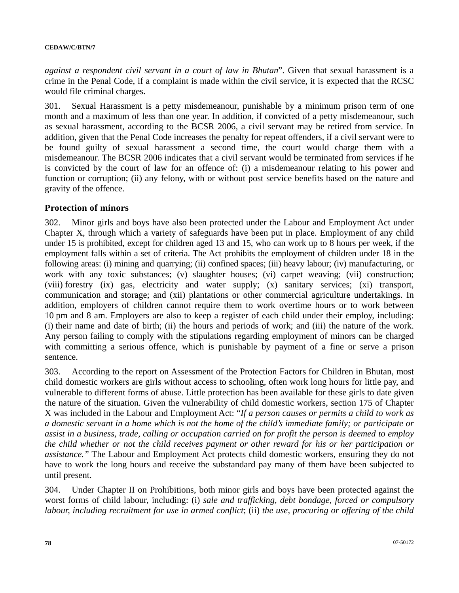*against a respondent civil servant in a court of law in Bhutan*". Given that sexual harassment is a crime in the Penal Code, if a complaint is made within the civil service, it is expected that the RCSC would file criminal charges.

301. Sexual Harassment is a petty misdemeanour, punishable by a minimum prison term of one month and a maximum of less than one year. In addition, if convicted of a petty misdemeanour, such as sexual harassment, according to the BCSR 2006, a civil servant may be retired from service. In addition, given that the Penal Code increases the penalty for repeat offenders, if a civil servant were to be found guilty of sexual harassment a second time, the court would charge them with a misdemeanour. The BCSR 2006 indicates that a civil servant would be terminated from services if he is convicted by the court of law for an offence of: (i) a misdemeanour relating to his power and function or corruption; (ii) any felony, with or without post service benefits based on the nature and gravity of the offence.

#### **Protection of minors**

302. Minor girls and boys have also been protected under the Labour and Employment Act under Chapter X, through which a variety of safeguards have been put in place. Employment of any child under 15 is prohibited, except for children aged 13 and 15, who can work up to 8 hours per week, if the employment falls within a set of criteria. The Act prohibits the employment of children under 18 in the following areas: (i) mining and quarrying; (ii) confined spaces; (iii) heavy labour; (iv) manufacturing, or work with any toxic substances; (v) slaughter houses; (vi) carpet weaving; (vii) construction; (viii) forestry (ix) gas, electricity and water supply; (x) sanitary services; (xi) transport, communication and storage; and (xii) plantations or other commercial agriculture undertakings. In addition, employers of children cannot require them to work overtime hours or to work between 10 pm and 8 am. Employers are also to keep a register of each child under their employ, including: (i) their name and date of birth; (ii) the hours and periods of work; and (iii) the nature of the work. Any person failing to comply with the stipulations regarding employment of minors can be charged with committing a serious offence, which is punishable by payment of a fine or serve a prison sentence.

303. According to the report on Assessment of the Protection Factors for Children in Bhutan, most child domestic workers are girls without access to schooling, often work long hours for little pay, and vulnerable to different forms of abuse. Little protection has been available for these girls to date given the nature of the situation. Given the vulnerability of child domestic workers, section 175 of Chapter X was included in the Labour and Employment Act: "*If a person causes or permits a child to work as a domestic servant in a home which is not the home of the child's immediate family; or participate or assist in a business, trade, calling or occupation carried on for profit the person is deemed to employ the child whether or not the child receives payment or other reward for his or her participation or assistance."* The Labour and Employment Act protects child domestic workers, ensuring they do not have to work the long hours and receive the substandard pay many of them have been subjected to until present.

304. Under Chapter II on Prohibitions, both minor girls and boys have been protected against the worst forms of child labour, including: (i) *sale and trafficking, debt bondage, forced or compulsory labour, including recruitment for use in armed conflict*; (ii) *the use, procuring or offering of the child*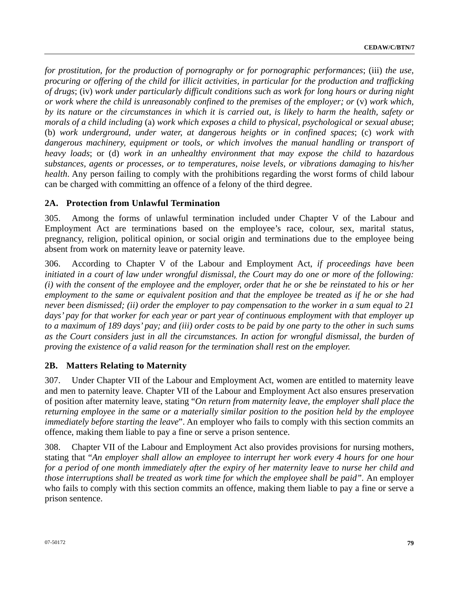*for prostitution, for the production of pornography or for pornographic performances*; (iii) *the use, procuring or offering of the child for illicit activities, in particular for the production and trafficking of drugs*; (iv) *work under particularly difficult conditions such as work for long hours or during night or work where the child is unreasonably confined to the premises of the employer; or* (v) *work which, by its nature or the circumstances in which it is carried out, is likely to harm the health, safety or morals of a child including* (a) *work which exposes a child to physical, psychological or sexual abuse*; (b) *work underground, under water, at dangerous heights or in confined spaces*; (c) *work with dangerous machinery, equipment or tools, or which involves the manual handling or transport of heavy loads*; or (d) *work in an unhealthy environment that may expose the child to hazardous substances, agents or processes, or to temperatures, noise levels, or vibrations damaging to his/her health*. Any person failing to comply with the prohibitions regarding the worst forms of child labour can be charged with committing an offence of a felony of the third degree.

# **2A. Protection from Unlawful Termination**

305. Among the forms of unlawful termination included under Chapter V of the Labour and Employment Act are terminations based on the employee's race, colour, sex, marital status, pregnancy, religion, political opinion, or social origin and terminations due to the employee being absent from work on maternity leave or paternity leave.

306. According to Chapter V of the Labour and Employment Act, *if proceedings have been initiated in a court of law under wrongful dismissal, the Court may do one or more of the following: (i) with the consent of the employee and the employer, order that he or she be reinstated to his or her employment to the same or equivalent position and that the employee be treated as if he or she had never been dismissed; (ii) order the employer to pay compensation to the worker in a sum equal to 21 days' pay for that worker for each year or part year of continuous employment with that employer up to a maximum of 189 days' pay; and (iii) order costs to be paid by one party to the other in such sums as the Court considers just in all the circumstances. In action for wrongful dismissal, the burden of proving the existence of a valid reason for the termination shall rest on the employer.*

# **2B. Matters Relating to Maternity**

307. Under Chapter VII of the Labour and Employment Act, women are entitled to maternity leave and men to paternity leave. Chapter VII of the Labour and Employment Act also ensures preservation of position after maternity leave, stating "*On return from maternity leave, the employer shall place the returning employee in the same or a materially similar position to the position held by the employee immediately before starting the leave*". An employer who fails to comply with this section commits an offence, making them liable to pay a fine or serve a prison sentence.

308. Chapter VII of the Labour and Employment Act also provides provisions for nursing mothers, stating that "*An employer shall allow an employee to interrupt her work every 4 hours for one hour for a period of one month immediately after the expiry of her maternity leave to nurse her child and those interruptions shall be treated as work time for which the employee shall be paid".* An employer who fails to comply with this section commits an offence, making them liable to pay a fine or serve a prison sentence.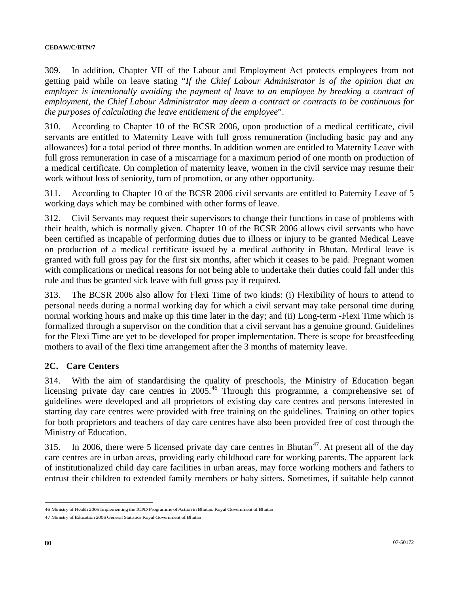309. In addition, Chapter VII of the Labour and Employment Act protects employees from not getting paid while on leave stating "*If the Chief Labour Administrator is of the opinion that an employer is intentionally avoiding the payment of leave to an employee by breaking a contract of employment, the Chief Labour Administrator may deem a contract or contracts to be continuous for the purposes of calculating the leave entitlement of the employee*".

310. According to Chapter 10 of the BCSR 2006, upon production of a medical certificate, civil servants are entitled to Maternity Leave with full gross remuneration (including basic pay and any allowances) for a total period of three months. In addition women are entitled to Maternity Leave with full gross remuneration in case of a miscarriage for a maximum period of one month on production of a medical certificate. On completion of maternity leave, women in the civil service may resume their work without loss of seniority, turn of promotion, or any other opportunity.

311. According to Chapter 10 of the BCSR 2006 civil servants are entitled to Paternity Leave of 5 working days which may be combined with other forms of leave.

312. Civil Servants may request their supervisors to change their functions in case of problems with their health, which is normally given. Chapter 10 of the BCSR 2006 allows civil servants who have been certified as incapable of performing duties due to illness or injury to be granted Medical Leave on production of a medical certificate issued by a medical authority in Bhutan. Medical leave is granted with full gross pay for the first six months, after which it ceases to be paid. Pregnant women with complications or medical reasons for not being able to undertake their duties could fall under this rule and thus be granted sick leave with full gross pay if required.

313. The BCSR 2006 also allow for Flexi Time of two kinds: (i) Flexibility of hours to attend to personal needs during a normal working day for which a civil servant may take personal time during normal working hours and make up this time later in the day; and (ii) Long-term -Flexi Time which is formalized through a supervisor on the condition that a civil servant has a genuine ground. Guidelines for the Flexi Time are yet to be developed for proper implementation. There is scope for breastfeeding mothers to avail of the flexi time arrangement after the 3 months of maternity leave.

### **2C. Care Centers**

314. With the aim of standardising the quality of preschools, the Ministry of Education began licensing private day care centres in 2005.<sup>[4](#page-79-0)6</sup> Through this programme, a comprehensive set of guidelines were developed and all proprietors of existing day care centres and persons interested in starting day care centres were provided with free training on the guidelines. Training on other topics for both proprietors and teachers of day care centres have also been provided free of cost through the Ministry of Education.

315. In 2006, there were 5 licensed private day care centres in Bhutan<sup>[47](#page-79-1)</sup>. At present all of the day care centres are in urban areas, providing early childhood care for working parents. The apparent lack of institutionalized child day care facilities in urban areas, may force working mothers and fathers to entrust their children to extended family members or baby sitters. Sometimes, if suitable help cannot

<span id="page-79-0"></span><sup>46</sup> Ministry of Health 2005 Implementing the ICPD Programme of Action in Bhutan. Royal Government of Bhutan

<span id="page-79-1"></span><sup>47</sup> Ministry of Education 2006 General Statistics Royal Government of Bhutan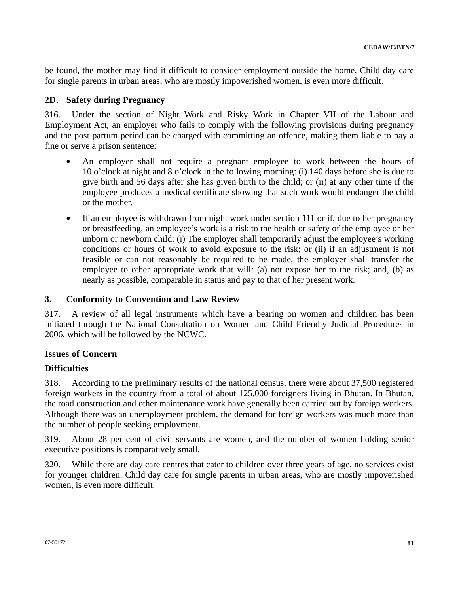be found, the mother may find it difficult to consider employment outside the home. Child day care for single parents in urban areas, who are mostly impoverished women, is even more difficult.

### **2D. Safety during Pregnancy**

316. Under the section of Night Work and Risky Work in Chapter VII of the Labour and Employment Act, an employer who fails to comply with the following provisions during pregnancy and the post partum period can be charged with committing an offence, making them liable to pay a fine or serve a prison sentence:

- An employer shall not require a pregnant employee to work between the hours of 10 o'clock at night and 8 o'clock in the following morning: (i) 140 days before she is due to give birth and 56 days after she has given birth to the child; or (ii) at any other time if the employee produces a medical certificate showing that such work would endanger the child or the mother.
- If an employee is withdrawn from night work under section 111 or if, due to her pregnancy or breastfeeding, an employee's work is a risk to the health or safety of the employee or her unborn or newborn child: (i) The employer shall temporarily adjust the employee's working conditions or hours of work to avoid exposure to the risk; or (ii) if an adjustment is not feasible or can not reasonably be required to be made, the employer shall transfer the employee to other appropriate work that will: (a) not expose her to the risk; and, (b) as nearly as possible, comparable in status and pay to that of her present work.

### **3. Conformity to Convention and Law Review**

317. A review of all legal instruments which have a bearing on women and children has been initiated through the National Consultation on Women and Child Friendly Judicial Procedures in 2006, which will be followed by the NCWC.

# **Issues of Concern**

# **Difficulties**

318. According to the preliminary results of the national census, there were about 37,500 registered foreign workers in the country from a total of about 125,000 foreigners living in Bhutan. In Bhutan, the road construction and other maintenance work have generally been carried out by foreign workers. Although there was an unemployment problem, the demand for foreign workers was much more than the number of people seeking employment.

319. About 28 per cent of civil servants are women, and the number of women holding senior executive positions is comparatively small.

320. While there are day care centres that cater to children over three years of age, no services exist for younger children. Child day care for single parents in urban areas, who are mostly impoverished women, is even more difficult.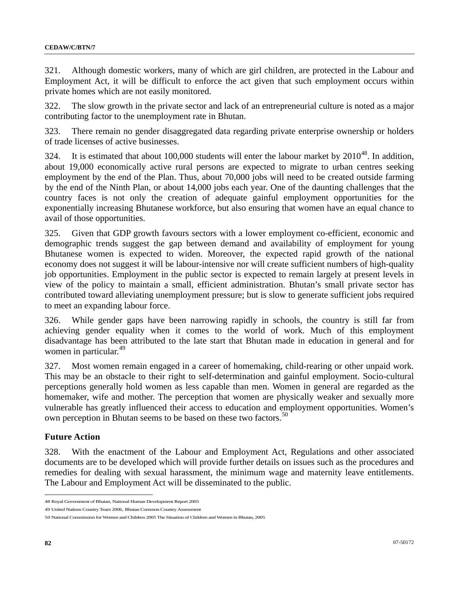321. Although domestic workers, many of which are girl children, are protected in the Labour and Employment Act, it will be difficult to enforce the act given that such employment occurs within private homes which are not easily monitored.

322. The slow growth in the private sector and lack of an entrepreneurial culture is noted as a major contributing factor to the unemployment rate in Bhutan.

323. There remain no gender disaggregated data regarding private enterprise ownership or holders of trade licenses of active businesses.

32[4](#page-81-0). It is estimated that about 100,000 students will enter the labour market by  $2010^{48}$ . In addition, about 19,000 economically active rural persons are expected to migrate to urban centres seeking employment by the end of the Plan. Thus, about 70,000 jobs will need to be created outside farming by the end of the Ninth Plan, or about 14,000 jobs each year. One of the daunting challenges that the country faces is not only the creation of adequate gainful employment opportunities for the exponentially increasing Bhutanese workforce, but also ensuring that women have an equal chance to avail of those opportunities.

325. Given that GDP growth favours sectors with a lower employment co-efficient, economic and demographic trends suggest the gap between demand and availability of employment for young Bhutanese women is expected to widen. Moreover, the expected rapid growth of the national economy does not suggest it will be labour-intensive nor will create sufficient numbers of high-quality job opportunities. Employment in the public sector is expected to remain largely at present levels in view of the policy to maintain a small, efficient administration. Bhutan's small private sector has contributed toward alleviating unemployment pressure; but is slow to generate sufficient jobs required to meet an expanding labour force.

326. While gender gaps have been narrowing rapidly in schools, the country is still far from achieving gender equality when it comes to the world of work. Much of this employment disadvantage has been attributed to the late start that Bhutan made in education in general and for women in particular.<sup>[4](#page-81-1)9</sup>

327. Most women remain engaged in a career of homemaking, child-rearing or other unpaid work. This may be an obstacle to their right to self-determination and gainful employment. Socio-cultural perceptions generally hold women as less capable than men. Women in general are regarded as the homemaker, wife and mother. The perception that women are physically weaker and sexually more vulnerable has greatly influenced their access to education and employment opportunities. Women's own perception in Bhutan seems to be based on these two factors.<sup>[5](#page-81-2)0</sup>

### **Future Action**

328. With the enactment of the Labour and Employment Act, Regulations and other associated documents are to be developed which will provide further details on issues such as the procedures and remedies for dealing with sexual harassment, the minimum wage and maternity leave entitlements. The Labour and Employment Act will be disseminated to the public.

<span id="page-81-0"></span><sup>48</sup> Royal Government of Bhutan, National Human Development Report 2005

<span id="page-81-1"></span><sup>49</sup> United Nations Country Team 2006, Bhutan Common Country Assessment

<span id="page-81-2"></span><sup>50</sup> National Commission for Women and Children 2005 The Situation of Children and Women in Bhutan, 2005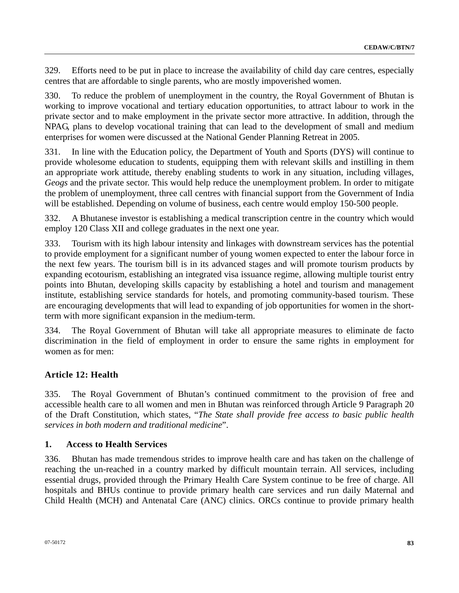329. Efforts need to be put in place to increase the availability of child day care centres, especially centres that are affordable to single parents, who are mostly impoverished women.

330. To reduce the problem of unemployment in the country, the Royal Government of Bhutan is working to improve vocational and tertiary education opportunities, to attract labour to work in the private sector and to make employment in the private sector more attractive. In addition, through the NPAG, plans to develop vocational training that can lead to the development of small and medium enterprises for women were discussed at the National Gender Planning Retreat in 2005.

In line with the Education policy, the Department of Youth and Sports (DYS) will continue to provide wholesome education to students, equipping them with relevant skills and instilling in them an appropriate work attitude, thereby enabling students to work in any situation, including villages, *Geogs* and the private sector. This would help reduce the unemployment problem. In order to mitigate the problem of unemployment, three call centres with financial support from the Government of India will be established. Depending on volume of business, each centre would employ 150-500 people.

332. A Bhutanese investor is establishing a medical transcription centre in the country which would employ 120 Class XII and college graduates in the next one year.

333. Tourism with its high labour intensity and linkages with downstream services has the potential to provide employment for a significant number of young women expected to enter the labour force in the next few years. The tourism bill is in its advanced stages and will promote tourism products by expanding ecotourism, establishing an integrated visa issuance regime, allowing multiple tourist entry points into Bhutan, developing skills capacity by establishing a hotel and tourism and management institute, establishing service standards for hotels, and promoting community-based tourism. These are encouraging developments that will lead to expanding of job opportunities for women in the shortterm with more significant expansion in the medium-term.

334. The Royal Government of Bhutan will take all appropriate measures to eliminate de facto discrimination in the field of employment in order to ensure the same rights in employment for women as for men:

# **Article 12: Health**

335. The Royal Government of Bhutan's continued commitment to the provision of free and accessible health care to all women and men in Bhutan was reinforced through Article 9 Paragraph 20 of the Draft Constitution, which states, "*The State shall provide free access to basic public health services in both modern and traditional medicine*".

### **1. Access to Health Services**

336. Bhutan has made tremendous strides to improve health care and has taken on the challenge of reaching the un-reached in a country marked by difficult mountain terrain. All services, including essential drugs, provided through the Primary Health Care System continue to be free of charge. All hospitals and BHUs continue to provide primary health care services and run daily Maternal and Child Health (MCH) and Antenatal Care (ANC) clinics. ORCs continue to provide primary health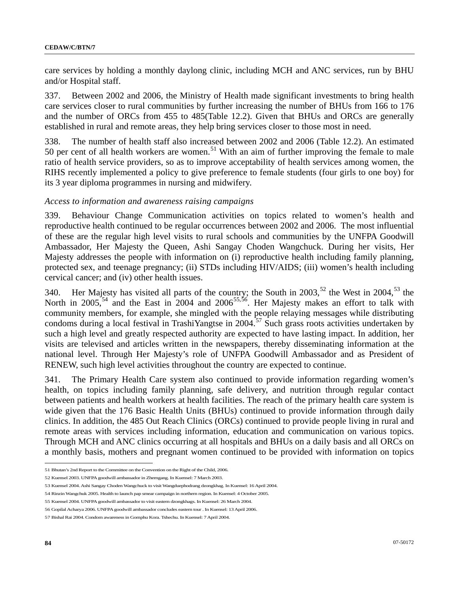care services by holding a monthly daylong clinic, including MCH and ANC services, run by BHU and/or Hospital staff.

337. Between 2002 and 2006, the Ministry of Health made significant investments to bring health care services closer to rural communities by further increasing the number of BHUs from 166 to 176 and the number of ORCs from 455 to 485(Table 12.2). Given that BHUs and ORCs are generally established in rural and remote areas, they help bring services closer to those most in need.

338. The number of health staff also increased between 2002 and 2006 (Table 12.2). An estimated [5](#page-83-0)0 per cent of all health workers are women.<sup>51</sup> With an aim of further improving the female to male ratio of health service providers, so as to improve acceptability of health services among women, the RIHS recently implemented a policy to give preference to female students (four girls to one boy) for its 3 year diploma programmes in nursing and midwifery.

#### *Access to information and awareness raising campaigns*

339. Behaviour Change Communication activities on topics related to women's health and reproductive health continued to be regular occurrences between 2002 and 2006. The most influential of these are the regular high level visits to rural schools and communities by the UNFPA Goodwill Ambassador, Her Majesty the Queen, Ashi Sangay Choden Wangchuck. During her visits, Her Majesty addresses the people with information on (i) reproductive health including family planning, protected sex, and teenage pregnancy; (ii) STDs including HIV/AIDS; (iii) women's health including cervical cancer; and (iv) other health issues.

340. Her Majesty has visited all parts of the country; the South in  $2003$ ,<sup>[5](#page-83-1)2</sup> the West in  $2004$ ,<sup>[53](#page-83-2)</sup> the North in 200[5](#page-83-5),<sup>54</sup> and the East in 2004 and 2006<sup>[55](#page-83-4),56</sup>. Her Majesty makes an effort to talk with community members, for example, she mingled with the people relaying messages while distributing condoms during a local festival in TrashiYangtse in 2004.[5](#page-83-6)7 Such grass roots activities undertaken by such a high level and greatly respected authority are expected to have lasting impact. In addition, her visits are televised and articles written in the newspapers, thereby disseminating information at the national level. Through Her Majesty's role of UNFPA Goodwill Ambassador and as President of RENEW, such high level activities throughout the country are expected to continue.

341. The Primary Health Care system also continued to provide information regarding women's health, on topics including family planning, safe delivery, and nutrition through regular contact between patients and health workers at health facilities. The reach of the primary health care system is wide given that the 176 Basic Health Units (BHUs) continued to provide information through daily clinics. In addition, the 485 Out Reach Clinics (ORCs) continued to provide people living in rural and remote areas with services including information, education and communication on various topics. Through MCH and ANC clinics occurring at all hospitals and BHUs on a daily basis and all ORCs on a monthly basis, mothers and pregnant women continued to be provided with information on topics

<span id="page-83-0"></span><sup>51</sup> Bhutan's 2nd Report to the Committee on the Convention on the Right of the Child, 2006.

<span id="page-83-1"></span><sup>52</sup> Kuensel 2003. UNFPA goodwill ambassador in Zhemgang. In Kuensel: 7 March 2003.

<span id="page-83-2"></span><sup>53</sup> Kuensel 2004. Ashi Sangay Choden Wangchuck to visit Wangduephodrang dzongkhag. In Kuensel: 16 April 2004.

<span id="page-83-3"></span><sup>54</sup> Rinzin Wangchuk 2005. Health to launch pap smear campaign in northern region. In Kuensel: 4 October 2005.

<span id="page-83-4"></span><sup>55</sup> Kuensel 2004. UNFPA goodwill ambassador to visit eastern dzongkhags. In Kuensel: 26 March 2004.

<span id="page-83-5"></span><sup>56</sup> Gopilal Acharya 2006. UNFPA goodwill ambassador concludes eastern tour . In Kuensel: 13 April 2006.

<span id="page-83-6"></span><sup>57</sup> Bishal Rai 2004. Condom awareness in Gomphu Kora. Tshechu. In Kuensel: 7 April 2004.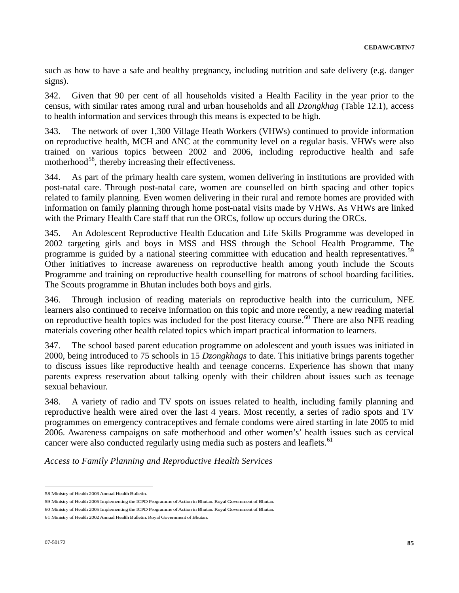such as how to have a safe and healthy pregnancy, including nutrition and safe delivery (e.g. danger signs).

342. Given that 90 per cent of all households visited a Health Facility in the year prior to the census, with similar rates among rural and urban households and all *Dzongkhag* (Table 12.1), access to health information and services through this means is expected to be high.

343. The network of over 1,300 Village Heath Workers (VHWs) continued to provide information on reproductive health, MCH and ANC at the community level on a regular basis. VHWs were also trained on various topics between 2002 and 2006, including reproductive health and safe motherhood $^{58}$  $^{58}$  $^{58}$ , thereby increasing their effectiveness.

344. As part of the primary health care system, women delivering in institutions are provided with post-natal care. Through post-natal care, women are counselled on birth spacing and other topics related to family planning. Even women delivering in their rural and remote homes are provided with information on family planning through home post-natal visits made by VHWs. As VHWs are linked with the Primary Health Care staff that run the ORCs, follow up occurs during the ORCs.

345. An Adolescent Reproductive Health Education and Life Skills Programme was developed in 2002 targeting girls and boys in MSS and HSS through the School Health Programme. The programme is guided by a national steering committee with education and health representatives.<sup>[5](#page-84-1)9</sup> Other initiatives to increase awareness on reproductive health among youth include the Scouts Programme and training on reproductive health counselling for matrons of school boarding facilities. The Scouts programme in Bhutan includes both boys and girls.

346. Through inclusion of reading materials on reproductive health into the curriculum, NFE learners also continued to receive information on this topic and more recently, a new reading material on reproductive health topics was included for the post literacy course.<sup>[60](#page-84-2)</sup> There are also NFE reading materials covering other health related topics which impart practical information to learners.

347. The school based parent education programme on adolescent and youth issues was initiated in 2000, being introduced to 75 schools in 15 *Dzongkhags* to date. This initiative brings parents together to discuss issues like reproductive health and teenage concerns. Experience has shown that many parents express reservation about talking openly with their children about issues such as teenage sexual behaviour.

348. A variety of radio and TV spots on issues related to health, including family planning and reproductive health were aired over the last 4 years. Most recently, a series of radio spots and TV programmes on emergency contraceptives and female condoms were aired starting in late 2005 to mid 2006. Awareness campaigns on safe motherhood and other women's' health issues such as cervical cancer were also conducted regularly using media such as posters and leaflets.<sup>[6](#page-84-3)1</sup>

*Access to Family Planning and Reproductive Health Services* 

<span id="page-84-0"></span><sup>58</sup> Ministry of Health 2003 Annual Health Bulletin.

<span id="page-84-1"></span><sup>59</sup> Ministry of Health 2005 Implementing the ICPD Programme of Action in Bhutan. Royal Government of Bhutan.

<span id="page-84-2"></span><sup>60</sup> Ministry of Health 2005 Implementing the ICPD Programme of Action in Bhutan. Royal Government of Bhutan.

<span id="page-84-3"></span><sup>61</sup> Ministry of Health 2002 Annual Health Bulletin. Royal Government of Bhutan.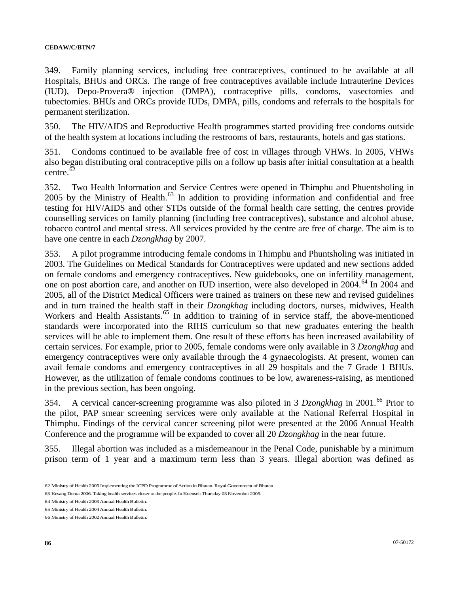349. Family planning services, including free contraceptives, continued to be available at all Hospitals, BHUs and ORCs. The range of free contraceptives available include Intrauterine Devices (IUD), Depo-Provera® injection (DMPA), contraceptive pills, condoms, vasectomies and tubectomies. BHUs and ORCs provide IUDs, DMPA, pills, condoms and referrals to the hospitals for permanent sterilization.

350. The HIV/AIDS and Reproductive Health programmes started providing free condoms outside of the health system at locations including the restrooms of bars, restaurants, hotels and gas stations.

351. Condoms continued to be available free of cost in villages through VHWs. In 2005, VHWs also began distributing oral contraceptive pills on a follow up basis after initial consultation at a health centre. $\bar{62}$  $\bar{62}$  $\bar{62}$ 

352. Two Health Information and Service Centres were opened in Thimphu and Phuentsholing in  $2005$  by the Ministry of Health.<sup>[63](#page-85-1)</sup> In addition to providing information and confidential and free testing for HIV/AIDS and other STDs outside of the formal health care setting, the centres provide counselling services on family [planning](http://www.kuenselonline.com/modules.php?name=News&file=article&sid=6204##) (including free contraceptives), substance and alcohol abuse, tobacco control and mental stress. All services provided by the centre are free of charge. The aim is to have one centre in each *Dzongkhag* by 2007.

353. A pilot programme introducing female condoms in Thimphu and Phuntsholing was initiated in 2003. The Guidelines on Medical Standards for Contraceptives were updated and new sections added on female condoms and emergency contraceptives. New guidebooks, one on infertility management, one on post abortion care, and another on IUD insertion, were also developed in 2004.<sup>[6](#page-85-2)4</sup> In 2004 and 2005, all of the District Medical Officers were trained as trainers on these new and revised guidelines and in turn trained the health staff in their *Dzongkhag* including doctors, nurses, midwives, Health Workers and Health Assistants.<sup>[65](#page-85-3)</sup> In addition to training of in service staff, the above-mentioned standards were incorporated into the RIHS curriculum so that new graduates entering the health services will be able to implement them. One result of these efforts has been increased availability of certain services. For example, prior to 2005, female condoms were only available in 3 *Dzongkhag* and emergency contraceptives were only available through the 4 gynaecologists. At present, women can avail female condoms and emergency contraceptives in all 29 hospitals and the 7 Grade 1 BHUs. However, as the utilization of female condoms continues to be low, awareness-raising, as mentioned in the previous section, has been ongoing.

354. A cervical cancer-screening programme was also piloted in 3 *Dzongkhag* in 2001.<sup>[6](#page-85-4)6</sup> Prior to the pilot, PAP smear screening services were only available at the National Referral Hospital in Thimphu. Findings of the cervical cancer screening pilot were presented at the 2006 Annual Health Conference and the programme will be expanded to cover all 20 *Dzongkhag* in the near future.

355. Illegal abortion was included as a misdemeanour in the Penal Code, punishable by a minimum prison term of 1 year and a maximum term less than 3 years. Illegal abortion was defined as

<span id="page-85-0"></span><sup>62</sup> Ministry of Health 2005 Implementing the ICPD Programme of Action in Bhutan. Royal Government of Bhutan

<span id="page-85-1"></span><sup>63</sup> Kesang Dema 2006. Taking health services closer to the people. In Kuensel: Thursday 03 November 2005.

<span id="page-85-2"></span><sup>64</sup> Ministry of Health 2003 Annual Health Bulletin.

<span id="page-85-3"></span><sup>65</sup> Ministry of Health 2004 Annual Health Bulletin.

<span id="page-85-4"></span><sup>66</sup> Ministry of Health 2002 Annual Health Bulletin.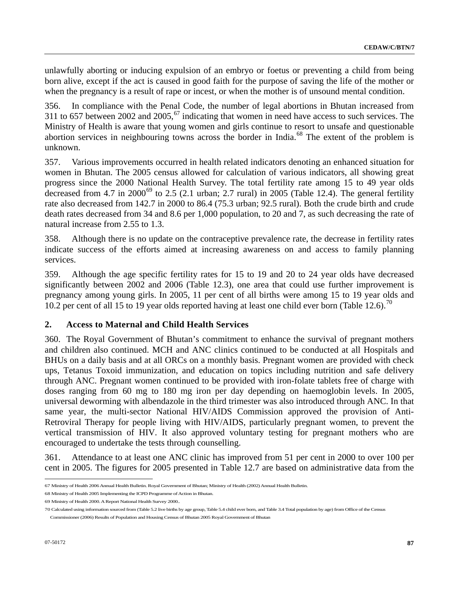unlawfully aborting or inducing expulsion of an embryo or foetus or preventing a child from being born alive, except if the act is caused in good faith for the purpose of saving the life of the mother or when the pregnancy is a result of rape or incest, or when the mother is of unsound mental condition.

356. In compliance with the Penal Code, the number of legal abortions in Bhutan increased from 311 to [6](#page-86-0)57 between 2002 and 2005,  $\frac{67}{10}$  indicating that women in need have access to such services. The Ministry of Health is aware that young women and girls continue to resort to unsafe and questionable abortion services in neighbouring towns across the border in India.<sup>[68](#page-86-1)</sup> The extent of the problem is unknown.

357. Various improvements occurred in health related indicators denoting an enhanced situation for women in Bhutan. The 2005 census allowed for calculation of various indicators, all showing great progress since the 2000 National Health Survey. The total fertility rate among 15 to 49 year olds decreased from 4.7 in  $2000^{69}$  $2000^{69}$  $2000^{69}$  to 2.5 (2.1 urban; 2.7 rural) in 2005 (Table 12.4). The general fertility rate also decreased from 142.7 in 2000 to 86.4 (75.3 urban; 92.5 rural). Both the crude birth and crude death rates decreased from 34 and 8.6 per 1,000 population, to 20 and 7, as such decreasing the rate of natural increase from 2.55 to 1.3.

358. Although there is no update on the contraceptive prevalence rate, the decrease in fertility rates indicate success of the efforts aimed at increasing awareness on and access to family planning services.

359. Although the age specific fertility rates for 15 to 19 and 20 to 24 year olds have decreased significantly between 2002 and 2006 (Table 12.3), one area that could use further improvement is pregnancy among young girls. In 2005, 11 per cent of all births were among 15 to 19 year olds and 10.2 per cent of all 15 to 19 year olds reported having at least one child ever born (Table 12.6).<sup>[7](#page-86-3)0</sup>

### **2. Access to Maternal and Child Health Services**

360. The Royal Government of Bhutan's commitment to enhance the survival of pregnant mothers and children also continued. MCH and ANC clinics continued to be conducted at all Hospitals and BHUs on a daily basis and at all ORCs on a monthly basis. Pregnant women are provided with check ups, Tetanus Toxoid immunization, and education on topics including nutrition and safe delivery through ANC. Pregnant women continued to be provided with iron-folate tablets free of charge with doses ranging from 60 mg to 180 mg iron per day depending on haemoglobin levels. In 2005, universal deworming with albendazole in the third trimester was also introduced through ANC. In that same year, the multi-sector National HIV/AIDS Commission approved the provision of Anti-Retroviral Therapy for people living with HIV/AIDS, particularly pregnant women, to prevent the vertical transmission of HIV. It also approved voluntary testing for pregnant mothers who are encouraged to undertake the tests through counselling.

361. Attendance to at least one ANC clinic has improved from 51 per cent in 2000 to over 100 per cent in 2005. The figures for 2005 presented in Table 12.7 are based on administrative data from the

<span id="page-86-0"></span><sup>67</sup> Ministry of Health 2006 Annual Health Bulletin. Royal Government of Bhutan; Ministry of Health (2002) Annual Health Bulletin.

<span id="page-86-1"></span><sup>68</sup> Ministry of Health 2005 Implementing the ICPD Programme of Action in Bhutan.

<span id="page-86-2"></span><sup>69</sup> Ministry of Health 2000. A Report National Health Survey 2000..

<span id="page-86-3"></span><sup>70</sup> Calculated using information sourced from (Table 5.2 live births by age group, Table 5.4 child ever born, and Table 3.4 Total population by age) from Office of the Census Commissioner (2006) Results of Population and Housing Census of Bhutan 2005 Royal Government of Bhutan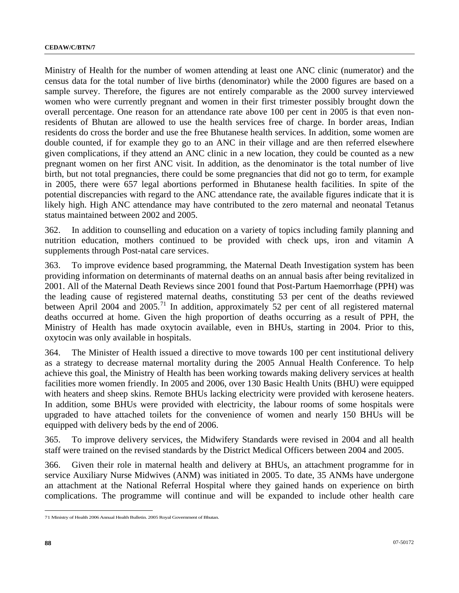Ministry of Health for the number of women attending at least one ANC clinic (numerator) and the census data for the total number of live births (denominator) while the 2000 figures are based on a sample survey. Therefore, the figures are not entirely comparable as the 2000 survey interviewed women who were currently pregnant and women in their first trimester possibly brought down the overall percentage. One reason for an attendance rate above 100 per cent in 2005 is that even nonresidents of Bhutan are allowed to use the health services free of charge. In border areas, Indian residents do cross the border and use the free Bhutanese health services. In addition, some women are double counted, if for example they go to an ANC in their village and are then referred elsewhere given complications, if they attend an ANC clinic in a new location, they could be counted as a new pregnant women on her first ANC visit. In addition, as the denominator is the total number of live birth, but not total pregnancies, there could be some pregnancies that did not go to term, for example in 2005, there were 657 legal abortions performed in Bhutanese health facilities. In spite of the potential discrepancies with regard to the ANC attendance rate, the available figures indicate that it is likely high. High ANC attendance may have contributed to the zero maternal and neonatal Tetanus status maintained between 2002 and 2005.

362. In addition to counselling and education on a variety of topics including family planning and nutrition education, mothers continued to be provided with check ups, iron and vitamin A supplements through Post-natal care services.

363. To improve evidence based programming, the Maternal Death Investigation system has been providing information on determinants of maternal deaths on an annual basis after being revitalized in 2001. All of the Maternal Death Reviews since 2001 found that Post-Partum Haemorrhage (PPH) was the leading cause of registered maternal deaths, constituting 53 per cent of the deaths reviewed between April 2004 and 2005.<sup>[71](#page-87-0)</sup> In addition, approximately 52 per cent of all registered maternal deaths occurred at home. Given the high proportion of deaths occurring as a result of PPH, the Ministry of Health has made oxytocin available, even in BHUs, starting in 2004. Prior to this, oxytocin was only available in hospitals.

364. The Minister of Health issued a directive to move towards 100 per cent institutional delivery as a strategy to decrease maternal mortality during the 2005 Annual Health Conference. To help achieve this goal, the Ministry of Health has been working towards making delivery services at health facilities more women friendly. In 2005 and 2006, over 130 Basic Health Units (BHU) were equipped with heaters and sheep skins. Remote BHUs lacking electricity were provided with kerosene heaters. In addition, some BHUs were provided with electricity, the labour rooms of some hospitals were upgraded to have attached toilets for the convenience of women and nearly 150 BHUs will be equipped with delivery beds by the end of 2006.

365. To improve delivery services, the Midwifery Standards were revised in 2004 and all health staff were trained on the revised standards by the District Medical Officers between 2004 and 2005.

366. Given their role in maternal health and delivery at BHUs, an attachment programme for in service Auxiliary Nurse Midwives (ANM) was initiated in 2005. To date, 35 ANMs have undergone an attachment at the National Referral Hospital where they gained hands on experience on birth complications. The programme will continue and will be expanded to include other health care

<span id="page-87-0"></span><sup>71</sup> Ministry of Health 2006 Annual Health Bulletin. 2005 Royal Government of Bhutan.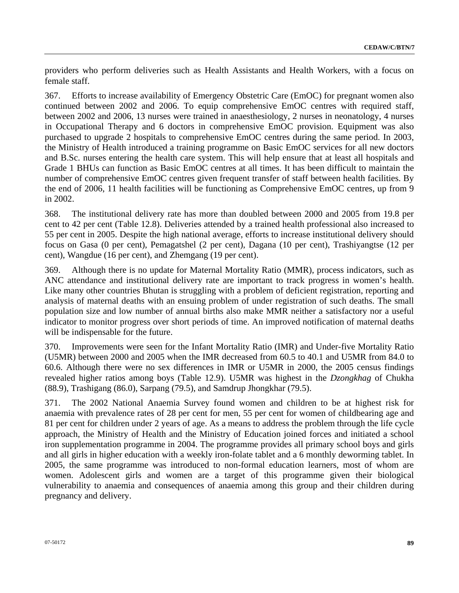providers who perform deliveries such as Health Assistants and Health Workers, with a focus on female staff.

367. Efforts to increase availability of Emergency Obstetric Care (EmOC) for pregnant women also continued between 2002 and 2006. To equip comprehensive EmOC centres with required staff, between 2002 and 2006, 13 nurses were trained in anaesthesiology, 2 nurses in neonatology, 4 nurses in Occupational Therapy and 6 doctors in comprehensive EmOC provision. Equipment was also purchased to upgrade 2 hospitals to comprehensive EmOC centres during the same period. In 2003, the Ministry of Health introduced a training programme on Basic EmOC services for all new doctors and B.Sc. nurses entering the health care system. This will help ensure that at least all hospitals and Grade 1 BHUs can function as Basic EmOC centres at all times. It has been difficult to maintain the number of comprehensive EmOC centres given frequent transfer of staff between health facilities. By the end of 2006, 11 health facilities will be functioning as Comprehensive EmOC centres, up from 9 in 2002.

368. The institutional delivery rate has more than doubled between 2000 and 2005 from 19.8 per cent to 42 per cent (Table 12.8). Deliveries attended by a trained health professional also increased to 55 per cent in 2005. Despite the high national average, efforts to increase institutional delivery should focus on Gasa (0 per cent), Pemagatshel (2 per cent), Dagana (10 per cent), Trashiyangtse (12 per cent), Wangdue (16 per cent), and Zhemgang (19 per cent).

369. Although there is no update for Maternal Mortality Ratio (MMR), process indicators, such as ANC attendance and institutional delivery rate are important to track progress in women's health. Like many other countries Bhutan is struggling with a problem of deficient registration, reporting and analysis of maternal deaths with an ensuing problem of under registration of such deaths. The small population size and low number of annual births also make MMR neither a satisfactory nor a useful indicator to monitor progress over short periods of time. An improved notification of maternal deaths will be indispensable for the future.

370. Improvements were seen for the Infant Mortality Ratio (IMR) and Under-five Mortality Ratio (U5MR) between 2000 and 2005 when the IMR decreased from 60.5 to 40.1 and U5MR from 84.0 to 60.6. Although there were no sex differences in IMR or U5MR in 2000, the 2005 census findings revealed higher ratios among boys (Table 12.9). U5MR was highest in the *Dzongkhag* of Chukha (88.9), Trashigang (86.0), Sarpang (79.5), and Samdrup Jhongkhar (79.5).

371. The 2002 National Anaemia Survey found women and children to be at highest risk for anaemia with prevalence rates of 28 per cent for men, 55 per cent for women of childbearing age and 81 per cent for children under 2 years of age. As a means to address the problem through the life cycle approach, the Ministry of Health and the Ministry of Education joined forces and initiated a school iron supplementation programme in 2004. The programme provides all primary school boys and girls and all girls in higher education with a weekly iron-folate tablet and a 6 monthly deworming tablet. In 2005, the same programme was introduced to non-formal education learners, most of whom are women. Adolescent girls and women are a target of this programme given their biological vulnerability to anaemia and consequences of anaemia among this group and their children during pregnancy and delivery.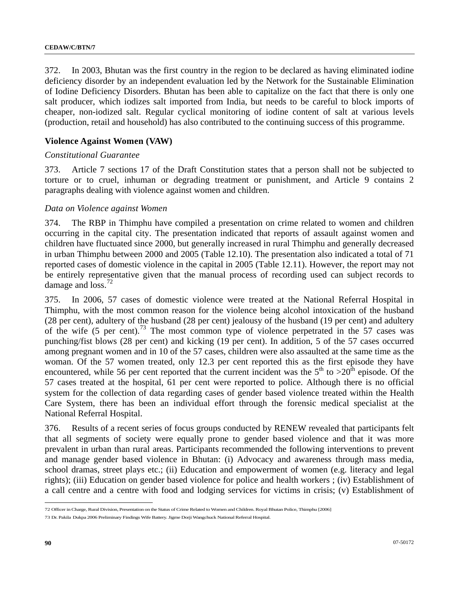372. In 2003, Bhutan was the first country in the region to be declared as having eliminated iodine deficiency disorder by an independent evaluation led by the Network for the Sustainable Elimination of Iodine Deficiency Disorders. Bhutan has been able to capitalize on the fact that there is only one salt producer, which iodizes salt imported from India, but needs to be careful to block imports of cheaper, non-iodized salt. Regular cyclical monitoring of iodine content of salt at various levels (production, retail and household) has also contributed to the continuing success of this programme.

### **Violence Against Women (VAW)**

#### *Constitutional Guarantee*

373. Article 7 sections 17 of the Draft Constitution states that a person shall not be subjected to torture or to cruel, inhuman or degrading treatment or punishment, and Article 9 contains 2 paragraphs dealing with violence against women and children.

#### *Data on Violence against Women*

374. The RBP in Thimphu have compiled a presentation on crime related to women and children occurring in the capital city. The presentation indicated that reports of assault against women and children have fluctuated since 2000, but generally increased in rural Thimphu and generally decreased in urban Thimphu between 2000 and 2005 (Table 12.10). The presentation also indicated a total of 71 reported cases of domestic violence in the capital in 2005 (Table 12.11). However, the report may not be entirely representative given that the manual process of recording used can subject records to damage and  $loss.<sup>72</sup>$  $loss.<sup>72</sup>$  $loss.<sup>72</sup>$ 

375. In 2006, 57 cases of domestic violence were treated at the National Referral Hospital in Thimphu, with the most common reason for the violence being alcohol intoxication of the husband (28 per cent), adultery of the husband (28 per cent) jealousy of the husband (19 per cent) and adultery of the wife (5 per cent).<sup>[73](#page-89-1)</sup> The most common type of violence perpetrated in the 57 cases was punching/fist blows (28 per cent) and kicking (19 per cent). In addition, 5 of the 57 cases occurred among pregnant women and in 10 of the 57 cases, children were also assaulted at the same time as the woman. Of the 57 women treated, only 12.3 per cent reported this as the first episode they have encountered, while 56 per cent reported that the current incident was the  $5<sup>th</sup>$  to  $>20<sup>th</sup>$  episode. Of the 57 cases treated at the hospital, 61 per cent were reported to police. Although there is no official system for the collection of data regarding cases of gender based violence treated within the Health Care System, there has been an individual effort through the forensic medical specialist at the National Referral Hospital.

376. Results of a recent series of focus groups conducted by RENEW revealed that participants felt that all segments of society were equally prone to gender based violence and that it was more prevalent in urban than rural areas. Participants recommended the following interventions to prevent and manage gender based violence in Bhutan: (i) Advocacy and awareness through mass media, school dramas, street plays etc.; (ii) Education and empowerment of women (e.g. literacy and legal rights); (iii) Education on gender based violence for police and health workers ; (iv) Establishment of a call centre and a centre with food and lodging services for victims in crisis; (v) Establishment of

<span id="page-89-0"></span><sup>72</sup> Officer in Charge, Rural Division, Presentation on the Status of Crime Related to Women and Children. Royal Bhutan Police, Thimphu [2006]

<span id="page-89-1"></span><sup>73</sup> Dr. Pakila Dukpa 2006 Preliminary Findings Wife Battery. Jigme Dorji Wangchuck National Referral Hospital.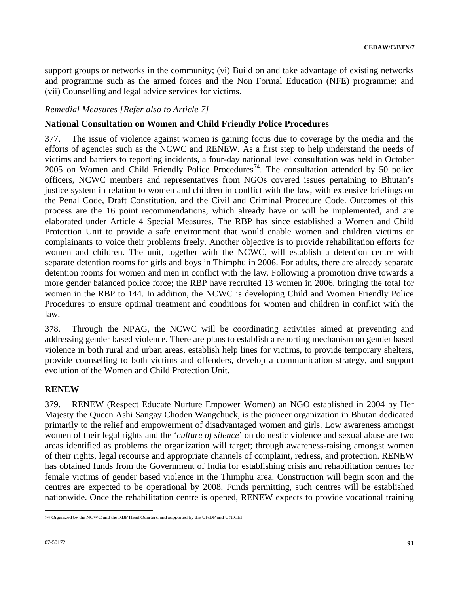support groups or networks in the community; (vi) Build on and take advantage of existing networks and programme such as the armed forces and the Non Formal Education (NFE) programme; and (vii) Counselling and legal advice services for victims.

### *Remedial Measures [Refer also to Article 7]*

### **National Consultation on Women and Child Friendly Police Procedures**

377. The issue of violence against women is gaining focus due to coverage by the media and the efforts of agencies such as the NCWC and RENEW. As a first step to help understand the needs of victims and barriers to reporting incidents, a four-day national level consultation was held in October 2005 on Women and Child Friendly Police Procedures<sup>[74](#page-90-0)</sup>. The consultation attended by 50 police officers, NCWC members and representatives from NGOs covered issues pertaining to Bhutan's justice system in relation to women and children in conflict with the law, with extensive briefings on the Penal Code, Draft Constitution, and the Civil and Criminal Procedure Code. Outcomes of this process are the 16 point recommendations, which already have or will be implemented, and are elaborated under Article 4 Special Measures. The RBP has since established a Women and Child Protection Unit to provide a safe environment that would enable women and children victims or complainants to voice their problems freely. Another objective is to provide rehabilitation efforts for women and children. The unit, together with the NCWC, will establish a detention centre with separate detention rooms for girls and boys in Thimphu in 2006. For adults, there are already separate detention rooms for women and men in conflict with the law. Following a promotion drive towards a more gender balanced police force; the RBP have recruited 13 women in 2006, bringing the total for women in the RBP to 144. In addition, the NCWC is developing Child and Women Friendly Police Procedures to ensure optimal treatment and conditions for women and children in conflict with the law.

378. Through the NPAG, the NCWC will be coordinating activities aimed at preventing and addressing gender based violence. There are plans to establish a reporting mechanism on gender based violence in both rural and urban areas, establish help lines for victims, to provide temporary shelters, provide counselling to both victims and offenders, develop a communication strategy, and support evolution of the Women and Child Protection Unit.

# **RENEW**

379. RENEW (Respect Educate Nurture Empower Women) an NGO established in 2004 by Her Majesty the Queen Ashi Sangay Choden Wangchuck, is the pioneer organization in Bhutan dedicated primarily to the relief and empowerment of disadvantaged women and girls. Low awareness amongst women of their legal rights and the '*culture of silence*' on domestic violence and sexual abuse are two areas identified as problems the organization will target; through awareness-raising amongst women of their rights, legal recourse and appropriate channels of complaint, redress, and protection. RENEW has obtained funds from the Government of India for establishing crisis and rehabilitation centres for female victims of gender based violence in the Thimphu area. Construction will begin soon and the centres are expected to be operational by 2008. Funds permitting, such centres will be established nationwide. Once the rehabilitation centre is opened, RENEW expects to provide vocational training

<span id="page-90-0"></span> $\overline{a}$ 74 Organized by the NCWC and the RBP Head Quarters, and supported by the UNDP and UNICEF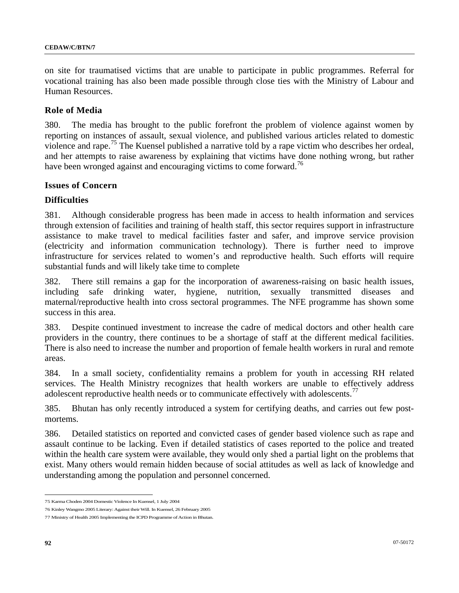on site for traumatised victims that are unable to participate in public programmes. Referral for vocational training has also been made possible through close ties with the Ministry of Labour and Human Resources.

#### **Role of Media**

380. The media has brought to the public forefront the problem of violence against women by reporting on instances of assault, sexual violence, and published various articles related to domestic violence and rape.<sup>[7](#page-91-0)5</sup> The Kuensel published a narrative told by a rape victim who describes her ordeal, and her attempts to raise awareness by explaining that victims have done nothing wrong, but rather have been wronged against and encouraging victims to come forward.<sup>[76](#page-91-1)</sup>

#### **Issues of Concern**

### **Difficulties**

381. Although considerable progress has been made in access to health information and services through extension of facilities and training of health staff, this sector requires support in infrastructure assistance to make travel to medical facilities faster and safer, and improve service provision (electricity and information communication technology). There is further need to improve infrastructure for services related to women's and reproductive health. Such efforts will require substantial funds and will likely take time to complete

382. There still remains a gap for the incorporation of awareness-raising on basic health issues, including safe drinking water, hygiene, nutrition, sexually transmitted diseases and maternal/reproductive health into cross sectoral programmes. The NFE programme has shown some success in this area.

383. Despite continued investment to increase the cadre of medical doctors and other health care providers in the country, there continues to be a shortage of staff at the different medical facilities. There is also need to increase the number and proportion of female health workers in rural and remote areas.

384. In a small society, confidentiality remains a problem for youth in accessing RH related services. The Health Ministry recognizes that health workers are unable to effectively address adolescent reproductive health needs or to communicate effectively with adolescents.<sup>[7](#page-91-2)7</sup>

385. Bhutan has only recently introduced a system for certifying deaths, and carries out few postmortems.

386. Detailed statistics on reported and convicted cases of gender based violence such as rape and assault continue to be lacking. Even if detailed statistics of cases reported to the police and treated within the health care system were available, they would only shed a partial light on the problems that exist. Many others would remain hidden because of social attitudes as well as lack of knowledge and understanding among the population and personnel concerned.

<span id="page-91-0"></span><sup>75</sup> Karma Choden 2004 Domestic Violence In Kuensel, 1 July 2004

<span id="page-91-1"></span><sup>76</sup> Kinley Wangmo 2005 Literary: Against their Will. In Kuensel, 26 February 2005

<span id="page-91-2"></span><sup>77</sup> Ministry of Health 2005 Implementing the ICPD Programme of Action in Bhutan.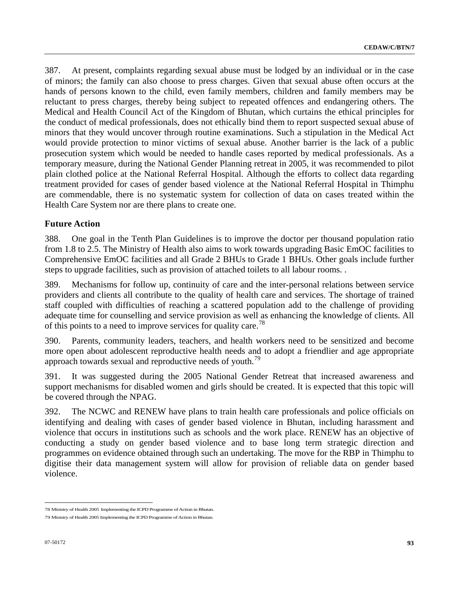387. At present, complaints regarding sexual abuse must be lodged by an individual or in the case of minors; the family can also choose to press charges. Given that sexual abuse often occurs at the hands of persons known to the child, even family members, children and family members may be reluctant to press charges, thereby being subject to repeated offences and endangering others. The Medical and Health Council Act of the Kingdom of Bhutan, which curtains the ethical principles for the conduct of medical professionals, does not ethically bind them to report suspected sexual abuse of minors that they would uncover through routine examinations. Such a stipulation in the Medical Act would provide protection to minor victims of sexual abuse. Another barrier is the lack of a public prosecution system which would be needed to handle cases reported by medical professionals. As a temporary measure, during the National Gender Planning retreat in 2005, it was recommended to pilot plain clothed police at the National Referral Hospital. Although the efforts to collect data regarding treatment provided for cases of gender based violence at the National Referral Hospital in Thimphu are commendable, there is no systematic system for collection of data on cases treated within the Health Care System nor are there plans to create one.

### **Future Action**

388. One goal in the Tenth Plan Guidelines is to improve the doctor per thousand population ratio from 1.8 to 2.5. The Ministry of Health also aims to work towards upgrading Basic EmOC facilities to Comprehensive EmOC facilities and all Grade 2 BHUs to Grade 1 BHUs. Other goals include further steps to upgrade facilities, such as provision of attached toilets to all labour rooms. .

389. Mechanisms for follow up, continuity of care and the inter-personal relations between service providers and clients all contribute to the quality of health care and services. The shortage of trained staff coupled with difficulties of reaching a scattered population add to the challenge of providing adequate time for counselling and service provision as well as enhancing the knowledge of clients. All of this points to a need to improve services for quality care.<sup>[78](#page-92-0)</sup>

390. Parents, community leaders, teachers, and health workers need to be sensitized and become more open about adolescent reproductive health needs and to adopt a friendlier and age appropriate approach towards sexual and reproductive needs of youth.<sup>[79](#page-92-1)</sup>

391. It was suggested during the 2005 National Gender Retreat that increased awareness and support mechanisms for disabled women and girls should be created. It is expected that this topic will be covered through the NPAG.

392. The NCWC and RENEW have plans to train health care professionals and police officials on identifying and dealing with cases of gender based violence in Bhutan, including harassment and violence that occurs in institutions such as schools and the work place. RENEW has an objective of conducting a study on gender based violence and to base long term strategic direction and programmes on evidence obtained through such an undertaking. The move for the RBP in Thimphu to digitise their data management system will allow for provision of reliable data on gender based violence.

<span id="page-92-0"></span><sup>78</sup> Ministry of Health 2005 Implementing the ICPD Programme of Action in Bhutan.

<span id="page-92-1"></span><sup>79</sup> Ministry of Health 2005 Implementing the ICPD Programme of Action in Bhutan.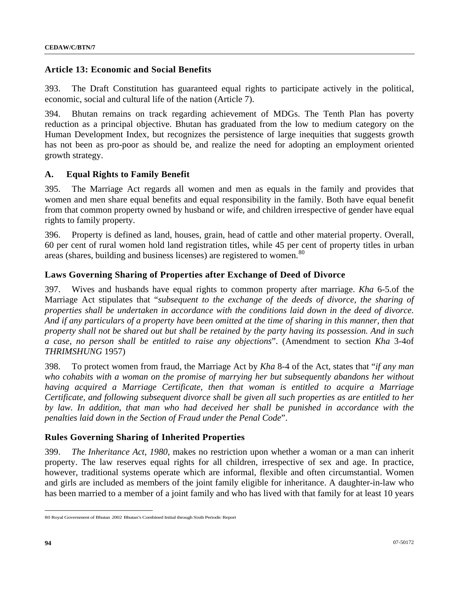### **Article 13: Economic and Social Benefits**

393. The Draft Constitution has guaranteed equal rights to participate actively in the political, economic, social and cultural life of the nation (Article 7).

394. Bhutan remains on track regarding achievement of MDGs. The Tenth Plan has poverty reduction as a principal objective. Bhutan has graduated from the low to medium category on the Human Development Index, but recognizes the persistence of large inequities that suggests growth has not been as pro-poor as should be, and realize the need for adopting an employment oriented growth strategy.

#### **A. Equal Rights to Family Benefit**

395. The Marriage Act regards all women and men as equals in the family and provides that women and men share equal benefits and equal responsibility in the family. Both have equal benefit from that common property owned by husband or wife, and children irrespective of gender have equal rights to family property.

396. Property is defined as land, houses, grain, head of cattle and other material property. Overall, 60 per cent of rural women hold land registration titles, while 45 per cent of property titles in urban areas (shares, building and business licenses) are registered to women.<sup>[8](#page-93-0)0</sup>

#### **Laws Governing Sharing of Properties after Exchange of Deed of Divorce**

397. Wives and husbands have equal rights to common property after marriage. *Kha* 6-5.of the Marriage Act stipulates that "*subsequent to the exchange of the deeds of divorce, the sharing of properties shall be undertaken in accordance with the conditions laid down in the deed of divorce. And if any particulars of a property have been omitted at the time of sharing in this manner, then that property shall not be shared out but shall be retained by the party having its possession. And in such a case, no person shall be entitled to raise any objections*". (Amendment to section *Kha* 3-4of *THRIMSHUNG* 1957)

398. To protect women from fraud, the Marriage Act by *Kha* 8-4 of the Act, states that "*if any man who cohabits with a woman on the promise of marrying her but subsequently abandons her without having acquired a Marriage Certificate, then that woman is entitled to acquire a Marriage Certificate, and following subsequent divorce shall be given all such properties as are entitled to her by law. In addition, that man who had deceived her shall be punished in accordance with the penalties laid down in the Section of Fraud under the Penal Code*".

#### **Rules Governing Sharing of Inherited Properties**

399. *The Inheritance Act, 1980*, makes no restriction upon whether a woman or a man can inherit property. The law reserves equal rights for all children, irrespective of sex and age. In practice, however, traditional systems operate which are informal, flexible and often circumstantial. Women and girls are included as members of the joint family eligible for inheritance. A daughter-in-law who has been married to a member of a joint family and who has lived with that family for at least 10 years

<span id="page-93-0"></span><sup>80</sup> Royal Government of Bhutan 2002 Bhutan's Combined Initial through Sixth Periodic Report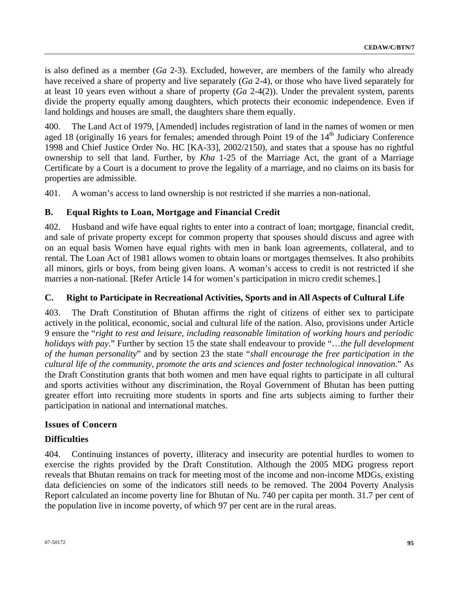is also defined as a member (*Ga* 2-3). Excluded, however, are members of the family who already have received a share of property and live separately (*Ga* 2-4), or those who have lived separately for at least 10 years even without a share of property (*Ga* 2-4(2)). Under the prevalent system, parents divide the property equally among daughters, which protects their economic independence. Even if land holdings and houses are small, the daughters share them equally.

400. The Land Act of 1979, [Amended] includes registration of land in the names of women or men aged 18 (originally 16 years for females; amended through Point 19 of the 14<sup>th</sup> Judiciary Conference 1998 and Chief Justice Order No. HC [KA-33], 2002/2150), and states that a spouse has no rightful ownership to sell that land. Further, by *Kha* 1-25 of the Marriage Act, the grant of a Marriage Certificate by a Court is a document to prove the legality of a marriage, and no claims on its basis for properties are admissible.

401. A woman's access to land ownership is not restricted if she marries a non-national.

# **B. Equal Rights to Loan, Mortgage and Financial Credit**

402. Husband and wife have equal rights to enter into a contract of loan; mortgage, financial credit, and sale of private property except for common property that spouses should discuss and agree with on an equal basis Women have equal rights with men in bank loan agreements, collateral, and to rental. The Loan Act of 1981 allows women to obtain loans or mortgages themselves. It also prohibits all minors, girls or boys, from being given loans. A woman's access to credit is not restricted if she marries a non-national. [Refer Article 14 for women's participation in micro credit schemes.]

# **C. Right to Participate in Recreational Activities, Sports and in All Aspects of Cultural Life**

403. The Draft Constitution of Bhutan affirms the right of citizens of either sex to participate actively in the political, economic, social and cultural life of the nation. Also, provisions under Article 9 ensure the "*right to rest and leisure, including reasonable limitation of working hours and periodic holidays with pay*." Further by section 15 the state shall endeavour to provide "…*the full development of the human personality*" and by section 23 the state "*shall encourage the free participation in the cultural life of the community, promote the arts and sciences and foster technological innovation*." As the Draft Constitution grants that both women and men have equal rights to participate in all cultural and sports activities without any discrimination, the Royal Government of Bhutan has been putting greater effort into recruiting more students in sports and fine arts subjects aiming to further their participation in national and international matches.

### **Issues of Concern**

# **Difficulties**

404. Continuing instances of poverty, illiteracy and insecurity are potential hurdles to women to exercise the rights provided by the Draft Constitution. Although the 2005 MDG progress report reveals that Bhutan remains on track for meeting most of the income and non-income MDGs, existing data deficiencies on some of the indicators still needs to be removed. The 2004 Poverty Analysis Report calculated an income poverty line for Bhutan of Nu. 740 per capita per month. 31.7 per cent of the population live in income poverty, of which 97 per cent are in the rural areas.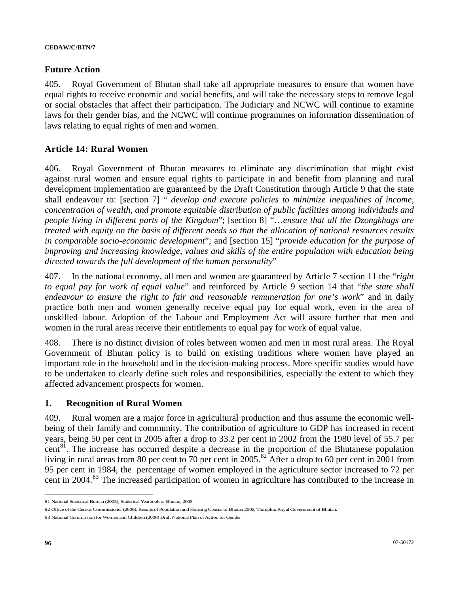#### **Future Action**

405. Royal Government of Bhutan shall take all appropriate measures to ensure that women have equal rights to receive economic and social benefits, and will take the necessary steps to remove legal or social obstacles that affect their participation. The Judiciary and NCWC will continue to examine laws for their gender bias, and the NCWC will continue programmes on information dissemination of laws relating to equal rights of men and women.

### **Article 14: Rural Women**

406. Royal Government of Bhutan measures to eliminate any discrimination that might exist against rural women and ensure equal rights to participate in and benefit from planning and rural development implementation are guaranteed by the Draft Constitution through Article 9 that the state shall endeavour to: [section 7] " *develop and execute policies to minimize inequalities of income, concentration of wealth, and promote equitable distribution of public facilities among individuals and people living in different parts of the Kingdom*"; [section 8] "…*ensure that all the Dzongkhags are treated with equity on the basis of different needs so that the allocation of national resources results in comparable socio-economic development*"; and [section 15] "*provide education for the purpose of improving and increasing knowledge, values and skills of the entire population with education being directed towards the full development of the human personality*"

407. In the national economy, all men and women are guaranteed by Article 7 section 11 the "*right to equal pay for work of equal value*" and reinforced by Article 9 section 14 that "*the state shall endeavour to ensure the right to fair and reasonable remuneration for one's work*" and in daily practice both men and women generally receive equal pay for equal work, even in the area of unskilled labour. Adoption of the Labour and Employment Act will assure further that men and women in the rural areas receive their entitlements to equal pay for work of equal value.

408. There is no distinct division of roles between women and men in most rural areas. The Royal Government of Bhutan policy is to build on existing traditions where women have played an important role in the household and in the decision-making process. More specific studies would have to be undertaken to clearly define such roles and responsibilities, especially the extent to which they affected advancement prospects for women.

### **1. Recognition of Rural Women**

409. Rural women are a major force in agricultural production and thus assume the economic wellbeing of their family and community. The contribution of agriculture to GDP has increased in recent years, being 50 per cent in 2005 after a drop to 33.2 per cent in 2002 from the 1980 level of 55.7 per cent<sup>[8](#page-95-0)1</sup>. The increase has occurred despite a decrease in the proportion of the Bhutanese population living in rural areas from [8](#page-95-1)0 per cent to 70 per cent in 2005.<sup>82</sup> After a drop to 60 per cent in 2001 from 95 per cent in 1984, the percentage of women employed in the agriculture sector increased to 72 per cent in 2004.<sup>[83](#page-95-2)</sup> The increased participation of women in agriculture has contributed to the increase in

<span id="page-95-0"></span><sup>81</sup> National Statistical Bureau (2005), Statistical Yearbook of Bhutan, 2005

<span id="page-95-1"></span><sup>82</sup> Office of the Census Commissioner (2006). Results of Population and Housing Census of Bhutan 2005, Thimphu: Royal Government of Bhutan.

<span id="page-95-2"></span><sup>83</sup> National Commission for Women and Children (2006) Draft National Plan of Action for Gender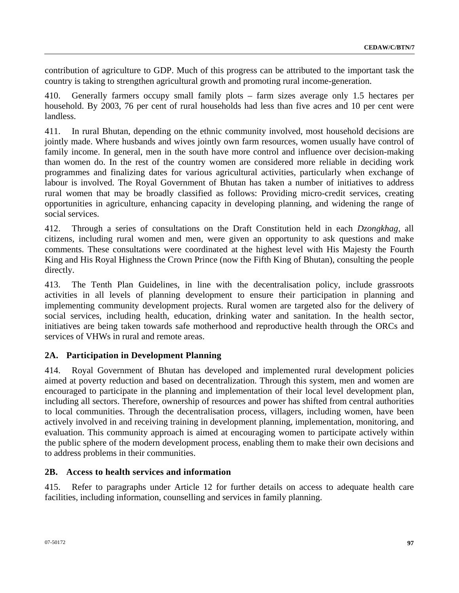contribution of agriculture to GDP. Much of this progress can be attributed to the important task the country is taking to strengthen agricultural growth and promoting rural income-generation.

410. Generally farmers occupy small family plots – farm sizes average only 1.5 hectares per household. By 2003, 76 per cent of rural households had less than five acres and 10 per cent were landless.

411. In rural Bhutan, depending on the ethnic community involved, most household decisions are jointly made. Where husbands and wives jointly own farm resources, women usually have control of family income. In general, men in the south have more control and influence over decision-making than women do. In the rest of the country women are considered more reliable in deciding work programmes and finalizing dates for various agricultural activities, particularly when exchange of labour is involved. The Royal Government of Bhutan has taken a number of initiatives to address rural women that may be broadly classified as follows: Providing micro-credit services, creating opportunities in agriculture, enhancing capacity in developing planning, and widening the range of social services.

412. Through a series of consultations on the Draft Constitution held in each *Dzongkhag*, all citizens, including rural women and men, were given an opportunity to ask questions and make comments. These consultations were coordinated at the highest level with His Majesty the Fourth King and His Royal Highness the Crown Prince (now the Fifth King of Bhutan), consulting the people directly.

413. The Tenth Plan Guidelines, in line with the decentralisation policy, include grassroots activities in all levels of planning development to ensure their participation in planning and implementing community development projects. Rural women are targeted also for the delivery of social services, including health, education, drinking water and sanitation. In the health sector, initiatives are being taken towards safe motherhood and reproductive health through the ORCs and services of VHWs in rural and remote areas.

# **2A. Participation in Development Planning**

414. Royal Government of Bhutan has developed and implemented rural development policies aimed at poverty reduction and based on decentralization. Through this system, men and women are encouraged to participate in the planning and implementation of their local level development plan, including all sectors. Therefore, ownership of resources and power has shifted from central authorities to local communities. Through the decentralisation process, villagers, including women, have been actively involved in and receiving training in development planning, implementation, monitoring, and evaluation. This community approach is aimed at encouraging women to participate actively within the public sphere of the modern development process, enabling them to make their own decisions and to address problems in their communities.

# **2B. Access to health services and information**

415. Refer to paragraphs under Article 12 for further details on access to adequate health care facilities, including information, counselling and services in family planning.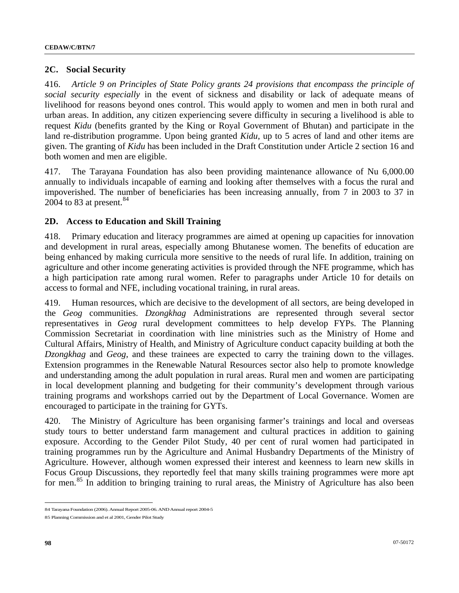### **2C. Social Security**

416. *Article 9 on Principles of State Policy grants 24 provisions that encompass the principle of social security especially* in the event of sickness and disability or lack of adequate means of livelihood for reasons beyond ones control. This would apply to women and men in both rural and urban areas. In addition, any citizen experiencing severe difficulty in securing a livelihood is able to request *Kidu* (benefits granted by the King or Royal Government of Bhutan) and participate in the land re-distribution programme. Upon being granted *Kidu*, up to 5 acres of land and other items are given. The granting of *Kidu* has been included in the Draft Constitution under Article 2 section 16 and both women and men are eligible.

417. The Tarayana Foundation has also been providing maintenance allowance of Nu 6,000.00 annually to individuals incapable of earning and looking after themselves with a focus the rural and impoverished. The number of beneficiaries has been increasing annually, from 7 in 2003 to 37 in 2004 to 83 at present.  $84$ 

#### **2D. Access to Education and Skill Training**

418. Primary education and literacy programmes are aimed at opening up capacities for innovation and development in rural areas, especially among Bhutanese women. The benefits of education are being enhanced by making curricula more sensitive to the needs of rural life. In addition, training on agriculture and other income generating activities is provided through the NFE programme, which has a high participation rate among rural women. Refer to paragraphs under Article 10 for details on access to formal and NFE, including vocational training, in rural areas.

419. Human resources, which are decisive to the development of all sectors, are being developed in the *Geog* communities. *Dzongkhag* Administrations are represented through several sector representatives in *Geog* rural development committees to help develop FYPs. The Planning Commission Secretariat in coordination with line ministries such as the Ministry of Home and Cultural Affairs, Ministry of Health, and Ministry of Agriculture conduct capacity building at both the *Dzongkhag* and *Geog*, and these trainees are expected to carry the training down to the villages. Extension programmes in the Renewable Natural Resources sector also help to promote knowledge and understanding among the adult population in rural areas. Rural men and women are participating in local development planning and budgeting for their community's development through various training programs and workshops carried out by the Department of Local Governance. Women are encouraged to participate in the training for GYTs.

420. The Ministry of Agriculture has been organising farmer's trainings and local and overseas study tours to better understand farm management and cultural practices in addition to gaining exposure. According to the Gender Pilot Study, 40 per cent of rural women had participated in training programmes run by the Agriculture and Animal Husbandry Departments of the Ministry of Agriculture. However, although women expressed their interest and keenness to learn new skills in Focus Group Discussions, they reportedly feel that many skills training programmes were more apt for men.<sup>[8](#page-97-1)5</sup> In addition to bringing training to rural areas, the Ministry of Agriculture has also been

<span id="page-97-0"></span><sup>84</sup> Tarayana Foundation (2006). Annual Report 2005-06. AND Annual report 2004-5

<span id="page-97-1"></span><sup>85</sup> Planning Commission and et al 2001, Gender Pilot Study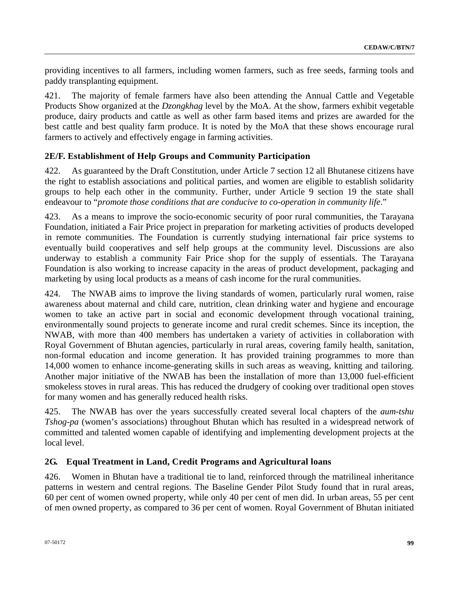providing incentives to all farmers, including women farmers, such as free seeds, farming tools and paddy transplanting equipment.

421. The majority of female farmers have also been attending the Annual Cattle and Vegetable Products Show organized at the *Dzongkhag* level by the MoA. At the show, farmers exhibit vegetable produce, dairy products and cattle as well as other farm based items and prizes are awarded for the best cattle and best quality farm produce. It is noted by the MoA that these shows encourage rural farmers to actively and effectively engage in farming activities.

# **2E/F. Establishment of Help Groups and Community Participation**

422. As guaranteed by the Draft Constitution, under Article 7 section 12 all Bhutanese citizens have the right to establish associations and political parties, and women are eligible to establish solidarity groups to help each other in the community. Further, under Article 9 section 19 the state shall endeavour to "*promote those conditions that are conducive to co-operation in community life*."

423. As a means to improve the socio-economic security of poor rural communities, the Tarayana Foundation, initiated a Fair Price project in preparation for marketing activities of products developed in remote communities. The Foundation is currently studying international fair price systems to eventually build cooperatives and self help groups at the community level. Discussions are also underway to establish a community Fair Price shop for the supply of essentials. The Tarayana Foundation is also working to increase capacity in the areas of product development, packaging and marketing by using local products as a means of cash income for the rural communities.

424. The NWAB aims to improve the living standards of women, particularly rural women, raise awareness about maternal and child care, nutrition, clean drinking water and hygiene and encourage women to take an active part in social and economic development through vocational training, environmentally sound projects to generate income and rural credit schemes. Since its inception, the NWAB, with more than 400 members has undertaken a variety of activities in collaboration with Royal Government of Bhutan agencies, particularly in rural areas, covering family health, sanitation, non-formal education and income generation. It has provided training programmes to more than 14,000 women to enhance income-generating skills in such areas as weaving, knitting and tailoring. Another major initiative of the NWAB has been the installation of more than 13,000 fuel-efficient smokeless stoves in rural areas. This has reduced the drudgery of cooking over traditional open stoves for many women and has generally reduced health risks.

425. The NWAB has over the years successfully created several local chapters of the *aum-tshu Tshog-pa* (women's associations) throughout Bhutan which has resulted in a widespread network of committed and talented women capable of identifying and implementing development projects at the local level.

# **2G. Equal Treatment in Land, Credit Programs and Agricultural loans**

426. Women in Bhutan have a traditional tie to land, reinforced through the matrilineal inheritance patterns in western and central regions. The Baseline Gender Pilot Study found that in rural areas, 60 per cent of women owned property, while only 40 per cent of men did. In urban areas, 55 per cent of men owned property, as compared to 36 per cent of women. Royal Government of Bhutan initiated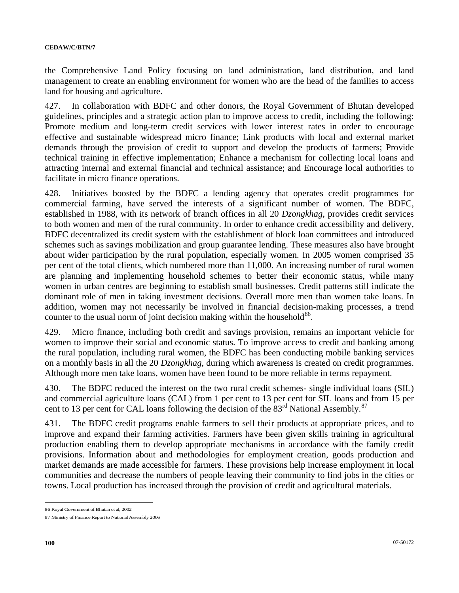the Comprehensive Land Policy focusing on land administration, land distribution, and land management to create an enabling environment for women who are the head of the families to access land for housing and agriculture.

427. In collaboration with BDFC and other donors, the Royal Government of Bhutan developed guidelines, principles and a strategic action plan to improve access to credit, including the following: Promote medium and long-term credit services with lower interest rates in order to encourage effective and sustainable widespread micro finance; Link products with local and external market demands through the provision of credit to support and develop the products of farmers; Provide technical training in effective implementation; Enhance a mechanism for collecting local loans and attracting internal and external financial and technical assistance; and Encourage local authorities to facilitate in micro finance operations.

428. Initiatives boosted by the BDFC a lending agency that operates credit programmes for commercial farming, have served the interests of a significant number of women. The BDFC, established in 1988, with its network of branch offices in all 20 *Dzongkhag*, provides credit services to both women and men of the rural community. In order to enhance credit accessibility and delivery, BDFC decentralized its credit system with the establishment of block loan committees and introduced schemes such as savings mobilization and group guarantee lending. These measures also have brought about wider participation by the rural population, especially women. In 2005 women comprised 35 per cent of the total clients, which numbered more than 11,000. An increasing number of rural women are planning and implementing household schemes to better their economic status, while many women in urban centres are beginning to establish small businesses. Credit patterns still indicate the dominant role of men in taking investment decisions. Overall more men than women take loans. In addition, women may not necessarily be involved in financial decision-making processes, a trend counter to the usual norm of joint decision making within the household<sup>[86](#page-99-0)</sup>.

429. Micro finance, including both credit and savings provision, remains an important vehicle for women to improve their social and economic status. To improve access to credit and banking among the rural population, including rural women, the BDFC has been conducting mobile banking services on a monthly basis in all the 20 *Dzongkhag*, during which awareness is created on credit programmes. Although more men take loans, women have been found to be more reliable in terms repayment.

430. The BDFC reduced the interest on the two rural [credit](http://www.kuenselonline.com/modules.php?name=News&file=article&sid=7123##) schemes- [single](http://www.kuenselonline.com/modules.php?name=News&file=article&sid=7123##) individual [loans](http://www.kuenselonline.com/modules.php?name=News&file=article&sid=7123##) (SIL) and commercial agriculture loans (CAL) from 1 per cent to 13 per cent for SIL loans and from 15 per cent to 13 per cent for CAL loans following the decision of the [8](#page-99-1)3<sup>rd</sup> National Assembly.<sup>87</sup>

431. The BDFC credit programs enable farmers to sell their products at appropriate prices, and to improve and expand their farming activities. Farmers have been given skills training in agricultural production enabling them to develop appropriate mechanisms in accordance with the family credit provisions. Information about and methodologies for employment creation, goods production and market demands are made accessible for farmers. These provisions help increase employment in local communities and decrease the numbers of people leaving their community to find jobs in the cities or towns. Local production has increased through the provision of credit and agricultural materials.

<span id="page-99-0"></span><sup>86</sup> Royal Government of Bhutan et al, 2002

<span id="page-99-1"></span><sup>87</sup> Ministry of Finance Report to National Assembly 2006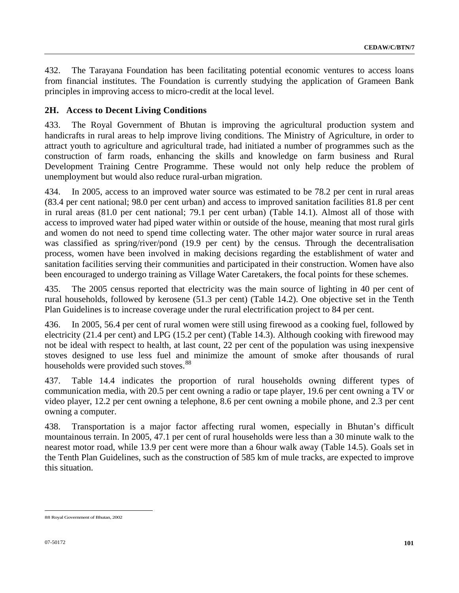432. The Tarayana Foundation has been facilitating potential economic ventures to access loans from financial institutes. The Foundation is currently studying the application of Grameen Bank principles in improving access to micro-credit at the local level.

### **2H. Access to Decent Living Conditions**

433. The Royal Government of Bhutan is improving the agricultural production system and handicrafts in rural areas to help improve living conditions. The Ministry of Agriculture, in order to attract youth to agriculture and agricultural trade, had initiated a number of programmes such as the construction of farm roads, enhancing the skills and knowledge on farm business and Rural Development Training Centre Programme. These would not only help reduce the problem of unemployment but would also reduce rural-urban migration.

434. In 2005, access to an improved water source was estimated to be 78.2 per cent in rural areas (83.4 per cent national; 98.0 per cent urban) and access to improved sanitation facilities 81.8 per cent in rural areas (81.0 per cent national; 79.1 per cent urban) (Table 14.1). Almost all of those with access to improved water had piped water within or outside of the house, meaning that most rural girls and women do not need to spend time collecting water. The other major water source in rural areas was classified as spring/river/pond (19.9 per cent) by the census. Through the decentralisation process, women have been involved in making decisions regarding the establishment of water and sanitation facilities serving their communities and participated in their construction. Women have also been encouraged to undergo training as Village Water Caretakers, the focal points for these schemes.

435. The 2005 census reported that electricity was the main source of lighting in 40 per cent of rural households, followed by kerosene (51.3 per cent) (Table 14.2). One objective set in the Tenth Plan Guidelines is to increase coverage under the rural electrification project to 84 per cent.

436. In 2005, 56.4 per cent of rural women were still using firewood as a cooking fuel, followed by electricity (21.4 per cent) and LPG (15.2 per cent) (Table 14.3). Although cooking with firewood may not be ideal with respect to health, at last count, 22 per cent of the population was using inexpensive stoves designed to use less fuel and minimize the amount of smoke after thousands of rural households were provided such stoves.<sup>[8](#page-100-0)8</sup>

437. Table 14.4 indicates the proportion of rural households owning different types of communication media, with 20.5 per cent owning a radio or tape player, 19.6 per cent owning a TV or video player, 12.2 per cent owning a telephone, 8.6 per cent owning a mobile phone, and 2.3 per cent owning a computer.

438. Transportation is a major factor affecting rural women, especially in Bhutan's difficult mountainous terrain. In 2005, 47.1 per cent of rural households were less than a 30 minute walk to the nearest motor road, while 13.9 per cent were more than a 6hour walk away (Table 14.5). Goals set in the Tenth Plan Guidelines, such as the construction of 585 km of mule tracks, are expected to improve this situation.

<span id="page-100-0"></span> $\overline{a}$ 88 Royal Government of Bhutan, 2002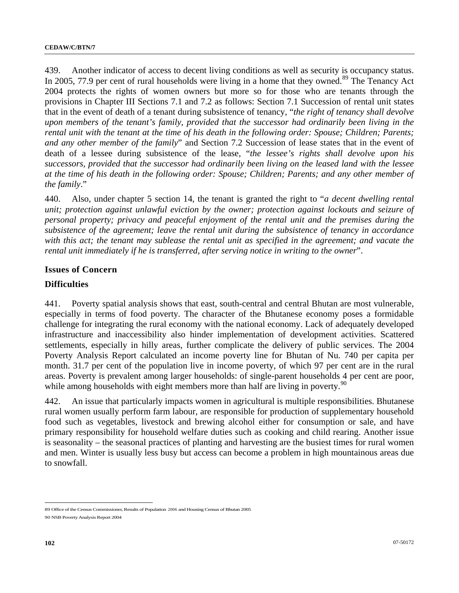439. Another indicator of access to decent living conditions as well as security is occupancy status. In 2005, 77.9 per cent of rural households were living in a home that they owned.<sup>[89](#page-101-0)</sup> The Tenancy Act 2004 protects the rights of women owners but more so for those who are tenants through the provisions in Chapter III Sections 7.1 and 7.2 as follows: Section 7.1 Succession of rental unit states that in the event of death of a tenant during subsistence of tenancy, "*the right of tenancy shall devolve upon members of the tenant's family, provided that the successor had ordinarily been living in the rental unit with the tenant at the time of his death in the following order: Spouse; Children; Parents; and any other member of the family*" and Section 7.2 Succession of lease states that in the event of death of a lessee during subsistence of the lease, "*the lessee's rights shall devolve upon his successors, provided that the successor had ordinarily been living on the leased land with the lessee at the time of his death in the following order: Spouse; Children; Parents; and any other member of the family*."

440. Also, under chapter 5 section 14, the tenant is granted the right to "*a decent dwelling rental unit; protection against unlawful eviction by the owner; protection against lockouts and seizure of personal property; privacy and peaceful enjoyment of the rental unit and the premises during the subsistence of the agreement; leave the rental unit during the subsistence of tenancy in accordance with this act; the tenant may sublease the rental unit as specified in the agreement; and vacate the rental unit immediately if he is transferred, after serving notice in writing to the owner*".

#### **Issues of Concern**

#### **Difficulties**

441. Poverty spatial analysis shows that east, south-central and central Bhutan are most vulnerable, especially in terms of food poverty. The character of the Bhutanese economy poses a formidable challenge for integrating the rural economy with the national economy. Lack of adequately developed infrastructure and inaccessibility also hinder implementation of development activities. Scattered settlements, especially in hilly areas, further complicate the delivery of public services. The 2004 Poverty Analysis Report calculated an income poverty line for Bhutan of Nu. 740 per capita per month. 31.7 per cent of the population live in income poverty, of which 97 per cent are in the rural areas. Poverty is prevalent among larger households: of single-parent households 4 per cent are poor, while among households with eight members more than half are living in poverty.<sup>[90](#page-101-1)</sup>

442. An issue that particularly impacts women in agricultural is multiple responsibilities. Bhutanese rural women usually perform farm labour, are responsible for production of supplementary household food such as vegetables, livestock and brewing alcohol either for consumption or sale, and have primary responsibility for household welfare duties such as cooking and child rearing. Another issue is seasonality – the seasonal practices of planting and harvesting are the busiest times for rural women and men. Winter is usually less busy but access can become a problem in high mountainous areas due to snowfall.

<span id="page-101-0"></span><sup>89</sup> Office of the Census Commissioner, Results of Population 2006 and Housing Census of Bhutan 2005

<span id="page-101-1"></span><sup>90</sup> NSB Poverty Analysis Report 2004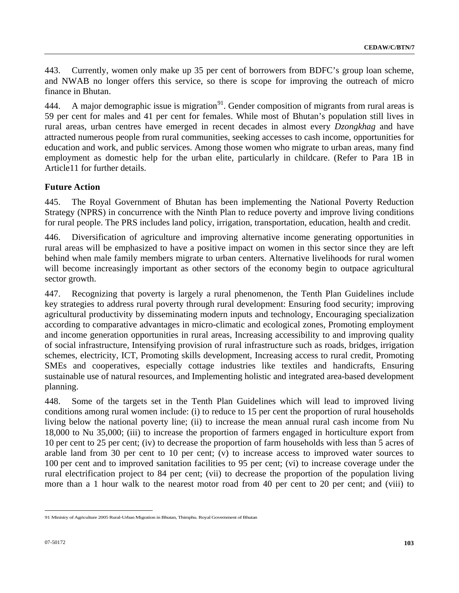443. Currently, women only make up 35 per cent of borrowers from BDFC's group loan scheme, and NWAB no longer offers this service, so there is scope for improving the outreach of micro finance in Bhutan.

444. A major demographic issue is migration<sup>[9](#page-102-0)1</sup>. Gender composition of migrants from rural areas is 59 per cent for males and 41 per cent for females. While most of Bhutan's population still lives in rural areas, urban centres have emerged in recent decades in almost every *Dzongkhag* and have attracted numerous people from rural communities, seeking accesses to cash income, opportunities for education and work, and public services. Among those women who migrate to urban areas, many find employment as domestic help for the urban elite, particularly in childcare. (Refer to Para 1B in Article11 for further details.

# **Future Action**

445. The Royal Government of Bhutan has been implementing the National Poverty Reduction Strategy (NPRS) in concurrence with the Ninth Plan to reduce poverty and improve living conditions for rural people. The PRS includes land policy, irrigation, transportation, education, health and credit.

446. Diversification of agriculture and improving alternative income generating opportunities in rural areas will be emphasized to have a positive impact on women in this sector since they are left behind when male family members migrate to urban centers. Alternative livelihoods for rural women will become increasingly important as other sectors of the economy begin to outpace agricultural sector growth.

447. Recognizing that poverty is largely a rural phenomenon, the Tenth Plan Guidelines include key strategies to address rural poverty through rural development: Ensuring food security; improving agricultural productivity by disseminating modern inputs and technology, Encouraging specialization according to comparative advantages in micro-climatic and ecological zones, Promoting employment and income generation opportunities in rural areas, Increasing accessibility to and improving quality of social infrastructure, Intensifying provision of rural infrastructure such as roads, bridges, irrigation schemes, electricity, ICT, Promoting skills development, Increasing access to rural credit, Promoting SMEs and cooperatives, especially cottage industries like textiles and handicrafts, Ensuring sustainable use of natural resources, and Implementing holistic and integrated area-based development planning.

448. Some of the targets set in the Tenth Plan Guidelines which will lead to improved living conditions among rural women include: (i) to reduce to 15 per cent the proportion of rural households living below the national poverty line; (ii) to increase the mean annual rural cash income from Nu 18,000 to Nu 35,000; (iii) to increase the proportion of farmers engaged in horticulture export from 10 per cent to 25 per cent; (iv) to decrease the proportion of farm households with less than 5 acres of arable land from 30 per cent to 10 per cent; (v) to increase access to improved water sources to 100 per cent and to improved sanitation facilities to 95 per cent; (vi) to increase coverage under the rural electrification project to 84 per cent; (vii) to decrease the proportion of the population living more than a 1 hour walk to the nearest motor road from 40 per cent to 20 per cent; and (viii) to

<span id="page-102-0"></span> $\overline{a}$ 91 Ministry of Agriculture 2005 Rural-Urban Migration in Bhutan, Thimphu. Royal Government of Bhutan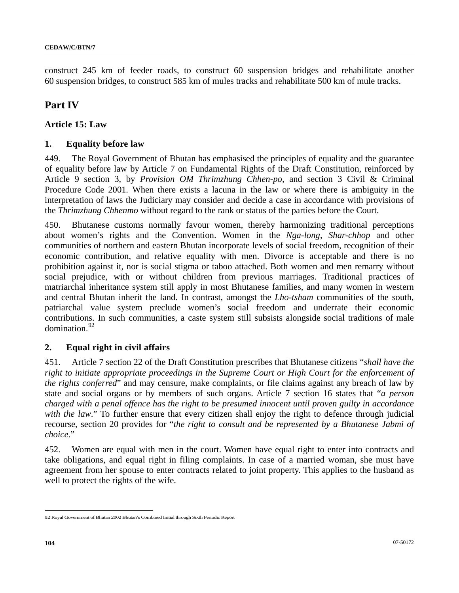construct 245 km of feeder roads, to construct 60 suspension bridges and rehabilitate another 60 suspension bridges, to construct 585 km of mules tracks and rehabilitate 500 km of mule tracks.

# **Part IV**

### **Article 15: Law**

### **1. Equality before law**

449. The Royal Government of Bhutan has emphasised the principles of equality and the guarantee of equality before law by Article 7 on Fundamental Rights of the Draft Constitution, reinforced by Article 9 section 3, by *Provision OM Thrimzhung Chhen-po,* and section 3 Civil & Criminal Procedure Code 2001*.* When there exists a lacuna in the law or where there is ambiguity in the interpretation of laws the Judiciary may consider and decide a case in accordance with provisions of the *Thrimzhung Chhenmo* without regard to the rank or status of the parties before the Court.

450. Bhutanese customs normally favour women, thereby harmonizing traditional perceptions about women's rights and the Convention. Women in the *Nga-long*, *Shar-chhop* and other communities of northern and eastern Bhutan incorporate levels of social freedom, recognition of their economic contribution, and relative equality with men. Divorce is acceptable and there is no prohibition against it, nor is social stigma or taboo attached. Both women and men remarry without social prejudice, with or without children from previous marriages. Traditional practices of matriarchal inheritance system still apply in most Bhutanese families, and many women in western and central Bhutan inherit the land. In contrast, amongst the *Lho-tsham* communities of the south, patriarchal value system preclude women's social freedom and underrate their economic contributions. In such communities, a caste system still subsists alongside social traditions of male domination.<sup>[92](#page-103-0)</sup>

### **2. Equal right in civil affairs**

451. Article 7 section 22 of the Draft Constitution prescribes that Bhutanese citizens "*shall have the right to initiate appropriate proceedings in the Supreme Court or High Court for the enforcement of the rights conferred*" and may censure, make complaints, or file claims against any breach of law by state and social organs or by members of such organs. Article 7 section 16 states that "*a person charged with a penal offence has the right to be presumed innocent until proven guilty in accordance*  with the law." To further ensure that every citizen shall enjoy the right to defence through judicial recourse, section 20 provides for "*the right to consult and be represented by a Bhutanese Jabmi of choice*."

452. Women are equal with men in the court. Women have equal right to enter into contracts and take obligations, and equal right in filing complaints. In case of a married woman, she must have agreement from her spouse to enter contracts related to joint property. This applies to the husband as well to protect the rights of the wife.

<span id="page-103-0"></span> $\overline{a}$ 92 Royal Government of Bhutan 2002 Bhutan's Combined Initial through Sixth Periodic Report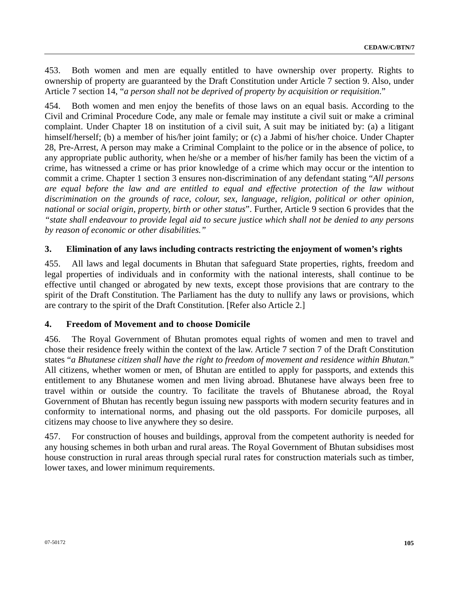453. Both women and men are equally entitled to have ownership over property. Rights to ownership of property are guaranteed by the Draft Constitution under Article 7 section 9. Also, under Article 7 section 14, "*a person shall not be deprived of property by acquisition or requisition*."

454. Both women and men enjoy the benefits of those laws on an equal basis. According to the Civil and Criminal Procedure Code, any male or female may institute a civil suit or make a criminal complaint. Under Chapter 18 on institution of a civil suit, A suit may be initiated by: (a) a litigant himself/herself; (b) a member of his/her joint family; or (c) a Jabmi of his/her choice. Under Chapter 28, Pre-Arrest, A person may make a Criminal Complaint to the police or in the absence of police, to any appropriate public authority, when he/she or a member of his/her family has been the victim of a crime, has witnessed a crime or has prior knowledge of a crime which may occur or the intention to commit a crime. Chapter 1 section 3 ensures non-discrimination of any defendant stating "*All persons are equal before the law and are entitled to equal and effective protection of the law without discrimination on the grounds of race, colour, sex, language, religion, political or other opinion, national or social origin, property, birth or other status*". Further, Article 9 section 6 provides that the *"state shall endeavour to provide legal aid to secure justice which shall not be denied to any persons by reason of economic or other disabilities."*

### **3. Elimination of any laws including contracts restricting the enjoyment of women's rights**

455. All laws and legal documents in Bhutan that safeguard State properties, rights, freedom and legal properties of individuals and in conformity with the national interests, shall continue to be effective until changed or abrogated by new texts, except those provisions that are contrary to the spirit of the Draft Constitution. The Parliament has the duty to nullify any laws or provisions, which are contrary to the spirit of the Draft Constitution. [Refer also Article 2.]

### **4. Freedom of Movement and to choose Domicile**

456. The Royal Government of Bhutan promotes equal rights of women and men to travel and chose their residence freely within the context of the law. Article 7 section 7 of the Draft Constitution states "*a Bhutanese citizen shall have the right to freedom of movement and residence within Bhutan.*" All citizens, whether women or men, of Bhutan are entitled to apply for passports, and extends this entitlement to any Bhutanese women and men living abroad. Bhutanese have always been free to travel within or outside the country. To facilitate the travels of Bhutanese abroad, the Royal Government of Bhutan has recently begun issuing new passports with modern security features and in conformity to international norms, and phasing out the old passports. For domicile purposes, all citizens may choose to live anywhere they so desire.

457. For construction of houses and buildings, approval from the competent authority is needed for any housing schemes in both urban and rural areas. The Royal Government of Bhutan subsidises most house construction in rural areas through special rural rates for construction materials such as timber, lower taxes, and lower minimum requirements.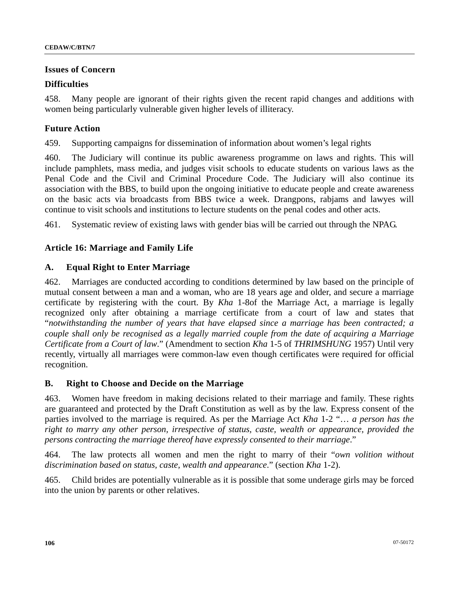#### **Issues of Concern**

#### **Difficulties**

458. Many people are ignorant of their rights given the recent rapid changes and additions with women being particularly vulnerable given higher levels of illiteracy.

### **Future Action**

459. Supporting campaigns for dissemination of information about women's legal rights

460. The Judiciary will continue its public awareness programme on laws and rights. This will include pamphlets, mass media, and judges visit schools to educate students on various laws as the Penal Code and the Civil and Criminal Procedure Code. The Judiciary will also continue its association with the BBS, to build upon the ongoing initiative to educate people and create awareness on the basic acts via broadcasts from BBS twice a week. Drangpons, rabjams and lawyes will continue to visit schools and institutions to lecture students on the penal codes and other acts.

461. Systematic review of existing laws with gender bias will be carried out through the NPAG.

#### **Article 16: Marriage and Family Life**

#### **A. Equal Right to Enter Marriage**

462. Marriages are conducted according to conditions determined by law based on the principle of mutual consent between a man and a woman, who are 18 years age and older, and secure a marriage certificate by registering with the court. By *Kha* 1-8of the Marriage Act, a marriage is legally recognized only after obtaining a marriage certificate from a court of law and states that "*notwithstanding the number of years that have elapsed since a marriage has been contracted; a couple shall only be recognised as a legally married couple from the date of acquiring a Marriage Certificate from a Court of law*." (Amendment to section *Kha* 1-5 of *THRIMSHUNG* 1957) Until very recently, virtually all marriages were common-law even though certificates were required for official recognition.

#### **B. Right to Choose and Decide on the Marriage**

463. Women have freedom in making decisions related to their marriage and family. These rights are guaranteed and protected by the Draft Constitution as well as by the law. Express consent of the parties involved to the marriage is required. As per the Marriage Act *Kha* 1-2 "… *a person has the right to marry any other person, irrespective of status, caste, wealth or appearance, provided the persons contracting the marriage thereof have expressly consented to their marriage*."

464. The law protects all women and men the right to marry of their "*own volition without discrimination based on status, caste, wealth and appearance*." (section *Kha* 1-2).

465. Child brides are potentially vulnerable as it is possible that some underage girls may be forced into the union by parents or other relatives.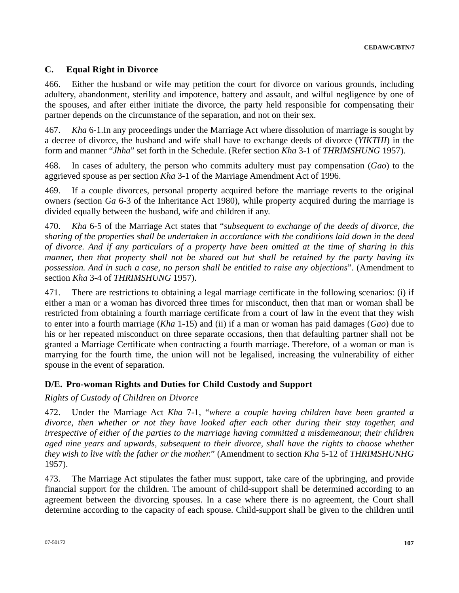# **C. Equal Right in Divorce**

466. Either the husband or wife may petition the court for divorce on various grounds, including adultery, abandonment, sterility and impotence, battery and assault, and wilful negligence by one of the spouses, and after either initiate the divorce, the party held responsible for compensating their partner depends on the circumstance of the separation, and not on their sex.

467. *Kha* 6-1.In any proceedings under the Marriage Act where dissolution of marriage is sought by a decree of divorce, the husband and wife shall have to exchange deeds of divorce (*YIKTHI*) in the form and manner "*Jhha*" set forth in the Schedule. (Refer section *Kha* 3-1 of *THRIMSHUNG* 1957).

468. In cases of adultery, the person who commits adultery must pay compensation (*Gao*) to the aggrieved spouse as per section *Kha* 3-1 of the Marriage Amendment Act of 1996.

469. If a couple divorces, personal property acquired before the marriage reverts to the original owners *(*section *Ga* 6-3 of the Inheritance Act 1980), while property acquired during the marriage is divided equally between the husband, wife and children if any.

470. *Kha* 6-5 of the Marriage Act states that "*subsequent to exchange of the deeds of divorce, the sharing of the properties shall be undertaken in accordance with the conditions laid down in the deed of divorce. And if any particulars of a property have been omitted at the time of sharing in this manner, then that property shall not be shared out but shall be retained by the party having its possession. And in such a case, no person shall be entitled to raise any objections*". (Amendment to section *Kha* 3-4 of *THRIMSHUNG* 1957).

471. There are restrictions to obtaining a legal marriage certificate in the following scenarios: (i) if either a man or a woman has divorced three times for misconduct, then that man or woman shall be restricted from obtaining a fourth marriage certificate from a court of law in the event that they wish to enter into a fourth marriage (*Kha* 1-15) and (ii) if a man or woman has paid damages (*Gao*) due to his or her repeated misconduct on three separate occasions, then that defaulting partner shall not be granted a Marriage Certificate when contracting a fourth marriage. Therefore, of a woman or man is marrying for the fourth time, the union will not be legalised, increasing the vulnerability of either spouse in the event of separation.

# **D/E. Pro-woman Rights and Duties for Child Custody and Support**

*Rights of Custody of Children on Divorce* 

472. Under the Marriage Act *Kha* 7-1, "*where a couple having children have been granted a divorce, then whether or not they have looked after each other during their stay together, and irrespective of either of the parties to the marriage having committed a misdemeanour, their children aged nine years and upwards, subsequent to their divorce, shall have the rights to choose whether they wish to live with the father or the mother.*" (Amendment to section *Kha* 5-12 of *THRIMSHUNHG* 1957).

473. The Marriage Act stipulates the father must support, take care of the upbringing, and provide financial support for the children. The amount of child-support shall be determined according to an agreement between the divorcing spouses. In a case where there is no agreement, the Court shall determine according to the capacity of each spouse. Child-support shall be given to the children until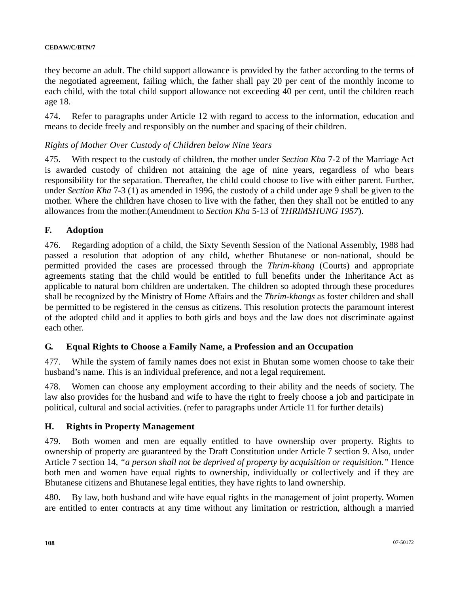they become an adult. The child support allowance is provided by the father according to the terms of the negotiated agreement, failing which, the father shall pay 20 per cent of the monthly income to each child, with the total child support allowance not exceeding 40 per cent, until the children reach age 18.

474. Refer to paragraphs under Article 12 with regard to access to the information, education and means to decide freely and responsibly on the number and spacing of their children.

#### *Rights of Mother Over Custody of Children below Nine Years*

475. With respect to the custody of children, the mother under *Section Kha* 7-2 of the Marriage Act is awarded custody of children not attaining the age of nine years, regardless of who bears responsibility for the separation. Thereafter, the child could choose to live with either parent. Further, under *Section Kha* 7-3 (1) as amended in 1996, the custody of a child under age 9 shall be given to the mother. Where the children have chosen to live with the father, then they shall not be entitled to any allowances from the mother.(Amendment to *Section Kha* 5-13 of *THRIMSHUNG 1957*).

#### **F. Adoption**

476. Regarding adoption of a child, the Sixty Seventh Session of the National Assembly, 1988 had passed a resolution that adoption of any child, whether Bhutanese or non-national, should be permitted provided the cases are processed through the *Thrim-khang* (Courts) and appropriate agreements stating that the child would be entitled to full benefits under the Inheritance Act as applicable to natural born children are undertaken. The children so adopted through these procedures shall be recognized by the Ministry of Home Affairs and the *Thrim-khangs* as foster children and shall be permitted to be registered in the census as citizens. This resolution protects the paramount interest of the adopted child and it applies to both girls and boys and the law does not discriminate against each other.

#### **G. Equal Rights to Choose a Family Name, a Profession and an Occupation**

477. While the system of family names does not exist in Bhutan some women choose to take their husband's name. This is an individual preference, and not a legal requirement.

478. Women can choose any employment according to their ability and the needs of society. The law also provides for the husband and wife to have the right to freely choose a job and participate in political, cultural and social activities. (refer to paragraphs under Article 11 for further details)

#### **H. Rights in Property Management**

479. Both women and men are equally entitled to have ownership over property. Rights to ownership of property are guaranteed by the Draft Constitution under Article 7 section 9. Also, under Article 7 section 14*, "a person shall not be deprived of property by acquisition or requisition."* Hence both men and women have equal rights to ownership, individually or collectively and if they are Bhutanese citizens and Bhutanese legal entities, they have rights to land ownership.

480. By law, both husband and wife have equal rights in the management of joint property. Women are entitled to enter contracts at any time without any limitation or restriction, although a married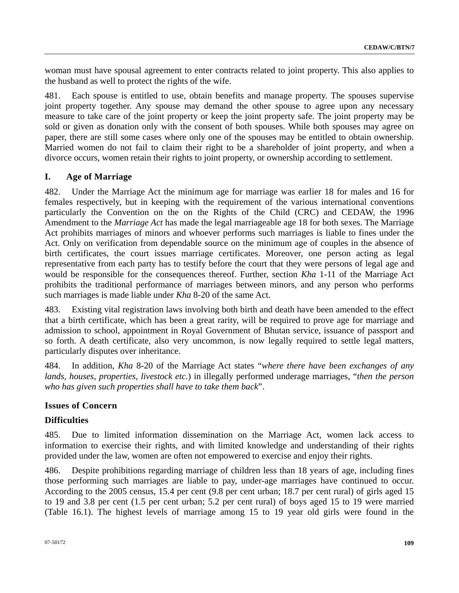woman must have spousal agreement to enter contracts related to joint property. This also applies to the husband as well to protect the rights of the wife.

481. Each spouse is entitled to use, obtain benefits and manage property. The spouses supervise joint property together. Any spouse may demand the other spouse to agree upon any necessary measure to take care of the joint property or keep the joint property safe. The joint property may be sold or given as donation only with the consent of both spouses. While both spouses may agree on paper, there are still some cases where only one of the spouses may be entitled to obtain ownership. Married women do not fail to claim their right to be a shareholder of joint property, and when a divorce occurs, women retain their rights to joint property, or ownership according to settlement.

# **I. Age of Marriage**

482. Under the Marriage Act the minimum age for marriage was earlier 18 for males and 16 for females respectively, but in keeping with the requirement of the various international conventions particularly the Convention on the on the Rights of the Child (CRC) and CEDAW, the 1996 Amendment to the *Marriage Act* has made the legal marriageable age 18 for both sexes. The Marriage Act prohibits marriages of minors and whoever performs such marriages is liable to fines under the Act. Only on verification from dependable source on the minimum age of couples in the absence of birth certificates, the court issues marriage certificates. Moreover, one person acting as legal representative from each party has to testify before the court that they were persons of legal age and would be responsible for the consequences thereof. Further, section *Kha* 1-11 of the Marriage Act prohibits the traditional performance of marriages between minors, and any person who performs such marriages is made liable under *Kha* 8-20 of the same Act.

483. Existing vital registration laws involving both birth and death have been amended to the effect that a birth certificate, which has been a great rarity, will be required to prove age for marriage and admission to school, appointment in Royal Government of Bhutan service, issuance of passport and so forth. A death certificate, also very uncommon, is now legally required to settle legal matters, particularly disputes over inheritance.

484. In addition, *Kha* 8-20 of the Marriage Act states "*where there have been exchanges of any lands, houses, properties, livestock etc.*) in illegally performed underage marriages, "*then the person who has given such properties shall have to take them back*".

# **Issues of Concern**

# **Difficulties**

485. Due to limited information dissemination on the Marriage Act, women lack access to information to exercise their rights, and with limited knowledge and understanding of their rights provided under the law, women are often not empowered to exercise and enjoy their rights.

486. Despite prohibitions regarding marriage of children less than 18 years of age, including fines those performing such marriages are liable to pay, under-age marriages have continued to occur. According to the 2005 census, 15.4 per cent (9.8 per cent urban; 18.7 per cent rural) of girls aged 15 to 19 and 3.8 per cent (1.5 per cent urban; 5.2 per cent rural) of boys aged 15 to 19 were married (Table 16.1). The highest levels of marriage among 15 to 19 year old girls were found in the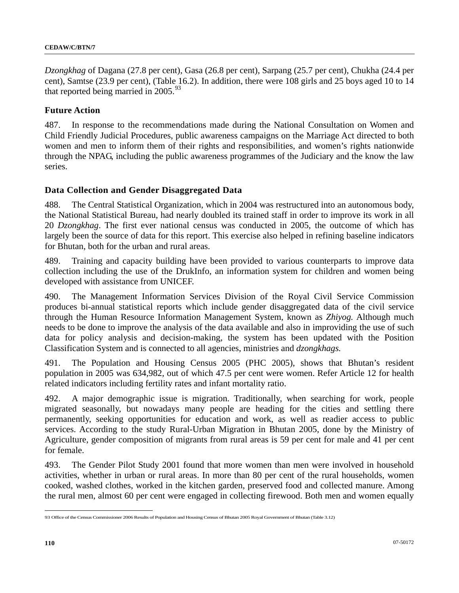*Dzongkhag* of Dagana (27.8 per cent), Gasa (26.8 per cent), Sarpang (25.7 per cent), Chukha (24.4 per cent), Samtse (23.9 per cent), (Table 16.2). In addition, there were 108 girls and 25 boys aged 10 to 14 that reported being married in  $2005.^{93}$  $2005.^{93}$  $2005.^{93}$ 

# **Future Action**

487. In response to the recommendations made during the National Consultation on Women and Child Friendly Judicial Procedures, public awareness campaigns on the Marriage Act directed to both women and men to inform them of their rights and responsibilities, and women's rights nationwide through the NPAG, including the public awareness programmes of the Judiciary and the know the law series.

# **Data Collection and Gender Disaggregated Data**

488. The Central Statistical Organization, which in 2004 was restructured into an autonomous body, the National Statistical Bureau, had nearly doubled its trained staff in order to improve its work in all 20 *Dzongkhag*. The first ever national census was conducted in 2005, the outcome of which has largely been the source of data for this report. This exercise also helped in refining baseline indicators for Bhutan, both for the urban and rural areas.

489. Training and capacity building have been provided to various counterparts to improve data collection including the use of the DrukInfo, an information system for children and women being developed with assistance from UNICEF.

490. The Management Information Services Division of the Royal Civil Service Commission produces bi-annual statistical reports which include gender disaggregated data of the civil service through the Human Resource Information Management System, known as *Zhiyog.* Although much needs to be done to improve the analysis of the data available and also in improviding the use of such data for policy analysis and decision-making, the system has been updated with the Position Classification System and is connected to all agencies, ministries and *dzongkhags.*

491. The Population and Housing Census 2005 (PHC 2005), shows that Bhutan's resident population in 2005 was 634,982, out of which 47.5 per cent were women. Refer Article 12 for health related indicators including fertility rates and infant mortality ratio.

492. A major demographic issue is migration. Traditionally, when searching for work, people migrated seasonally, but nowadays many people are heading for the cities and settling there permanently, seeking opportunities for education and work, as well as readier access to public services. According to the study Rural-Urban Migration in Bhutan 2005, done by the Ministry of Agriculture, gender composition of migrants from rural areas is 59 per cent for male and 41 per cent for female.

493. The Gender Pilot Study 2001 found that more women than men were involved in household activities, whether in urban or rural areas. In more than 80 per cent of the rural households, women cooked, washed clothes, worked in the kitchen garden, preserved food and collected manure. Among the rural men, almost 60 per cent were engaged in collecting firewood. Both men and women equally

 $\overline{a}$ 

<span id="page-109-0"></span><sup>93</sup> Office of the Census Commissioner 2006 Results of Population and Housing Census of Bhutan 2005 Royal Government of Bhutan (Table 3.12)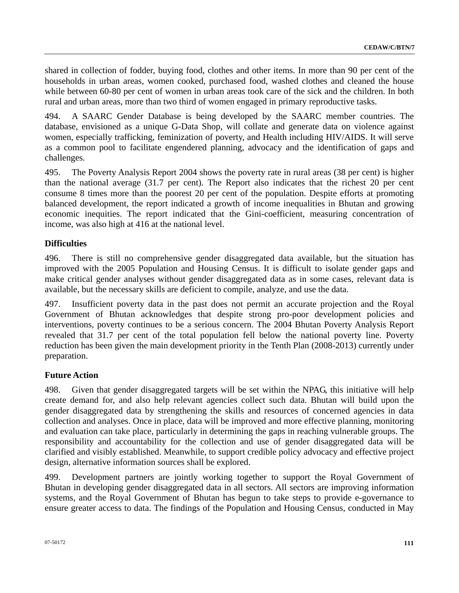shared in collection of fodder, buying food, clothes and other items. In more than 90 per cent of the households in urban areas, women cooked, purchased food, washed clothes and cleaned the house while between 60-80 per cent of women in urban areas took care of the sick and the children. In both rural and urban areas, more than two third of women engaged in primary reproductive tasks.

494. A SAARC Gender Database is being developed by the SAARC member countries. The database, envisioned as a unique G-Data Shop, will collate and generate data on violence against women, especially trafficking, feminization of poverty, and Health including HIV/AIDS. It will serve as a common pool to facilitate engendered planning, advocacy and the identification of gaps and challenges.

495. The Poverty Analysis Report 2004 shows the poverty rate in rural areas (38 per cent) is higher than the national average (31.7 per cent). The Report also indicates that the richest 20 per cent consume 8 times more than the poorest 20 per cent of the population. Despite efforts at promoting balanced development, the report indicated a growth of income inequalities in Bhutan and growing economic inequities. The report indicated that the Gini-coefficient, measuring concentration of income, was also high at 416 at the national level.

# **Difficulties**

496. There is still no comprehensive gender disaggregated data available, but the situation has improved with the 2005 Population and Housing Census. It is difficult to isolate gender gaps and make critical gender analyses without gender disaggregated data as in some cases, relevant data is available, but the necessary skills are deficient to compile, analyze, and use the data.

497. Insufficient poverty data in the past does not permit an accurate projection and the Royal Government of Bhutan acknowledges that despite strong pro-poor development policies and interventions, poverty continues to be a serious concern. The 2004 Bhutan Poverty Analysis Report revealed that 31.7 per cent of the total population fell below the national poverty line. Poverty reduction has been given the main development priority in the Tenth Plan (2008-2013) currently under preparation.

# **Future Action**

498. Given that gender disaggregated targets will be set within the NPAG, this initiative will help create demand for, and also help relevant agencies collect such data. Bhutan will build upon the gender disaggregated data by strengthening the skills and resources of concerned agencies in data collection and analyses. Once in place, data will be improved and more effective planning, monitoring and evaluation can take place, particularly in determining the gaps in reaching vulnerable groups. The responsibility and accountability for the collection and use of gender disaggregated data will be clarified and visibly established. Meanwhile, to support credible policy advocacy and effective project design, alternative information sources shall be explored.

499. Development partners are jointly working together to support the Royal Government of Bhutan in developing gender disaggregated data in all sectors. All sectors are improving information systems, and the Royal Government of Bhutan has begun to take steps to provide e-governance to ensure greater access to data. The findings of the Population and Housing Census, conducted in May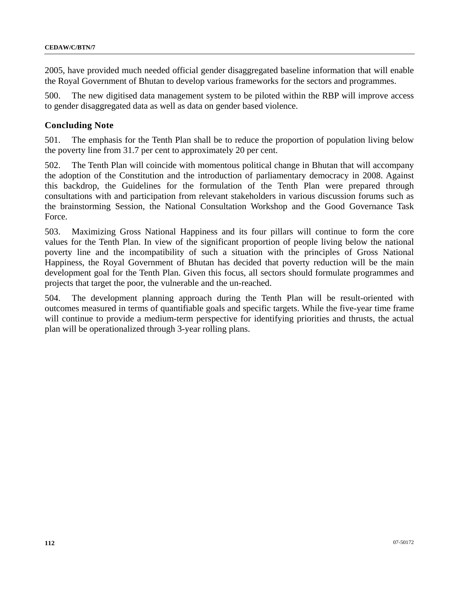2005, have provided much needed official gender disaggregated baseline information that will enable the Royal Government of Bhutan to develop various frameworks for the sectors and programmes.

500. The new digitised data management system to be piloted within the RBP will improve access to gender disaggregated data as well as data on gender based violence.

## **Concluding Note**

501. The emphasis for the Tenth Plan shall be to reduce the proportion of population living below the poverty line from 31.7 per cent to approximately 20 per cent.

502. The Tenth Plan will coincide with momentous political change in Bhutan that will accompany the adoption of the Constitution and the introduction of parliamentary democracy in 2008. Against this backdrop, the Guidelines for the formulation of the Tenth Plan were prepared through consultations with and participation from relevant stakeholders in various discussion forums such as the brainstorming Session, the National Consultation Workshop and the Good Governance Task Force.

503. Maximizing Gross National Happiness and its four pillars will continue to form the core values for the Tenth Plan. In view of the significant proportion of people living below the national poverty line and the incompatibility of such a situation with the principles of Gross National Happiness, the Royal Government of Bhutan has decided that poverty reduction will be the main development goal for the Tenth Plan. Given this focus, all sectors should formulate programmes and projects that target the poor, the vulnerable and the un-reached.

504. The development planning approach during the Tenth Plan will be result-oriented with outcomes measured in terms of quantifiable goals and specific targets. While the five-year time frame will continue to provide a medium-term perspective for identifying priorities and thrusts, the actual plan will be operationalized through 3-year rolling plans.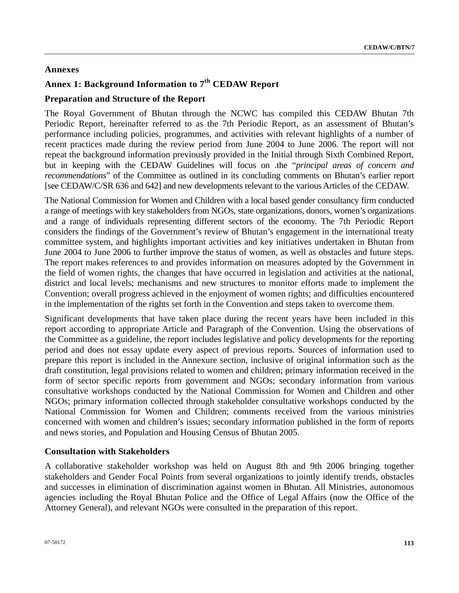# **Annexes**

# **Annex 1: Background Information to 7th CEDAW Report**

# **Preparation and Structure of the Report**

The Royal Government of Bhutan through the NCWC has compiled this CEDAW Bhutan 7th Periodic Report, hereinafter referred to as the 7th Periodic Report, as an assessment of Bhutan's performance including policies, programmes, and activities with relevant highlights of a number of recent practices made during the review period from June 2004 to June 2006. The report will not repeat the background information previously provided in the Initial through Sixth Combined Report, but in keeping with the CEDAW Guidelines will focus on .the "*principal areas of concern and recommendations*" of the Committee as outlined in its concluding comments on Bhutan's earlier report [see CEDAW/C/SR 636 and 642] and new developments relevant to the various Articles of the CEDAW.

The National Commission for Women and Children with a local based gender consultancy firm conducted a range of meetings with key stakeholders from NGOs, state organizations, donors, women's organizations and a range of individuals representing different sectors of the economy. The 7th Periodic Report considers the findings of the Government's review of Bhutan's engagement in the international treaty committee system, and highlights important activities and key initiatives undertaken in Bhutan from June 2004 to June 2006 to further improve the status of women, as well as obstacles and future steps. The report makes references to and provides information on measures adopted by the Government in the field of women rights, the changes that have occurred in legislation and activities at the national, district and local levels; mechanisms and new structures to monitor efforts made to implement the Convention; overall progress achieved in the enjoyment of women rights; and difficulties encountered in the implementation of the rights set forth in the Convention and steps taken to overcome them.

Significant developments that have taken place during the recent years have been included in this report according to appropriate Article and Paragraph of the Convention. Using the observations of the Committee as a guideline, the report includes legislative and policy developments for the reporting period and does not essay update every aspect of previous reports. Sources of information used to prepare this report is included in the Annexure section, inclusive of original information such as the draft constitution, legal provisions related to women and children; primary information received in the form of sector specific reports from government and NGOs; secondary information from various consultative workshops conducted by the National Commission for Women and Children and other NGOs; primary information collected through stakeholder consultative workshops conducted by the National Commission for Women and Children; comments received from the various ministries concerned with women and children's issues; secondary information published in the form of reports and news stories, and Population and Housing Census of Bhutan 2005.

# **Consultation with Stakeholders**

A collaborative stakeholder workshop was held on August 8th and 9th 2006 bringing together stakeholders and Gender Focal Points from several organizations to jointly identify trends, obstacles and successes in elimination of discrimination against women in Bhutan. All Ministries, autonomous agencies including the Royal Bhutan Police and the Office of Legal Affairs (now the Office of the Attorney General), and relevant NGOs were consulted in the preparation of this report.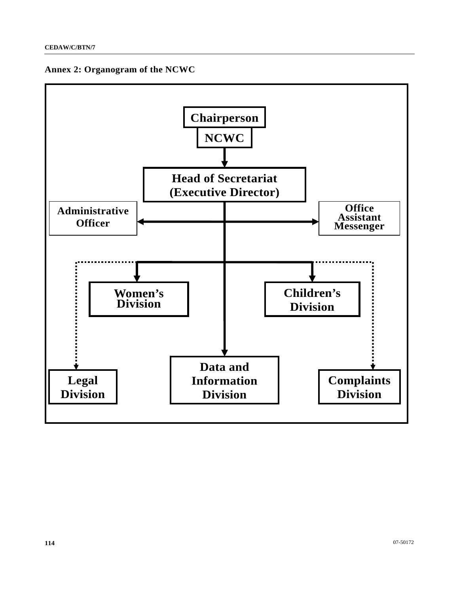

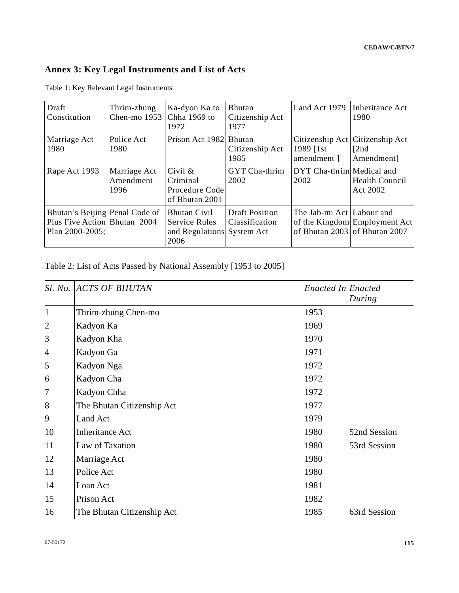# **Annex 3: Key Legal Instruments and List of Acts**

| Draft<br>Constitution                                                             | Thrim-zhung<br>Chen-mo 1953       | Ka-dyon Ka to<br>Chha 1969 to<br>1972                                             | Bhutan<br>Citizenship Act<br>1977       | Land Act 1979                                | Inheritance Act<br>1980                                        |
|-----------------------------------------------------------------------------------|-----------------------------------|-----------------------------------------------------------------------------------|-----------------------------------------|----------------------------------------------|----------------------------------------------------------------|
| Marriage Act<br>1980                                                              | Police Act<br>1980                | Prison Act 1982 Bhutan                                                            | Citizenship Act<br>1985                 | Citizenship Act<br>1989 [1st]<br>amendment 1 | Citizenship Act<br>[2nd]<br>Amendment]                         |
| Rape Act 1993                                                                     | Marriage Act<br>Amendment<br>1996 | Civil $\&$<br>Criminal<br>Procedure Code<br>of Bhutan 2001                        | GYT Cha-thrim<br>2002                   | DYT Cha-thrim Medical and<br>2002            | <b>Health Council</b><br>Act 2002                              |
| Bhutan's Beijing Penal Code of<br>Plus Five Action Bhutan 2004<br>Plan 2000-2005; |                                   | <b>Bhutan Civil</b><br><b>Service Rules</b><br>and Regulations System Act<br>2006 | <b>Draft Position</b><br>Classification | The Jab-mi Act Labour and                    | of the Kingdom Employment Act<br>of Bhutan 2003 of Bhutan 2007 |

Table 2: List of Acts Passed by National Assembly [1953 to 2005]

|                | Sl. No. ACTS OF BHUTAN     | <b>Enacted In Enacted</b> |
|----------------|----------------------------|---------------------------|
|                |                            | During                    |
| $\mathbf{1}$   | Thrim-zhung Chen-mo        | 1953                      |
| $\overline{2}$ | Kadyon Ka                  | 1969                      |
| 3              | Kadyon Kha                 | 1970                      |
| $\overline{4}$ | Kadyon Ga                  | 1971                      |
| 5              | Kadyon Nga                 | 1972                      |
| 6              | Kadyon Cha                 | 1972                      |
| 7              | Kadyon Chha                | 1972                      |
| 8              | The Bhutan Citizenship Act | 1977                      |
| 9              | Land Act                   | 1979                      |
| 10             | <b>Inheritance Act</b>     | 1980<br>52nd Session      |
| 11             | Law of Taxation            | 1980<br>53rd Session      |
| 12             | Marriage Act               | 1980                      |
| 13             | Police Act                 | 1980                      |
| 14             | Loan Act                   | 1981                      |
| 15             | Prison Act                 | 1982                      |
| 16             | The Bhutan Citizenship Act | 1985<br>63rd Session      |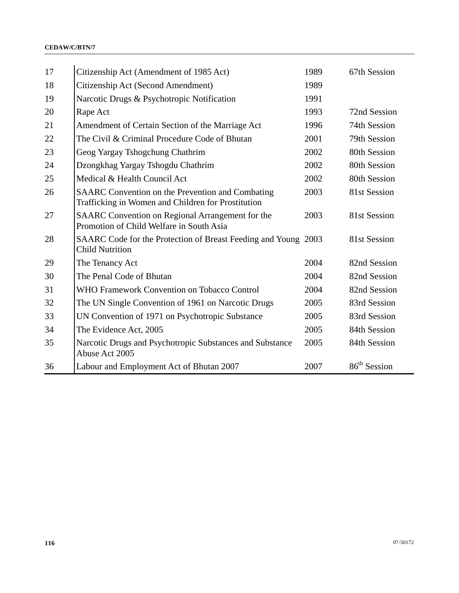| 17 | Citizenship Act (Amendment of 1985 Act)                                                                       | 1989 | 67th Session             |
|----|---------------------------------------------------------------------------------------------------------------|------|--------------------------|
| 18 | Citizenship Act (Second Amendment)                                                                            | 1989 |                          |
| 19 | Narcotic Drugs & Psychotropic Notification                                                                    | 1991 |                          |
| 20 | Rape Act                                                                                                      | 1993 | 72nd Session             |
| 21 | Amendment of Certain Section of the Marriage Act                                                              | 1996 | 74th Session             |
| 22 | The Civil & Criminal Procedure Code of Bhutan                                                                 | 2001 | 79th Session             |
| 23 | Geog Yargay Tshogchung Chathrim                                                                               | 2002 | 80th Session             |
| 24 | Dzongkhag Yargay Tshogdu Chathrim                                                                             | 2002 | 80th Session             |
| 25 | Medical & Health Council Act                                                                                  | 2002 | 80th Session             |
| 26 | <b>SAARC</b> Convention on the Prevention and Combating<br>Trafficking in Women and Children for Prostitution | 2003 | 81st Session             |
| 27 | SAARC Convention on Regional Arrangement for the<br>Promotion of Child Welfare in South Asia                  | 2003 | 81st Session             |
| 28 | SAARC Code for the Protection of Breast Feeding and Young 2003<br><b>Child Nutrition</b>                      |      | 81st Session             |
| 29 | The Tenancy Act                                                                                               | 2004 | 82nd Session             |
| 30 | The Penal Code of Bhutan                                                                                      | 2004 | 82nd Session             |
| 31 | <b>WHO Framework Convention on Tobacco Control</b>                                                            | 2004 | 82nd Session             |
| 32 | The UN Single Convention of 1961 on Narcotic Drugs                                                            | 2005 | 83rd Session             |
| 33 | UN Convention of 1971 on Psychotropic Substance                                                               | 2005 | 83rd Session             |
| 34 | The Evidence Act, 2005                                                                                        | 2005 | 84th Session             |
| 35 | Narcotic Drugs and Psychotropic Substances and Substance<br>Abuse Act 2005                                    | 2005 | 84th Session             |
| 36 | Labour and Employment Act of Bhutan 2007                                                                      | 2007 | 86 <sup>th</sup> Session |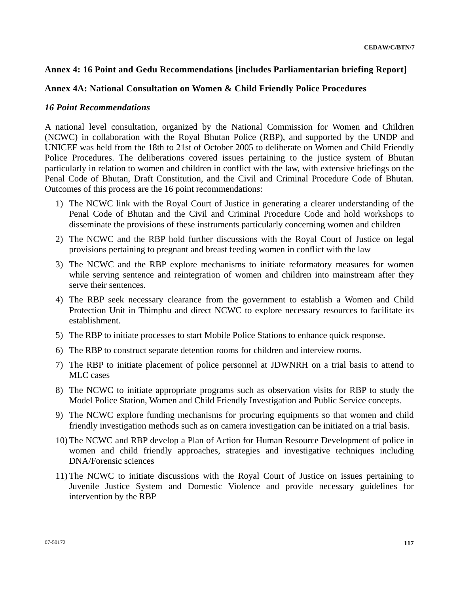# **Annex 4: 16 Point and Gedu Recommendations [includes Parliamentarian briefing Report]**

# **Annex 4A: National Consultation on Women & Child Friendly Police Procedures**

## *16 Point Recommendations*

A national level consultation, organized by the National Commission for Women and Children (NCWC) in collaboration with the Royal Bhutan Police (RBP), and supported by the UNDP and UNICEF was held from the 18th to 21st of October 2005 to deliberate on Women and Child Friendly Police Procedures. The deliberations covered issues pertaining to the justice system of Bhutan particularly in relation to women and children in conflict with the law, with extensive briefings on the Penal Code of Bhutan, Draft Constitution, and the Civil and Criminal Procedure Code of Bhutan. Outcomes of this process are the 16 point recommendations:

- 1) The NCWC link with the Royal Court of Justice in generating a clearer understanding of the Penal Code of Bhutan and the Civil and Criminal Procedure Code and hold workshops to disseminate the provisions of these instruments particularly concerning women and children
- 2) The NCWC and the RBP hold further discussions with the Royal Court of Justice on legal provisions pertaining to pregnant and breast feeding women in conflict with the law
- 3) The NCWC and the RBP explore mechanisms to initiate reformatory measures for women while serving sentence and reintegration of women and children into mainstream after they serve their sentences.
- 4) The RBP seek necessary clearance from the government to establish a Women and Child Protection Unit in Thimphu and direct NCWC to explore necessary resources to facilitate its establishment.
- 5) The RBP to initiate processes to start Mobile Police Stations to enhance quick response.
- 6) The RBP to construct separate detention rooms for children and interview rooms.
- 7) The RBP to initiate placement of police personnel at JDWNRH on a trial basis to attend to MLC cases
- 8) The NCWC to initiate appropriate programs such as observation visits for RBP to study the Model Police Station, Women and Child Friendly Investigation and Public Service concepts.
- 9) The NCWC explore funding mechanisms for procuring equipments so that women and child friendly investigation methods such as on camera investigation can be initiated on a trial basis.
- 10) The NCWC and RBP develop a Plan of Action for Human Resource Development of police in women and child friendly approaches, strategies and investigative techniques including DNA/Forensic sciences
- 11) The NCWC to initiate discussions with the Royal Court of Justice on issues pertaining to Juvenile Justice System and Domestic Violence and provide necessary guidelines for intervention by the RBP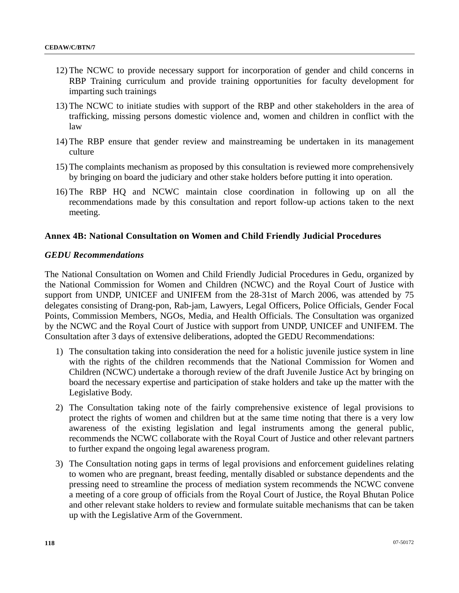- 12) The NCWC to provide necessary support for incorporation of gender and child concerns in RBP Training curriculum and provide training opportunities for faculty development for imparting such trainings
- 13) The NCWC to initiate studies with support of the RBP and other stakeholders in the area of trafficking, missing persons domestic violence and, women and children in conflict with the law
- 14) The RBP ensure that gender review and mainstreaming be undertaken in its management culture
- 15) The complaints mechanism as proposed by this consultation is reviewed more comprehensively by bringing on board the judiciary and other stake holders before putting it into operation.
- 16) The RBP HQ and NCWC maintain close coordination in following up on all the recommendations made by this consultation and report follow-up actions taken to the next meeting.

# **Annex 4B: National Consultation on Women and Child Friendly Judicial Procedures**

## *GEDU Recommendations*

The National Consultation on Women and Child Friendly Judicial Procedures in Gedu, organized by the National Commission for Women and Children (NCWC) and the Royal Court of Justice with support from UNDP, UNICEF and UNIFEM from the 28-31st of March 2006, was attended by 75 delegates consisting of Drang-pon, Rab-jam, Lawyers, Legal Officers, Police Officials, Gender Focal Points, Commission Members, NGOs, Media, and Health Officials. The Consultation was organized by the NCWC and the Royal Court of Justice with support from UNDP, UNICEF and UNIFEM. The Consultation after 3 days of extensive deliberations, adopted the GEDU Recommendations:

- 1) The consultation taking into consideration the need for a holistic juvenile justice system in line with the rights of the children recommends that the National Commission for Women and Children (NCWC) undertake a thorough review of the draft Juvenile Justice Act by bringing on board the necessary expertise and participation of stake holders and take up the matter with the Legislative Body.
- 2) The Consultation taking note of the fairly comprehensive existence of legal provisions to protect the rights of women and children but at the same time noting that there is a very low awareness of the existing legislation and legal instruments among the general public, recommends the NCWC collaborate with the Royal Court of Justice and other relevant partners to further expand the ongoing legal awareness program.
- 3) The Consultation noting gaps in terms of legal provisions and enforcement guidelines relating to women who are pregnant, breast feeding, mentally disabled or substance dependents and the pressing need to streamline the process of mediation system recommends the NCWC convene a meeting of a core group of officials from the Royal Court of Justice, the Royal Bhutan Police and other relevant stake holders to review and formulate suitable mechanisms that can be taken up with the Legislative Arm of the Government.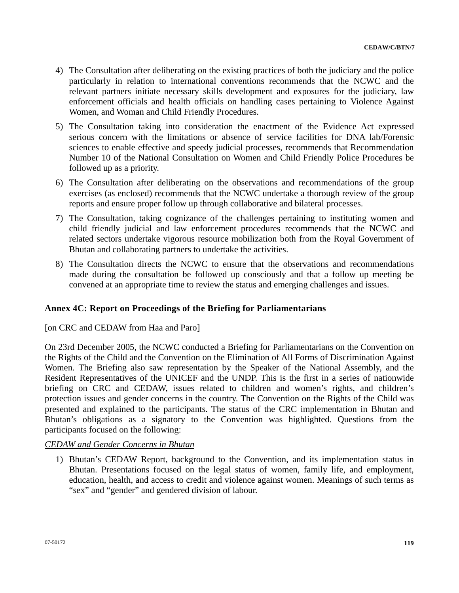- 4) The Consultation after deliberating on the existing practices of both the judiciary and the police particularly in relation to international conventions recommends that the NCWC and the relevant partners initiate necessary skills development and exposures for the judiciary, law enforcement officials and health officials on handling cases pertaining to Violence Against Women, and Woman and Child Friendly Procedures.
- 5) The Consultation taking into consideration the enactment of the Evidence Act expressed serious concern with the limitations or absence of service facilities for DNA lab/Forensic sciences to enable effective and speedy judicial processes, recommends that Recommendation Number 10 of the National Consultation on Women and Child Friendly Police Procedures be followed up as a priority.
- 6) The Consultation after deliberating on the observations and recommendations of the group exercises (as enclosed) recommends that the NCWC undertake a thorough review of the group reports and ensure proper follow up through collaborative and bilateral processes.
- 7) The Consultation, taking cognizance of the challenges pertaining to instituting women and child friendly judicial and law enforcement procedures recommends that the NCWC and related sectors undertake vigorous resource mobilization both from the Royal Government of Bhutan and collaborating partners to undertake the activities.
- 8) The Consultation directs the NCWC to ensure that the observations and recommendations made during the consultation be followed up consciously and that a follow up meeting be convened at an appropriate time to review the status and emerging challenges and issues.

# **Annex 4C: Report on Proceedings of the Briefing for Parliamentarians**

[on CRC and CEDAW from Haa and Paro]

On 23rd December 2005, the NCWC conducted a Briefing for Parliamentarians on the Convention on the Rights of the Child and the Convention on the Elimination of All Forms of Discrimination Against Women. The Briefing also saw representation by the Speaker of the National Assembly, and the Resident Representatives of the UNICEF and the UNDP. This is the first in a series of nationwide briefing on CRC and CEDAW, issues related to children and women's rights, and children's protection issues and gender concerns in the country. The Convention on the Rights of the Child was presented and explained to the participants. The status of the CRC implementation in Bhutan and Bhutan's obligations as a signatory to the Convention was highlighted. Questions from the participants focused on the following:

# *CEDAW and Gender Concerns in Bhutan*

1) Bhutan's CEDAW Report, background to the Convention, and its implementation status in Bhutan. Presentations focused on the legal status of women, family life, and employment, education, health, and access to credit and violence against women. Meanings of such terms as "sex" and "gender" and gendered division of labour.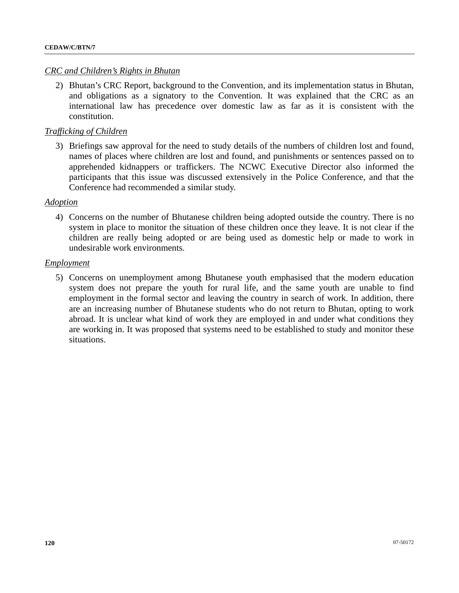## *CRC and Children's Rights in Bhutan*

2) Bhutan's CRC Report, background to the Convention, and its implementation status in Bhutan, and obligations as a signatory to the Convention. It was explained that the CRC as an international law has precedence over domestic law as far as it is consistent with the constitution.

## *Trafficking of Children*

3) Briefings saw approval for the need to study details of the numbers of children lost and found, names of places where children are lost and found, and punishments or sentences passed on to apprehended kidnappers or traffickers. The NCWC Executive Director also informed the participants that this issue was discussed extensively in the Police Conference, and that the Conference had recommended a similar study.

### *Adoption*

4) Concerns on the number of Bhutanese children being adopted outside the country. There is no system in place to monitor the situation of these children once they leave. It is not clear if the children are really being adopted or are being used as domestic help or made to work in undesirable work environments.

### *Employment*

5) Concerns on unemployment among Bhutanese youth emphasised that the modern education system does not prepare the youth for rural life, and the same youth are unable to find employment in the formal sector and leaving the country in search of work. In addition, there are an increasing number of Bhutanese students who do not return to Bhutan, opting to work abroad. It is unclear what kind of work they are employed in and under what conditions they are working in. It was proposed that systems need to be established to study and monitor these situations.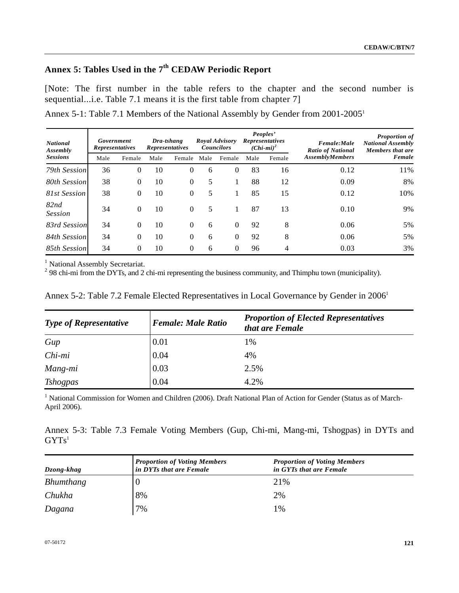# **Annex 5: Tables Used in the 7th CEDAW Periodic Report**

[Note: The first number in the table refers to the chapter and the second number is sequential...i.e. Table 7.1 means it is the first table from chapter 7]

| Annex 5-1: Table 7.1 Members of the National Assembly by Gender from 2001-2005 <sup>1</sup> |  |
|---------------------------------------------------------------------------------------------|--|
|---------------------------------------------------------------------------------------------|--|

| <b>National</b><br>Assembly | Government<br><b>Representatives</b> |          |      | Dra-tshang<br><b>Representatives</b> |      | <b>Royal Advisory</b><br><b>Councilors</b> |      | Peoples'<br><b>Representatives</b><br>$(Chi-mi)^2$ | Female:Male<br><b>Ratio of National</b> | <b>Proportion of</b><br><b>National Assembly</b><br>Members that are |  |
|-----------------------------|--------------------------------------|----------|------|--------------------------------------|------|--------------------------------------------|------|----------------------------------------------------|-----------------------------------------|----------------------------------------------------------------------|--|
| <b>Sessions</b>             | Male                                 | Female   | Male | Female                               | Male | Female                                     | Male | Female                                             | <b>AssemblyMembers</b>                  | Female                                                               |  |
| 79th Session                | 36                                   | $\Omega$ | 10   | $\Omega$                             | 6    | $\Omega$                                   | 83   | 16                                                 | 0.12                                    | 11%                                                                  |  |
| 80th Session                | 38                                   | $\Omega$ | 10   | $\Omega$                             | 5    |                                            | 88   | 12                                                 | 0.09                                    | 8%                                                                   |  |
| 81st Session                | 38                                   | $\Omega$ | 10   | $\Omega$                             | 5    | 1                                          | 85   | 15                                                 | 0.12                                    | 10%                                                                  |  |
| 82nd<br><b>Session</b>      | 34                                   | $\Omega$ | 10   | $\Omega$                             | 5    |                                            | 87   | 13                                                 | 0.10                                    | 9%                                                                   |  |
| 83rd Session                | 34                                   | $\Omega$ | 10   | $\Omega$                             | 6    | $\Omega$                                   | 92   | 8                                                  | 0.06                                    | 5%                                                                   |  |
| 84th Session                | 34                                   | $\Omega$ | 10   | $\Omega$                             | 6    | $\Omega$                                   | 92   | 8                                                  | 0.06                                    | 5%                                                                   |  |
| 85th Session                | 34                                   | $\Omega$ | 10   | $\Omega$                             | 6    | $\Omega$                                   | 96   | 4                                                  | 0.03                                    | 3%                                                                   |  |

<sup>1</sup> National Assembly Secretariat.

 $2^{2}$  98 chi-mi from the DYTs, and 2 chi-mi representing the business community, and Thimphu town (municipality).

| <b>Type of Representative</b> | <b>Female: Male Ratio</b> | <b>Proportion of Elected Representatives</b><br>that are Female |
|-------------------------------|---------------------------|-----------------------------------------------------------------|
| Gup                           | 0.01                      | 1%                                                              |
| Chi-mi                        | 0.04                      | 4%                                                              |
| Mang-mi                       | 0.03                      | 2.5%                                                            |
| <b>Tshogpas</b>               | 0.04                      | 4.2%                                                            |

Annex 5-2: Table 7.2 Female Elected Representatives in Local Governance by Gender in 2006<sup>1</sup>

<sup>1</sup> National Commission for Women and Children (2006). Draft National Plan of Action for Gender (Status as of March-April 2006).

Annex 5-3: Table 7.3 Female Voting Members (Gup, Chi-mi, Mang-mi, Tshogpas) in DYTs and  $GYTS<sup>1</sup>$ 

| Dzong-khag | <b>Proportion of Voting Members</b><br>in DYTs that are Female | <b>Proportion of Voting Members</b><br>in GYTs that are Female |
|------------|----------------------------------------------------------------|----------------------------------------------------------------|
| Bhumthang  |                                                                | 21%                                                            |
| Chukha     | 8%                                                             | 2%                                                             |
| Dagana     | 7%                                                             | 1%                                                             |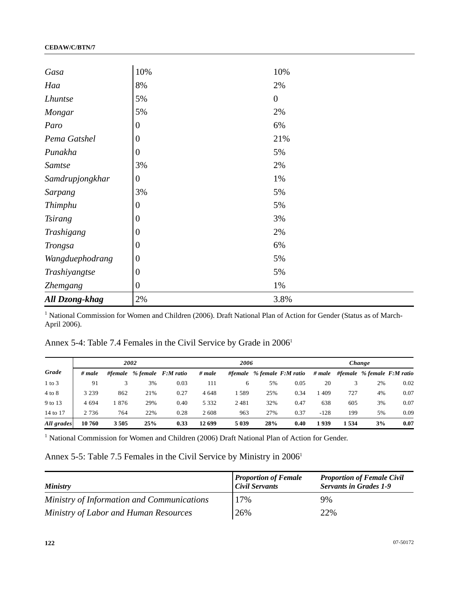| Gasa                  | 10%              | 10%              |
|-----------------------|------------------|------------------|
| Haa                   | 8%               | 2%               |
| <b>Lhuntse</b>        | 5%               | $\boldsymbol{0}$ |
| Mongar                | 5%               | 2%               |
| Paro                  | $\boldsymbol{0}$ | 6%               |
| Pema Gatshel          | $\boldsymbol{0}$ | 21%              |
| Punakha               | $\boldsymbol{0}$ | 5%               |
| Samtse                | 3%               | 2%               |
| Samdrupjongkhar       | $\boldsymbol{0}$ | 1%               |
| <b>Sarpang</b>        | 3%               | 5%               |
| Thimphu               | $\boldsymbol{0}$ | 5%               |
| <b>Tsirang</b>        | $\boldsymbol{0}$ | 3%               |
| Trashigang            | $\boldsymbol{0}$ | 2%               |
| <b>Trongsa</b>        | $\boldsymbol{0}$ | 6%               |
| Wangduephodrang       | $\boldsymbol{0}$ | 5%               |
| Trashiyangtse         | $\boldsymbol{0}$ | 5%               |
| <b>Zhemgang</b>       | $\boldsymbol{0}$ | 1%               |
| <b>All Dzong-khag</b> | $2\%$            | 3.8%             |

<sup>1</sup> National Commission for Women and Children (2006). Draft National Plan of Action for Gender (Status as of March-April 2006).

Annex 5-4: Table 7.4 Females in the Civil Service by Grade in 2006<sup>1</sup>

|            | 2002    |         |     |                    | 2006    |         |     |                                 | Change |      |    |                                |
|------------|---------|---------|-----|--------------------|---------|---------|-----|---------------------------------|--------|------|----|--------------------------------|
| Grade      | # male  | #female |     | % female F:M ratio | # male  |         |     | #female $%$ female $F$ :M ratio | # male |      |    | #female $%$ female $F:M$ ratio |
| $1$ to $3$ | 91      |         | 3%  | 0.03               | 111     | 6       | 5%  | 0.05                            | 20     |      | 2% | 0.02                           |
| $4$ to $8$ | 3 2 3 9 | 862     | 21% | 0.27               | 4648    | 1 589   | 25% | 0.34                            | l 409  | 727  | 4% | 0.07                           |
| 9 to 13    | 4 6 9 4 | 876     | 29% | 0.40               | 5 3 3 2 | 2481    | 32% | 0.47                            | 638    | 605  | 3% | 0.07                           |
| 14 to 17   | 2 7 3 6 | 764     | 22% | 0.28               | 2608    | 963     | 27% | 0.37                            | $-128$ | 199  | 5% | 0.09                           |
| All grades | 10 760  | 3505    | 25% | 0.33               | 12 699  | 5 0 3 9 | 28% | 0.40                            | 1939   | 1534 | 3% | 0.07                           |

<sup>1</sup> National Commission for Women and Children (2006) Draft National Plan of Action for Gender.

# Annex 5-5: Table 7.5 Females in the Civil Service by Ministry in 2006<sup>1</sup>

| <b>Ministry</b>                            | <b>Proportion of Female</b><br><b>Civil Servants</b> | <b>Proportion of Female Civil</b><br><b>Servants in Grades 1-9</b> |
|--------------------------------------------|------------------------------------------------------|--------------------------------------------------------------------|
| Ministry of Information and Communications | 17%                                                  | 9%                                                                 |
| Ministry of Labor and Human Resources      | 26%                                                  | 22%                                                                |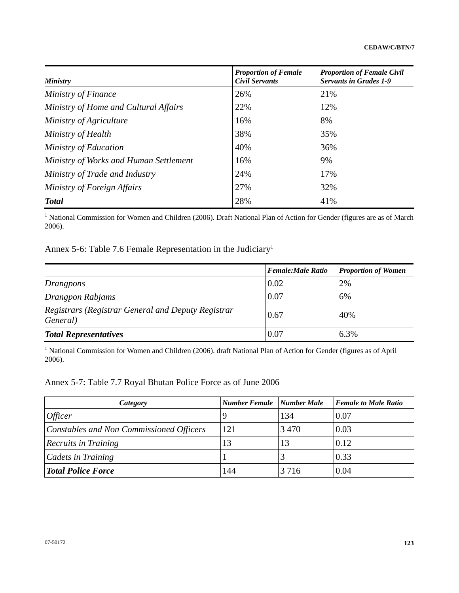| <b>Ministry</b>                        | <b>Proportion of Female</b><br>Civil Servants | <b>Proportion of Female Civil</b><br><b>Servants in Grades 1-9</b> |
|----------------------------------------|-----------------------------------------------|--------------------------------------------------------------------|
| Ministry of Finance                    | 26%                                           | 21%                                                                |
| Ministry of Home and Cultural Affairs  | 22%                                           | 12%                                                                |
| Ministry of Agriculture                | 16%                                           | 8%                                                                 |
| Ministry of Health                     | 38%                                           | 35%                                                                |
| Ministry of Education                  | 40%                                           | 36%                                                                |
| Ministry of Works and Human Settlement | 16%                                           | 9%                                                                 |
| Ministry of Trade and Industry         | 24%                                           | 17%                                                                |
| Ministry of Foreign Affairs            | 27%                                           | 32%                                                                |
| <b>Total</b>                           | 28%                                           | 41%                                                                |

<sup>1</sup> National Commission for Women and Children (2006). Draft National Plan of Action for Gender (figures are as of March 2006).

Annex 5-6: Table 7.6 Female Representation in the Judiciary<sup>1</sup>

|                                                                        | <b>Female:Male Ratio</b> | <b>Proportion of Women</b> |
|------------------------------------------------------------------------|--------------------------|----------------------------|
| Drangpons                                                              | 0.02                     | 2%                         |
| Drangpon Rabjams                                                       | 0.07                     | 6%                         |
| Registrars (Registrar General and Deputy Registrar<br><i>General</i> ) | 0.67                     | 40%                        |
| <b>Total Representatives</b>                                           | 0.07                     | 6.3%                       |

<sup>1</sup> National Commission for Women and Children (2006). draft National Plan of Action for Gender (figures as of April 2006).

# Annex 5-7: Table 7.7 Royal Bhutan Police Force as of June 2006

| Category                                 | <b>Number Female</b> Number Male |         | <b>Female to Male Ratio</b> |
|------------------------------------------|----------------------------------|---------|-----------------------------|
| <i>Officer</i>                           |                                  | 134     | 0.07                        |
| Constables and Non Commissioned Officers | 121                              | 3470    | 0.03                        |
| <b>Recruits in Training</b>              | 13                               | 13      | 0.12                        |
| Cadets in Training                       |                                  |         | 0.33                        |
| <b>Total Police Force</b>                | 144                              | 3 7 1 6 | 0.04                        |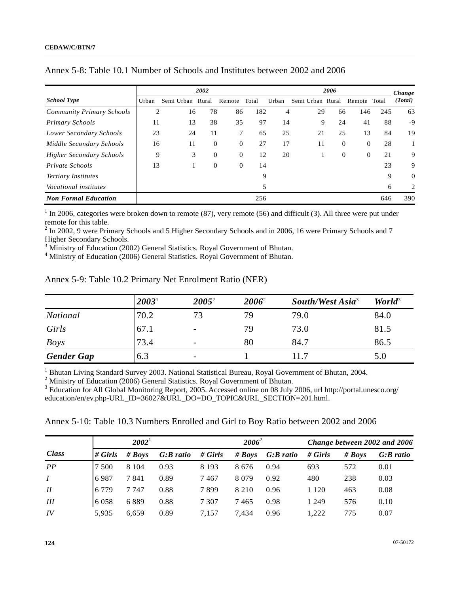|                                  |       |            | 2002           |          |       |       |            | 2006         |          |       | Change         |
|----------------------------------|-------|------------|----------------|----------|-------|-------|------------|--------------|----------|-------|----------------|
| <b>School Type</b>               | Urban | Semi Urban | Rural          | Remote   | Total | Urban | Semi Urban | Rural        | Remote   | Total | (Total)        |
| <b>Community Primary Schools</b> | 2     | 16         | 78             | 86       | 182   | 4     | 29         | 66           | 146      | 245   | 63             |
| <b>Primary Schools</b>           | 11    | 13         | 38             | 35       | 97    | 14    | 9          | 24           | 41       | 88    | -9             |
| Lower Secondary Schools          | 23    | 24         | 11             | 7        | 65    | 25    | 21         | 25           | 13       | 84    | 19             |
| Middle Secondary Schools         | 16    | 11         | $\theta$       | $\theta$ | 27    | 17    | 11         | $\mathbf{0}$ | $\theta$ | 28    |                |
| <b>Higher Secondary Schools</b>  | 9     | 3          | $\overline{0}$ | $\Omega$ | 12    | 20    |            | $\mathbf{0}$ | $\theta$ | 21    | 9              |
| Private Schools                  | 13    |            | $\mathbf{0}$   | $\theta$ | 14    |       |            |              |          | 23    | 9              |
| <b>Tertiary Institutes</b>       |       |            |                |          | 9     |       |            |              |          | 9     | $\overline{0}$ |
| <i>Vocational institutes</i>     |       |            |                |          | 5     |       |            |              |          | 6     | 2              |
| <b>Non Formal Education</b>      |       |            |                |          | 256   |       |            |              |          | 646   | 390            |

| Annex 5-8: Table 10.1 Number of Schools and Institutes between 2002 and 2006 |  |
|------------------------------------------------------------------------------|--|
|------------------------------------------------------------------------------|--|

 $<sup>1</sup>$  In 2006, categories were broken down to remote (87), very remote (56) and difficult (3). All three were put under</sup> remote for this table.

 $2$  In 2002, 9 were Primary Schools and 5 Higher Secondary Schools and in 2006, 16 were Primary Schools and 7 Higher Secondary Schools.

 $\frac{3}{4}$  Ministry of Education (2002) General Statistics. Royal Government of Bhutan.

<sup>4</sup> Ministry of Education (2006) General Statistics. Royal Government of Bhutan.

|                   | 2003 <sup>1</sup> | $2005^2$                 | $2006^2$ | South/West Asia <sup>3</sup> | World <sup>3</sup> |
|-------------------|-------------------|--------------------------|----------|------------------------------|--------------------|
| <b>National</b>   | 70.2              | 73                       | 79       | 79.0                         | 84.0               |
| Girls             | 67.1              | $\overline{\phantom{a}}$ | 79       | 73.0                         | 81.5               |
| <b>Boys</b>       | 73.4              | -                        | 80       | 84.7                         | 86.5               |
| <b>Gender Gap</b> | 6.3               | $\overline{\phantom{a}}$ |          | 11.7                         | 5.0                |

Annex 5-9: Table 10.2 Primary Net Enrolment Ratio (NER)

<sup>1</sup> Bhutan Living Standard Survey 2003. National Statistical Bureau, Royal Government of Bhutan, 2004.

 $2$  Ministry of Education (2006) General Statistics. Royal Government of Bhutan.

<sup>3</sup> Education for All Global Monitoring Report, 2005. Accessed online on 08 July 2006, url http://portal.unesco.org/ education/en/ev.php-URL\_ID=36027&URL\_DO=DO\_TOPIC&URL\_SECTION=201.html.

Annex 5-10: Table 10.3 Numbers Enrolled and Girl to Boy Ratio between 2002 and 2006

|                  | $2002^{\frac{1}{2}}$ |          |             |         | $2006^2$ |           |         | Change between 2002 and 2006 |             |  |
|------------------|----------------------|----------|-------------|---------|----------|-----------|---------|------------------------------|-------------|--|
| <b>Class</b>     | $\#$ Girls           | # $Boys$ | $G:B$ ratio | # Girls | # $Boys$ | G:B ratio | # Girls | # $Boys$                     | $G:B$ ratio |  |
| PP               | 500                  | 8 1 0 4  | 0.93        | 8 1 9 3 | 8676     | 0.94      | 693     | 572                          | 0.01        |  |
| $\boldsymbol{I}$ | 6987                 | 7841     | 0.89        | 7467    | 8 0 7 9  | 0.92      | 480     | 238                          | 0.03        |  |
| I                | 6 7 7 9              | 7 7 4 7  | 0.88        | 7899    | 8 2 1 0  | 0.96      | 1 120   | 463                          | 0.08        |  |
| Ш                | 6 0 5 8              | 6889     | 0.88        | 7 3 0 7 | 7465     | 0.98      | 1 249   | 576                          | 0.10        |  |
| IV               | 5,935                | 6.659    | 0.89        | 7.157   | 7.434    | 0.96      | .222    | 775                          | 0.07        |  |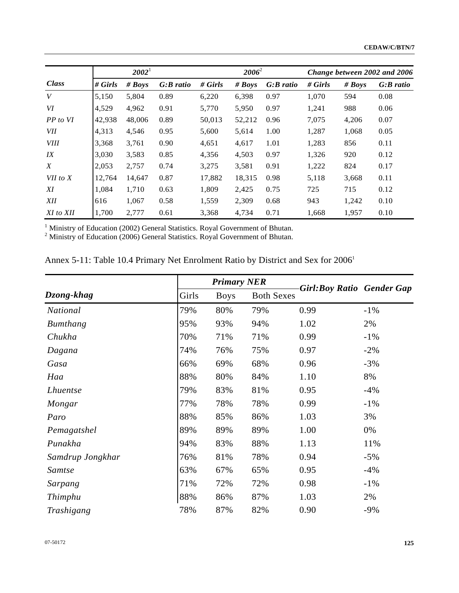|                  |         | $2002^1$ |             |           | $2006^2$ |             | Change between 2002 and 2006 |        |             |
|------------------|---------|----------|-------------|-----------|----------|-------------|------------------------------|--------|-------------|
| Class            | # Girls | # Boys   | $G:B$ ratio | $#$ Girls | # $Boys$ | $G:B$ ratio | # Girls                      | # Boys | $G:B$ ratio |
| V                | 5,150   | 5,804    | 0.89        | 6,220     | 6,398    | 0.97        | 1,070                        | 594    | 0.08        |
| VI               | 4,529   | 4,962    | 0.91        | 5,770     | 5,950    | 0.97        | 1,241                        | 988    | 0.06        |
| PP to VI         | 42,938  | 48,006   | 0.89        | 50,013    | 52,212   | 0.96        | 7,075                        | 4,206  | 0.07        |
| VII              | 4,313   | 4,546    | 0.95        | 5,600     | 5,614    | 1.00        | 1,287                        | 1,068  | 0.05        |
| <i>VIII</i>      | 3,368   | 3,761    | 0.90        | 4,651     | 4,617    | 1.01        | 1,283                        | 856    | 0.11        |
| IX               | 3,030   | 3,583    | 0.85        | 4,356     | 4,503    | 0.97        | 1,326                        | 920    | 0.12        |
| $\boldsymbol{X}$ | 2,053   | 2,757    | 0.74        | 3,275     | 3,581    | 0.91        | 1,222                        | 824    | 0.17        |
| $VII$ to $X$     | 12,764  | 14,647   | 0.87        | 17,882    | 18,315   | 0.98        | 5,118                        | 3,668  | 0.11        |
| XI               | 1,084   | 1,710    | 0.63        | 1,809     | 2,425    | 0.75        | 725                          | 715    | 0.12        |
| <b>XII</b>       | 616     | 1,067    | 0.58        | 1,559     | 2,309    | 0.68        | 943                          | 1,242  | 0.10        |
| XI to XII        | 1,700   | 2,777    | 0.61        | 3,368     | 4,734    | 0.71        | 1,668                        | 1,957  | 0.10        |

<sup>1</sup> Ministry of Education (2002) General Statistics. Royal Government of Bhutan.<br><sup>2</sup> Ministry of Education (2006) General Statistics. Royal Government of Bhutan.

| Annex 5-11: Table 10.4 Primary Net Enrolment Ratio by District and Sex for 2006 <sup>1</sup> |  |  |
|----------------------------------------------------------------------------------------------|--|--|
|----------------------------------------------------------------------------------------------|--|--|

|                  |       | <b>Primary NER</b> |                   |                                  |        |  |
|------------------|-------|--------------------|-------------------|----------------------------------|--------|--|
| Dzong-khag       | Girls | <b>Boys</b>        | <b>Both Sexes</b> | <b>Girl:Boy Ratio Gender Gap</b> |        |  |
| <b>National</b>  | 79%   | 80%                | 79%               | 0.99                             | $-1\%$ |  |
| Bumthang         | 95%   | 93%                | 94%               | 1.02                             | 2%     |  |
| Chukha           | 70%   | 71%                | 71%               | 0.99                             | $-1\%$ |  |
| Dagana           | 74%   | 76%                | 75%               | 0.97                             | $-2\%$ |  |
| Gasa             | 66%   | 69%                | 68%               | 0.96                             | $-3%$  |  |
| Haa              | 88%   | 80%                | 84%               | 1.10                             | 8%     |  |
| <i>Lhuentse</i>  | 79%   | 83%                | 81%               | 0.95                             | $-4%$  |  |
| Mongar           | 77%   | 78%                | 78%               | 0.99                             | $-1\%$ |  |
| Paro             | 88%   | 85%                | 86%               | 1.03                             | 3%     |  |
| Pemagatshel      | 89%   | 89%                | 89%               | 1.00                             | 0%     |  |
| Punakha          | 94%   | 83%                | 88%               | 1.13                             | 11%    |  |
| Samdrup Jongkhar | 76%   | 81%                | 78%               | 0.94                             | $-5%$  |  |
| <b>Samtse</b>    | 63%   | 67%                | 65%               | 0.95                             | $-4%$  |  |
| Sarpang          | 71%   | 72%                | 72%               | 0.98                             | $-1\%$ |  |
| Thimphu          | 88%   | 86%                | 87%               | 1.03                             | 2%     |  |
| Trashigang       | 78%   | 87%                | 82%               | 0.90                             | $-9%$  |  |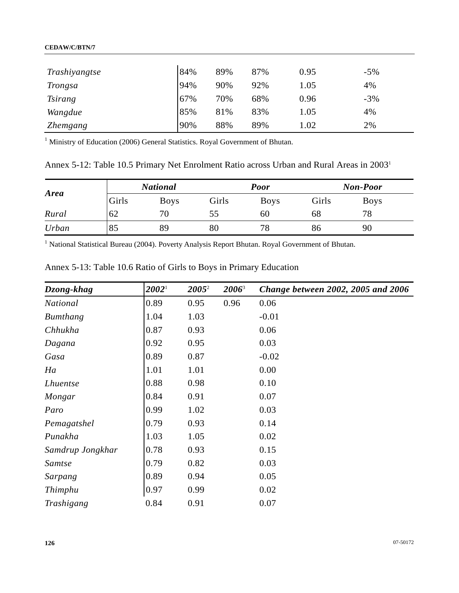### **CEDAW/C/BTN/7**

| Trashiyangtse  | 84% | 89% | 87% | 0.95 | $-5%$ |
|----------------|-----|-----|-----|------|-------|
| Trongsa        | 94% | 90% | 92% | 1.05 | 4%    |
| <i>Tsirang</i> | 67% | 70% | 68% | 0.96 | $-3%$ |
| Wangdue        | 85% | 81% | 83% | 1.05 | 4%    |
| Zhemgang       | 90% | 88% | 89% | 1.02 | 2%    |

<sup>1</sup> Ministry of Education (2006) General Statistics. Royal Government of Bhutan.

Annex 5-12: Table 10.5 Primary Net Enrolment Ratio across Urban and Rural Areas in 20031

| <b>Area</b> |       | <b>National</b> |       | <b>Poor</b> | <b>Non-Poor</b> |             |  |
|-------------|-------|-----------------|-------|-------------|-----------------|-------------|--|
|             | Girls | <b>Boys</b>     | Girls | <b>Boys</b> | Girls           | <b>Boys</b> |  |
| Rural       | 62    | 70              | 55    | 60          | 68              | 78          |  |
| Urban       | 85    | 89              | 80    | 78          | 86              | 90          |  |

<sup>1</sup> National Statistical Bureau (2004). Poverty Analysis Report Bhutan. Royal Government of Bhutan.

| Dzong-khag       | $2002^{\rm h}$ | $2005^2$ | $2006^3$ | Change between 2002, 2005 and 2006 |
|------------------|----------------|----------|----------|------------------------------------|
| <b>National</b>  | 0.89           | 0.95     | 0.96     | 0.06                               |
| Bumthang         | 1.04           | 1.03     |          | $-0.01$                            |
| Chhukha          | 0.87           | 0.93     |          | 0.06                               |
| Dagana           | 0.92           | 0.95     |          | 0.03                               |
| Gasa             | 0.89           | 0.87     |          | $-0.02$                            |
| Ha               | 1.01           | 1.01     |          | 0.00                               |
| <i>Lhuentse</i>  | 0.88           | 0.98     |          | 0.10                               |
| Mongar           | 0.84           | 0.91     |          | 0.07                               |
| Paro             | 0.99           | 1.02     |          | 0.03                               |
| Pemagatshel      | 0.79           | 0.93     |          | 0.14                               |
| Punakha          | 1.03           | 1.05     |          | 0.02                               |
| Samdrup Jongkhar | 0.78           | 0.93     |          | 0.15                               |
| Samtse           | 0.79           | 0.82     |          | 0.03                               |
| Sarpang          | 0.89           | 0.94     |          | 0.05                               |
| Thimphu          | 0.97           | 0.99     |          | 0.02                               |
| Trashigang       | 0.84           | 0.91     |          | 0.07                               |

Annex 5-13: Table 10.6 Ratio of Girls to Boys in Primary Education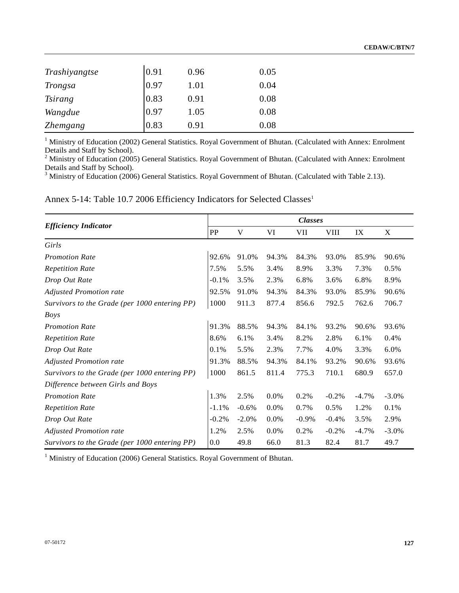| Trashiyangtse   | 0.91 | 0.96 | 0.05 |
|-----------------|------|------|------|
| Trongsa         | 0.97 | 1.01 | 0.04 |
| <i>Tsirang</i>  | 0.83 | 0.91 | 0.08 |
| Wangdue         | 0.97 | 1.05 | 0.08 |
| <b>Zhemgang</b> | 0.83 | 0.91 | 0.08 |

<sup>1</sup> Ministry of Education (2002) General Statistics. Royal Government of Bhutan. (Calculated with Annex: Enrolment Details and Staff by School).

<sup>2</sup> Ministry of Education (2005) General Statistics. Royal Government of Bhutan. (Calculated with Annex: Enrolment Details and Staff by School).

<sup>3</sup> Ministry of Education (2006) General Statistics. Royal Government of Bhutan. (Calculated with Table 2.13).

Annex 5-14: Table 10.7 2006 Efficiency Indicators for Selected Classes<sup>1</sup>

|                                               |            |         |       | <b>Classes</b> |             |         |          |
|-----------------------------------------------|------------|---------|-------|----------------|-------------|---------|----------|
| <b>Efficiency Indicator</b>                   | ${\bf PP}$ | V       | VI    | VII            | <b>VIII</b> | IX      | X        |
| Girls                                         |            |         |       |                |             |         |          |
| <b>Promotion Rate</b>                         | 92.6%      | 91.0%   | 94.3% | 84.3%          | 93.0%       | 85.9%   | 90.6%    |
| <b>Repetition Rate</b>                        | 7.5%       | 5.5%    | 3.4%  | 8.9%           | 3.3%        | 7.3%    | 0.5%     |
| Drop Out Rate                                 | $-0.1\%$   | 3.5%    | 2.3%  | 6.8%           | 3.6%        | 6.8%    | 8.9%     |
| <b>Adjusted Promotion rate</b>                | 92.5%      | 91.0%   | 94.3% | 84.3%          | 93.0%       | 85.9%   | 90.6%    |
| Survivors to the Grade (per 1000 entering PP) | 1000       | 911.3   | 877.4 | 856.6          | 792.5       | 762.6   | 706.7    |
| <b>Boys</b>                                   |            |         |       |                |             |         |          |
| <b>Promotion Rate</b>                         | 91.3%      | 88.5%   | 94.3% | 84.1%          | 93.2%       | 90.6%   | 93.6%    |
| <b>Repetition Rate</b>                        | 8.6%       | 6.1%    | 3.4%  | 8.2%           | 2.8%        | 6.1%    | 0.4%     |
| Drop Out Rate                                 | 0.1%       | 5.5%    | 2.3%  | 7.7%           | 4.0%        | 3.3%    | 6.0%     |
| <b>Adjusted Promotion rate</b>                | 91.3%      | 88.5%   | 94.3% | 84.1%          | 93.2%       | 90.6%   | 93.6%    |
| Survivors to the Grade (per 1000 entering PP) | 1000       | 861.5   | 811.4 | 775.3          | 710.1       | 680.9   | 657.0    |
| Difference between Girls and Boys             |            |         |       |                |             |         |          |
| <b>Promotion Rate</b>                         | 1.3%       | 2.5%    | 0.0%  | 0.2%           | $-0.2%$     | $-4.7%$ | $-3.0\%$ |
| <b>Repetition Rate</b>                        | $-1.1%$    | $-0.6%$ | 0.0%  | 0.7%           | 0.5%        | 1.2%    | 0.1%     |
| Drop Out Rate                                 | $-0.2%$    | $-2.0%$ | 0.0%  | $-0.9%$        | $-0.4%$     | 3.5%    | 2.9%     |
| <b>Adjusted Promotion rate</b>                | 1.2%       | 2.5%    | 0.0%  | 0.2%           | $-0.2%$     | $-4.7%$ | $-3.0%$  |
| Survivors to the Grade (per 1000 entering PP) | 0.0        | 49.8    | 66.0  | 81.3           | 82.4        | 81.7    | 49.7     |

<sup>1</sup> Ministry of Education (2006) General Statistics. Royal Government of Bhutan.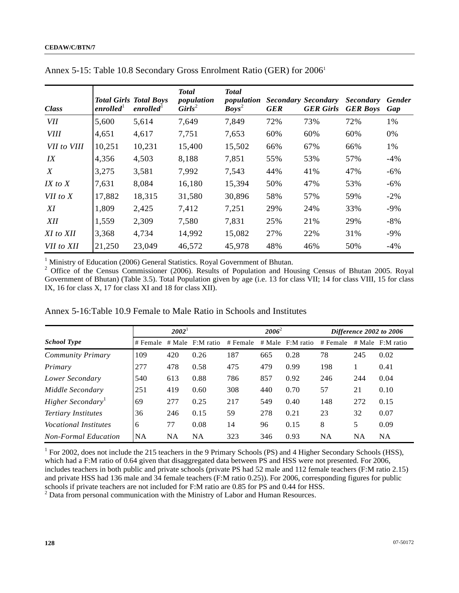| <b>Class</b>     | enrolled $^1$ | <b>Total Girls Total Boys</b><br>enrolled <sup>1</sup> | <b>Total</b><br>population<br>$\textit{Girls}^2$ | <b>Total</b><br>population<br>$Boys^2$ | <b>GER</b> | <b>Secondary Secondary</b><br><b>GER Girls</b> | <b>Secondary</b><br><b>GER Boys</b> | <b>Gender</b><br>Gap |
|------------------|---------------|--------------------------------------------------------|--------------------------------------------------|----------------------------------------|------------|------------------------------------------------|-------------------------------------|----------------------|
| VII              | 5,600         | 5,614                                                  | 7,649                                            | 7,849                                  | 72%        | 73%                                            | 72%                                 | 1%                   |
| <b>VIII</b>      | 4,651         | 4,617                                                  | 7,751                                            | 7,653                                  | 60%        | 60%                                            | 60%                                 | 0%                   |
| VII to VIII      | 10,251        | 10,231                                                 | 15,400                                           | 15,502                                 | 66%        | 67%                                            | 66%                                 | 1%                   |
| IX               | 4,356         | 4,503                                                  | 8,188                                            | 7,851                                  | 55%        | 53%                                            | 57%                                 | $-4%$                |
| $\boldsymbol{X}$ | 3,275         | 3,581                                                  | 7,992                                            | 7,543                                  | 44%        | 41%                                            | 47%                                 | $-6\%$               |
| $IX$ to $X$      | 7,631         | 8,084                                                  | 16,180                                           | 15,394                                 | 50%        | 47%                                            | 53%                                 | $-6\%$               |
| VII to X         | 17,882        | 18,315                                                 | 31,580                                           | 30,896                                 | 58%        | 57%                                            | 59%                                 | $-2%$                |
| XI               | 1,809         | 2,425                                                  | 7,412                                            | 7,251                                  | 29%        | 24%                                            | 33%                                 | $-9\%$               |
| <b>XII</b>       | 1,559         | 2,309                                                  | 7,580                                            | 7,831                                  | 25%        | 21%                                            | 29%                                 | $-8%$                |
| XI to XII        | 3,368         | 4,734                                                  | 14,992                                           | 15,082                                 | 27%        | 22%                                            | 31%                                 | $-9\%$               |
| VII to XII       | 21,250        | 23,049                                                 | 46,572                                           | 45,978                                 | 48%        | 46%                                            | 50%                                 | $-4%$                |

Annex 5-15: Table 10.8 Secondary Gross Enrolment Ratio (GER) for 20061

<sup>1</sup> Ministry of Education (2006) General Statistics. Royal Government of Bhutan.<br><sup>2</sup> Office of the Consus Commissioner (2006), Besults of Bonulation and Hou

<sup>2</sup> Office of the Census Commissioner (2006). Results of Population and Housing Census of Bhutan 2005. Royal Government of Bhutan) (Table 3.5). Total Population given by age (i.e. 13 for class VII; 14 for class VIII, 15 for class IX, 16 for class X, 17 for class XI and 18 for class XII).

|                               |           | $2002^1$  |           |          | $2006^2$ |                    |           |     | Difference 2002 to 2006 |
|-------------------------------|-----------|-----------|-----------|----------|----------|--------------------|-----------|-----|-------------------------|
| <b>School Type</b>            | # Female  | # Male    | F:M ratio | # Female |          | $#$ Male F:M ratio | # Female  |     | $#$ Male F:M ratio      |
| <b>Community Primary</b>      | 109       | 420       | 0.26      | 187      | 665      | 0.28               | 78        | 245 | 0.02                    |
| Primary                       | 277       | 478       | 0.58      | 475      | 479      | 0.99               | 198       |     | 0.41                    |
| Lower Secondary               | 540       | 613       | 0.88      | 786      | 857      | 0.92               | 246       | 244 | 0.04                    |
| Middle Secondary              | 251       | 419       | 0.60      | 308      | 440      | 0.70               | 57        | 21  | 0.10                    |
| Higher Secondary <sup>1</sup> | 69        | 277       | 0.25      | 217      | 549      | 0.40               | 148       | 272 | 0.15                    |
| <b>Tertiary Institutes</b>    | 36        | 246       | 0.15      | 59       | 278      | 0.21               | 23        | 32  | 0.07                    |
| <i>Vocational Institutes</i>  | 6         | 77        | 0.08      | 14       | 96       | 0.15               | 8         | 5   | 0.09                    |
| <b>Non-Formal Education</b>   | <b>NA</b> | <b>NA</b> | NA        | 323      | 346      | 0.93               | <b>NA</b> | NA  | NA                      |

Annex 5-16:Table 10.9 Female to Male Ratio in Schools and Institutes

<sup>1</sup> For 2002, does not include the 215 teachers in the 9 Primary Schools (PS) and 4 Higher Secondary Schools (HSS), which had a F:M ratio of 0.64 given that disaggregated data between PS and HSS were not presented. For 2006, includes teachers in both public and private schools (private PS had 52 male and 112 female teachers (F:M ratio 2.15) and private HSS had 136 male and 34 female teachers (F:M ratio 0.25)). For 2006, corresponding figures for public schools if private teachers are not included for F:M ratio are 0.85 for PS and 0.44 for HSS.  $2^{2}$  Data from personal communication with the Ministry of Labor and Human Resources.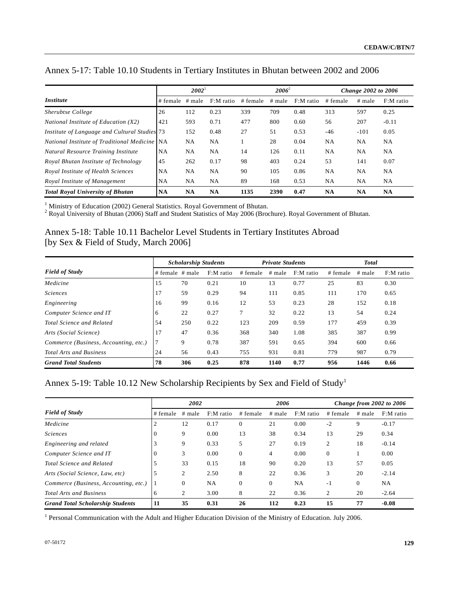|                                               |           | $2002^1$  |              |          | $2006^2$ |              | Change 2002 to 2006 |           |              |
|-----------------------------------------------|-----------|-----------|--------------|----------|----------|--------------|---------------------|-----------|--------------|
| <i>Institute</i>                              | # female  | # male    | $F: M$ ratio | # female | $#$ male | $F: M$ ratio | # female            | $#$ male  | $F: M$ ratio |
| Sherubtse College                             | 26        | 112       | 0.23         | 339      | 709      | 0.48         | 313                 | 597       | 0.25         |
| National Institute of Education (X2)          | 421       | 593       | 0.71         | 477      | 800      | 0.60         | 56                  | 207       | $-0.11$      |
| Institute of Language and Cultural Studies 73 |           | 152       | 0.48         | 27       | 51       | 0.53         | $-46$               | $-101$    | 0.05         |
| National Institute of Traditional Medicine NA |           | NA        | <b>NA</b>    |          | 28       | 0.04         | <b>NA</b>           | NA        | <b>NA</b>    |
| Natural Resource Training Institute           | <b>NA</b> | <b>NA</b> | <b>NA</b>    | 14       | 126      | 0.11         | <b>NA</b>           | NA        | <b>NA</b>    |
| Royal Bhutan Institute of Technology          | 45        | 262       | 0.17         | 98       | 403      | 0.24         | 53                  | 141       | 0.07         |
| Royal Institute of Health Sciences            | <b>NA</b> | <b>NA</b> | <b>NA</b>    | 90       | 105      | 0.86         | <b>NA</b>           | NA        | <b>NA</b>    |
| Royal Institute of Management                 | <b>NA</b> | <b>NA</b> | <b>NA</b>    | 89       | 168      | 0.53         | <b>NA</b>           | NA        | <b>NA</b>    |
| <b>Total Royal University of Bhutan</b>       | <b>NA</b> | <b>NA</b> | <b>NA</b>    | 1135     | 2390     | 0.47         | <b>NA</b>           | <b>NA</b> | <b>NA</b>    |

# Annex 5-17: Table 10.10 Students in Tertiary Institutes in Bhutan between 2002 and 2006

<sup>1</sup> Ministry of Education (2002) General Statistics. Royal Government of Bhutan.<br><sup>2</sup> Royal University of Bhutan (2006) Staff and Student Statistics of May 2006 (Brochure). Royal Government of Bhutan.

# Annex 5-18: Table 10.11 Bachelor Level Students in Tertiary Institutes Abroad [by Sex & Field of Study, March 2006]

|                                       |                   | <b>Scholarship Students</b> |           |          | <b>Private Students</b> |           |          | <b>Total</b> |           |
|---------------------------------------|-------------------|-----------------------------|-----------|----------|-------------------------|-----------|----------|--------------|-----------|
| <b>Field of Study</b>                 | $# female$ # male |                             | F:M ratio | # female | # male                  | F:M ratio | # female | $#$ male     | F:M ratio |
| Medicine                              | 15                | 70                          | 0.21      | 10       | 13                      | 0.77      | 25       | 83           | 0.30      |
| <b>Sciences</b>                       | 17                | 59                          | 0.29      | 94       | 111                     | 0.85      | 111      | 170          | 0.65      |
| Engineering                           | 16                | 99                          | 0.16      | 12       | 53                      | 0.23      | 28       | 152          | 0.18      |
| Computer Science and IT               | 6                 | 22                          | 0.27      | 7        | 32                      | 0.22      | 13       | 54           | 0.24      |
| Total Science and Related             | 54                | 250                         | 0.22      | 123      | 209                     | 0.59      | 177      | 459          | 0.39      |
| Arts (Social Science)                 | 17                | 47                          | 0.36      | 368      | 340                     | 1.08      | 385      | 387          | 0.99      |
| Commerce (Business, Accounting, etc.) | . 7               | 9                           | 0.78      | 387      | 591                     | 0.65      | 394      | 600          | 0.66      |
| <b>Total Arts and Business</b>        | 24                | 56                          | 0.43      | 755      | 931                     | 0.81      | 779      | 987          | 0.79      |
| <b>Grand Total Students</b>           | 78                | 306                         | 0.25      | 878      | 1140                    | 0.77      | 956      | 1446         | 0.66      |

# Annex 5-19: Table 10.12 New Scholarship Recipients by Sex and Field of Study<sup>1</sup>

|                                         |          | 2002         |              | 2006     |          |           | Change from 2002 to 2006 |          |           |
|-----------------------------------------|----------|--------------|--------------|----------|----------|-----------|--------------------------|----------|-----------|
| <b>Field of Study</b>                   | # female | $#$ male     | $F: M$ ratio | # female | $#$ male | F:M ratio | # female                 | $#$ male | F:M ratio |
| Medicine                                | ∠        | 12           | 0.17         | $\Omega$ | 21       | 0.00      | $-2$                     | 9        | $-0.17$   |
| <b>Sciences</b>                         |          | 9            | 0.00         | 13       | 38       | 0.34      | 13                       | 29       | 0.34      |
| Engineering and related                 |          | 9            | 0.33         | 5        | 27       | 0.19      | 2                        | 18       | $-0.14$   |
| Computer Science and IT                 |          | 3            | 0.00         | $\theta$ | 4        | 0.00      | $\Omega$                 |          | 0.00      |
| Total Science and Related               |          | 33           | 0.15         | 18       | 90       | 0.20      | 13                       | 57       | 0.05      |
| Arts (Social Science, Law, etc)         |          | 2            | 2.50         | 8        | 22       | 0.36      | 3                        | 20       | $-2.14$   |
| Commerce (Business, Accounting, etc.)   |          | $\mathbf{0}$ | <b>NA</b>    | $\Omega$ | $\Omega$ | <b>NA</b> | $-1$                     | $\Omega$ | <b>NA</b> |
| <b>Total Arts and Business</b>          | 6        | 2            | 3.00         | 8        | 22       | 0.36      | 2                        | 20       | $-2.64$   |
| <b>Grand Total Scholarship Students</b> | 11       | 35           | 0.31         | 26       | 112      | 0.23      | 15                       | 77       | $-0.08$   |

<sup>1</sup> Personal Communication with the Adult and Higher Education Division of the Ministry of Education. July 2006.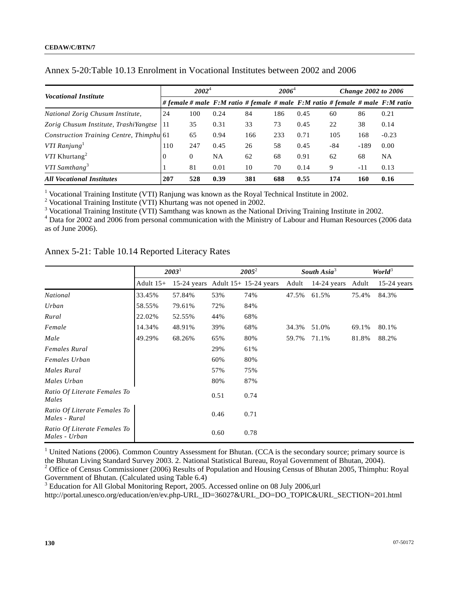| <i>Vocational Institute</i>              |          | $2002^4$ |      |     | $2006^4$ |      |     |        | <b>Change 2002 to 2006</b>                                                 |
|------------------------------------------|----------|----------|------|-----|----------|------|-----|--------|----------------------------------------------------------------------------|
|                                          |          |          |      |     |          |      |     |        | #female # male F:M ratio #female # male F:M ratio #female # male F:M ratio |
| National Zorig Chusum Institute,         | 24       | 100      | 0.24 | 84  | 186      | 0.45 | 60  | 86     | 0.21                                                                       |
| Zorig Chusum Institute, TrashiYangtse    | 11       | 35       | 0.31 | 33  | 73       | 0.45 | 22  | 38     | 0.14                                                                       |
| Construction Training Centre, Thimphu 61 |          | 65       | 0.94 | 166 | 233      | 0.71 | 105 | 168    | $-0.23$                                                                    |
| VTI Ranjung                              | 110      | 247      | 0.45 | 26  | 58       | 0.45 | -84 | $-189$ | 0.00                                                                       |
| VTI Khurtang <sup>2</sup>                | $\Omega$ | $\Omega$ | NA   | 62  | 68       | 0.91 | 62  | 68     | <b>NA</b>                                                                  |
| VTI Samthang <sup>3</sup>                |          | 81       | 0.01 | 10  | 70       | 0.14 | 9   | -11    | 0.13                                                                       |
| <b>All Vocational Institutes</b>         | 207      | 528      | 0.39 | 381 | 688      | 0.55 | 174 | 160    | 0.16                                                                       |

## Annex 5-20:Table 10.13 Enrolment in Vocational Institutes between 2002 and 2006

<sup>1</sup> Vocational Training Institute (VTI) Ranjung was known as the Royal Technical Institute in 2002.<br><sup>2</sup> Vocational Training Institute (VTI) Khurtang was not opened in 2002.

<sup>3</sup> Vocational Training Institute (VTI) Samthang was known as the National Driving Training Institute in 2002.

 Data for 2002 and 2006 from personal communication with the Ministry of Labour and Human Resources (2006 data as of June 2006).

|                                               |             | $2003^1$ |      | $2005^2$                            |       | South Asia <sup>3</sup> | World <sup>3</sup> |               |
|-----------------------------------------------|-------------|----------|------|-------------------------------------|-------|-------------------------|--------------------|---------------|
|                                               | Adult $15+$ |          |      | 15-24 years Adult $15+ 15-24$ years | Adult | $14-24$ years           | Adult              | $15-24$ years |
| National                                      | 33.45%      | 57.84%   | 53%  | 74%                                 | 47.5% | 61.5%                   | 75.4%              | 84.3%         |
| Urban                                         | 58.55%      | 79.61%   | 72%  | 84%                                 |       |                         |                    |               |
| Rural                                         | 22.02%      | 52.55%   | 44%  | 68%                                 |       |                         |                    |               |
| Female                                        | 14.34%      | 48.91%   | 39%  | 68%                                 | 34.3% | 51.0%                   | 69.1%              | 80.1%         |
| Male                                          | 49.29%      | 68.26%   | 65%  | 80%                                 | 59.7% | 71.1%                   | 81.8%              | 88.2%         |
| <b>Females Rural</b>                          |             |          | 29%  | 61%                                 |       |                         |                    |               |
| Females Urban                                 |             |          | 60%  | 80%                                 |       |                         |                    |               |
| Males Rural                                   |             |          | 57%  | 75%                                 |       |                         |                    |               |
| Males Urban                                   |             |          | 80%  | 87%                                 |       |                         |                    |               |
| Ratio Of Literate Females To<br>Males         |             |          | 0.51 | 0.74                                |       |                         |                    |               |
| Ratio Of Literate Females To<br>Males - Rural |             |          | 0.46 | 0.71                                |       |                         |                    |               |
| Ratio Of Literate Females To<br>Males - Urban |             |          | 0.60 | 0.78                                |       |                         |                    |               |

Annex 5-21: Table 10.14 Reported Literacy Rates

<sup>1</sup> United Nations (2006). Common Country Assessment for Bhutan. (CCA is the secondary source; primary source is the Bhutan Living Standard Survey 2003. 2. National Statistical Bureau, Royal Government of Bhutan, 2004). <sup>2</sup> Office of Census Commissioner (2006) Results of Population and Housing Census of Bhutan 2005, Thimphu: Royal

Government of Bhutan. (Calculated using Table 6.4)

<sup>3</sup> Education for All Global Monitoring Report, 2005. Accessed online on 08 July 2006,url

http://portal.unesco.org/education/en/ev.php-URL\_ID=36027&URL\_DO=DO\_TOPIC&URL\_SECTION=201.html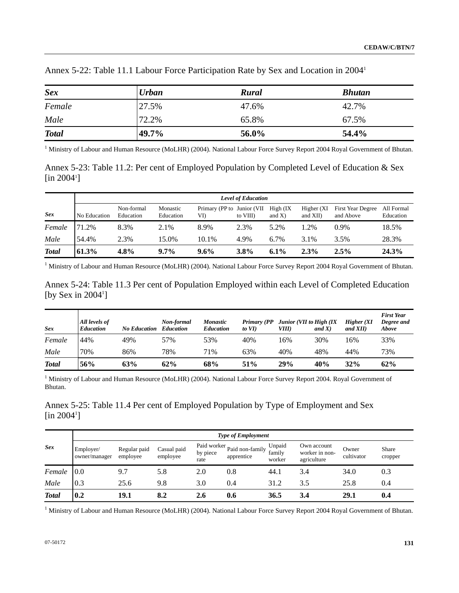| <b>Sex</b>   | <b>Urban</b> | <b>Rural</b> | <b>Bhutan</b> |
|--------------|--------------|--------------|---------------|
| Female       | 27.5%        | 47.6%        | 42.7%         |
| Male         | 72.2%        | 65.8%        | 67.5%         |
| <b>Total</b> | 49.7%        | 56.0%        | 54.4%         |

Annex 5-22: Table 11.1 Labour Force Participation Rate by Sex and Location in 20041

<sup>1</sup> Ministry of Labour and Human Resource (MoLHR) (2004). National Labour Force Survey Report 2004 Royal Government of Bhutan.

Annex 5-23: Table 11.2: Per cent of Employed Population by Completed Level of Education & Sex  $\left[ \text{in } 2004^{\text{i}} \right]$ 

|              |              | <b>Level of Education</b> |                       |                                    |          |                        |                         |                                |                         |  |  |  |
|--------------|--------------|---------------------------|-----------------------|------------------------------------|----------|------------------------|-------------------------|--------------------------------|-------------------------|--|--|--|
| <b>Sex</b>   | No Education | Non-formal<br>Education   | Monastic<br>Education | Primary (PP to Junior (VII)<br>VI) | to VIII) | High (IX)<br>and $X$ ) | Higher (XI)<br>and XII) | First Year Degree<br>and Above | All Formal<br>Education |  |  |  |
| Female       | 71.2%        | 8.3%                      | 2.1%                  | 8.9%                               | 2.3%     | 5.2%                   | .2%                     | $0.9\%$                        | 18.5%                   |  |  |  |
| Male         | 54.4%        | 2.3%                      | 15.0%                 | 10.1%                              | 4.9%     | $6.7\%$                | 3.1%                    | 3.5%                           | 28.3%                   |  |  |  |
| <b>Total</b> | 61.3%        | 4.8%                      | $9.7\%$               | $9.6\%$                            | 3.8%     | $6.1\%$                | $2.3\%$                 | 2.5%                           | 24.3%                   |  |  |  |

<sup>1</sup> Ministry of Labour and Human Resource (MoLHR) (2004). National Labour Force Survey Report 2004 Royal Government of Bhutan.

Annex 5-24: Table 11.3 Per cent of Population Employed within each Level of Completed Education [by Sex in  $2004^1$ ]

| Sex          | All levels of<br><b>Education</b> | <b>No Education</b> | Non-formal<br>Education | <b>Monastic</b><br><b>Education</b> | Primary (PP<br>to $VI$ ) | Junior (VII to High (IX<br>VIII) | and $X$ ) | Higher(XI)<br>and $XII$ ) | <b>First Year</b><br>Degree and<br>Above |
|--------------|-----------------------------------|---------------------|-------------------------|-------------------------------------|--------------------------|----------------------------------|-----------|---------------------------|------------------------------------------|
| Female       | 44%                               | 49%                 | 57%                     | 53%                                 | 40%                      | 16%                              | 30%       | 16%                       | 33%                                      |
| Male         | 70%                               | 86%                 | 78%                     | 71%                                 | 63%                      | 40%                              | 48%       | 44%                       | 73%                                      |
| <b>Total</b> | 56%                               | 63%                 | 62%                     | 68%                                 | 51%                      | 29%                              | 40%       | 32%                       | 62%                                      |

<sup>1</sup> Ministry of Labour and Human Resource (MoLHR) (2004). National Labour Force Survey Report 2004. Royal Government of Bhutan.

Annex 5-25: Table 11.4 Per cent of Employed Population by Type of Employment and Sex  $[$ in 2004<sup>1</sup> $]$ 

|              |                            | <b>Type of Employment</b> |                         |                  |                                           |                            |                                              |                     |                  |  |
|--------------|----------------------------|---------------------------|-------------------------|------------------|-------------------------------------------|----------------------------|----------------------------------------------|---------------------|------------------|--|
| <b>Sex</b>   | Employer/<br>owner/manager | Regular paid<br>employee  | Casual paid<br>employee | by piece<br>rate | Paid worker Paid non-family<br>apprentice | Unpaid<br>family<br>worker | Own account<br>worker in non-<br>agriculture | Owner<br>cultivator | Share<br>cropper |  |
| Female       | 0.0                        | 9.7                       | 5.8                     | 2.0              | 0.8                                       | 44.1                       | 3.4                                          | 34.0                | 0.3              |  |
| Male         | 0.3                        | 25.6                      | 9.8                     | 3.0              | 0.4                                       | 31.2                       | 3.5                                          | 25.8                | 0.4              |  |
| <b>Total</b> | 0.2                        | 19.1                      | 8.2                     | 2.6              | 0.6                                       | 36.5                       | 3.4                                          | 29.1                | 0.4              |  |

<sup>1</sup> Ministry of Labour and Human Resource (MoLHR) (2004). National Labour Force Survey Report 2004 Royal Government of Bhutan.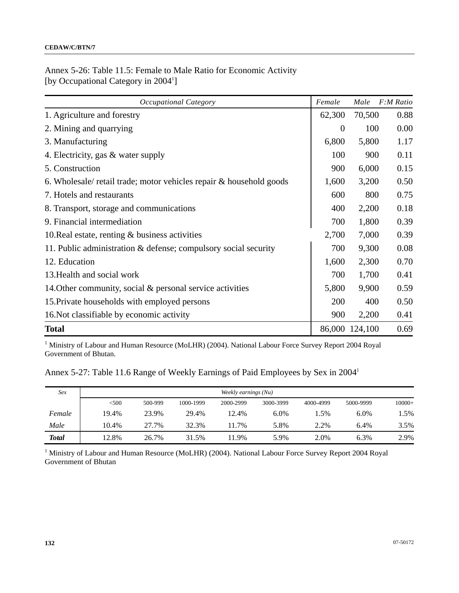# Annex 5-26: Table 11.5: Female to Male Ratio for Economic Activity [by Occupational Category in 2004<sup>1</sup>]

| Occupational Category                                               | Female         | Male           | F:M Ratio |
|---------------------------------------------------------------------|----------------|----------------|-----------|
| 1. Agriculture and forestry                                         | 62,300         | 70,500         | 0.88      |
| 2. Mining and quarrying                                             | $\overline{0}$ | 100            | 0.00      |
| 3. Manufacturing                                                    | 6,800          | 5,800          | 1.17      |
| 4. Electricity, gas & water supply                                  | 100            | 900            | 0.11      |
| 5. Construction                                                     | 900            | 6,000          | 0.15      |
| 6. Wholesale/ retail trade; motor vehicles repair & household goods | 1,600          | 3,200          | 0.50      |
| 7. Hotels and restaurants                                           | 600            | 800            | 0.75      |
| 8. Transport, storage and communications                            | 400            | 2,200          | 0.18      |
| 9. Financial intermediation                                         | 700            | 1,800          | 0.39      |
| 10. Real estate, renting $\&$ business activities                   | 2,700          | 7,000          | 0.39      |
| 11. Public administration & defense; compulsory social security     | 700            | 9,300          | 0.08      |
| 12. Education                                                       | 1,600          | 2,300          | 0.70      |
| 13. Health and social work                                          | 700            | 1,700          | 0.41      |
| 14. Other community, social $\&$ personal service activities        | 5,800          | 9,900          | 0.59      |
| 15. Private households with employed persons                        | 200            | 400            | 0.50      |
| 16. Not classifiable by economic activity                           | 900            | 2,200          | 0.41      |
| <b>Total</b>                                                        |                | 86,000 124,100 | 0.69      |

<sup>1</sup> Ministry of Labour and Human Resource (MoLHR) (2004). National Labour Force Survey Report 2004 Royal Government of Bhutan.

Annex 5-27: Table 11.6 Range of Weekly Earnings of Paid Employees by Sex in 20041

| Sex          | Weekly earnings (Nu) |         |           |           |           |           |           |          |  |  |
|--------------|----------------------|---------|-----------|-----------|-----------|-----------|-----------|----------|--|--|
|              | < 500                | 500-999 | 1000-1999 | 2000-2999 | 3000-3999 | 4000-4999 | 5000-9999 | $10000+$ |  |  |
| Female       | 19.4%                | 23.9%   | 29.4%     | 12.4%     | 6.0%      | 1.5%      | 6.0%      | 1.5%     |  |  |
| Male         | 10.4%                | 27.7%   | 32.3%     | 1.7%      | 5.8%      | 2.2%      | 6.4%      | 3.5%     |  |  |
| <b>Total</b> | 12.8%                | 26.7%   | 31.5%     | 1.9%      | 5.9%      | 2.0%      | 6.3%      | 2.9%     |  |  |

<sup>1</sup> Ministry of Labour and Human Resource (MoLHR) (2004). National Labour Force Survey Report 2004 Royal Government of Bhutan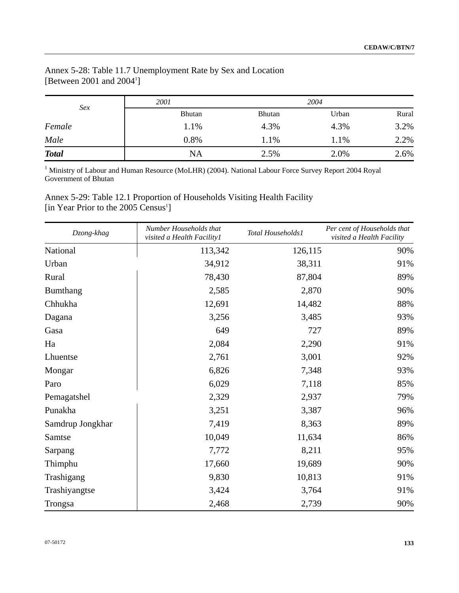# Annex 5-28: Table 11.7 Unemployment Rate by Sex and Location [Between 2001 and 2004<sup>1</sup>]

| Sex          | 2001          |               | 2004  |       |
|--------------|---------------|---------------|-------|-------|
|              | <b>Bhutan</b> | <b>Bhutan</b> | Urban | Rural |
| Female       | 1.1%          | 4.3%          | 4.3%  | 3.2%  |
| Male         | 0.8%          | 1.1%          | 1.1%  | 2.2%  |
| <b>Total</b> | <b>NA</b>     | 2.5%          | 2.0%  | 2.6%  |

<sup>1</sup> Ministry of Labour and Human Resource (MoLHR) (2004). National Labour Force Survey Report 2004 Royal Government of Bhutan

Annex 5-29: Table 12.1 Proportion of Households Visiting Health Facility [in Year Prior to the 2005 Census<sup>1</sup>]

| Dzong-khag       | Number Households that<br>visited a Health Facility1 | Total Households1 | Per cent of Households that<br>visited a Health Facility |
|------------------|------------------------------------------------------|-------------------|----------------------------------------------------------|
| National         | 113,342                                              | 126,115           | 90%                                                      |
| Urban            | 34,912                                               | 38,311            | 91%                                                      |
| Rural            | 78,430                                               | 87,804            | 89%                                                      |
| Bumthang         | 2,585                                                | 2,870             | 90%                                                      |
| Chhukha          | 12,691                                               | 14,482            | 88%                                                      |
| Dagana           | 3,256                                                | 3,485             | 93%                                                      |
| Gasa             | 649                                                  | 727               | 89%                                                      |
| Ha               | 2,084                                                | 2,290             | 91%                                                      |
| Lhuentse         | 2,761                                                | 3,001             | 92%                                                      |
| Mongar           | 6,826                                                | 7,348             | 93%                                                      |
| Paro             | 6,029                                                | 7,118             | 85%                                                      |
| Pemagatshel      | 2,329                                                | 2,937             | 79%                                                      |
| Punakha          | 3,251                                                | 3,387             | 96%                                                      |
| Samdrup Jongkhar | 7,419                                                | 8,363             | 89%                                                      |
| Samtse           | 10,049                                               | 11,634            | 86%                                                      |
| Sarpang          | 7,772                                                | 8,211             | 95%                                                      |
| Thimphu          | 17,660                                               | 19,689            | 90%                                                      |
| Trashigang       | 9,830                                                | 10,813            | 91%                                                      |
| Trashiyangtse    | 3,424                                                | 3,764             | 91%                                                      |
| Trongsa          | 2,468                                                | 2,739             | 90%                                                      |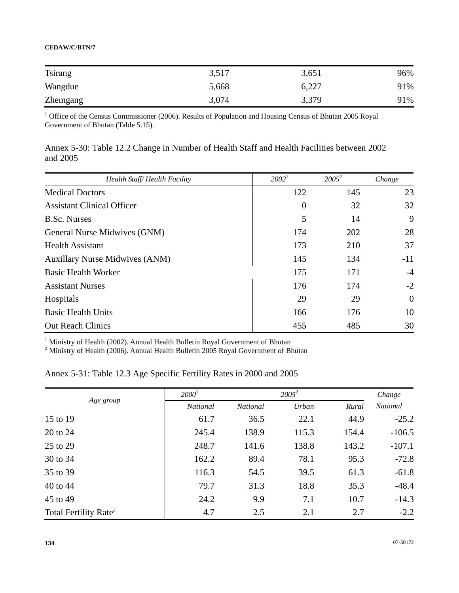### **CEDAW/C/BTN/7**

| <b>Tsirang</b> | 3,517 | 3,651 | 96% |
|----------------|-------|-------|-----|
| Wangdue        | 5,668 | 6,227 | 91% |
| Zhemgang       | 3,074 | 3,379 | 91% |

<sup>1</sup> Office of the Census Commissioner (2006). Results of Population and Housing Census of Bhutan 2005 Royal Government of Bhutan (Table 5.15).

| Annex 5-30: Table 12.2 Change in Number of Health Staff and Health Facilities between 2002 |  |  |  |  |  |  |
|--------------------------------------------------------------------------------------------|--|--|--|--|--|--|
| and 2005                                                                                   |  |  |  |  |  |  |

| Health Staff/Health Facility          | 2002 <sup>1</sup> | $2005^2$ | Change         |
|---------------------------------------|-------------------|----------|----------------|
| <b>Medical Doctors</b>                | 122               | 145      | 23             |
| <b>Assistant Clinical Officer</b>     | $\boldsymbol{0}$  | 32       | 32             |
| <b>B.Sc. Nurses</b>                   | 5                 | 14       | 9              |
| General Nurse Midwives (GNM)          | 174               | 202      | 28             |
| <b>Health Assistant</b>               | 173               | 210      | 37             |
| <b>Auxillary Nurse Midwives (ANM)</b> | 145               | 134      | $-11$          |
| <b>Basic Health Worker</b>            | 175               | 171      | $-4$           |
| <b>Assistant Nurses</b>               | 176               | 174      | $-2$           |
| Hospitals                             | 29                | 29       | $\overline{0}$ |
| <b>Basic Health Units</b>             | 166               | 176      | 10             |
| <b>Out Reach Clinics</b>              | 455               | 485      | 30             |

<sup>1</sup> Ministry of Health (2002). Annual Health Bulletin Royal Government of Bhutan <sup>2</sup> Ministry of Health (2006). Annual Health Bulletin 2005 Royal Government of Bhutan

# Annex 5-31: Table 12.3 Age Specific Fertility Rates in 2000 and 2005

|                                   | $2000^1$        |                 |       | Change |                 |
|-----------------------------------|-----------------|-----------------|-------|--------|-----------------|
| Age group                         | <b>National</b> | <b>National</b> | Urban | Rural  | <b>National</b> |
| 15 to 19                          | 61.7            | 36.5            | 22.1  | 44.9   | $-25.2$         |
| 20 to 24                          | 245.4           | 138.9           | 115.3 | 154.4  | $-106.5$        |
| 25 to 29                          | 248.7           | 141.6           | 138.8 | 143.2  | $-107.1$        |
| 30 to 34                          | 162.2           | 89.4            | 78.1  | 95.3   | $-72.8$         |
| 35 to 39                          | 116.3           | 54.5            | 39.5  | 61.3   | $-61.8$         |
| 40 to 44                          | 79.7            | 31.3            | 18.8  | 35.3   | $-48.4$         |
| 45 to 49                          | 24.2            | 9.9             | 7.1   | 10.7   | $-14.3$         |
| Total Fertility Rate <sup>3</sup> | 4.7             | 2.5             | 2.1   | 2.7    | $-2.2$          |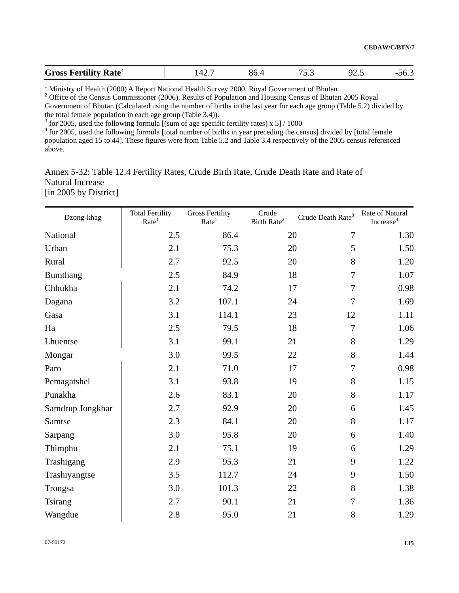| <b>Gross Fertility Rate</b> <sup>4</sup> | ு∠ | -86. | ັ້ | ້⊷ |  |
|------------------------------------------|----|------|----|----|--|

<sup>1</sup> Ministry of Health (2000) A Report National Health Survey 2000. Royal Government of Bhutan

<sup>2</sup> Office of the Census Commissioner (2006). Results of Population and Housing Census of Bhutan 2005 Royal Government of Bhutan (Calculated using the number of births in the last year for each age group (Table 5.2) divided by the total female population in each age group (Table 3.4)).

 $3$  for 2005, used the following formula [(sum of age specific fertility rates) x 5] / 1000

<sup>4</sup> for 2005, used the following formula [total number of births in year preceding the census] divided by [total female population aged 15 to 44]. These figures were from Table 5.2 and Table 3.4 respectively of the 2005 census referenced above.

Annex 5-32: Table 12.4 Fertility Rates, Crude Birth Rate, Crude Death Rate and Rate of Natural Increase [in 2005 by District]

| Dzong-khag       | <b>Total Fertility</b><br>Rate <sup>1</sup> | <b>Gross Fertility</b><br>Rate <sup>1</sup> | Crude<br>Birth Rate <sup>2</sup> | Crude Death $\mathrm{Rate}^3$ | Rate of Natural<br>Increase <sup>4</sup> |
|------------------|---------------------------------------------|---------------------------------------------|----------------------------------|-------------------------------|------------------------------------------|
| National         | 2.5                                         | 86.4                                        | 20                               | $\overline{7}$                | 1.30                                     |
| Urban            | 2.1                                         | 75.3                                        | 20                               | 5                             | 1.50                                     |
| Rural            | 2.7                                         | 92.5                                        | 20                               | 8                             | 1.20                                     |
| Bumthang         | 2.5                                         | 84.9                                        | 18                               | $\tau$                        | 1.07                                     |
| Chhukha          | 2.1                                         | 74.2                                        | 17                               | $\tau$                        | 0.98                                     |
| Dagana           | 3.2                                         | 107.1                                       | 24                               | $\overline{7}$                | 1.69                                     |
| Gasa             | 3.1                                         | 114.1                                       | 23                               | 12                            | 1.11                                     |
| Ha               | 2.5                                         | 79.5                                        | 18                               | $\tau$                        | 1.06                                     |
| Lhuentse         | 3.1                                         | 99.1                                        | 21                               | $8\,$                         | 1.29                                     |
| Mongar           | 3.0                                         | 99.5                                        | 22                               | $8\,$                         | 1.44                                     |
| Paro             | 2.1                                         | 71.0                                        | 17                               | $\tau$                        | 0.98                                     |
| Pemagatshel      | 3.1                                         | 93.8                                        | 19                               | 8                             | 1.15                                     |
| Punakha          | 2.6                                         | 83.1                                        | 20                               | 8                             | 1.17                                     |
| Samdrup Jongkhar | 2.7                                         | 92.9                                        | 20                               | 6                             | 1.45                                     |
| Samtse           | 2.3                                         | 84.1                                        | 20                               | $8\,$                         | 1.17                                     |
| Sarpang          | 3.0                                         | 95.8                                        | 20                               | 6                             | 1.40                                     |
| Thimphu          | 2.1                                         | 75.1                                        | 19                               | 6                             | 1.29                                     |
| Trashigang       | 2.9                                         | 95.3                                        | 21                               | 9                             | 1.22                                     |
| Trashiyangtse    | 3.5                                         | 112.7                                       | 24                               | 9                             | 1.50                                     |
| Trongsa          | 3.0                                         | 101.3                                       | 22                               | $8\,$                         | 1.38                                     |
| Tsirang          | 2.7                                         | 90.1                                        | 21                               | 7                             | 1.36                                     |
| Wangdue          | 2.8                                         | 95.0                                        | 21                               | 8                             | 1.29                                     |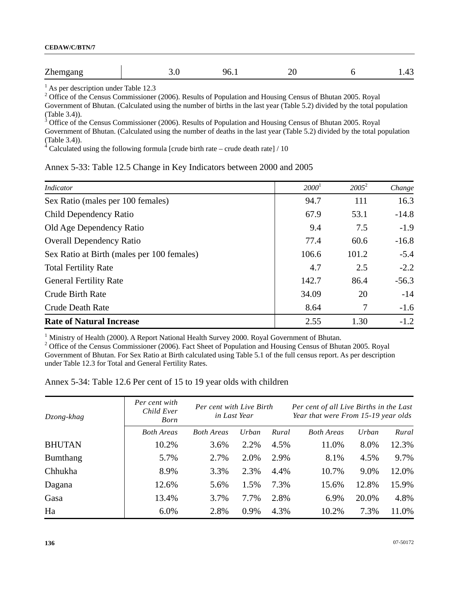| $\overline{ }$<br>JF<br>n⊬<br>$\mu$ |      |           |                          |               |
|-------------------------------------|------|-----------|--------------------------|---------------|
|                                     | $ -$ | $\ddotsc$ | $\overline{\phantom{0}}$ | $\sim$ $\sim$ |

<sup>1</sup> As per description under Table 12.3

<sup>2</sup> Office of the Census Commissioner (2006). Results of Population and Housing Census of Bhutan 2005. Royal Government of Bhutan. (Calculated using the number of births in the last year (Table 5.2) divided by the total population (Table 3.4)).

Office of the Census Commissioner (2006). Results of Population and Housing Census of Bhutan 2005. Royal

Government of Bhutan. (Calculated using the number of deaths in the last year (Table 5.2) divided by the total population (Table 3.4)).<br><sup>4</sup> Calculated using the following formula [crude birth rate – crude death rate] / 10

### Annex 5-33: Table 12.5 Change in Key Indicators between 2000 and 2005

| Indicator                                  | 2000 <sup>1</sup> | $2005^2$ | Change  |
|--------------------------------------------|-------------------|----------|---------|
| Sex Ratio (males per 100 females)          | 94.7              | 111      | 16.3    |
| Child Dependency Ratio                     | 67.9              | 53.1     | $-14.8$ |
| Old Age Dependency Ratio                   | 9.4               | 7.5      | $-1.9$  |
| <b>Overall Dependency Ratio</b>            | 77.4              | 60.6     | $-16.8$ |
| Sex Ratio at Birth (males per 100 females) | 106.6             | 101.2    | $-5.4$  |
| <b>Total Fertility Rate</b>                | 4.7               | 2.5      | $-2.2$  |
| <b>General Fertility Rate</b>              | 142.7             | 86.4     | $-56.3$ |
| <b>Crude Birth Rate</b>                    | 34.09             | 20       | $-14$   |
| <b>Crude Death Rate</b>                    | 8.64              | 7        | $-1.6$  |
| <b>Rate of Natural Increase</b>            | 2.55              | 1.30     | $-1.2$  |

<sup>1</sup> Ministry of Health (2000). A Report National Health Survey 2000. Royal Government of Bhutan.

<sup>2</sup> Office of the Census Commissioner (2006). Fact Sheet of Population and Housing Census of Bhutan 2005. Royal Government of Bhutan. For Sex Ratio at Birth calculated using Table 5.1 of the full census report. As per description under Table 12.3 for Total and General Fertility Rates.

### Annex 5-34: Table 12.6 Per cent of 15 to 19 year olds with children

| Dzong-khag    | Per cent with<br>Child Ever<br>Born | Per cent with Live Birth<br>in Last Year |       | Per cent of all Live Births in the Last<br>Year that were From 15-19 year olds |                   |       |       |
|---------------|-------------------------------------|------------------------------------------|-------|--------------------------------------------------------------------------------|-------------------|-------|-------|
|               | <b>Both Areas</b>                   | <b>Both Areas</b>                        | Urban | Rural                                                                          | <b>Both Areas</b> | Urban | Rural |
| <b>BHUTAN</b> | 10.2%                               | 3.6%                                     | 2.2%  | 4.5%                                                                           | 11.0%             | 8.0%  | 12.3% |
| Bumthang      | 5.7%                                | 2.7%                                     | 2.0%  | 2.9%                                                                           | 8.1%              | 4.5%  | 9.7%  |
| Chhukha       | 8.9%                                | 3.3%                                     | 2.3%  | 4.4%                                                                           | 10.7%             | 9.0%  | 12.0% |
| Dagana        | 12.6%                               | 5.6%                                     | 1.5%  | 7.3%                                                                           | 15.6%             | 12.8% | 15.9% |
| Gasa          | 13.4%                               | 3.7%                                     | 7.7%  | 2.8%                                                                           | 6.9%              | 20.0% | 4.8%  |
| Ha            | 6.0%                                | 2.8%                                     | 0.9%  | 4.3%                                                                           | 10.2%             | 7.3%  | 11.0% |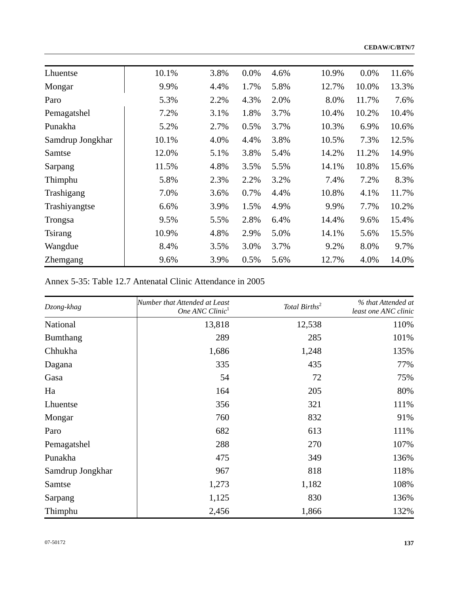**CEDAW/C/BTN/7**

| Lhuentse         | 10.1% | 3.8% | 0.0% | 4.6% | 10.9% | 0.0%  | 11.6% |
|------------------|-------|------|------|------|-------|-------|-------|
| Mongar           | 9.9%  | 4.4% | 1.7% | 5.8% | 12.7% | 10.0% | 13.3% |
| Paro             | 5.3%  | 2.2% | 4.3% | 2.0% | 8.0%  | 11.7% | 7.6%  |
| Pemagatshel      | 7.2%  | 3.1% | 1.8% | 3.7% | 10.4% | 10.2% | 10.4% |
| Punakha          | 5.2%  | 2.7% | 0.5% | 3.7% | 10.3% | 6.9%  | 10.6% |
| Samdrup Jongkhar | 10.1% | 4.0% | 4.4% | 3.8% | 10.5% | 7.3%  | 12.5% |
| Samtse           | 12.0% | 5.1% | 3.8% | 5.4% | 14.2% | 11.2% | 14.9% |
| Sarpang          | 11.5% | 4.8% | 3.5% | 5.5% | 14.1% | 10.8% | 15.6% |
| Thimphu          | 5.8%  | 2.3% | 2.2% | 3.2% | 7.4%  | 7.2%  | 8.3%  |
| Trashigang       | 7.0%  | 3.6% | 0.7% | 4.4% | 10.8% | 4.1%  | 11.7% |
| Trashiyangtse    | 6.6%  | 3.9% | 1.5% | 4.9% | 9.9%  | 7.7%  | 10.2% |
| Trongsa          | 9.5%  | 5.5% | 2.8% | 6.4% | 14.4% | 9.6%  | 15.4% |
| <b>Tsirang</b>   | 10.9% | 4.8% | 2.9% | 5.0% | 14.1% | 5.6%  | 15.5% |
| Wangdue          | 8.4%  | 3.5% | 3.0% | 3.7% | 9.2%  | 8.0%  | 9.7%  |
| <b>Zhemgang</b>  | 9.6%  | 3.9% | 0.5% | 5.6% | 12.7% | 4.0%  | 14.0% |

# Annex 5-35: Table 12.7 Antenatal Clinic Attendance in 2005

| Dzong-khag       | Number that Attended at Least<br>One ANC Clinic <sup>1</sup> | Total Births <sup>2</sup> | % that Attended at<br>least one ANC clinic |
|------------------|--------------------------------------------------------------|---------------------------|--------------------------------------------|
| National         | 13,818                                                       | 12,538                    | 110%                                       |
| Bumthang         | 289                                                          | 285                       | 101%                                       |
| Chhukha          | 1,686                                                        | 1,248                     | 135%                                       |
| Dagana           | 335                                                          | 435                       | 77%                                        |
| Gasa             | 54                                                           | 72                        | 75%                                        |
| Ha               | 164                                                          | 205                       | 80%                                        |
| Lhuentse         | 356                                                          | 321                       | 111%                                       |
| Mongar           | 760                                                          | 832                       | 91%                                        |
| Paro             | 682                                                          | 613                       | 111%                                       |
| Pemagatshel      | 288                                                          | 270                       | 107%                                       |
| Punakha          | 475                                                          | 349                       | 136%                                       |
| Samdrup Jongkhar | 967                                                          | 818                       | 118%                                       |
| Samtse           | 1,273                                                        | 1,182                     | 108%                                       |
| Sarpang          | 1,125                                                        | 830                       | 136%                                       |
| Thimphu          | 2,456                                                        | 1,866                     | 132%                                       |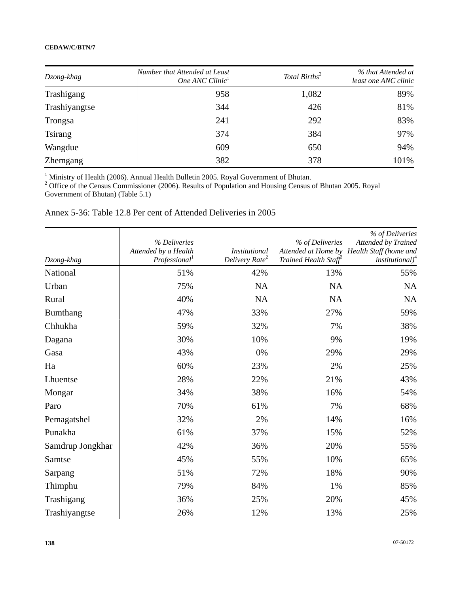### **CEDAW/C/BTN/7**

| Dzong-khag      | Number that Attended at Least<br>One ANC Clinic <sup>1</sup> | Total Births <sup>2</sup> | % that Attended at<br>least one ANC clinic |
|-----------------|--------------------------------------------------------------|---------------------------|--------------------------------------------|
| Trashigang      | 958                                                          | 1,082                     | 89%                                        |
| Trashiyangtse   | 344                                                          | 426                       | 81%                                        |
| Trongsa         | 241                                                          | 292                       | 83%                                        |
| <b>Tsirang</b>  | 374                                                          | 384                       | 97%                                        |
| Wangdue         | 609                                                          | 650                       | 94%                                        |
| <b>Zhemgang</b> | 382                                                          | 378                       | 101%                                       |

<sup>1</sup> Ministry of Health (2006). Annual Health Bulletin 2005. Royal Government of Bhutan.<br><sup>2</sup> Office of the Census Commissioner (2006). Results of Population and Housing Census of Bhutan 2005. Royal Government of Bhutan) (Table 5.1)

# Annex 5-36: Table 12.8 Per cent of Attended Deliveries in 2005

| Dzong-khag       | % Deliveries<br>Attended by a Health<br>Professional <sup>1</sup> | <b>Institutional</b><br>Delivery Rate <sup>2</sup> | % of Deliveries<br>Trained Health Staff® | % of Deliveries<br>Attended by Trained<br>Attended at Home by Health Staff (home and<br>institutional) $4$ |
|------------------|-------------------------------------------------------------------|----------------------------------------------------|------------------------------------------|------------------------------------------------------------------------------------------------------------|
| National         | 51%                                                               | 42%                                                | 13%                                      | 55%                                                                                                        |
| Urban            | 75%                                                               | NA                                                 | NA                                       | NA                                                                                                         |
| Rural            | 40%                                                               | <b>NA</b>                                          | NA                                       | <b>NA</b>                                                                                                  |
| Bumthang         | 47%                                                               | 33%                                                | 27%                                      | 59%                                                                                                        |
| Chhukha          | 59%                                                               | 32%                                                | 7%                                       | 38%                                                                                                        |
| Dagana           | 30%                                                               | 10%                                                | 9%                                       | 19%                                                                                                        |
| Gasa             | 43%                                                               | 0%                                                 | 29%                                      | 29%                                                                                                        |
| Ha               | 60%                                                               | 23%                                                | 2%                                       | 25%                                                                                                        |
| Lhuentse         | 28%                                                               | 22%                                                | 21%                                      | 43%                                                                                                        |
| Mongar           | 34%                                                               | 38%                                                | 16%                                      | 54%                                                                                                        |
| Paro             | 70%                                                               | 61%                                                | 7%                                       | 68%                                                                                                        |
| Pemagatshel      | 32%                                                               | 2%                                                 | 14%                                      | 16%                                                                                                        |
| Punakha          | 61%                                                               | 37%                                                | 15%                                      | 52%                                                                                                        |
| Samdrup Jongkhar | 42%                                                               | 36%                                                | 20%                                      | 55%                                                                                                        |
| Samtse           | 45%                                                               | 55%                                                | 10%                                      | 65%                                                                                                        |
| Sarpang          | 51%                                                               | 72%                                                | 18%                                      | 90%                                                                                                        |
| Thimphu          | 79%                                                               | 84%                                                | 1%                                       | 85%                                                                                                        |
| Trashigang       | 36%                                                               | 25%                                                | 20%                                      | 45%                                                                                                        |
| Trashiyangtse    | 26%                                                               | 12%                                                | 13%                                      | 25%                                                                                                        |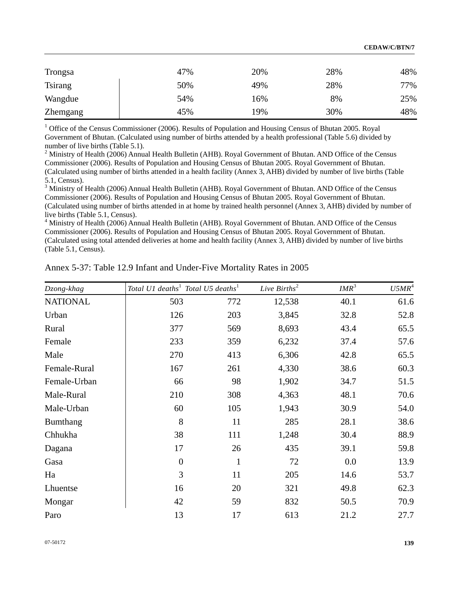| Trongsa         | 47% | 20% | 28% | 48% |
|-----------------|-----|-----|-----|-----|
| <b>Tsirang</b>  | 50% | 49% | 28% | 77% |
| Wangdue         | 54% | 16% | 8%  | 25% |
| <b>Zhemgang</b> | 45% | 19% | 30% | 48% |

<sup>1</sup> Office of the Census Commissioner (2006). Results of Population and Housing Census of Bhutan 2005. Royal Government of Bhutan. (Calculated using number of births attended by a health professional (Table 5.6) divided by number of live births (Table 5.1).

<sup>2</sup> Ministry of Health (2006) Annual Health Bulletin (AHB). Royal Government of Bhutan. AND Office of the Census Commissioner (2006). Results of Population and Housing Census of Bhutan 2005. Royal Government of Bhutan. (Calculated using number of births attended in a health facility (Annex 3, AHB) divided by number of live births (Table 5.1, Census).

<sup>3</sup> Ministry of Health (2006) Annual Health Bulletin (AHB). Royal Government of Bhutan. AND Office of the Census Commissioner (2006). Results of Population and Housing Census of Bhutan 2005. Royal Government of Bhutan. (Calculated using number of births attended in at home by trained health personnel (Annex 3, AHB) divided by number of live births (Table 5.1, Census).

<sup>4</sup> Ministry of Health (2006) Annual Health Bulletin (AHB). Royal Government of Bhutan. AND Office of the Census Commissioner (2006). Results of Population and Housing Census of Bhutan 2005. Royal Government of Bhutan. (Calculated using total attended deliveries at home and health facility (Annex 3, AHB) divided by number of live births (Table 5.1, Census).

| Dzong-khag      | Total U1 deaths <sup>1</sup> Total U5 deaths <sup>1</sup> |              | Live $Births^2$ | IMR <sup>3</sup> | $U5MR^4$ |
|-----------------|-----------------------------------------------------------|--------------|-----------------|------------------|----------|
| <b>NATIONAL</b> | 503                                                       | 772          | 12,538          | 40.1             | 61.6     |
| Urban           | 126                                                       | 203          | 3,845           | 32.8             | 52.8     |
| Rural           | 377                                                       | 569          | 8,693           | 43.4             | 65.5     |
| Female          | 233                                                       | 359          | 6,232           | 37.4             | 57.6     |
| Male            | 270                                                       | 413          | 6,306           | 42.8             | 65.5     |
| Female-Rural    | 167                                                       | 261          | 4,330           | 38.6             | 60.3     |
| Female-Urban    | 66                                                        | 98           | 1,902           | 34.7             | 51.5     |
| Male-Rural      | 210                                                       | 308          | 4,363           | 48.1             | 70.6     |
| Male-Urban      | 60                                                        | 105          | 1,943           | 30.9             | 54.0     |
| Bumthang        | 8                                                         | 11           | 285             | 28.1             | 38.6     |
| Chhukha         | 38                                                        | 111          | 1,248           | 30.4             | 88.9     |
| Dagana          | 17                                                        | 26           | 435             | 39.1             | 59.8     |
| Gasa            | $\boldsymbol{0}$                                          | $\mathbf{1}$ | 72              | 0.0              | 13.9     |
| Ha              | 3                                                         | 11           | 205             | 14.6             | 53.7     |
| Lhuentse        | 16                                                        | 20           | 321             | 49.8             | 62.3     |
| Mongar          | 42                                                        | 59           | 832             | 50.5             | 70.9     |
| Paro            | 13                                                        | 17           | 613             | 21.2             | 27.7     |

Annex 5-37: Table 12.9 Infant and Under-Five Mortality Rates in 2005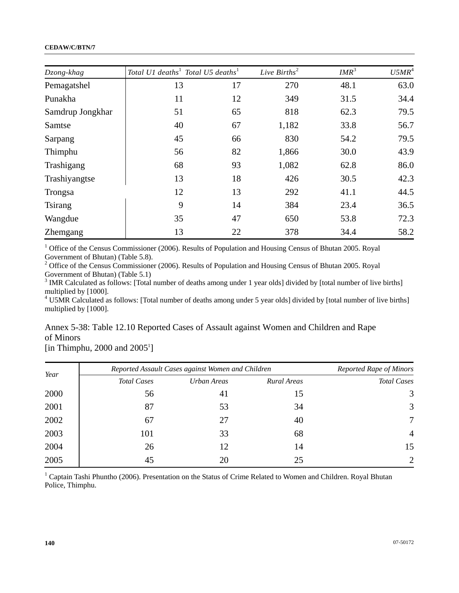#### **CEDAW/C/BTN/7**

| Dzong-khag       | Total U1 deaths <sup>1</sup> Total U5 deaths <sup>1</sup> |    | Live $Births^2$ | IMR <sup>3</sup> | $U5MR^4$ |
|------------------|-----------------------------------------------------------|----|-----------------|------------------|----------|
| Pemagatshel      | 13                                                        | 17 | 270             | 48.1             | 63.0     |
| Punakha          | 11                                                        | 12 | 349             | 31.5             | 34.4     |
| Samdrup Jongkhar | 51                                                        | 65 | 818             | 62.3             | 79.5     |
| Samtse           | 40                                                        | 67 | 1,182           | 33.8             | 56.7     |
| Sarpang          | 45                                                        | 66 | 830             | 54.2             | 79.5     |
| Thimphu          | 56                                                        | 82 | 1,866           | 30.0             | 43.9     |
| Trashigang       | 68                                                        | 93 | 1,082           | 62.8             | 86.0     |
| Trashiyangtse    | 13                                                        | 18 | 426             | 30.5             | 42.3     |
| Trongsa          | 12                                                        | 13 | 292             | 41.1             | 44.5     |
| Tsirang          | 9                                                         | 14 | 384             | 23.4             | 36.5     |
| Wangdue          | 35                                                        | 47 | 650             | 53.8             | 72.3     |
| <b>Zhemgang</b>  | 13                                                        | 22 | 378             | 34.4             | 58.2     |

<sup>1</sup> Office of the Census Commissioner (2006). Results of Population and Housing Census of Bhutan 2005. Royal Government of Bhutan) (Table 5.8).

<sup>2</sup> Office of the Census Commissioner (2006). Results of Population and Housing Census of Bhutan 2005. Royal Government of Bhutan) (Table 5.1)

 $3$  IMR Calculated as follows: [Total number of deaths among under 1 year olds] divided by [total number of live births] multiplied by [1000].

<sup>4</sup> U5MR Calculated as follows: [Total number of deaths among under 5 year olds] divided by [total number of live births] multiplied by [1000].

Annex 5-38: Table 12.10 Reported Cases of Assault against Women and Children and Rape of Minors

[in Thimphu,  $2000$  and  $2005<sup>1</sup>$ ]

| Year |                    | Reported Assault Cases against Women and Children |             |                    |  |  |
|------|--------------------|---------------------------------------------------|-------------|--------------------|--|--|
|      | <b>Total Cases</b> | Urban Areas                                       | Rural Areas | <b>Total Cases</b> |  |  |
| 2000 | 56                 | 41                                                | 15          | 3                  |  |  |
| 2001 | 87                 | 53                                                | 34          | 3                  |  |  |
| 2002 | 67                 | 27                                                | 40          | 7                  |  |  |
| 2003 | 101                | 33                                                | 68          | $\overline{4}$     |  |  |
| 2004 | 26                 | 12                                                | 14          | 15                 |  |  |
| 2005 | 45                 | 20                                                | 25          | 2                  |  |  |

<sup>1</sup> Captain Tashi Phuntho (2006). Presentation on the Status of Crime Related to Women and Children. Royal Bhutan Police, Thimphu.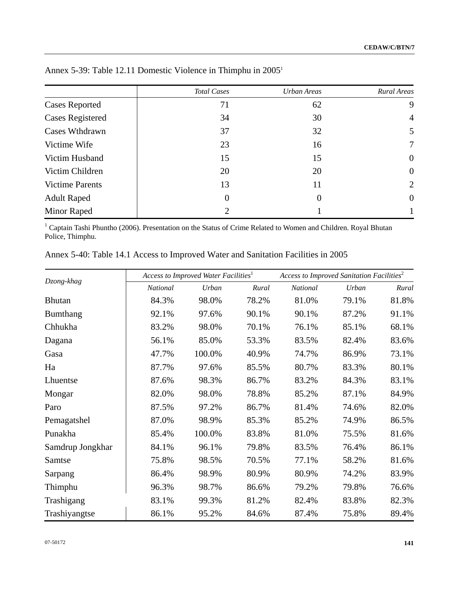|                         | <b>Total Cases</b> | Urban Areas    | Rural Areas    |
|-------------------------|--------------------|----------------|----------------|
| <b>Cases Reported</b>   | 71                 | 62             | 9              |
| <b>Cases Registered</b> | 34                 | 30             | 4              |
| Cases Wthdrawn          | 37                 | 32             | 5              |
| Victime Wife            | 23                 | 16             | 7              |
| Victim Husband          | 15                 | 15             | $\overline{0}$ |
| Victim Children         | 20                 | 20             | $\overline{0}$ |
| <b>Victime Parents</b>  | 13                 | 11             | $\overline{2}$ |
| <b>Adult Raped</b>      | $\theta$           | $\overline{0}$ | $\theta$       |
| Minor Raped             | ∍                  |                |                |

Annex 5-39: Table 12.11 Domestic Violence in Thimphu in 20051

<sup>1</sup> Captain Tashi Phuntho (2006). Presentation on the Status of Crime Related to Women and Children. Royal Bhutan Police, Thimphu.

| Annex 5-40: Table 14.1 Access to Improved Water and Sanitation Facilities in 2005 |  |  |  |
|-----------------------------------------------------------------------------------|--|--|--|
|-----------------------------------------------------------------------------------|--|--|--|

|                  |          | Access to Improved Water Facilities <sup>1</sup> |       | Access to Improved Sanitation Facilities <sup>2</sup> |       |       |
|------------------|----------|--------------------------------------------------|-------|-------------------------------------------------------|-------|-------|
| Dzong-khag       | National | Urban                                            | Rural | <b>National</b>                                       | Urban | Rural |
| <b>Bhutan</b>    | 84.3%    | 98.0%                                            | 78.2% | 81.0%                                                 | 79.1% | 81.8% |
| Bumthang         | 92.1%    | 97.6%                                            | 90.1% | 90.1%                                                 | 87.2% | 91.1% |
| Chhukha          | 83.2%    | 98.0%                                            | 70.1% | 76.1%                                                 | 85.1% | 68.1% |
| Dagana           | 56.1%    | 85.0%                                            | 53.3% | 83.5%                                                 | 82.4% | 83.6% |
| Gasa             | 47.7%    | 100.0%                                           | 40.9% | 74.7%                                                 | 86.9% | 73.1% |
| Ha               | 87.7%    | 97.6%                                            | 85.5% | 80.7%                                                 | 83.3% | 80.1% |
| Lhuentse         | 87.6%    | 98.3%                                            | 86.7% | 83.2%                                                 | 84.3% | 83.1% |
| Mongar           | 82.0%    | 98.0%                                            | 78.8% | 85.2%                                                 | 87.1% | 84.9% |
| Paro             | 87.5%    | 97.2%                                            | 86.7% | 81.4%                                                 | 74.6% | 82.0% |
| Pemagatshel      | 87.0%    | 98.9%                                            | 85.3% | 85.2%                                                 | 74.9% | 86.5% |
| Punakha          | 85.4%    | 100.0%                                           | 83.8% | 81.0%                                                 | 75.5% | 81.6% |
| Samdrup Jongkhar | 84.1%    | 96.1%                                            | 79.8% | 83.5%                                                 | 76.4% | 86.1% |
| Samtse           | 75.8%    | 98.5%                                            | 70.5% | 77.1%                                                 | 58.2% | 81.6% |
| Sarpang          | 86.4%    | 98.9%                                            | 80.9% | 80.9%                                                 | 74.2% | 83.9% |
| Thimphu          | 96.3%    | 98.7%                                            | 86.6% | 79.2%                                                 | 79.8% | 76.6% |
| Trashigang       | 83.1%    | 99.3%                                            | 81.2% | 82.4%                                                 | 83.8% | 82.3% |
| Trashiyangtse    | 86.1%    | 95.2%                                            | 84.6% | 87.4%                                                 | 75.8% | 89.4% |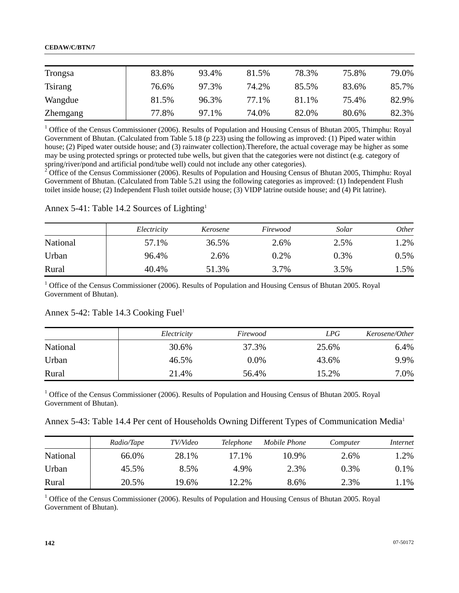| Trongsa         | 83.8% | 93.4% | 81.5% | 78.3% | 75.8% | 79.0% |
|-----------------|-------|-------|-------|-------|-------|-------|
| <b>Tsirang</b>  | 76.6% | 97.3% | 74.2% | 85.5% | 83.6% | 85.7% |
| Wangdue         | 81.5% | 96.3% | 77.1% | 81.1% | 75.4% | 82.9% |
| <b>Zhemgang</b> | 77.8% | 97.1% | 74.0% | 82.0% | 80.6% | 82.3% |

<sup>1</sup> Office of the Census Commissioner (2006). Results of Population and Housing Census of Bhutan 2005, Thimphu: Royal Government of Bhutan. (Calculated from Table 5.18 (p 223) using the following as improved: (1) Piped water within house; (2) Piped water outside house; and (3) rainwater collection). Therefore, the actual coverage may be higher as some may be using protected springs or protected tube wells, but given that the categories were not distinct (e.g. category of spring/river/pond and artificial pond/tube well) could not include any other categories).

<sup>2</sup> Office of the Census Commissioner (2006). Results of Population and Housing Census of Bhutan 2005, Thimphu: Royal Government of Bhutan. (Calculated from Table 5.21 using the following categories as improved: (1) Independent Flush toilet inside house; (2) Independent Flush toilet outside house; (3) VIDP latrine outside house; and (4) Pit latrine).

### Annex 5-41: Table 14.2 Sources of Lighting1

|          | Electricity | Kerosene | Firewood | Solar | <i>Other</i> |
|----------|-------------|----------|----------|-------|--------------|
| National | 57.1%       | 36.5%    | 2.6%     | 2.5%  | .2%          |
| Urban    | 96.4%       | 2.6%     | 0.2%     | 0.3%  | $0.5\%$      |
| Rural    | 40.4%       | 51.3%    | 3.7%     | 3.5%  | 1.5%         |

<sup>1</sup> Office of the Census Commissioner (2006). Results of Population and Housing Census of Bhutan 2005. Royal Government of Bhutan).

### Annex 5-42: Table 14.3 Cooking Fuel<sup>1</sup>

|          | Electricity | Firewood | LPG   | Kerosene/Other |
|----------|-------------|----------|-------|----------------|
| National | 30.6%       | 37.3%    | 25.6% | 6.4%           |
| Urban    | 46.5%       | $0.0\%$  | 43.6% | 9.9%           |
| Rural    | 21.4%       | 56.4%    | 15.2% | $0\%$          |

<sup>1</sup> Office of the Census Commissioner (2006). Results of Population and Housing Census of Bhutan 2005. Royal Government of Bhutan).

Annex 5-43: Table 14.4 Per cent of Households Owning Different Types of Communication Media<sup>1</sup>

|          | Radio/Tape | TV/Video | <i>Telephone</i> | Mobile Phone | Computer | Internet |
|----------|------------|----------|------------------|--------------|----------|----------|
| National | 66.0%      | 28.1%    | 17.1%            | 10.9%        | 2.6%     | 1.2%     |
| Urban    | 45.5%      | 8.5%     | 4.9%             | 2.3%         | $0.3\%$  | 0.1%     |
| Rural    | 20.5%      | 19.6%    | 12.2%            | 8.6%         | 2.3%     | $.1\%$   |

<sup>1</sup> Office of the Census Commissioner (2006). Results of Population and Housing Census of Bhutan 2005. Royal Government of Bhutan).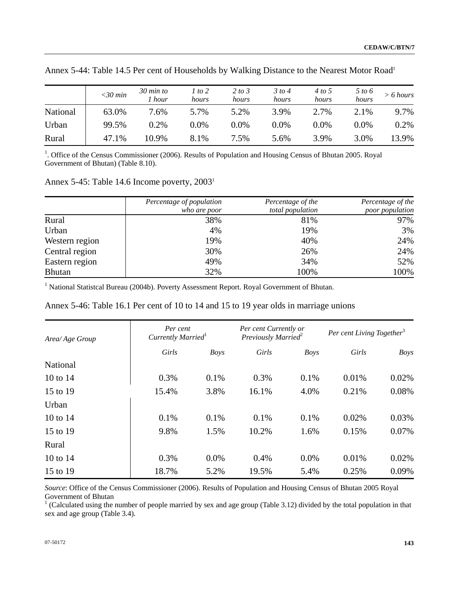|          | $<30$ min | $30$ min to<br>1 hour | 1 to 2<br>hours | 2 to 3<br>hours | 3 to 4<br>hours | 4 to 5<br>hours | 5 to 6<br>hours | $> 6$ hours |
|----------|-----------|-----------------------|-----------------|-----------------|-----------------|-----------------|-----------------|-------------|
| National | 63.0%     | $7.6\%$               | 5.7%            | 5.2%            | 3.9%            | 2.7%            | 2.1%            | 9.7%        |
| Urban    | 99.5%     | 0.2%                  | $0.0\%$         | 0.0%            | $0.0\%$         | 0.0%            | $0.0\%$         | 0.2%        |
| Rural    | 47.1%     | 10.9%                 | 8.1%            | 7.5%            | 5.6%            | 3.9%            | 3.0%            | 13.9%       |

Annex 5-44: Table 14.5 Per cent of Households by Walking Distance to the Nearest Motor Road<sup>1</sup>

<sup>1</sup>. Office of the Census Commissioner (2006). Results of Population and Housing Census of Bhutan 2005. Royal Government of Bhutan) (Table 8.10).

Annex 5-45: Table 14.6 Income poverty, 2003<sup>1</sup>

|                | Percentage of population<br>who are poor | Percentage of the<br>total population | Percentage of the<br>poor population |
|----------------|------------------------------------------|---------------------------------------|--------------------------------------|
| Rural          | 38%                                      | 81%                                   | 97%                                  |
| Urban          | 4%                                       | 19%                                   | 3%                                   |
| Western region | 19%                                      | 40%                                   | 24%                                  |
| Central region | 30%                                      | 26%                                   | 24%                                  |
| Eastern region | 49%                                      | 34%                                   | 52%                                  |
| <b>Bhutan</b>  | 32%                                      | 100%                                  | 100%                                 |

<sup>1</sup> National Statistcal Bureau (2004b). Poverty Assessment Report. Royal Government of Bhutan.

| Annex 5-46: Table 16.1 Per cent of 10 to 14 and 15 to 19 year olds in marriage unions |  |  |  |
|---------------------------------------------------------------------------------------|--|--|--|
|                                                                                       |  |  |  |

| Area/Age Group | Per cent<br>Currently Married <sup>1</sup> |             | Per cent Currently or<br>Previously Married <sup>2</sup> |             | Per cent Living Together <sup>3</sup> |             |
|----------------|--------------------------------------------|-------------|----------------------------------------------------------|-------------|---------------------------------------|-------------|
|                | Girls                                      | <b>Boys</b> | Girls                                                    | <b>Boys</b> | Girls                                 | <b>Boys</b> |
| National       |                                            |             |                                                          |             |                                       |             |
| 10 to $14$     | 0.3%                                       | 0.1%        | 0.3%                                                     | 0.1%        | 0.01%                                 | 0.02%       |
| 15 to 19       | 15.4%                                      | 3.8%        | 16.1%                                                    | 4.0%        | 0.21%                                 | 0.08%       |
| Urban          |                                            |             |                                                          |             |                                       |             |
| 10 to $14$     | 0.1%                                       | 0.1%        | 0.1%                                                     | 0.1%        | 0.02%                                 | 0.03%       |
| 15 to 19       | 9.8%                                       | 1.5%        | 10.2%                                                    | 1.6%        | 0.15%                                 | 0.07%       |
| Rural          |                                            |             |                                                          |             |                                       |             |
| 10 to $14$     | 0.3%                                       | 0.0%        | 0.4%                                                     | 0.0%        | 0.01%                                 | 0.02%       |
| 15 to 19       | 18.7%                                      | 5.2%        | 19.5%                                                    | 5.4%        | 0.25%                                 | 0.09%       |

*Source*: Office of the Census Commissioner (2006). Results of Population and Housing Census of Bhutan 2005 Royal Government of Bhutan

<sup>1</sup> (Calculated using the number of people married by sex and age group (Table 3.12) divided by the total population in that sex and age group (Table 3.4).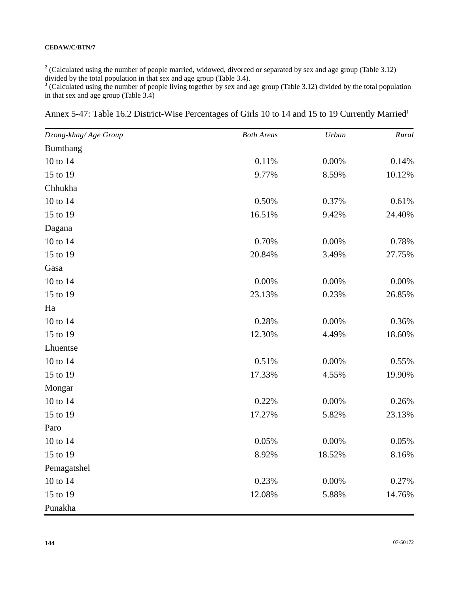<sup>2</sup> (Calculated using the number of people married, widowed, divorced or separated by sex and age group (Table 3.12)

divided by the total population in that sex and age group (Table 3.4).<br><sup>3</sup> (Calculated using the number of people living together by sex and age group (Table 3.12) divided by the total population in that sex and age group (Table 3.4)

| Annex 5-47: Table 16.2 District-Wise Percentages of Girls 10 to 14 and 15 to 19 Currently Married <sup>1</sup> |  |  |
|----------------------------------------------------------------------------------------------------------------|--|--|
|                                                                                                                |  |  |

| Dzong-khag/Age Group | <b>Both Areas</b> | Urban  | Rural    |
|----------------------|-------------------|--------|----------|
| Bumthang             |                   |        |          |
| 10 to 14             | 0.11%             | 0.00%  | 0.14%    |
| 15 to 19             | 9.77%             | 8.59%  | 10.12%   |
| Chhukha              |                   |        |          |
| 10 to 14             | 0.50%             | 0.37%  | 0.61%    |
| 15 to 19             | 16.51%            | 9.42%  | 24.40%   |
| Dagana               |                   |        |          |
| 10 to 14             | 0.70%             | 0.00%  | 0.78%    |
| 15 to 19             | 20.84%            | 3.49%  | 27.75%   |
| Gasa                 |                   |        |          |
| 10 to 14             | 0.00%             | 0.00%  | $0.00\%$ |
| 15 to 19             | 23.13%            | 0.23%  | 26.85%   |
| Ha                   |                   |        |          |
| 10 to 14             | 0.28%             | 0.00%  | 0.36%    |
| 15 to 19             | 12.30%            | 4.49%  | 18.60%   |
| Lhuentse             |                   |        |          |
| 10 to 14             | 0.51%             | 0.00%  | 0.55%    |
| 15 to 19             | 17.33%            | 4.55%  | 19.90%   |
| Mongar               |                   |        |          |
| 10 to 14             | 0.22%             | 0.00%  | 0.26%    |
| 15 to 19             | 17.27%            | 5.82%  | 23.13%   |
| Paro                 |                   |        |          |
| 10 to 14             | 0.05%             | 0.00%  | 0.05%    |
| 15 to 19             | 8.92%             | 18.52% | 8.16%    |
| Pemagatshel          |                   |        |          |
| 10 to 14             | 0.23%             | 0.00%  | 0.27%    |
| 15 to 19             | 12.08%            | 5.88%  | 14.76%   |
| Punakha              |                   |        |          |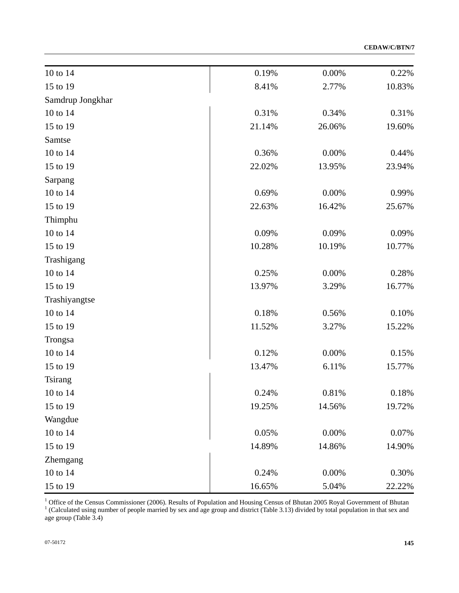**CEDAW/C/BTN/7**

| 10 to 14         | 0.19%  | 0.00%    | 0.22%    |
|------------------|--------|----------|----------|
| 15 to 19         | 8.41%  | 2.77%    | 10.83%   |
| Samdrup Jongkhar |        |          |          |
| 10 to 14         | 0.31%  | 0.34%    | 0.31%    |
| 15 to 19         | 21.14% | 26.06%   | 19.60%   |
| Samtse           |        |          |          |
| 10 to 14         | 0.36%  | 0.00%    | 0.44%    |
| 15 to 19         | 22.02% | 13.95%   | 23.94%   |
| Sarpang          |        |          |          |
| 10 to 14         | 0.69%  | 0.00%    | 0.99%    |
| 15 to 19         | 22.63% | 16.42%   | 25.67%   |
| Thimphu          |        |          |          |
| 10 to 14         | 0.09%  | 0.09%    | 0.09%    |
| 15 to 19         | 10.28% | 10.19%   | 10.77%   |
| Trashigang       |        |          |          |
| 10 to 14         | 0.25%  | 0.00%    | 0.28%    |
| 15 to 19         | 13.97% | 3.29%    | 16.77%   |
| Trashiyangtse    |        |          |          |
| 10 to 14         | 0.18%  | 0.56%    | 0.10%    |
| 15 to 19         | 11.52% | 3.27%    | 15.22%   |
| Trongsa          |        |          |          |
| 10 to 14         | 0.12%  | 0.00%    | 0.15%    |
| 15 to 19         | 13.47% | 6.11%    | 15.77%   |
| <b>Tsirang</b>   |        |          |          |
| 10 to 14         | 0.24%  | $0.81\%$ | $0.18\%$ |
| 15 to 19         | 19.25% | 14.56%   | 19.72%   |
| Wangdue          |        |          |          |
| 10 to 14         | 0.05%  | 0.00%    | 0.07%    |
| 15 to 19         | 14.89% | 14.86%   | 14.90%   |
| Zhemgang         |        |          |          |
| 10 to 14         | 0.24%  | 0.00%    | 0.30%    |
| 15 to 19         | 16.65% | 5.04%    | 22.22%   |

<sup>1</sup> Office of the Census Commissioner (2006). Results of Population and Housing Census of Bhutan 2005 Royal Government of Bhutan  $1$  (Calculated using number of people married by sex and age group and district (Table 3.13 age group (Table 3.4)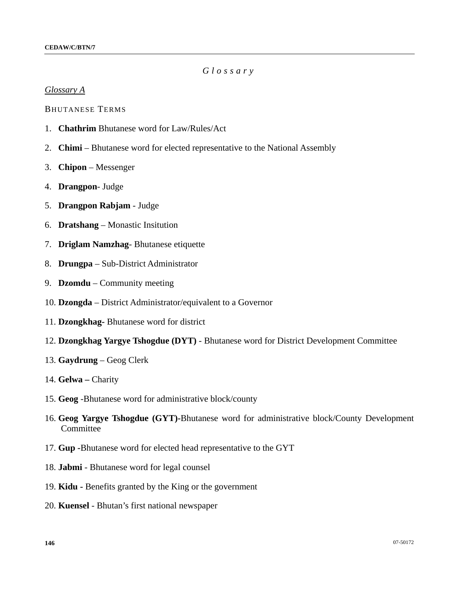## *Glossary*

#### *Glossary A*

BHUTANESE TERMS

- 1. **Chathrim** Bhutanese word for Law/Rules/Act
- 2. **Chimi**  Bhutanese word for elected representative to the National Assembly
- 3. **Chipon** Messenger
- 4. **Drangpon** Judge
- 5. **Drangpon Rabjam** Judge
- 6. **Dratshang**  Monastic Insitution
- 7. **Driglam Namzhag** Bhutanese etiquette
- 8. **Drungpa** Sub-District Administrator
- 9. **Dzomdu** Community meeting
- 10. **Dzongda** District Administrator/equivalent to a Governor
- 11. **Dzongkhag-** Bhutanese word for district
- 12. **Dzongkhag Yargye Tshogdue (DYT)** Bhutanese word for District Development Committee
- 13. **Gaydrung** Geog Clerk
- 14. **Gelwa** Charity
- 15. **Geog** -Bhutanese word for administrative block/county
- 16. **Geog Yargye Tshogdue (GYT)-**Bhutanese word for administrative block/County Development Committee
- 17. **Gup -**Bhutanese word for elected head representative to the GYT
- 18. **Jabmi** Bhutanese word for legal counsel
- 19. **Kidu** Benefits granted by the King or the government
- 20. **Kuensel** Bhutan's first national newspaper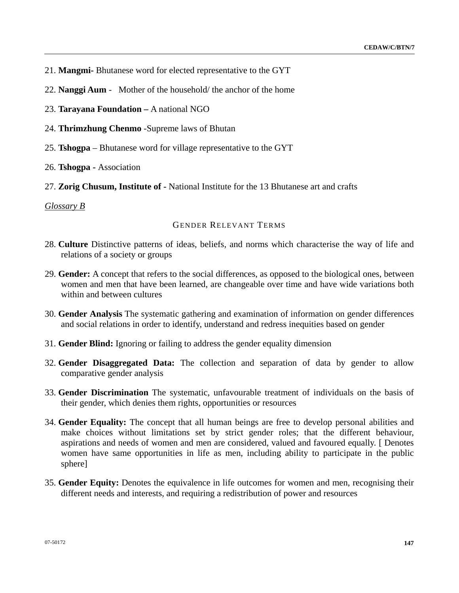- 21. **Mangmi-** Bhutanese word for elected representative to the GYT
- 22. **Nanggi Aum** Mother of the household/ the anchor of the home
- 23. **Tarayana Foundation** A national NGO
- 24. **Thrimzhung Chenmo** -Supreme laws of Bhutan
- 25. **Tshogpa**  Bhutanese word for village representative to the GYT
- 26. **Tshogpa** Association
- 27. **Zorig Chusum, Institute of -** National Institute for the 13 Bhutanese art and crafts

*Glossary B*

## GENDER RELEVANT TERMS

- 28. **Culture** Distinctive patterns of ideas, beliefs, and norms which characterise the way of life and relations of a society or groups
- 29. **Gender:** A concept that refers to the social differences, as opposed to the biological ones, between women and men that have been learned, are changeable over time and have wide variations both within and between cultures
- 30. **Gender Analysis** The systematic gathering and examination of information on gender differences and social relations in order to identify, understand and redress inequities based on gender
- 31. **Gender Blind:** Ignoring or failing to address the gender equality dimension
- 32. **Gender Disaggregated Data:** The collection and separation of data by gender to allow comparative gender analysis
- 33. **Gender Discrimination** The systematic, unfavourable treatment of individuals on the basis of their gender, which denies them rights, opportunities or resources
- 34. **Gender Equality:** The concept that all human beings are free to develop personal abilities and make choices without limitations set by strict gender roles; that the different behaviour, aspirations and needs of women and men are considered, valued and favoured equally. [ Denotes women have same opportunities in life as men, including ability to participate in the public sphere]
- 35. **Gender Equity:** Denotes the equivalence in life outcomes for women and men, recognising their different needs and interests, and requiring a redistribution of power and resources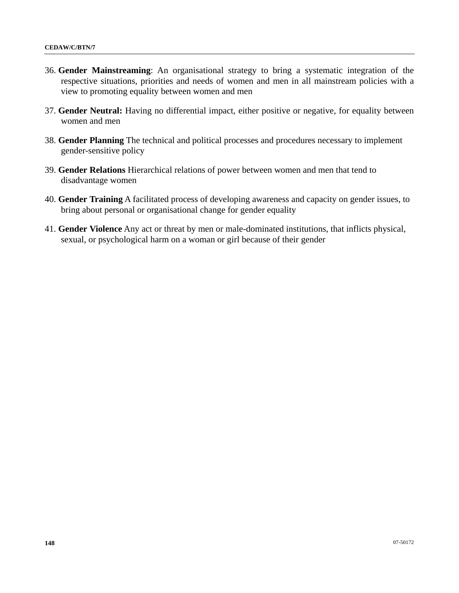- 36. **Gender Mainstreaming**: An organisational strategy to bring a systematic integration of the respective situations, priorities and needs of women and men in all mainstream policies with a view to promoting equality between women and men
- 37. **Gender Neutral:** Having no differential impact, either positive or negative, for equality between women and men
- 38. **Gender Planning** The technical and political processes and procedures necessary to implement gender-sensitive policy
- 39. **Gender Relations** Hierarchical relations of power between women and men that tend to disadvantage women
- 40. **Gender Training** A facilitated process of developing awareness and capacity on gender issues, to bring about personal or organisational change for gender equality
- 41. **Gender Violence** Any act or threat by men or male-dominated institutions, that inflicts physical, sexual, or psychological harm on a woman or girl because of their gender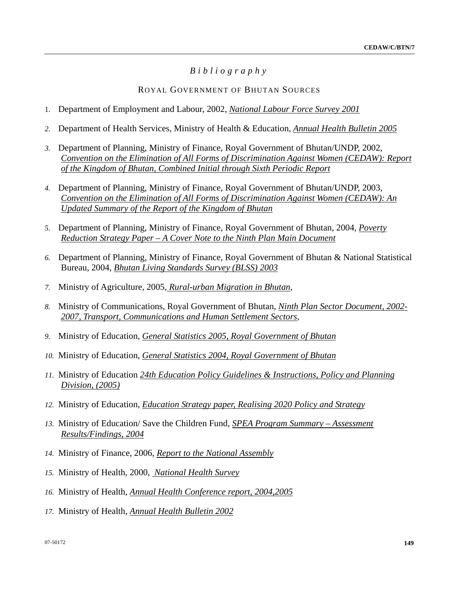# *Bibliography*

### ROYAL GOVERNMENT OF BHUTAN SOURCES

- 1. Department of Employment and Labour, 2002, *National Labour Force Survey 2001*
- *2.* Department of Health Services, Ministry of Health & Education, *Annual Health Bulletin 2005*
- *3.* Department of Planning, Ministry of Finance, Royal Government of Bhutan/UNDP, 2002, *Convention on the Elimination of All Forms of Discrimination Against Women (CEDAW): Report of the Kingdom of Bhutan, Combined Initial through Sixth Periodic Report*
- *4.* Department of Planning, Ministry of Finance, Royal Government of Bhutan/UNDP, 2003, *Convention on the Elimination of All Forms of Discrimination Against Women (CEDAW): An Updated Summary of the Report of the Kingdom of Bhutan*
- *5.* Department of Planning, Ministry of Finance, Royal Government of Bhutan, 2004, *Poverty Reduction Strategy Paper – A Cover Note to the Ninth Plan Main Document*
- *6.* Department of Planning, Ministry of Finance, Royal Government of Bhutan & National Statistical Bureau, 2004, *Bhutan Living Standards Survey (BLSS) 2003*
- *7.* Ministry of Agriculture, 2005, *Rural-urban Migration in Bhutan*,
- *8.* Ministry of Communications, Royal Government of Bhutan, *Ninth Plan Sector Document, 2002- 2007, Transport, Communications and Human Settlement Sectors*,
- *9.* Ministry of Education, *General Statistics 2005, Royal Government of Bhutan*
- *10.* Ministry of Education, *General Statistics 2004, Royal Government of Bhutan*
- *11.* Ministry of Education *24th Education Policy Guidelines & Instructions, Policy and Planning Division, (2005)*
- *12.* Ministry of Education, *Education Strategy paper, Realising 2020 Policy and Strategy*
- *13.* Ministry of Education/ Save the Children Fund, *SPEA Program Summary Assessment Results/Findings, 2004*
- *14.* Ministry of Finance, 2006, *Report to the National Assembly*
- *15.* Ministry of Health, 2000, *National Health Survey*
- *16.* Ministry of Health, *Annual Health Conference report, 2004,2005*
- *17.* Ministry of Health, *Annual Health Bulletin 2002*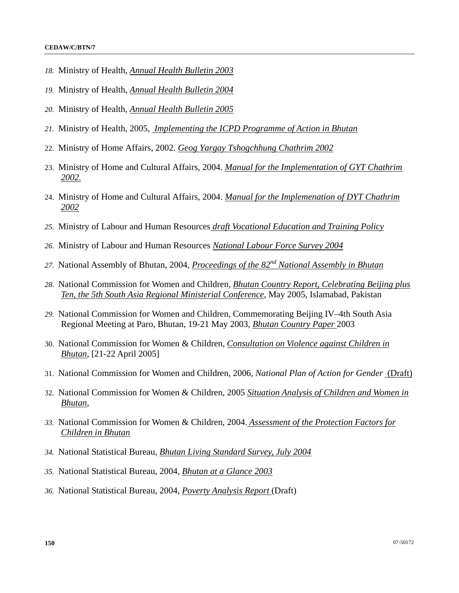- *18.* Ministry of Health, *Annual Health Bulletin 2003*
- *19.* Ministry of Health, *Annual Health Bulletin 2004*
- *20.* Ministry of Health, *Annual Health Bulletin 2005*
- *21.* Ministry of Health, 2005, *Implementing the ICPD Programme of Action in Bhutan*
- 22. Ministry of Home Affairs, 2002. *Geog Yargay Tshogchhung Chathrim 2002*
- 23. Ministry of Home and Cultural Affairs, 2004. *Manual for the Implementation of GYT Chathrim 2002.*
- 24. Ministry of Home and Cultural Affairs, 2004. *Manual for the Implemenation of DYT Chathrim 2002*
- *25.* Ministry of Labour and Human Resources *draft Vocational Education and Training Policy*
- *26.* Ministry of Labour and Human Resources *National Labour Force Survey 2004*
- *27.* National Assembly of Bhutan, 2004, *Proceedings of the 82nd National Assembly in Bhutan*
- *28.* National Commission for Women and Children, *Bhutan Country Report, Celebrating Beijing plus Ten, the 5th South Asia Regional Ministerial Conference*, May 2005, Islamabad, Pakistan
- *29.* National Commission for Women and Children, Commemorating Beijing IV–4th South Asia Regional Meeting at Paro, Bhutan, 19-21 May 2003, *Bhutan Country Paper* 2003
- 30. National Commission for Women & Children, *Consultation on Violence against Children in Bhutan*, [21-22 April 2005]
- 31. National Commission for Women and Children, 2006, *National Plan of Action for Gender* (Draft)
- 32. National Commission for Women & Children, 2005 *Situation Analysis of Children and Women in Bhutan*,
- *33.* National Commission for Women & Children, 2004. *Assessment of the Protection Factors for Children in Bhutan*
- *34.* National Statistical Bureau, *Bhutan Living Standard Survey, July 2004*
- *35.* National Statistical Bureau, 2004, *Bhutan at a Glance 2003*
- *36.* National Statistical Bureau, 2004, *Poverty Analysis Report* (Draft)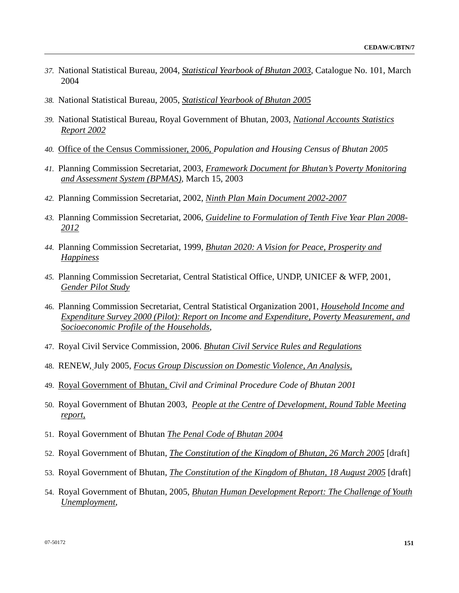- *37.* National Statistical Bureau, 2004, *Statistical Yearbook of Bhutan 2003*, Catalogue No. 101, March 2004
- *38.* National Statistical Bureau, 2005, *Statistical Yearbook of Bhutan 2005*
- *39.* National Statistical Bureau, Royal Government of Bhutan, 2003, *National Accounts Statistics Report 2002*
- *40.* Office of the Census Commissioner, 2006, *Population and Housing Census of Bhutan 2005*
- *41.* Planning Commission Secretariat, 2003, *Framework Document for Bhutan's Poverty Monitoring and Assessment System (BPMAS)*, March 15, 2003
- *42.* Planning Commission Secretariat, 2002, *Ninth Plan Main Document 2002-2007*
- *43.* Planning Commission Secretariat, 2006, *Guideline to Formulation of Tenth Five Year Plan 2008- 2012*
- *44.* Planning Commission Secretariat, 1999, *Bhutan 2020: A Vision for Peace, Prosperity and Happiness*
- *45.* Planning Commission Secretariat, Central Statistical Office, UNDP, UNICEF & WFP, 2001, *Gender Pilot Study*
- 46. Planning Commission Secretariat, Central Statistical Organization 2001, *Household Income and Expenditure Survey 2000 (Pilot): Report on Income and Expenditure, Poverty Measurement, and Socioeconomic Profile of the Households*,
- 47. Royal Civil Service Commission, 2006. *Bhutan Civil Service Rules and Regulations*
- 48. RENEW, July 2005, *Focus Group Discussion on Domestic Violence, An Analysis,*
- 49. Royal Government of Bhutan, *Civil and Criminal Procedure Code of Bhutan 2001*
- 50. Royal Government of Bhutan 2003, *People at the Centre of Development, Round Table Meeting report,*
- 51. Royal Government of Bhutan *The Penal Code of Bhutan 2004*
- 52. Royal Government of Bhutan, *The Constitution of the Kingdom of Bhutan, 26 March 2005* [draft]
- 53. Royal Government of Bhutan, *The Constitution of the Kingdom of Bhutan, 18 August 2005* [draft]
- 54. Royal Government of Bhutan, 2005, *Bhutan Human Development Report: The Challenge of Youth Unemployment*,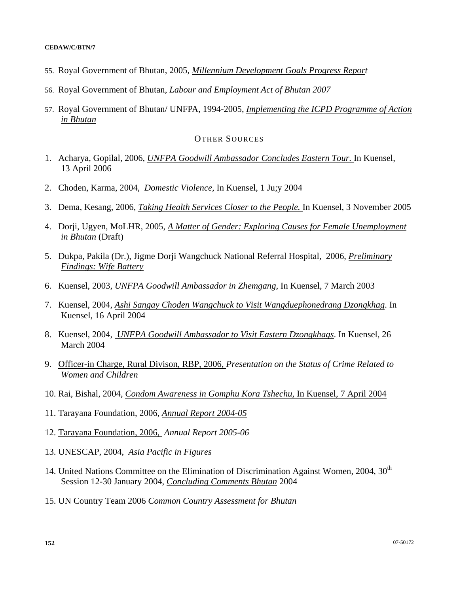- 55. Royal Government of Bhutan, 2005, *Millennium Development Goals Progress Report*
- 56. Royal Government of Bhutan, *Labour and Employment Act of Bhutan 2007*
- 57. Royal Government of Bhutan/ UNFPA, 1994-2005, *Implementing the ICPD Programme of Action in Bhutan*

### OTHER SOURCES

- 1. Acharya, Gopilal, 2006, *UNFPA Goodwill Ambassador Concludes Eastern Tour.* In Kuensel, 13 April 2006
- 2. Choden, Karma, 2004, *Domestic Violence,* In Kuensel, 1 Ju;y 2004
- 3. Dema, Kesang, 2006, *Taking Health Services Closer to the People.* In Kuensel, 3 November 2005
- 4. Dorji, Ugyen, MoLHR, 2005, *A Matter of Gender: Exploring Causes for Female Unemployment in Bhutan* (Draft)
- 5. Dukpa, Pakila (Dr.), Jigme Dorji Wangchuck National Referral Hospital, 2006, *Preliminary Findings: Wife Battery*
- 6. Kuensel, 2003, *UNFPA Goodwill Ambassador in Zhemgang,* In Kuensel, 7 March 2003
- 7. Kuensel, 2004, *Ashi Sangay Choden Wangchuck to Visit Wangduephonedrang Dzongkhag*. In Kuensel, 16 April 2004
- 8. Kuensel, 2004, *UNFPA Goodwill Ambassador to Visit Eastern Dzongkhags*. In Kuensel, 26 March 2004
- 9. Officer-in Charge, Rural Divison, RBP, 2006, *Presentation on the Status of Crime Related to Women and Children*
- 10. Rai, Bishal, 2004, *Condom Awareness in Gomphu Kora Tshechu,* In Kuensel, 7 April 2004
- 11. Tarayana Foundation, 2006, *Annual Report 2004-05*
- 12. Tarayana Foundation, 2006, *Annual Report 2005-06*
- 13. UNESCAP, 2004, *Asia Pacific in Figures*
- 14. United Nations Committee on the Elimination of Discrimination Against Women, 2004, 30<sup>th</sup> Session 12-30 January 2004, *Concluding Comments Bhutan* 2004
- 15. UN Country Team 2006 *Common Country Assessment for Bhutan*